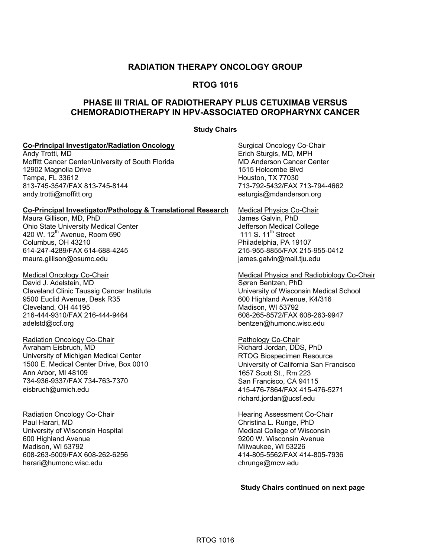## **RADIATION THERAPY ONCOLOGY GROUP**

## **RTOG 1016**

# **PHASE III TRIAL OF RADIOTHERAPY PLUS CETUXIMAB VERSUS CHEMORADIOTHERAPY IN HPV-ASSOCIATED OROPHARYNX CANCER**

#### **Study Chairs**

#### **Co-Principal Investigator/Radiation Oncology Surgical Oncology Co-Chair**

Andy Trotti, MD **Example 3** and the sturgis, MD, MPH Erich Sturgis, MD, MPH Moffitt Cancer Center/University of South Florida MD Anderson Cancer Center 12902 Magnolia Drive 1515 Holcombe Blvd Tampa, FL 33612 Houston, TX 77030 813-745-3547/FAX 813-745-8144 andy.[trotti@moffitt.org](mailto:trotti@moffitt.org) [esturgis@mdanderson.org](mailto:esturgis@mdanderson.org) 

#### **Co-Principal Investigator/Pathology & Translational Research** Medical Physics Co-Chair

Maura Gillison, MD, PhD James Galvin, PhD Ohio State University Medical Center **Jefferson Medical College** Jefferson Medical College<br>420 W. 12<sup>th</sup> Avenue, Room 690 **Jeffers** 111 S. 11<sup>th</sup> Street 420 W. 12<sup>th</sup> Avenue, Room 690 Columbus, OH 43210 Philadelphia, PA 19107 614-247-4289/FAX 614-688-4245 215-955-8855/FAX 215-955-0412 maura.[gillison@osumc.edu](mailto:gillison@osumc.edu) intervention of the state of the state of the intervention of the intervention of the i

David J. Adelstein, MD Cleveland Clinic Taussig Cancer Institute University of Wisconsin Medical School 9500 Euclid Avenue, Desk R35 600 Highland Avenue, K4/316 Cleveland, OH 44195 Madison, WI 53792 216-444-9310/FAX 216-444-9464 608-265-8572/FAX 608-263-9947 [adelstd@ccf.org](mailto:adelstd@ccf.org) [bentzen@humonc.wisc.edu](mailto:bentzen@humonc.wisc.edu) 

Radiation Oncology Co-Chair **Pathology Co-Chair** Pathology Co-Chair Pathology Co-Chair Pathology Co-Chair Pathology Co-Chair Pathology Co-Chair Pathology Co-Chair Pathology Co-Chair Pathology Co-Chair Pathology Pathology P University of Michigan Medical Center **RTOG Biospecimen Resource** 1500 E. Medical Center Drive, Box 0010 University of California San Francisco Ann Arbor, MI 48109 1657 Scott St., Rm 223 734-936-9337/FAX 734-763-7370 San Francisco, CA 94115 [eisbruch@umich.edu](mailto:eisbruch@umich.edu) 415-476-7864/FAX 415-476-5271

Radiation Oncology Co-Chair **Francisco Community Community Contains Assessment Co-Chair** Hearing Assessment Co-Chair<br>Paul Harari. MD University of Wisconsin Hospital Medical College of Wisconsin 600 Highland Avenue 9200 W. Wisconsin Avenue [harari@humonc.wisc.edu](mailto:harari@humonc.wisc.edu) chrunge@mcw.edu

Medical Oncology Co-Chair **Medical Physics and Radiobiology Co-Chair** Medical Physics and Radiobiology Co-Chair<br>
Medical Physics and Radiobiology Co-Chair<br>
Søren Bentzen. PhD

Richard Jordan, DDS, PhD richard.[jordan@ucsf.edu](mailto:jordan@ucsf.edu) 

Christina L. Runge, PhD Milwaukee, WI 53226 608-263-5009/FAX 608-262-6256 414-805-5562/FAX 414-805-7936

**Study Chairs continued on next page**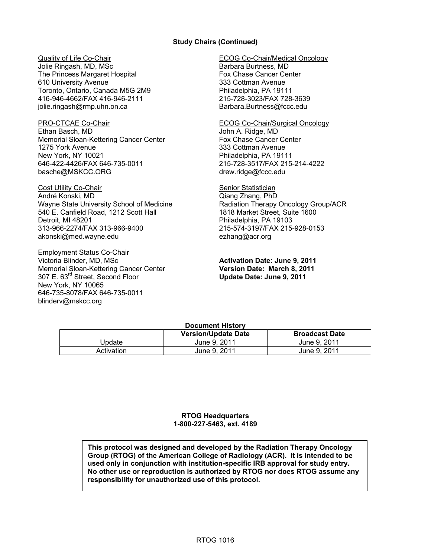#### **Study Chairs (Continued)**

Jolie Ringash, MD, MSc Barbara Burtness, MD The Princess Margaret Hospital Fox Chase Cancer Center 610 University Avenue<br>
Toronto, Ontario, Canada M5G 2M9<br>
Philadelphia, PA 19111 Toronto, Ontario, Canada M5G 2M9 416-946-4662/FAX 416-946-2111 215-728-3023/FAX 728-3639 jolie.[ringash@rmp.uhn.on.ca](mailto:ringash@rmp.uhn.on.ca) Barbara.[Burtness@fccc.edu](mailto:Burtness@fccc.edu) 

Ethan Basch, MD **John A. Ridge, MD** Memorial Sloan-Kettering Cancer Center Fox Chase Cancer Center 1275 York Avenue 333 Cottman Avenue New York, NY 10021 **Philadelphia, PA 19111** 646-422-4426/FAX 646-735-0011 215-728-3517/FAX 215-214-4222 [basche@MSKCC.ORG](mailto:basche@MSKCC.ORG) drew.ridge@fccc.edu

Cost Utility Co-Chair **Senior Statistician** Senior Statistician André Konski, MD Qiang Zhang, PhD Wayne State University School of Medicine **Radiation Therapy Oncology Group/ACR** 540 E. Canfield Road, 1212 Scott Hall 1818 Market Street, Suite 1600 Detroit, MI 48201 **Philadelphia, PA 19103** 313-966-2274/FAX 313-966-9400 215-574-3197/FAX 215-928-0153 [akonski@med.wayne.edu](mailto:akonski@med.wayne.edu) ezhang@acr.org

Employment Status Co-Chair Victoria Blinder, MD, MSc **Activation Date: June 9, 2011**  Memorial Sloan-Kettering Cancer Center **Version Date: March 8, 2011**  307 E. 63rd Street, Second Floor **Update Date: June 9, 2011**  New York, NY 10065 646-735-8078/FAX 646-735-0011 [blinderv@mskcc.org](mailto:blinderv@mskcc.org) 

#### Quality of Life Co-Chair ECOG Co-Chair/Medical Oncology

#### PRO-CTCAE Co-Chair **ECOG Co-Chair/Surgical Oncology**

### **Document History**

|            | <b>Version/Update Date</b> | <b>Broadcast Date</b> |
|------------|----------------------------|-----------------------|
| Jodate     | June 9, 2011               | June 9, 2011          |
| Activation | June 9, 2011               | June 9, 2011          |

#### **RTOG Headquarters 1-800-227-5463, ext. 4189**

**This protocol was designed and developed by the Radiation Therapy Oncology Group (RTOG) of the American College of Radiology (ACR). It is intended to be used only in conjunction with institution-specific IRB approval for study entry. No other use or reproduction is authorized by RTOG nor does RTOG assume any responsibility for unauthorized use of this protocol.**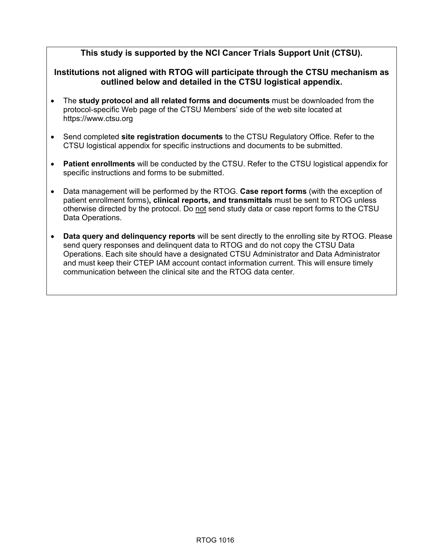# **This study is supported by the NCI Cancer Trials Support Unit (CTSU).**

# **Institutions not aligned with RTOG will participate through the CTSU mechanism as outlined below and detailed in the CTSU logistical appendix.**

- The **study protocol and all related forms and documents** must be downloaded from the protocol-specific Web page of the CTSU Members' side of the web site located at <https://www.ctsu.org>
- Send completed **site registration documents** to the CTSU Regulatory Office. Refer to the CTSU logistical appendix for specific instructions and documents to be submitted.
- **Patient enrollments** will be conducted by the CTSU. Refer to the CTSU logistical appendix for specific instructions and forms to be submitted.
- Data management will be performed by the RTOG. **Case report forms** (with the exception of patient enrollment forms)**, clinical reports, and transmittals** must be sent to RTOG unless otherwise directed by the protocol. Do not send study data or case report forms to the CTSU Data Operations.
- **Data query and delinquency reports** will be sent directly to the enrolling site by RTOG. Please send query responses and delinquent data to RTOG and do not copy the CTSU Data Operations. Each site should have a designated CTSU Administrator and Data Administrator and must keep their CTEP IAM account contact information current. This will ensure timely communication between the clinical site and the RTOG data center.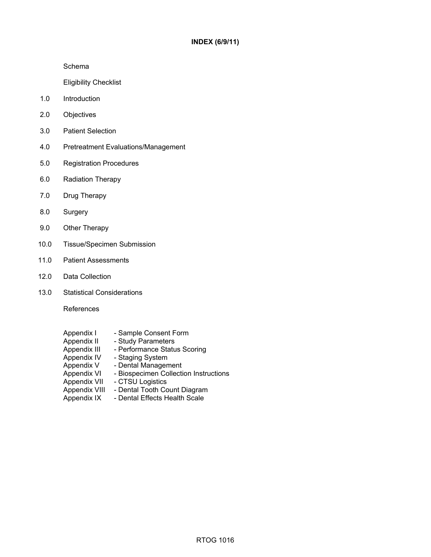Schema

Eligibility Checklist

- 1.0 Introduction
- 2.0 Objectives
- 3.0 Patient Selection
- 4.0 Pretreatment Evaluations/Management
- 5.0 Registration Procedures
- 6.0 Radiation Therapy
- 7.0 Drug Therapy
- 8.0 Surgery
- 9.0 Other Therapy
- 10.0 Tissue/Specimen Submission
- 11.0 Patient Assessments
- 12.0 Data Collection
- 13.0 Statistical Considerations

References

- Appendix I Sample Consent Form<br>Appendix II Study Parameters
- Appendix II Study Parameters<br>Appendix III Performance Statu
- Appendix III Performance Status Scoring<br>Appendix IV Staging System
- Staging System
- Appendix V Dental Management<br>Appendix VI Biospecimen Collecti
- Appendix VI Biospecimen Collection Instructions<br>Appendix VII CTSU Logistics
- CTSU Logistics
- Appendix VIII Dental Tooth Count Diagram
- Appendix IX Dental Effects Health Scale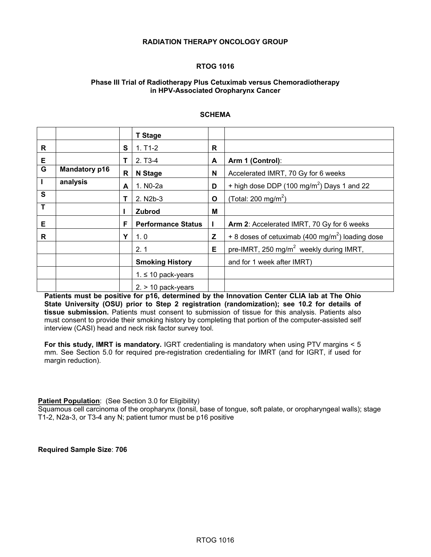#### **RADIATION THERAPY ONCOLOGY GROUP**

#### **RTOG 1016**

#### **Phase III Trial of Radiotherapy Plus Cetuximab versus Chemoradiotherapy in HPV-Associated Oropharynx Cancer**

#### **SCHEMA**

|                         |                      |              | <b>T</b> Stage            |   |                                                              |
|-------------------------|----------------------|--------------|---------------------------|---|--------------------------------------------------------------|
| R                       |                      | S            | $1. T1-2$                 | R |                                                              |
| Е                       |                      | Т            | $2. T3-4$                 | A | Arm 1 (Control):                                             |
| G                       | <b>Mandatory p16</b> | $\mathsf{R}$ | N Stage                   | N | Accelerated IMRT, 70 Gy for 6 weeks                          |
| $\mathbf{I}$            | analysis             | A            | 1. N <sub>0</sub> -2a     | D | + high dose DDP (100 mg/m <sup>2</sup> ) Days 1 and 22       |
| $\overline{\mathbf{s}}$ |                      | т            | 2. N <sub>2</sub> b-3     | O | (Total: 200 mg/m <sup>2</sup> )                              |
| Т                       |                      |              | <b>Zubrod</b>             | м |                                                              |
| Е                       |                      | F            | <b>Performance Status</b> |   | Arm 2: Accelerated IMRT, 70 Gy for 6 weeks                   |
| R                       |                      | Y            | 1.0                       | Z | + 8 doses of cetuximab (400 mg/m <sup>2</sup> ) loading dose |
|                         |                      |              | 2.1                       | E | pre-IMRT, 250 mg/m <sup>2</sup> weekly during IMRT,          |
|                         |                      |              | <b>Smoking History</b>    |   | and for 1 week after IMRT)                                   |
|                         |                      |              | $1. \leq 10$ pack-years   |   |                                                              |
|                         |                      |              | $2. > 10$ pack-years      |   |                                                              |

**Patients must be positive for p16, determined by the Innovation Center CLIA lab at The Ohio State University (OSU) prior to Step 2 registration (randomization); see 10.2 for details of tissue submission.** Patients must consent to submission of tissue for this analysis. Patients also must consent to provide their smoking history by completing that portion of the computer-assisted self interview (CASI) head and neck risk factor survey tool.

**For this study, IMRT is mandatory.** IGRT credentialing is mandatory when using PTV margins < 5 mm. See Section 5.0 for required pre-registration credentialing for IMRT (and for IGRT, if used for margin reduction).

#### **Patient Population:** (See Section 3.0 for Eligibility)

Squamous cell carcinoma of the oropharynx (tonsil, base of tongue, soft palate, or oropharyngeal walls); stage T1-2, N2a-3, or T3-4 any N; patient tumor must be p16 positive

**Required Sample Size**: **706**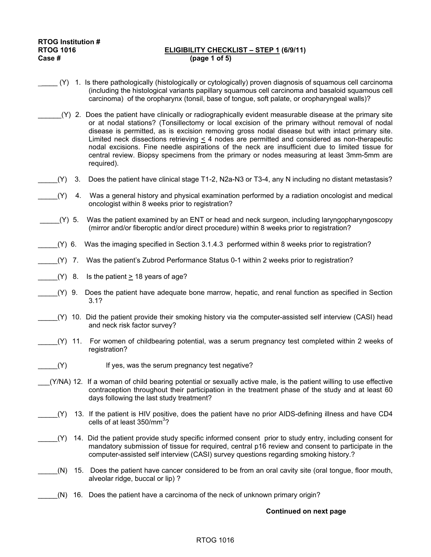#### **RTOG 1016 ELIGIBILITY CHECKLIST – STEP 1 (6/9/11) Case # (page 1 of 5)**

- \_\_\_\_ (Y) 1. Is there pathologically (histologically or cytologically) proven diagnosis of squamous cell carcinoma (including the histological variants papillary squamous cell carcinoma and basaloid squamous cell carcinoma) of the oropharynx (tonsil, base of tongue, soft palate, or oropharyngeal walls)?
	- \_\_\_\_\_\_(Y) 2. Does the patient have clinically or radiographically evident measurable disease at the primary site or at nodal stations? (Tonsillectomy or local excision of the primary without removal of nodal disease is permitted, as is excision removing gross nodal disease but with intact primary site. Limited neck dissections retrieving < 4 nodes are permitted and considered as non-therapeutic nodal excisions. Fine needle aspirations of the neck are insufficient due to limited tissue for central review. Biopsy specimens from the primary or nodes measuring at least 3mm-5mm are required).
- \_\_\_\_\_(Y) 3. Does the patient have clinical stage T1-2, N2a-N3 or T3-4, any N including no distant metastasis?
- \_\_\_\_\_(Y) 4. Was a general history and physical examination performed by a radiation oncologist and medical oncologist within 8 weeks prior to registration?
- \_\_\_\_\_(Y) 5. Was the patient examined by an ENT or head and neck surgeon, including laryngopharyngoscopy (mirror and/or fiberoptic and/or direct procedure) within 8 weeks prior to registration?
- \_\_\_\_\_(Y) 6. Was the imaging specified in Section 3.1.4.3 performed within 8 weeks prior to registration?
- \_\_\_\_\_(Y) 7. Was the patient's Zubrod Performance Status 0-1 within 2 weeks prior to registration?
- $(Y)$  8. Is the patient  $> 18$  years of age?
- \_\_\_\_\_(Y) 9. Does the patient have adequate bone marrow, hepatic, and renal function as specified in Section 3.1?
- \_\_\_\_\_(Y) 10. Did the patient provide their smoking history via the computer-assisted self interview (CASI) head and neck risk factor survey?
- \_\_\_\_\_(Y) 11. For women of childbearing potential, was a serum pregnancy test completed within 2 weeks of registration?
- \_\_\_\_\_(Y) If yes, was the serum pregnancy test negative?
- \_\_\_(Y/NA) 12. If a woman of child bearing potential or sexually active male, is the patient willing to use effective contraception throughout their participation in the treatment phase of the study and at least 60 days following the last study treatment?
- \_\_\_\_\_(Y) 13. If the patient is HIV positive, does the patient have no prior AIDS-defining illness and have CD4 cells of at least  $350/mm^3$ ?
- \_\_\_\_\_(Y) 14. Did the patient provide study specific informed consent prior to study entry, including consent for mandatory submission of tissue for required, central p16 review and consent to participate in the computer-assisted self interview (CASI) survey questions regarding smoking history.?
- \_\_\_\_\_(N) 15. Does the patient have cancer considered to be from an oral cavity site (oral tongue, floor mouth, alveolar ridge, buccal or lip) ?
- $(N)$  16. Does the patient have a carcinoma of the neck of unknown primary origin?

#### **Continued on next page**

#### RTOG 1016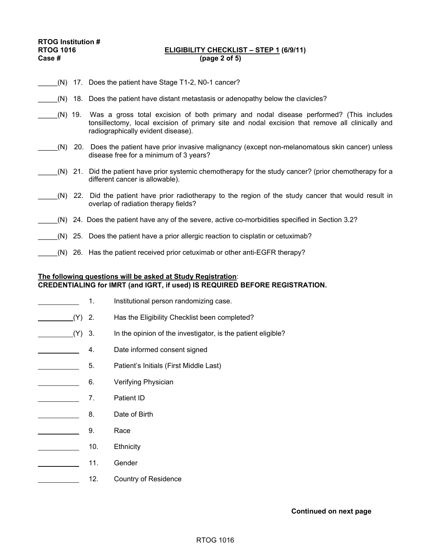#### RTOG 1016 **ELIGIBILITY CHECKLIST – STEP 1 (6/9/11)**<br>Case # (page 2 of 5) **Case # (page 2 of 5)**

- (N) 17. Does the patient have Stage T1-2, N0-1 cancer?
- \_\_\_\_\_(N) 18. Does the patient have distant metastasis or adenopathy below the clavicles?
- \_\_\_\_\_(N) 19. Was a gross total excision of both primary and nodal disease performed? (This includes tonsillectomy, local excision of primary site and nodal excision that remove all clinically and radiographically evident disease).
- \_\_\_\_\_(N) 20. Does the patient have prior invasive malignancy (except non-melanomatous skin cancer) unless disease free for a minimum of 3 years?
- \_\_\_\_\_(N) 21. Did the patient have prior systemic chemotherapy for the study cancer? (prior chemotherapy for a different cancer is allowable).
- \_\_\_\_\_(N) 22. Did the patient have prior radiotherapy to the region of the study cancer that would result in overlap of radiation therapy fields?
- \_\_\_\_\_(N) 24. Does the patient have any of the severe, active co-morbidities specified in Section 3.2?
- (N) 25. Does the patient have a prior allergic reaction to cisplatin or cetuximab?
	- $(N)$  26. Has the patient received prior cetuximab or other anti-EGFR therapy?

#### **The following questions will be asked at Study Registration**: **CREDENTIALING for IMRT (and IGRT, if used) IS REQUIRED BEFORE REGISTRATION.**

- 1. Institutional person randomizing case.
- (Y) 2. Has the Eligibility Checklist been completed?
- (Y) 3. In the opinion of the investigator, is the patient eligible?
- **4.** Date informed consent signed
- **EXECUTE:** 5. Patient's Initials (First Middle Last)
- **6.** Verifying Physician
- 7. Patient ID
- 8. Date of Birth
- 9. Race
- **10.** Ethnicity **Ethnicity**
- **11.** Gender
- 12. Country of Residence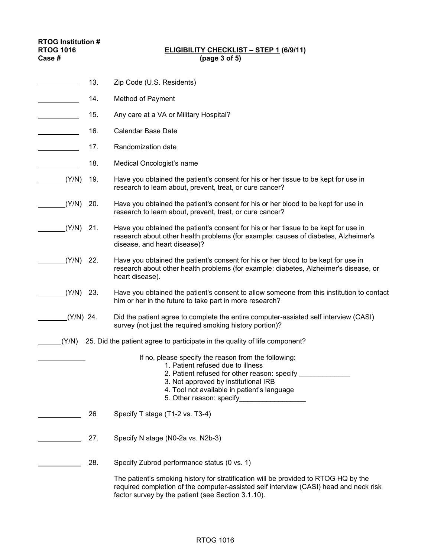#### **RTOG 1016 ELIGIBILITY CHECKLIST – STEP 1 (6/9/11) Case # (page 3 of 5)**

- 13. Zip Code (U.S. Residents)
	- **14.** Method of Payment
	- 15. Any care at a VA or Military Hospital?
- 16. Calendar Base Date
- 17. Randomization date
- 18. Medical Oncologist's name
- (Y/N) 19. Have you obtained the patient's consent for his or her tissue to be kept for use in research to learn about, prevent, treat, or cure cancer?
- (Y/N) 20. Have you obtained the patient's consent for his or her blood to be kept for use in research to learn about, prevent, treat, or cure cancer?
- (Y/N) 21. Have you obtained the patient's consent for his or her tissue to be kept for use in research about other health problems (for example: causes of diabetes, Alzheimer's disease, and heart disease)?
- $(Y/N)$  22. Have you obtained the patient's consent for his or her blood to be kept for use in research about other health problems (for example: diabetes, Alzheimer's disease, or heart disease).
- (Y/N) 23. Have you obtained the patient's consent to allow someone from this institution to contact him or her in the future to take part in more research?
- $(N/N)$  24. Did the patient agree to complete the entire computer-assisted self interview (CASI) survey (not just the required smoking history portion)?
- $(Y/N)$  25. Did the patient agree to participate in the quality of life component?
	- If no, please specify the reason from the following:
		- 1. Patient refused due to illness
		- 2. Patient refused for other reason: specify \_\_\_\_\_\_\_\_\_\_\_\_\_\_\_\_
		- 3. Not approved by institutional IRB
		- 4. Tool not available in patient's language
		- 5. Other reason: specify

26 Specify T stage (T1-2 vs. T3-4)

- 27. Specify N stage (N0-2a vs. N2b-3)
- **28.** Specify Zubrod performance status (0 vs. 1)

 The patient's smoking history for stratification will be provided to RTOG HQ by the required completion of the computer-assisted self interview (CASI) head and neck risk factor survey by the patient (see Section 3.1.10).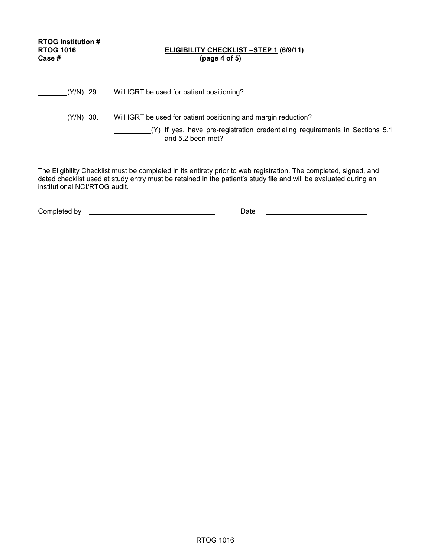| <b>RTOG Institution #</b><br><b>RTOG 1016</b><br>Case # | <b>ELIGIBILITY CHECKLIST -STEP 1 (6/9/11)</b><br>(page 4 of 5)                                                                                                       |
|---------------------------------------------------------|----------------------------------------------------------------------------------------------------------------------------------------------------------------------|
| (Y/N) 29.                                               | Will IGRT be used for patient positioning?                                                                                                                           |
| (Y/N) 30.                                               | Will IGRT be used for patient positioning and margin reduction?<br>(Y) If yes, have pre-registration credentialing requirements in Sections 5.1<br>and 5.2 been met? |

The Eligibility Checklist must be completed in its entirety prior to web registration. The completed, signed, and dated checklist used at study entry must be retained in the patient's study file and will be evaluated during an institutional NCI/RTOG audit.

| Completed by | Date |  |
|--------------|------|--|
|              |      |  |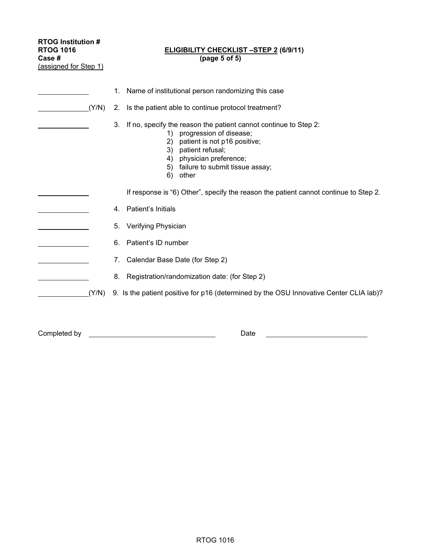| <b>RTOG Institution #</b><br><b>RTOG 1016</b><br>Case #<br>(assigned for Step 1) |       | <b>ELIGIBILITY CHECKLIST -STEP 2 (6/9/11)</b><br>(page 5 of 5)                                                                                                                                                                                              |  |  |  |  |  |
|----------------------------------------------------------------------------------|-------|-------------------------------------------------------------------------------------------------------------------------------------------------------------------------------------------------------------------------------------------------------------|--|--|--|--|--|
|                                                                                  |       | Name of institutional person randomizing this case<br>1.                                                                                                                                                                                                    |  |  |  |  |  |
|                                                                                  | (Y/N) | Is the patient able to continue protocol treatment?<br>2.                                                                                                                                                                                                   |  |  |  |  |  |
|                                                                                  |       | If no, specify the reason the patient cannot continue to Step 2:<br>3.<br>1) progression of disease;<br>patient is not p16 positive;<br>2)<br>patient refusal;<br>3)<br>physician preference;<br>4)<br>failure to submit tissue assay;<br>5)<br>other<br>6) |  |  |  |  |  |
|                                                                                  |       | If response is "6) Other", specify the reason the patient cannot continue to Step 2.                                                                                                                                                                        |  |  |  |  |  |
|                                                                                  |       | Patient's Initials<br>4.                                                                                                                                                                                                                                    |  |  |  |  |  |
|                                                                                  |       | Verifying Physician<br>5.                                                                                                                                                                                                                                   |  |  |  |  |  |
|                                                                                  |       | Patient's ID number<br>6.                                                                                                                                                                                                                                   |  |  |  |  |  |
|                                                                                  |       | Calendar Base Date (for Step 2)<br>7.                                                                                                                                                                                                                       |  |  |  |  |  |
|                                                                                  |       | Registration/randomization date: (for Step 2)<br>8.                                                                                                                                                                                                         |  |  |  |  |  |
|                                                                                  | (Y/N) | 9. Is the patient positive for p16 (determined by the OSU Innovative Center CLIA lab)?                                                                                                                                                                      |  |  |  |  |  |
| Completed by                                                                     |       | Date                                                                                                                                                                                                                                                        |  |  |  |  |  |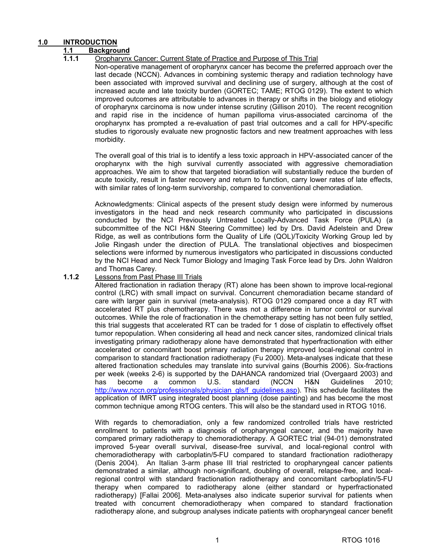#### **1.0 INTRODUCTION**

### **1.1 Background**

#### **1.1.1** Oropharynx Cancer: Current State of Practice and Purpose of This Trial

Non-operative management of oropharynx cancer has become the preferred approach over the last decade (NCCN). Advances in combining systemic therapy and radiation technology have been associated with improved survival and declining use of surgery, although at the cost of increased acute and late toxicity burden (GORTEC; TAME; RTOG 0129). The extent to which improved outcomes are attributable to advances in therapy or shifts in the biology and etiology of oropharynx carcinoma is now under intense scrutiny (Gillison 2010). The recent recognition and rapid rise in the incidence of human papilloma virus-associated carcinoma of the oropharynx has prompted a re-evaluation of past trial outcomes and a call for HPV-specific studies to rigorously evaluate new prognostic factors and new treatment approaches with less morbidity.

The overall goal of this trial is to identify a less toxic approach in HPV-associated cancer of the oropharynx with the high survival currently associated with aggressive chemoradiation approaches. We aim to show that targeted bioradiation will substantially reduce the burden of acute toxicity, result in faster recovery and return to function, carry lower rates of late effects, with similar rates of long-term survivorship, compared to conventional chemoradiation.

Acknowledgments: Clinical aspects of the present study design were informed by numerous investigators in the head and neck research community who participated in discussions conducted by the NCI Previously Untreated Locally-Advanced Task Force (PULA) (a subcommittee of the NCI H&N Steering Committee) led by Drs. David Adelstein and Drew Ridge, as well as contributions form the Quality of Life (QOL)/Toxicity Working Group led by Jolie Ringash under the direction of PULA. The translational objectives and biospecimen selections were informed by numerous investigators who participated in discussions conducted by the NCI Head and Neck Tumor Biology and Imaging Task Force lead by Drs. John Waldron and Thomas Carey.

#### **1.1.2** Lessons from Past Phase III Trials

Altered fractionation in radiation therapy (RT) alone has been shown to improve local-regional control (LRC) with small impact on survival. Concurrent chemoradiation became standard of care with larger gain in survival (meta-analysis). RTOG 0129 compared once a day RT with accelerated RT plus chemotherapy. There was not a difference in tumor control or survival outcomes. While the role of fractionation in the chemotherapy setting has not been fully settled, this trial suggests that accelerated RT can be traded for 1 dose of cisplatin to effectively offset tumor repopulation. When considering all head and neck cancer sites, randomized clinical trials investigating primary radiotherapy alone have demonstrated that hyperfractionation with either accelerated or concomitant boost primary radiation therapy improved local-regional control in comparison to standard fractionation radiotherapy (Fu 2000). Meta-analyses indicate that these altered fractionation schedules may translate into survival gains (Bourhis 2006). Six-fractions per week (weeks 2-6) is supported by the DAHANCA randomized trial (Overgaard 2003) and has become a common U.S. standard (NCCN H&N Guidelines 2010; [http://www.nccn.org/professionals/physician\\_gls/f\\_guidelines.asp\). Th](http://www.nccn.org/professionals/physician_gls/f_guidelines.asp)is schedule facilitates the application of IMRT using integrated boost planning (dose painting) and has become the most common technique among RTOG centers. This will also be the standard used in RTOG 1016.

With regards to chemoradiation, only a few randomized controlled trials have restricted enrollment to patients with a diagnosis of oropharyngeal cancer, and the majority have compared primary radiotherapy to chemoradiotherapy. A GORTEC trial (94-01) demonstrated improved 5-year overall survival, disease-free survival, and local-regional control with chemoradiotherapy with carboplatin/5-FU compared to standard fractionation radiotherapy (Denis 2004). An Italian 3-arm phase III trial restricted to oropharyngeal cancer patients demonstrated a similar, although non-significant, doubling of overall, relapse-free, and localregional control with standard fractionation radiotherapy and concomitant carboplatin/5-FU therapy when compared to radiotherapy alone (either standard or hyperfractionated radiotherapy) [Fallai 2006]. Meta-analyses also indicate superior survival for patients when treated with concurrent chemoradiotherapy when compared to standard fractionation radiotherapy alone, and subgroup analyses indicate patients with oropharyngeal cancer benefit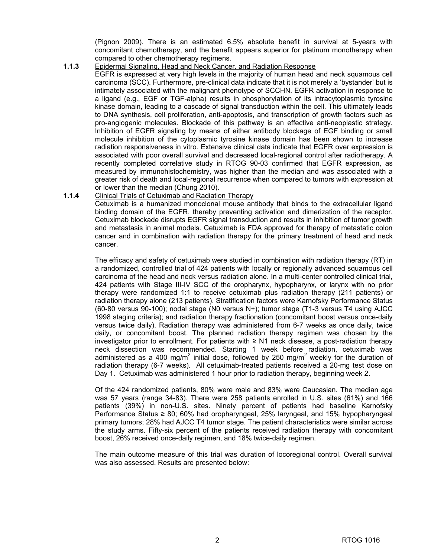(Pignon 2009). There is an estimated 6.5% absolute benefit in survival at 5-years with concomitant chemotherapy, and the benefit appears superior for platinum monotherapy when compared to other chemotherapy regimens.

**1.1.3** Epidermal Signaling, Head and Neck Cancer. and Radiation Response

 EGFR is expressed at very high levels in the majority of human head and neck squamous cell carcinoma (SCC). Furthermore, pre-clinical data indicate that it is not merely a 'bystander' but is intimately associated with the malignant phenotype of SCCHN. EGFR activation in response to a ligand (e.g., EGF or TGF-alpha) results in phosphorylation of its intracytoplasmic tyrosine kinase domain, leading to a cascade of signal transduction within the cell. This ultimately leads to DNA synthesis, cell proliferation, anti-apoptosis, and transcription of growth factors such as pro-angiogenic molecules. Blockade of this pathway is an effective anti-neoplastic strategy. Inhibition of EGFR signaling by means of either antibody blockage of EGF binding or small molecule inhibition of the cytoplasmic tyrosine kinase domain has been shown to increase radiation responsiveness in vitro. Extensive clinical data indicate that EGFR over expression is associated with poor overall survival and decreased local-regional control after radiotherapy. A recently completed correlative study in RTOG 90-03 confirmed that EGFR expression, as measured by immunohistochemistry, was higher than the median and was associated with a greater risk of death and local-regional recurrence when compared to tumors with expression at or lower than the median (Chung 2010).

#### **1.1.4** Clinical Trials of Cetuximab and Radiation Therapy

Cetuximab is a humanized monoclonal mouse antibody that binds to the extracellular ligand binding domain of the EGFR, thereby preventing activation and dimerization of the receptor. Cetuximab blockade disrupts EGFR signal transduction and results in inhibition of tumor growth and metastasis in animal models. Cetuximab is FDA approved for therapy of metastatic colon cancer and in combination with radiation therapy for the primary treatment of head and neck cancer.

The efficacy and safety of cetuximab were studied in combination with radiation therapy (RT) in a randomized, controlled trial of 424 patients with locally or regionally advanced squamous cell carcinoma of the head and neck versus radiation alone. In a multi-center controlled clinical trial, 424 patients with Stage III-IV SCC of the oropharynx, hypopharynx, or larynx with no prior therapy were randomized 1:1 to receive cetuximab plus radiation therapy (211 patients) or radiation therapy alone (213 patients). Stratification factors were Karnofsky Performance Status (60-80 versus 90-100); nodal stage (N0 versus N+); tumor stage (T1-3 versus T4 using AJCC 1998 staging criteria); and radiation therapy fractionation (concomitant boost versus once-daily versus twice daily). Radiation therapy was administered from 6-7 weeks as once daily, twice daily, or concomitant boost. The planned radiation therapy regimen was chosen by the investigator prior to enrollment. For patients with ≥ N1 neck disease, a post-radiation therapy neck dissection was recommended. Starting 1 week before radiation, cetuximab was administered as a 400 mg/m<sup>2</sup> initial dose, followed by 250 mg/m<sup>2</sup> weekly for the duration of radiation therapy (6-7 weeks). All cetuximab-treated patients received a 20-mg test dose on Day 1. Cetuximab was administered 1 hour prior to radiation therapy, beginning week 2.

 Of the 424 randomized patients, 80% were male and 83% were Caucasian. The median age was 57 years (range 34-83). There were 258 patients enrolled in U.S. sites (61%) and 166 patients (39%) in non-U.S. sites. Ninety percent of patients had baseline Karnofsky Performance Status ≥ 80; 60% had oropharyngeal, 25% laryngeal, and 15% hypopharyngeal primary tumors; 28% had AJCC T4 tumor stage. The patient characteristics were similar across the study arms. Fifty-six percent of the patients received radiation therapy with concomitant boost, 26% received once-daily regimen, and 18% twice-daily regimen.

The main outcome measure of this trial was duration of locoregional control. Overall survival was also assessed. Results are presented below: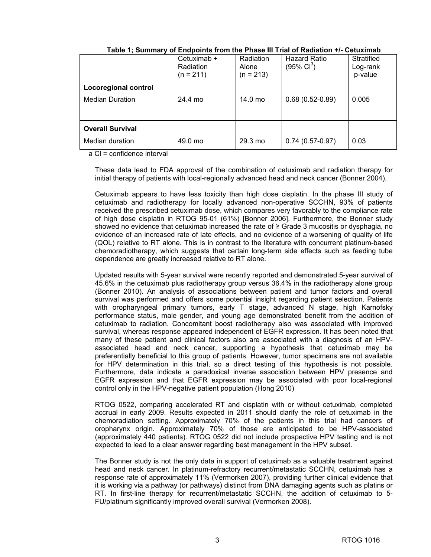|                                                       | Cetuximab +<br>Radiation<br>$(n = 211)$ | Radiation<br>Alone<br>$(n = 213)$ | <b>Hazard Ratio</b><br>$(95\% \text{ Cl}^3)$ | Stratified<br>Log-rank<br>p-value |
|-------------------------------------------------------|-----------------------------------------|-----------------------------------|----------------------------------------------|-----------------------------------|
| <b>Locoregional control</b><br><b>Median Duration</b> | 24.4 mo                                 | $14.0 \text{ mo}$                 | $0.68(0.52-0.89)$                            | 0.005                             |
| <b>Overall Survival</b>                               |                                         |                                   |                                              |                                   |
| Median duration                                       | 49.0 mo                                 | $29.3 \text{ mo}$                 | $0.74(0.57-0.97)$                            | 0.03                              |

**Table 1; Summary of Endpoints from the Phase III Trial of Radiation +/- Cetuximab** 

a Cl = confidence interval

These data lead to FDA approval of the combination of cetuximab and radiation therapy for initial therapy of patients with local-regionally advanced head and neck cancer (Bonner 2004).

Cetuximab appears to have less toxicity than high dose cisplatin. In the phase III study of cetuximab and radiotherapy for locally advanced non-operative SCCHN, 93% of patients received the prescribed cetuximab dose, which compares very favorably to the compliance rate of high dose cisplatin in RTOG 95-01 (61%) [Bonner 2006]. Furthermore, the Bonner study showed no evidence that cetuximab increased the rate of  $\geq$  Grade 3 mucositis or dysphagia, no evidence of an increased rate of late effects, and no evidence of a worsening of quality of life (QOL) relative to RT alone. This is in contrast to the literature with concurrent platinum-based chemoradiotherapy, which suggests that certain long-term side effects such as feeding tube dependence are greatly increased relative to RT alone.

Updated results with 5-year survival were recently reported and demonstrated 5-year survival of 45.6% in the cetuximab plus radiotherapy group versus 36.4% in the radiotherapy alone group (Bonner 2010). An analysis of associations between patient and tumor factors and overall survival was performed and offers some potential insight regarding patient selection. Patients with oropharyngeal primary tumors, early T stage, advanced N stage, high Karnofsky performance status, male gender, and young age demonstrated benefit from the addition of cetuximab to radiation. Concomitant boost radiotherapy also was associated with improved survival, whereas response appeared independent of EGFR expression. It has been noted that many of these patient and clinical factors also are associated with a diagnosis of an HPVassociated head and neck cancer, supporting a hypothesis that cetuximab may be preferentially beneficial to this group of patients. However, tumor specimens are not available for HPV determination in this trial, so a direct testing of this hypothesis is not possible. Furthermore, data indicate a paradoxical inverse association between HPV presence and EGFR expression and that EGFR expression may be associated with poor local-regional control only in the HPV-negative patient population (Hong 2010)

RTOG 0522, comparing accelerated RT and cisplatin with or without cetuximab, completed accrual in early 2009. Results expected in 2011 should clarify the role of cetuximab in the chemoradiation setting. Approximately 70% of the patients in this trial had cancers of oropharynx origin. Approximately 70% of those are anticipated to be HPV-associated (approximately 440 patients). RTOG 0522 did not include prospective HPV testing and is not expected to lead to a clear answer regarding best management in the HPV subset.

The Bonner study is not the only data in support of cetuximab as a valuable treatment against head and neck cancer. In platinum-refractory recurrent/metastatic SCCHN, cetuximab has a response rate of approximately 11% (Vermorken 2007), providing further clinical evidence that it is working via a pathway (or pathways) distinct from DNA damaging agents such as platins or RT. In first-line therapy for recurrent/metastatic SCCHN, the addition of cetuximab to 5- FU/platinum significantly improved overall survival (Vermorken 2008).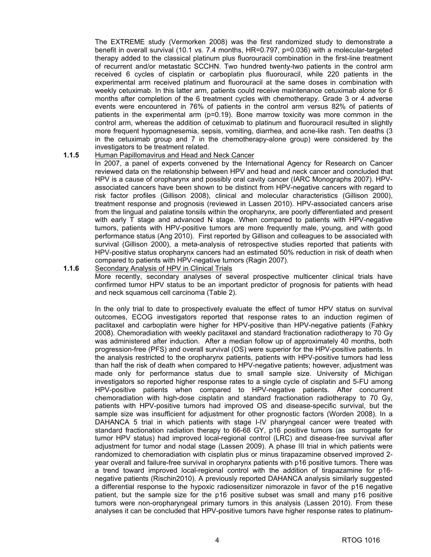The EXTREME study (Vermorken 2008) was the first randomized study to demonstrate a benefit in overall survival (10.1 vs. 7.4 months, HR=0.797, p=0.036) with a molecular-targeted therapy added to the classical platinum plus fluorouracil combination in the first-line treatment of recurrent and/or metastatic SCCHN. Two hundred twenty-two patients in the control arm received 6 cycles of cisplatin or carboplatin plus fluorouracil, while 220 patients in the experimental arm received platinum and fluorouracil at the same doses in combination with weekly cetuximab. In this latter arm, patients could receive maintenance cetuximab alone for 6 months after completion of the 6 treatment cycles with chemotherapy. Grade 3 or 4 adverse events were encountered in 76% of patients in the control arm versus 82% of patients of patients in the experimental arm (p=0.19). Bone marrow toxicity was more common in the control arm, whereas the addition of cetuximab to platinum and fluorouracil resulted in slightly more frequent hypomagnesemia, sepsis, vomiting, diarrhea, and acne-like rash. Ten deaths (3 in the cetuximab group and 7 in the chemotherapy-alone group) were considered by the investigators to be treatment related.

#### **1.1.5** Human Papillomavirus and Head and Neck Cancer

 In 2007, a panel of experts convened by the International Agency for Research on Cancer reviewed data on the relationship between HPV and head and neck cancer and concluded that HPV is a cause of oropharynx and possibly oral cavity cancer (IARC Monographs 2007). HPVassociated cancers have been shown to be distinct from HPV-negative cancers with regard to risk factor profiles (Gillison 2008), clinical and molecular characteristics (Gillison 2000), treatment response and prognosis (reviewed in Lassen 2010). HPV-associated cancers arise from the lingual and palatine tonsils within the oropharynx, are poorly differentiated and present with early T stage and advanced N stage. When compared to patients with HPV-negative tumors, patients with HPV-positive tumors are more frequently male, young, and with good performance status (Ang 2010). First reported by Gillison and colleagues to be associated with survival (Gillison 2000), a meta-analysis of retrospective studies reported that patients with HPV-positive status oropharynx cancers had an estimated 50% reduction in risk of death when compared to patients with HPV-negative tumors (Ragin 2007).

#### **1.1.6** Secondary Analysis of HPV in Clinical Trials

More recently, secondary analyses of several prospective multicenter clinical trials have confirmed tumor HPV status to be an important predictor of prognosis for patients with head and neck squamous cell carcinoma (Table 2).

In the only trial to date to prospectively evaluate the effect of tumor HPV status on survival outcomes, ECOG investigators reported that response rates to an induction regimen of paclitaxel and carboplatin were higher for HPV-positive than HPV-negative patients (Fahkry 2008). Chemoradiation with weekly paclitaxel and standard fractionation radiotherapy to 70 Gy was administered after induction. After a median follow up of approximately 40 months, both progression-free (PFS) and overall survival (OS) were superior for the HPV-positive patients. In the analysis restricted to the oropharynx patients, patients with HPV-positive tumors had less than half the risk of death when compared to HPV-negative patients; however, adjustment was made only for performance status due to small sample size. University of Michigan investigators so reported higher response rates to a single cycle of cisplatin and 5-FU among HPV-positive patients when compared to HPV-negative patients. After concurrent chemoradiation with high-dose cisplatin and standard fractionation radiotherapy to 70 Gy, patients with HPV-positive tumors had improved OS and disease-specific survival, but the sample size was insufficient for adjustment for other prognostic factors (Worden 2008). In a DAHANCA 5 trial in which patients with stage I-IV pharyngeal cancer were treated with standard fractionation radiation therapy to 66-68 GY, p16 positive tumors (as surrogate for tumor HPV status) had improved local-regional control (LRC) and disease-free survival after adjustment for tumor and nodal stage (Lassen 2009). A phase III trial in which patients were randomized to chemoradiation with cisplatin plus or minus tirapazamine observed improved 2 year overall and failure-free survival in oropharynx patients with p16 positive tumors. There was a trend toward improved local-regional control with the addition of tirapazamine for p16 negative patients (Rischin2010). A previously reported DAHANCA analysis similarly suggested a differential response to the hypoxic radiosensitizer nimorazole in favor of the p16 negative patient, but the sample size for the p16 positive subset was small and many p16 positive tumors were non-oropharyngeal primary tumors in this analysis (Lassen 2010). From these analyses it can be concluded that HPV-positive tumors have higher response rates to platinum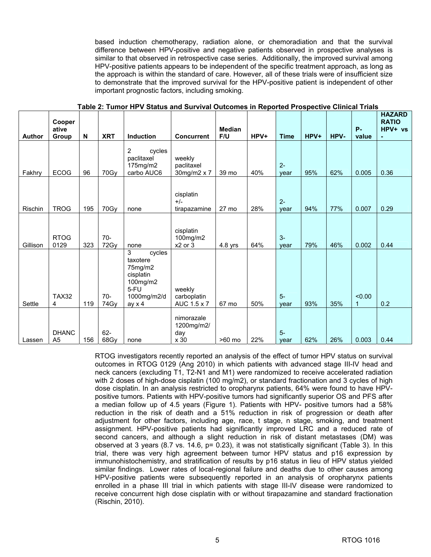based induction chemotherapy, radiation alone, or chemoradiation and that the survival difference between HPV-positive and negative patients observed in prospective analyses is similar to that observed in retrospective case series. Additionally, the improved survival among HPV-positive patients appears to be independent of the specific treatment approach, as long as the approach is within the standard of care. However, all of these trials were of insufficient size to demonstrate that the improved survival for the HPV-positive patient is independent of other important prognostic factors, including smoking.

| <b>Author</b> | Cooper<br>ative<br>Group       | N   | <b>XRT</b>    | <b>Induction</b>                                                                                    | <b>Concurrent</b>                       | <b>Median</b><br>F/U | HPV+ | <b>Time</b>   | $HPV+$ | HPV- | <b>P-</b><br>value    | <b>HAZARD</b><br><b>RATIO</b><br>HPV+ vs<br>$\blacksquare$ |
|---------------|--------------------------------|-----|---------------|-----------------------------------------------------------------------------------------------------|-----------------------------------------|----------------------|------|---------------|--------|------|-----------------------|------------------------------------------------------------|
| Fakhry        | <b>ECOG</b>                    | 96  | 70Gy          | $\overline{2}$<br>cycles<br>paclitaxel<br>175mg/m2<br>carbo AUC6                                    | weekly<br>paclitaxel<br>30mg/m2 x 7     | 39 mo                | 40%  | $2 -$<br>year | 95%    | 62%  | 0.005                 | 0.36                                                       |
| Rischin       | <b>TROG</b>                    | 195 | 70Gy          | none                                                                                                | cisplatin<br>$+/-$<br>tirapazamine      | 27 mo                | 28%  | $2 -$<br>vear | 94%    | 77%  | 0.007                 | 0.29                                                       |
| Gillison      | <b>RTOG</b><br>0129            | 323 | $70-$<br>72Gy | none                                                                                                | cisplatin<br>100mg/m2<br>x2 or 3        | $4.8$ yrs            | 64%  | $3-$<br>vear  | 79%    | 46%  | 0.002                 | 0.44                                                       |
| Settle        | <b>TAX32</b><br>4              | 119 | $70-$<br>74Gy | 3<br>cycles<br>taxotere<br>75mg/m2<br>cisplatin<br>100mg/m2<br>5-FU<br>1000mg/m2/d<br>$ay \times 4$ | weekly<br>carboplatin<br>AUC 1.5 x 7    | 67 mo                | 50%  | $5-$<br>year  | 93%    | 35%  | < 0.00<br>$\mathbf 1$ | 0.2                                                        |
| Lassen        | <b>DHANC</b><br>A <sub>5</sub> | 156 | $62-$<br>68Gy | none                                                                                                | nimorazale<br>1200mg/m2/<br>day<br>x 30 | >60 mo               | 22%  | $5-$<br>vear  | 62%    | 26%  | 0.003                 | 0.44                                                       |

**Table 2: Tumor HPV Status and Survival Outcomes in Reported Prospective Clinical Trials** 

RTOG investigators recently reported an analysis of the effect of tumor HPV status on survival outcomes in RTOG 0129 (Ang 2010) in which patients with advanced stage III-IV head and neck cancers (excluding T1, T2-N1 and M1) were randomized to receive accelerated radiation with 2 doses of high-dose cisplatin (100 mg/m2), or standard fractionation and 3 cycles of high dose cisplatin. In an analysis restricted to oropharynx patients, 64% were found to have HPVpositive tumors. Patients with HPV-positive tumors had significantly superior OS and PFS after a median follow up of 4.5 years (Figure 1). Patients with HPV- positive tumors had a 58% reduction in the risk of death and a 51% reduction in risk of progression or death after adjustment for other factors, including age, race, t stage, n stage, smoking, and treatment assignment. HPV-positive patients had significantly improved LRC and a reduced rate of second cancers, and although a slight reduction in risk of distant metastases (DM) was observed at 3 years (8.7 vs. 14.6,  $p= 0.23$ ), it was not statistically significant (Table 3). In this trial, there was very high agreement between tumor HPV status and p16 expression by immunohistochemistry, and stratification of results by p16 status in lieu of HPV status yielded similar findings. Lower rates of local-regional failure and deaths due to other causes among HPV-positive patients were subsequently reported in an analysis of oropharynx patients enrolled in a phase III trial in which patients with stage III-IV disease were randomized to receive concurrent high dose cisplatin with or without tirapazamine and standard fractionation (Rischin, 2010).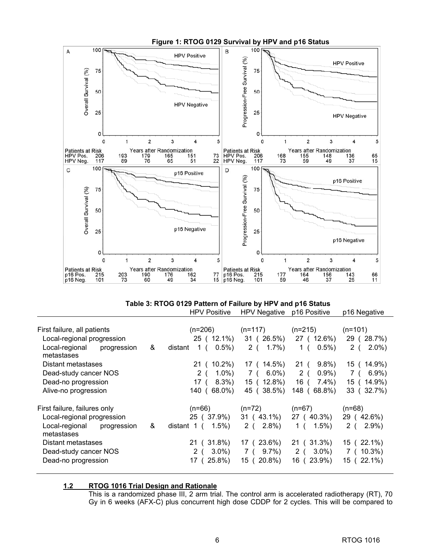

#### **Table 3: RTOG 0129 Pattern of Failure by HPV and p16 Status**  HPV Positive HPV Negative p16 Positive p16 Negative

|                              |             |   | .                           | $11.71$ $11.9$ | <b>PIVI VUILIVU</b> | piu nugawe       |
|------------------------------|-------------|---|-----------------------------|----------------|---------------------|------------------|
|                              |             |   |                             |                |                     |                  |
| First failure, all patients  |             |   | $(n=206)$                   | $(n=117)$      | $(n=215)$           | $(n=101)$        |
| Local-regional progression   |             |   | 25 ( 12.1%)                 | 31 (26.5%)     | 27 ( 12.6%)         | 29 (28.7%)       |
| Local-regional<br>metastases | progression | & | $0.5\%$ )<br>1 (<br>distant | 2 (<br>1.7%    | $0.5\%$ )<br>1 (    | $2.0\%$ )<br>2(  |
| Distant metastases           |             |   | 21 ( 10.2%)                 | 17 ( 14.5%)    | $9.8\%$<br>21(      | 15 ( 14.9%)      |
| Dead-study cancer NOS        |             |   | $1.0\%$ )<br>2(             | $6.0\%$<br>7 ( | $0.9\%$<br>2(       | $6.9\%$ )<br>7 ( |
| Dead-no progression          |             |   | $8.3\%$<br>17 (             | 15 ( 12.8%)    | $7.4\%$ )<br>16     | 15 ( 14.9%)      |
| Alive-no progression         |             |   | 140(<br>68.0%)              | 45 (38.5%)     | 68.8%)<br>148(      | 33 (32.7%)       |
| First failure, failures only |             |   | $(n=66)$                    | $(n=72)$       | $(n=67)$            | $(n=68)$         |
| Local-regional progression   |             |   | 25 (37.9%)                  | 31 (43.1%)     | 27 (40.3%)          | 29 (42.6%)       |
| Local-regional<br>metastases | progression | & | $1.5\%)$<br>distant 1 (     | 2.8%<br>2 (    | $1.5\%$ )<br>1 (    | $2.9\%$ )<br>2(  |
| Distant metastases           |             |   | $31.8\%$<br>21 (            | 17 (23.6%)     | 21 (31.3%)          | 15 (22.1%)       |
| Dead-study cancer NOS        |             |   | $3.0\%$<br>2(               | $9.7\%$<br>7 ( | $3.0\%$ )<br>2(     | $7(10.3\%)$      |
| Dead-no progression          |             |   | 25.8%)<br>17                | 15 (20.8%)     | 16 (23.9%)          | 15 (22.1%)       |
|                              |             |   |                             |                |                     |                  |

#### **1.2 RTOG 1016 Trial Design and Rationale**

This is a randomized phase III, 2 arm trial. The control arm is accelerated radiotherapy (RT), 70 Gy in 6 weeks (AFX-C) plus concurrent high dose CDDP for 2 cycles. This will be compared to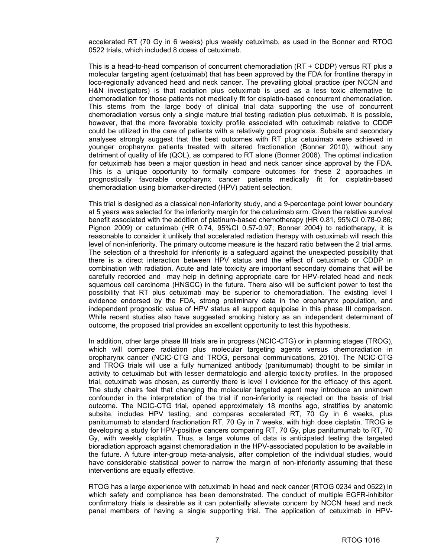accelerated RT (70 Gy in 6 weeks) plus weekly cetuximab, as used in the Bonner and RTOG 0522 trials, which included 8 doses of cetuximab.

This is a head-to-head comparison of concurrent chemoradiation (RT + CDDP) versus RT plus a molecular targeting agent (cetuximab) that has been approved by the FDA for frontline therapy in loco-regionally advanced head and neck cancer. The prevailing global practice (per NCCN and H&N investigators) is that radiation plus cetuximab is used as a less toxic alternative to chemoradiation for those patients not medically fit for cisplatin-based concurrent chemoradiation. This stems from the large body of clinical trial data supporting the use of concurrent chemoradiation versus only a single mature trial testing radiation plus cetuximab. It is possible, however, that the more favorable toxicity profile associated with cetuximab relative to CDDP could be utilized in the care of patients with a relatively good prognosis. Subsite and secondary analyses strongly suggest that the best outcomes with RT plus cetuximab were achieved in younger oropharynx patients treated with altered fractionation (Bonner 2010), without any detriment of quality of life (QOL), as compared to RT alone (Bonner 2006). The optimal indication for cetuximab has been a major question in head and neck cancer since approval by the FDA. This is a unique opportunity to formally compare outcomes for these 2 approaches in prognostically favorable oropharynx cancer patients medically fit for cisplatin-based chemoradiation using biomarker-directed (HPV) patient selection.

This trial is designed as a classical non-inferiority study, and a 9-percentage point lower boundary at 5 years was selected for the inferiority margin for the cetuximab arm. Given the relative survival benefit associated with the addition of platinum-based chemotherapy (HR 0.81, 95%CI 0.78-0.86; Pignon 2009) or cetuximab (HR 0.74, 95%CI 0.57-0.97; Bonner 2004) to radiotherapy, it is reasonable to consider it unlikely that accelerated radiation therapy with cetuximab will reach this level of non-inferiority. The primary outcome measure is the hazard ratio between the 2 trial arms. The selection of a threshold for inferiority is a safeguard against the unexpected possibility that there is a direct interaction between HPV status and the effect of cetuximab or CDDP in combination with radiation. Acute and late toxicity are important secondary domains that will be carefully recorded and may help in defining appropriate care for HPV-related head and neck squamous cell carcinoma (HNSCC) in the future. There also will be sufficient power to test the possibility that RT plus cetuximab may be superior to chemoradiation. The existing level I evidence endorsed by the FDA, strong preliminary data in the oropharynx population, and independent prognostic value of HPV status all support equipoise in this phase III comparison. While recent studies also have suggested smoking history as an independent determinant of outcome, the proposed trial provides an excellent opportunity to test this hypothesis.

In addition, other large phase III trials are in progress (NCIC-CTG) or in planning stages (TROG), which will compare radiation plus molecular targeting agents versus chemoradiation in oropharynx cancer (NCIC-CTG and TROG, personal communications, 2010). The NCIC-CTG and TROG trials will use a fully humanized antibody (panitumumab) thought to be similar in activity to cetuximab but with lesser dermatologic and allergic toxicity profiles. In the proposed trial, cetuximab was chosen, as currently there is level I evidence for the efficacy of this agent. The study chairs feel that changing the molecular targeted agent may introduce an unknown confounder in the interpretation of the trial if non-inferiority is rejected on the basis of trial outcome. The NCIC-CTG trial, opened approximately 18 months ago, stratifies by anatomic subsite, includes HPV testing, and compares accelerated RT, 70 Gy in 6 weeks, plus panitumumab to standard fractionation RT, 70 Gy in 7 weeks, with high dose cisplatin. TROG is developing a study for HPV-positive cancers comparing RT, 70 Gy, plus panitumumab to RT, 70 Gy, with weekly cisplatin. Thus, a large volume of data is anticipated testing the targeted bioradiation approach against chemoradiation in the HPV-associated population to be available in the future. A future inter-group meta-analysis, after completion of the individual studies, would have considerable statistical power to narrow the margin of non-inferiority assuming that these interventions are equally effective.

RTOG has a large experience with cetuximab in head and neck cancer (RTOG 0234 and 0522) in which safety and compliance has been demonstrated. The conduct of multiple EGFR-inhibitor confirmatory trials is desirable as it can potentially alleviate concern by NCCN head and neck panel members of having a single supporting trial. The application of cetuximab in HPV-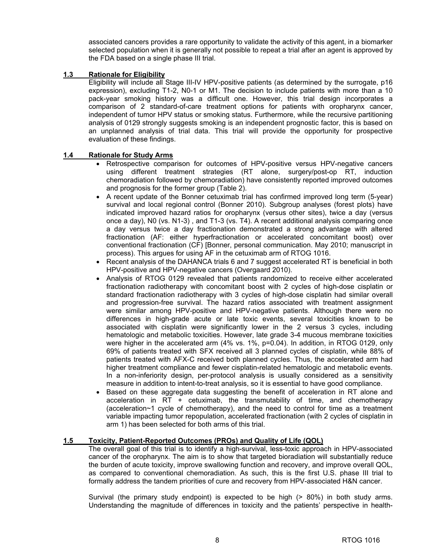associated cancers provides a rare opportunity to validate the activity of this agent, in a biomarker selected population when it is generally not possible to repeat a trial after an agent is approved by the FDA based on a single phase III trial.

#### **1.3 Rationale for Eligibility**

Eligibility will include all Stage III-IV HPV-positive patients (as determined by the surrogate, p16 expression), excluding T1-2, N0-1 or M1. The decision to include patients with more than a 10 pack-year smoking history was a difficult one. However, this trial design incorporates a comparison of 2 standard-of-care treatment options for patients with oropharynx cancer, independent of tumor HPV status or smoking status. Furthermore, while the recursive partitioning analysis of 0129 strongly suggests smoking is an independent prognostic factor, this is based on an unplanned analysis of trial data. This trial will provide the opportunity for prospective evaluation of these findings.

#### **1.4 Rationale for Study Arms**

- Retrospective comparison for outcomes of HPV-positive versus HPV-negative cancers using different treatment strategies (RT alone, surgery/post-op RT, induction chemoradiation followed by chemoradiation) have consistently reported improved outcomes and prognosis for the former group (Table 2).
- A recent update of the Bonner cetuximab trial has confirmed improved long term (5-year) survival and local regional control (Bonner 2010). Subgroup analyses (forest plots) have indicated improved hazard ratios for oropharynx (versus other sites), twice a day (versus once a day), N0 (vs. N1-3) , and T1-3 (vs. T4). A recent additional analysis comparing once a day versus twice a day fractionation demonstrated a strong advantage with altered fractionation (AF: either hyperfractionation or accelerated concomitant boost) over conventional fractionation (CF) [Bonner, personal communication. May 2010; manuscript in process). This argues for using AF in the cetuximab arm of RTOG 1016.
- Recent analysis of the DAHANCA trials 6 and 7 suggest accelerated RT is beneficial in both HPV-positive and HPV-negative cancers (Overgaard 2010).
- Analysis of RTOG 0129 revealed that patients randomized to receive either accelerated fractionation radiotherapy with concomitant boost with 2 cycles of high-dose cisplatin or standard fractionation radiotherapy with 3 cycles of high-dose cisplatin had similar overall and progression-free survival. The hazard ratios associated with treatment assignment were similar among HPV-positive and HPV-negative patients. Although there were no differences in high-grade acute or late toxic events, several toxicities known to be associated with cisplatin were significantly lower in the 2 versus 3 cycles, including hematologic and metabolic toxicities. However, late grade 3-4 mucous membrane toxicities were higher in the accelerated arm (4% vs. 1%, p=0.04). In addition, in RTOG 0129, only 69% of patients treated with SFX received all 3 planned cycles of cisplatin, while 88% of patients treated with AFX-C received both planned cycles. Thus, the accelerated arm had higher treatment compliance and fewer cisplatin-related hematologic and metabolic events. In a non-inferiority design, per-protocol analysis is usually considered as a sensitivity measure in addition to intent-to-treat analysis, so it is essential to have good compliance.
- Based on these aggregate data suggesting the benefit of acceleration in RT alone and acceleration in RT + cetuximab, the transmutability of time, and chemotherapy (acceleration~1 cycle of chemotherapy), and the need to control for time as a treatment variable impacting tumor repopulation, accelerated fractionation (with 2 cycles of cisplatin in arm 1) has been selected for both arms of this trial.

#### **1.5 Toxicity, Patient-Reported Outcomes (PROs) and Quality of Life (QOL)**

The overall goal of this trial is to identify a high-survival, less-toxic approach in HPV-associated cancer of the oropharynx. The aim is to show that targeted bioradiation will substantially reduce the burden of acute toxicity, improve swallowing function and recovery, and improve overall QOL, as compared to conventional chemoradiation. As such, this is the first U.S. phase III trial to formally address the tandem priorities of cure and recovery from HPV-associated H&N cancer.

Survival (the primary study endpoint) is expected to be high (> 80%) in both study arms. Understanding the magnitude of differences in toxicity and the patients' perspective in health-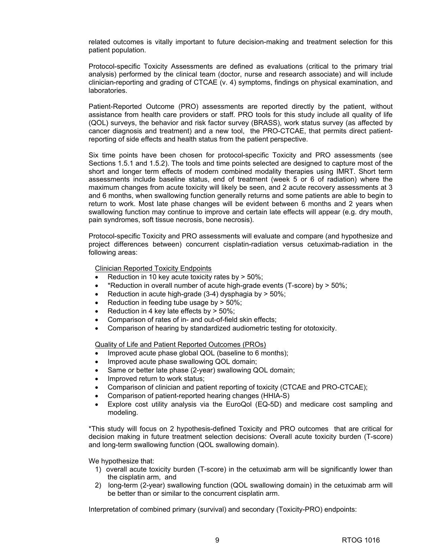related outcomes is vitally important to future decision-making and treatment selection for this patient population.

Protocol-specific Toxicity Assessments are defined as evaluations (critical to the primary trial analysis) performed by the clinical team (doctor, nurse and research associate) and will include clinician-reporting and grading of CTCAE (v. 4) symptoms, findings on physical examination, and laboratories.

Patient-Reported Outcome (PRO) assessments are reported directly by the patient, without assistance from health care providers or staff. PRO tools for this study include all quality of life (QOL) surveys, the behavior and risk factor survey (BRASS), work status survey (as affected by cancer diagnosis and treatment) and a new tool, the PRO-CTCAE, that permits direct patientreporting of side effects and health status from the patient perspective.

Six time points have been chosen for protocol-specific Toxicity and PRO assessments (see Sections 1.5.1 and 1.5.2). The tools and time points selected are designed to capture most of the short and longer term effects of modern combined modality therapies using IMRT. Short term assessments include baseline status, end of treatment (week 5 or 6 of radiation) where the maximum changes from acute toxicity will likely be seen, and 2 acute recovery assessments at 3 and 6 months, when swallowing function generally returns and some patients are able to begin to return to work. Most late phase changes will be evident between 6 months and 2 years when swallowing function may continue to improve and certain late effects will appear (e.g. dry mouth, pain syndromes, soft tissue necrosis, bone necrosis).

Protocol-specific Toxicity and PRO assessments will evaluate and compare (and hypothesize and project differences between) concurrent cisplatin-radiation versus cetuximab-radiation in the following areas:

Clinician Reported Toxicity Endpoints

- Reduction in 10 key acute toxicity rates by  $> 50\%$ ;
- \*Reduction in overall number of acute high-grade events (T-score) by > 50%;
- Reduction in acute high-grade  $(3-4)$  dysphagia by  $> 50\%$ ;
- Reduction in feeding tube usage by  $> 50\%$ ;
- Reduction in 4 key late effects by  $>$  50%;
- Comparison of rates of in- and out-of-field skin effects;
- Comparison of hearing by standardized audiometric testing for ototoxicity.

Quality of Life and Patient Reported Outcomes (PROs)

- Improved acute phase global QOL (baseline to 6 months);
- Improved acute phase swallowing QOL domain;
- Same or better late phase (2-year) swallowing QOL domain;
- Improved return to work status;
- Comparison of clinician and patient reporting of toxicity (CTCAE and PRO-CTCAE);
- Comparison of patient-reported hearing changes (HHIA-S)
- Explore cost utility analysis via the EuroQol (EQ-5D) and medicare cost sampling and modeling.

\*This study will focus on 2 hypothesis-defined Toxicity and PRO outcomes that are critical for decision making in future treatment selection decisions: Overall acute toxicity burden (T-score) and long-term swallowing function (QOL swallowing domain).

We hypothesize that:

- 1) overall acute toxicity burden (T-score) in the cetuximab arm will be significantly lower than the cisplatin arm, and
- 2) long-term (2-year) swallowing function (QOL swallowing domain) in the cetuximab arm will be better than or similar to the concurrent cisplatin arm.

Interpretation of combined primary (survival) and secondary (Toxicity-PRO) endpoints: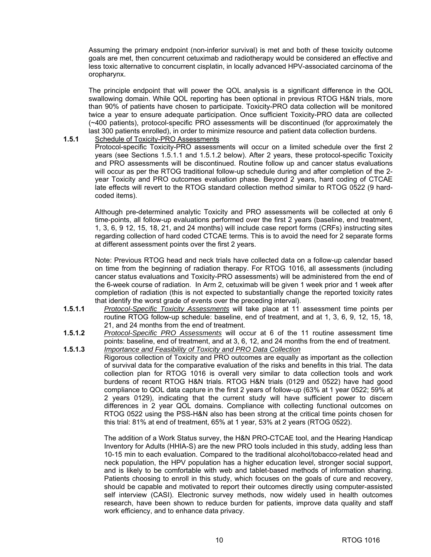Assuming the primary endpoint (non-inferior survival) is met and both of these toxicity outcome goals are met, then concurrent cetuximab and radiotherapy would be considered an effective and less toxic alternative to concurrent cisplatin, in locally advanced HPV-associated carcinoma of the oropharynx.

The principle endpoint that will power the QOL analysis is a significant difference in the QOL swallowing domain. While QOL reporting has been optional in previous RTOG H&N trials, more than 90% of patients have chosen to participate. Toxicity-PRO data collection will be monitored twice a year to ensure adequate participation. Once sufficient Toxicity-PRO data are collected (~400 patients), protocol-specific PRO assessments will be discontinued (for approximately the last 300 patients enrolled), in order to minimize resource and patient data collection burdens.

#### **1.5.1** Schedule of Toxicity-PRO Assessments

Protocol-specific Toxicity-PRO assessments will occur on a limited schedule over the first 2 years (see Sections 1.5.1.1 and 1.5.1.2 below). After 2 years, these protocol-specific Toxicity and PRO assessments will be discontinued. Routine follow up and cancer status evaluations will occur as per the RTOG traditional follow-up schedule during and after completion of the 2 year Toxicity and PRO outcomes evaluation phase. Beyond 2 years, hard coding of CTCAE late effects will revert to the RTOG standard collection method similar to RTOG 0522 (9 hardcoded items).

Although pre-determined analytic Toxicity and PRO assessments will be collected at only 6 time-points, all follow-up evaluations performed over the first 2 years (baseline, end treatment, 1, 3, 6, 9 12, 15, 18, 21, and 24 months) will include case report forms (CRFs) instructing sites regarding collection of hard coded CTCAE terms. This is to avoid the need for 2 separate forms at different assessment points over the first 2 years.

Note: Previous RTOG head and neck trials have collected data on a follow-up calendar based on time from the beginning of radiation therapy. For RTOG 1016, all assessments (including cancer status evaluations and Toxicity-PRO assessments) will be administered from the end of the 6-week course of radiation. In Arm 2, cetuximab will be given 1 week prior and 1 week after completion of radiation (this is not expected to substantially change the reported toxicity rates that identify the worst grade of events over the preceding interval).

- **1.5.1.1** *Protocol-Specific Toxicity Assessments* will take place at 11 assessment time points per routine RTOG follow-up schedule: baseline, end of treatment, and at 1, 3, 6, 9, 12, 15, 18, 21, and 24 months from the end of treatment.
- **1.5.1.2** *Protocol-Specific PRO Assessments* will occur at 6 of the 11 routine assessment time points: baseline, end of treatment, and at 3, 6, 12, and 24 months from the end of treatment.
- **1.5.1.3** *Importance and Feasibility of Toxicity and PRO Data Collection* Rigorous collection of Toxicity and PRO outcomes are equally as important as the collection of survival data for the comparative evaluation of the risks and benefits in this trial. The data collection plan for RTOG 1016 is overall very similar to data collection tools and work burdens of recent RTOG H&N trials. RTOG H&N trials (0129 and 0522) have had good compliance to QOL data capture in the first 2 years of follow-up (63% at 1 year 0522; 59% at 2 years 0129), indicating that the current study will have sufficient power to discern differences in 2 year QOL domains. Compliance with collecting functional outcomes on RTOG 0522 using the PSS-H&N also has been strong at the critical time points chosen for this trial: 81% at end of treatment, 65% at 1 year, 53% at 2 years (RTOG 0522).

The addition of a Work Status survey, the H&N PRO-CTCAE tool, and the Hearing Handicap Inventory for Adults (HHIA-S) are the new PRO tools included in this study, adding less than 10-15 min to each evaluation. Compared to the traditional alcohol/tobacco-related head and neck population, the HPV population has a higher education level, stronger social support, and is likely to be comfortable with web and tablet-based methods of information sharing. Patients choosing to enroll in this study, which focuses on the goals of cure and recovery, should be capable and motivated to report their outcomes directly using computer-assisted self interview (CASI). Electronic survey methods, now widely used in health outcomes research, have been shown to reduce burden for patients, improve data quality and staff work efficiency, and to enhance data privacy.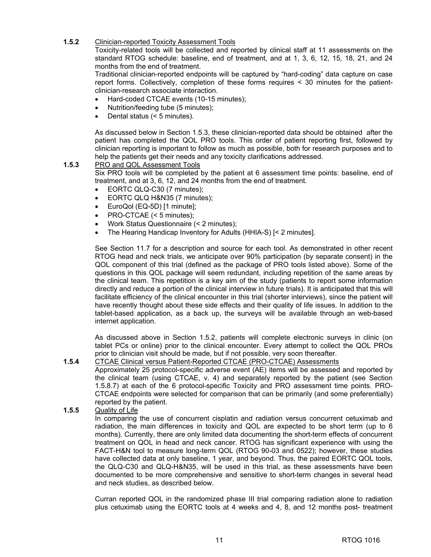#### **1.5.2** Clinician-reported Toxicity Assessment Tools

Toxicity-related tools will be collected and reported by clinical staff at 11 assessments on the standard RTOG schedule: baseline, end of treatment, and at 1, 3, 6, 12, 15, 18, 21, and 24 months from the end of treatment.

Traditional clinician-reported endpoints will be captured by "hard-coding" data capture on case report forms. Collectively, completion of these forms requires < 30 minutes for the patientclinician-research associate interaction.

- Hard-coded CTCAE events (10-15 minutes);
- Nutrition/feeding tube (5 minutes);
- Dental status (< 5 minutes).

As discussed below in Section 1.5.3, these clinician-reported data should be obtained after the patient has completed the QOL PRO tools. This order of patient reporting first, followed by clinician reporting is important to follow as much as possible, both for research purposes and to help the patients get their needs and any toxicity clarifications addressed.

#### **1.5.3** PRO and QOL Assessment Tools

Six PRO tools will be completed by the patient at 6 assessment time points: baseline, end of treatment, and at 3, 6, 12, and 24 months from the end of treatment.

- EORTC QLQ-C30 (7 minutes);
- EORTC QLQ H&N35 (7 minutes);
- EuroQol (EQ-5D) [1 minute];
- PRO-CTCAE (< 5 minutes);
- Work Status Questionnaire (< 2 minutes);
- The Hearing Handicap Inventory for Adults (HHIA-S) [< 2 minutes].

See Section 11.7 for a description and source for each tool. As demonstrated in other recent RTOG head and neck trials, we anticipate over 90% participation (by separate consent) in the QOL component of this trial (defined as the package of PRO tools listed above). Some of the questions in this QOL package will seem redundant, including repetition of the same areas by the clinical team. This repetition is a key aim of the study (patients to report some information directly and reduce a portion of the clinical interview in future trials). It is anticipated that this will facilitate efficiency of the clinical encounter in this trial (shorter interviews), since the patient will have recently thought about these side effects and their quality of life issues. In addition to the tablet-based application, as a back up, the surveys will be available through an web-based internet application.

As discussed above in Section 1.5.2, patients will complete electronic surveys in clinic (on tablet PCs or online) prior to the clinical encounter. Every attempt to collect the QOL PROs prior to clinician visit should be made, but if not possible, very soon thereafter.

### **1.5.4** CTCAE Clinical versus Patient-Reported CTCAE (PRO-CTCAE) Assessments

Approximately 25 protocol-specific adverse event (AE) items will be assessed and reported by the clinical team (using CTCAE, v. 4) and separately reported by the patient (see Section 1.5.8.7) at each of the 6 protocol-specific Toxicity and PRO assessment time points. PRO-CTCAE endpoints were selected for comparison that can be primarily (and some preferentially) reported by the patient.

#### **1.5.5** Quality of Life

In comparing the use of concurrent cisplatin and radiation versus concurrent cetuximab and radiation, the main differences in toxicity and QOL are expected to be short term (up to 6 months). Currently, there are only limited data documenting the short-term effects of concurrent treatment on QOL in head and neck cancer. RTOG has significant experience with using the FACT-H&N tool to measure long-term QOL (RTOG 90-03 and 0522); however, these studies have collected data at only baseline, 1 year, and beyond. Thus, the paired EORTC QOL tools, the QLQ-C30 and QLQ-H&N35, will be used in this trial, as these assessments have been documented to be more comprehensive and sensitive to short-term changes in several head and neck studies, as described below.

Curran reported QOL in the randomized phase III trial comparing radiation alone to radiation plus cetuximab using the EORTC tools at 4 weeks and 4, 8, and 12 months post- treatment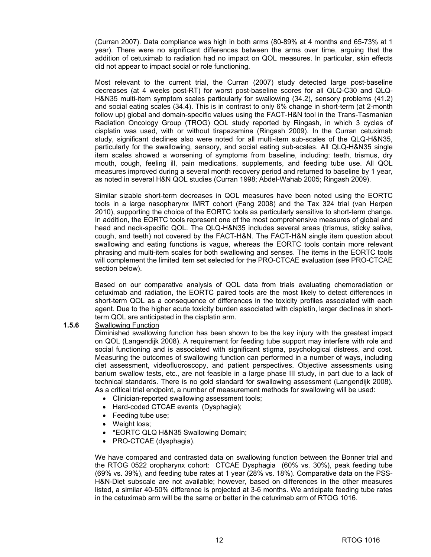(Curran 2007). Data compliance was high in both arms (80-89% at 4 months and 65-73% at 1 year). There were no significant differences between the arms over time, arguing that the addition of cetuximab to radiation had no impact on QOL measures. In particular, skin effects did not appear to impact social or role functioning.

Most relevant to the current trial, the Curran (2007) study detected large post-baseline decreases (at 4 weeks post-RT) for worst post-baseline scores for all QLQ-C30 and QLQ-H&N35 multi-item symptom scales particularly for swallowing (34.2), sensory problems (41.2) and social eating scales (34.4). This is in contrast to only 6% change in short-term (at 2-month follow up) global and domain-specific values using the FACT-H&N tool in the Trans-Tasmanian Radiation Oncology Group (TROG) QOL study reported by Ringash, in which 3 cycles of cisplatin was used, with or without tirapazamine (Ringash 2009). In the Curran cetuximab study, significant declines also were noted for all multi-item sub-scales of the QLQ-H&N35, particularly for the swallowing, sensory, and social eating sub-scales. All QLQ-H&N35 single item scales showed a worsening of symptoms from baseline, including: teeth, trismus, dry mouth, cough, feeling ill, pain medications, supplements, and feeding tube use. All QOL measures improved during a several month recovery period and returned to baseline by 1 year, as noted in several H&N QOL studies (Curran 1998; Abdel-Wahab 2005; Ringash 2009).

Similar sizable short-term decreases in QOL measures have been noted using the EORTC tools in a large nasopharynx IMRT cohort (Fang 2008) and the Tax 324 trial (van Herpen 2010), supporting the choice of the EORTC tools as particularly sensitive to short-term change. In addition, the EORTC tools represent one of the most comprehensive measures of global and head and neck-specific QOL. The QLQ-H&N35 includes several areas (trismus, sticky saliva, cough, and teeth) not covered by the FACT-H&N. The FACT-H&N single item question about swallowing and eating functions is vague, whereas the EORTC tools contain more relevant phrasing and multi-item scales for both swallowing and senses. The items in the EORTC tools will complement the limited item set selected for the PRO-CTCAE evaluation (see PRO-CTCAE section below).

Based on our comparative analysis of QOL data from trials evaluating chemoradiation or cetuximab and radiation, the EORTC paired tools are the most likely to detect differences in short-term QOL as a consequence of differences in the toxicity profiles associated with each agent. Due to the higher acute toxicity burden associated with cisplatin, larger declines in shortterm QOL are anticipated in the cisplatin arm.

#### **1.5.6** Swallowing Function

Diminished swallowing function has been shown to be the key injury with the greatest impact on QOL (Langendijk 2008). A requirement for feeding tube support may interfere with role and social functioning and is associated with significant stigma, psychological distress, and cost. Measuring the outcomes of swallowing function can performed in a number of ways, including diet assessment, videofluoroscopy, and patient perspectives. Objective assessments using barium swallow tests, etc., are not feasible in a large phase III study, in part due to a lack of technical standards. There is no gold standard for swallowing assessment (Langendijk 2008). As a critical trial endpoint, a number of measurement methods for swallowing will be used:

- Clinician-reported swallowing assessment tools;
- Hard-coded CTCAE events (Dysphagia);
- Feeding tube use;
- Weight loss;
- \*EORTC QLQ H&N35 Swallowing Domain;
- PRO-CTCAE (dysphagia).

We have compared and contrasted data on swallowing function between the Bonner trial and the RTOG 0522 oropharynx cohort: CTCAE Dysphagia (60% vs. 30%), peak feeding tube (69% vs. 39%), and feeding tube rates at 1 year (28% vs. 18%). Comparative data on the PSS-H&N-Diet subscale are not available; however, based on differences in the other measures listed, a similar 40-50% difference is projected at 3-6 months. We anticipate feeding tube rates in the cetuximab arm will be the same or better in the cetuximab arm of RTOG 1016.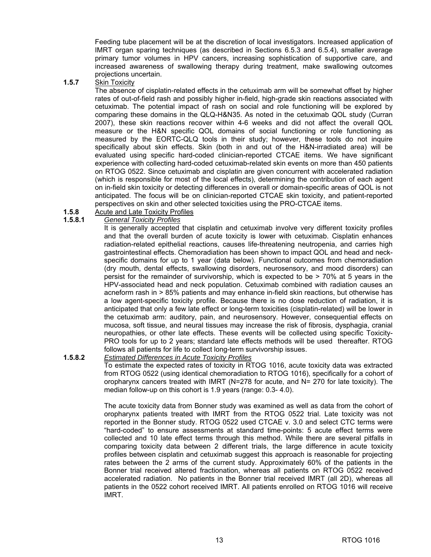Feeding tube placement will be at the discretion of local investigators. Increased application of IMRT organ sparing techniques (as described in Sections 6.5.3 and 6.5.4), smaller average primary tumor volumes in HPV cancers, increasing sophistication of supportive care, and increased awareness of swallowing therapy during treatment, make swallowing outcomes projections uncertain.

#### **1.5.7** Skin Toxicity

The absence of cisplatin-related effects in the cetuximab arm will be somewhat offset by higher rates of out-of-field rash and possibly higher in-field, high-grade skin reactions associated with cetuximab. The potential impact of rash on social and role functioning will be explored by comparing these domains in the QLQ-H&N35. As noted in the cetuximab QOL study (Curran 2007), these skin reactions recover within 4-6 weeks and did not affect the overall QOL measure or the H&N specific QOL domains of social functioning or role functioning as measured by the EORTC-QLQ tools in their study; however, these tools do not inquire specifically about skin effects. Skin (both in and out of the H&N-irradiated area) will be evaluated using specific hard-coded clinician-reported CTCAE items. We have significant experience with collecting hard-coded cetuximab-related skin events on more than 450 patients on RTOG 0522. Since cetuximab and cisplatin are given concurrent with accelerated radiation (which is responsible for most of the local effects), determining the contribution of each agent on in-field skin toxicity or detecting differences in overall or domain-specific areas of QOL is not anticipated. The focus will be on clinician-reported CTCAE skin toxicity, and patient-reported perspectives on skin and other selected toxicities using the PRO-CTCAE items.

#### **1.5.8** Acute and Late Toxicity Profiles

#### **1.5.8.1** *General Toxicity Profiles*

It is generally accepted that cisplatin and cetuximab involve very different toxicity profiles and that the overall burden of acute toxicity is lower with cetuximab. Cisplatin enhances radiation-related epithelial reactions, causes life-threatening neutropenia, and carries high gastrointestinal effects. Chemoradiation has been shown to impact QOL and head and neckspecific domains for up to 1 year (data below). Functional outcomes from chemoradiation (dry mouth, dental effects, swallowing disorders, neurosensory, and mood disorders) can persist for the remainder of survivorship, which is expected to be > 70% at 5 years in the HPV-associated head and neck population. Cetuximab combined with radiation causes an acneform rash in > 85% patients and may enhance in-field skin reactions, but otherwise has a low agent-specific toxicity profile. Because there is no dose reduction of radiation, it is anticipated that only a few late effect or long-term toxicities (cisplatin-related) will be lower in the cetuximab arm: auditory, pain, and neurosensory. However, consequential effects on mucosa, soft tissue, and neural tissues may increase the risk of fibrosis, dysphagia, cranial neuropathies, or other late effects. These events will be collected using specific Toxicity-PRO tools for up to 2 years; standard late effects methods will be used thereafter. RTOG follows all patients for life to collect long-term survivorship issues.

#### **1.5.8.2** *Estimated Differences in Acute Toxicity Profiles*

To estimate the expected rates of toxicity in RTOG 1016, acute toxicity data was extracted from RTOG 0522 (using identical chemoradiation to RTOG 1016), specifically for a cohort of oropharynx cancers treated with IMRT (N=278 for acute, and N= 270 for late toxicity). The median follow-up on this cohort is 1.9 years (range: 0.3- 4.0).

The acute toxicity data from Bonner study was examined as well as data from the cohort of oropharynx patients treated with IMRT from the RTOG 0522 trial. Late toxicity was not reported in the Bonner study. RTOG 0522 used CTCAE v. 3.0 and select CTC terms were "hard-coded" to ensure assessments at standard time-points: 5 acute effect terms were collected and 10 late effect terms through this method. While there are several pitfalls in comparing toxicity data between 2 different trials, the large difference in acute toxicity profiles between cisplatin and cetuximab suggest this approach is reasonable for projecting rates between the 2 arms of the current study. Approximately 60% of the patients in the Bonner trial received altered fractionation, whereas all patients on RTOG 0522 received accelerated radiation. No patients in the Bonner trial received IMRT (all 2D), whereas all patients in the 0522 cohort received IMRT. All patients enrolled on RTOG 1016 will receive IMRT.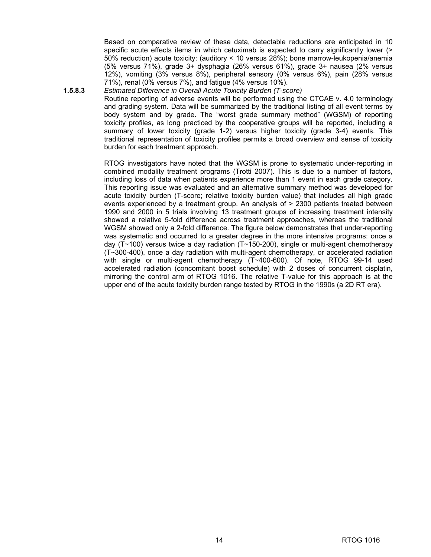Based on comparative review of these data, detectable reductions are anticipated in 10 specific acute effects items in which cetuximab is expected to carry significantly lower (> 50% reduction) acute toxicity: (auditory < 10 versus 28%); bone marrow-leukopenia/anemia (5% versus 71%), grade 3+ dysphagia (26% versus 61%), grade 3+ nausea (2% versus 12%), vomiting (3% versus 8%), peripheral sensory (0% versus 6%), pain (28% versus 71%), renal (0% versus 7%), and fatigue (4% versus 10%).

### **1.5.8.3** *Estimated Difference in Overall Acute Toxicity Burden (T-score)*

Routine reporting of adverse events will be performed using the CTCAE v. 4.0 terminology and grading system. Data will be summarized by the traditional listing of all event terms by body system and by grade. The "worst grade summary method" (WGSM) of reporting toxicity profiles, as long practiced by the cooperative groups will be reported, including a summary of lower toxicity (grade 1-2) versus higher toxicity (grade 3-4) events. This traditional representation of toxicity profiles permits a broad overview and sense of toxicity burden for each treatment approach.

RTOG investigators have noted that the WGSM is prone to systematic under-reporting in combined modality treatment programs (Trotti 2007). This is due to a number of factors, including loss of data when patients experience more than 1 event in each grade category. This reporting issue was evaluated and an alternative summary method was developed for acute toxicity burden (T-score; relative toxicity burden value) that includes all high grade events experienced by a treatment group. An analysis of > 2300 patients treated between 1990 and 2000 in 5 trials involving 13 treatment groups of increasing treatment intensity showed a relative 5-fold difference across treatment approaches, whereas the traditional WGSM showed only a 2-fold difference. The figure below demonstrates that under-reporting was systematic and occurred to a greater degree in the more intensive programs: once a day ( $T~100$ ) versus twice a day radiation ( $T~150~200$ ), single or multi-agent chemotherapy (T~300-400), once a day radiation with multi-agent chemotherapy, or accelerated radiation with single or multi-agent chemotherapy (T~400-600). Of note, RTOG 99-14 used accelerated radiation (concomitant boost schedule) with 2 doses of concurrent cisplatin, mirroring the control arm of RTOG 1016. The relative T-value for this approach is at the upper end of the acute toxicity burden range tested by RTOG in the 1990s (a 2D RT era).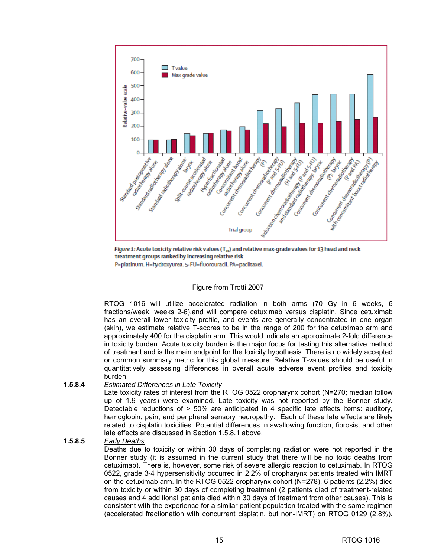

Figure 1: Acute toxicity relative risk values (T<sub>88</sub>) and relative max-grade values for 13 head and neck treatment groups ranked by increasing relative risk

P=platinum. H=hydroxyurea. 5-FU=fluorouracil. PA=paclitaxel.

#### Figure from Trotti 2007

RTOG 1016 will utilize accelerated radiation in both arms (70 Gy in 6 weeks, 6 fractions/week, weeks 2-6),and will compare cetuximab versus cisplatin. Since cetuximab has an overall lower toxicity profile, and events are generally concentrated in one organ (skin), we estimate relative T-scores to be in the range of 200 for the cetuximab arm and approximately 400 for the cisplatin arm. This would indicate an approximate 2-fold difference in toxicity burden. Acute toxicity burden is the major focus for testing this alternative method of treatment and is the main endpoint for the toxicity hypothesis. There is no widely accepted or common summary metric for this global measure. Relative T-values should be useful in quantitatively assessing differences in overall acute adverse event profiles and toxicity burden.

#### **1.5.8.4** *Estimated Differences in Late Toxicity*

Late toxicity rates of interest from the RTOG 0522 oropharynx cohort (N=270; median follow up of 1.9 years) were examined. Late toxicity was not reported by the Bonner study. Detectable reductions of > 50% are anticipated in 4 specific late effects items: auditory, hemoglobin, pain, and peripheral sensory neuropathy. Each of these late effects are likely related to cisplatin toxicities. Potential differences in swallowing function, fibrosis, and other late effects are discussed in Section 1.5.8.1 above.

#### **1.5.8.5** *Early Deaths*

Deaths due to toxicity or within 30 days of completing radiation were not reported in the Bonner study (it is assumed in the current study that there will be no toxic deaths from cetuximab). There is, however, some risk of severe allergic reaction to cetuximab. In RTOG 0522, grade 3-4 hypersensitivity occurred in 2.2% of oropharynx patients treated with IMRT on the cetuximab arm. In the RTOG 0522 oropharynx cohort (N=278), 6 patients (2.2%) died from toxicity or within 30 days of completing treatment (2 patients died of treatment-related causes and 4 additional patients died within 30 days of treatment from other causes). This is consistent with the experience for a similar patient population treated with the same regimen (accelerated fractionation with concurrent cisplatin, but non-IMRT) on RTOG 0129 (2.8%).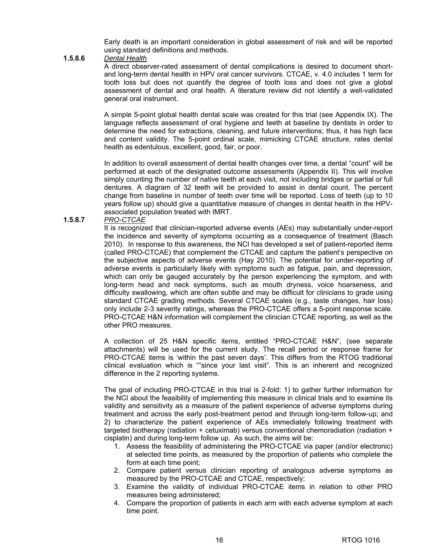Early death is an important consideration in global assessment of risk and will be reported using standard definitions and methods.

#### **1.5.8.6** *Dental Health*

A direct observer-rated assessment of dental complications is desired to document shortand long-term dental health in HPV oral cancer survivors. CTCAE, v. 4.0 includes 1 term for tooth loss but does not quantify the degree of tooth loss and does not give a global assessment of dental and oral health. A literature review did not identify a well-validated general oral instrument.

A simple 5-point global health dental scale was created for this trial (see Appendix IX). The language reflects assessment of oral hygiene and teeth at baseline by dentists in order to determine the need for extractions, cleaning, and future interventions; thus, it has high face and content validity. The 5-point ordinal scale, mimicking CTCAE structure, rates dental health as edentulous, excellent, good, fair, or poor.

In addition to overall assessment of dental health changes over time, a dental "count" will be performed at each of the designated outcome assessments (Appendix II). This will involve simply counting the number of native teeth at each visit, not including bridges or partial or full dentures. A diagram of 32 teeth will be provided to assist in dental count. The percent change from baseline in number of teeth over time will be reported. Loss of teeth (up to 10 years follow up) should give a quantitative measure of changes in dental health in the HPVassociated population treated with IMRT.

#### **1.5.8.7** *PRO-CTCAE*

It is recognized that clinician-reported adverse events (AEs) may substantially under-report the incidence and severity of symptoms occurring as a consequence of treatment (Basch 2010). In response to this awareness, the NCI has developed a set of patient-reported items (called PRO-CTCAE) that complement the CTCAE and capture the patient's perspective on the subjective aspects of adverse events (Hay 2010). The potential for under-reporting of adverse events is particularly likely with symptoms such as fatigue, pain, and depression, which can only be gauged accurately by the person experiencing the symptom, and with long-term head and neck symptoms, such as mouth dryness, voice hoarseness, and difficulty swallowing, which are often subtle and may be difficult for clinicians to grade using standard CTCAE grading methods. Several CTCAE scales (e.g., taste changes, hair loss) only include 2-3 severity ratings, whereas the PRO-CTCAE offers a 5-point response scale. PRO-CTCAE H&N information will complement the clinician CTCAE reporting, as well as the other PRO measures.

 A collection of 25 H&N specific items, entitled "PRO-CTCAE H&N", (see separate attachments) will be used for the current study. The recall period or response frame for PRO-CTCAE items is 'within the past seven days'. This differs from the RTOG traditional clinical evaluation which is ""since your last visit". This is an inherent and recognized difference in the 2 reporting systems.

The goal of including PRO-CTCAE in this trial is 2-fold: 1) to gather further information for the NCI about the feasibility of implementing this measure in clinical trials and to examine its validity and sensitivity as a measure of the patient experience of adverse symptoms during treatment and across the early post-treatment period and through long-term follow-up; and 2) to characterize the patient experience of AEs immediately following treatment with targeted biotherapy (radiation + cetuximab) versus conventional chemoradiation (radiation + cisplatin) and during long-term follow up. As such, the aims will be:

- 1. Assess the feasibility of administering the PRO-CTCAE via paper (and/or electronic) at selected time points, as measured by the proportion of patients who complete the form at each time point;
- 2. Compare patient versus clinician reporting of analogous adverse symptoms as measured by the PRO-CTCAE and CTCAE, respectively;
- 3. Examine the validity of individual PRO-CTCAE items in relation to other PRO measures being administered;
- 4. Compare the proportion of patients in each arm with each adverse symptom at each time point.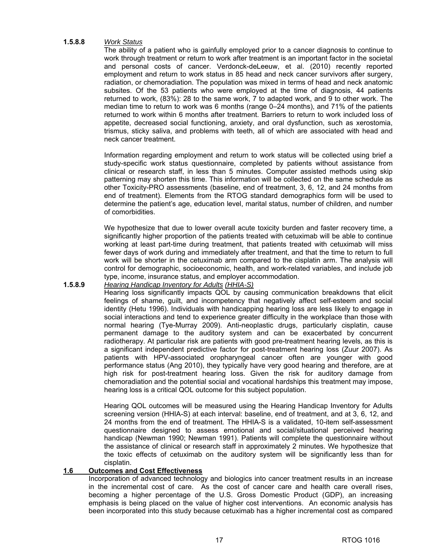#### **1.5.8.8** *Work Status*

The ability of a patient who is gainfully employed prior to a cancer diagnosis to continue to work through treatment or return to work after treatment is an important factor in the societal and personal costs of cancer. Verdonck-deLeeuw, et al. (2010) recently reported employment and return to work status in 85 head and neck cancer survivors after surgery, radiation, or chemoradiation. The population was mixed in terms of head and neck anatomic subsites. Of the 53 patients who were employed at the time of diagnosis, 44 patients returned to work, (83%): 28 to the same work, 7 to adapted work, and 9 to other work. The median time to return to work was 6 months (range 0–24 months), and 71% of the patients returned to work within 6 months after treatment. Barriers to return to work included loss of appetite, decreased social functioning, anxiety, and oral dysfunction, such as xerostomia, trismus, sticky saliva, and problems with teeth, all of which are associated with head and neck cancer treatment.

Information regarding employment and return to work status will be collected using brief a study-specific work status questionnaire, completed by patients without assistance from clinical or research staff, in less than 5 minutes. Computer assisted methods using skip patterning may shorten this time. This information will be collected on the same schedule as other Toxicity-PRO assessments (baseline, end of treatment, 3, 6, 12, and 24 months from end of treatment). Elements from the RTOG standard demographics form will be used to determine the patient's age, education level, marital status, number of children, and number of comorbidities.

We hypothesize that due to lower overall acute toxicity burden and faster recovery time, a significantly higher proportion of the patients treated with cetuximab will be able to continue working at least part-time during treatment, that patients treated with cetuximab will miss fewer days of work during and immediately after treatment, and that the time to return to full work will be shorter in the cetuximab arm compared to the cisplatin arm. The analysis will control for demographic, socioeconomic, health, and work-related variables, and include job type, income, insurance status, and employer accommodation.

#### **1.5.8.9** *Hearing Handicap Inventory for Adults (HHIA-S)*

Hearing loss significantly impacts QOL by causing communication breakdowns that elicit feelings of shame, guilt, and incompetency that negatively affect self-esteem and social identity (Hetu 1996). Individuals with handicapping hearing loss are less likely to engage in social interactions and tend to experience greater difficulty in the workplace than those with normal hearing (Tye-Murray 2009). Anti-neoplastic drugs, particularly cisplatin, cause permanent damage to the auditory system and can be exacerbated by concurrent radiotherapy. At particular risk are patients with good pre-treatment hearing levels, as this is a significant independent predictive factor for post-treatment hearing loss (Zuur 2007). As patients with HPV-associated oropharyngeal cancer often are younger with good performance status (Ang 2010), they typically have very good hearing and therefore, are at high risk for post-treatment hearing loss. Given the risk for auditory damage from chemoradiation and the potential social and vocational hardships this treatment may impose, hearing loss is a critical QOL outcome for this subject population.

Hearing QOL outcomes will be measured using the Hearing Handicap Inventory for Adults screening version (HHIA-S) at each interval: baseline, end of treatment, and at 3, 6, 12, and 24 months from the end of treatment. The HHIA-S is a validated, 10-item self-assessment questionnaire designed to assess emotional and social/situational perceived hearing handicap (Newman 1990; Newman 1991). Patients will complete the questionnaire without the assistance of clinical or research staff in approximately 2 minutes. We hypothesize that the toxic effects of cetuximab on the auditory system will be significantly less than for cisplatin.

#### **1.6 Outcomes and Cost Effectiveness**

Incorporation of advanced technology and biologics into cancer treatment results in an increase in the incremental cost of care. As the cost of cancer care and health care overall rises, becoming a higher percentage of the U.S. Gross Domestic Product (GDP), an increasing emphasis is being placed on the value of higher cost interventions. An economic analysis has been incorporated into this study because cetuximab has a higher incremental cost as compared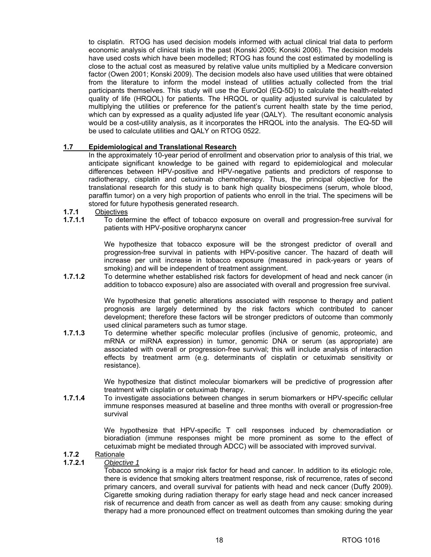to cisplatin. RTOG has used decision models informed with actual clinical trial data to perform economic analysis of clinical trials in the past (Konski 2005; Konski 2006). The decision models have used costs which have been modelled; RTOG has found the cost estimated by modelling is close to the actual cost as measured by relative value units multiplied by a Medicare conversion factor (Owen 2001; Konski 2009). The decision models also have used utilities that were obtained from the literature to inform the model instead of utilities actually collected from the trial participants themselves. This study will use the EuroQol (EQ-5D) to calculate the health-related quality of life (HRQOL) for patients. The HRQOL or quality adjusted survival is calculated by multiplying the utilities or preference for the patient's current health state by the time period, which can by expressed as a quality adjusted life year (QALY). The resultant economic analysis would be a cost-utility analysis, as it incorporates the HRQOL into the analysis. The EQ-5D will be used to calculate utilities and QALY on RTOG 0522.

#### **1.7 Epidemiological and Translational Research**

 In the approximately 10-year period of enrollment and observation prior to analysis of this trial, we anticipate significant knowledge to be gained with regard to epidemiological and molecular differences between HPV-positive and HPV-negative patients and predictors of response to radiotherapy, cisplatin and cetuximab chemotherapy. Thus, the principal objective for the translational research for this study is to bank high quality biospecimens (serum, whole blood, paraffin tumor) on a very high proportion of patients who enroll in the trial. The specimens will be stored for future hypothesis generated research.

#### **1.7.1** Objectives

**1.7.1.1** To determine the effect of tobacco exposure on overall and progression-free survival for patients with HPV-positive oropharynx cancer

> We hypothesize that tobacco exposure will be the strongest predictor of overall and progression-free survival in patients with HPV-positive cancer. The hazard of death will increase per unit increase in tobacco exposure (measured in pack-years or years of smoking) and will be independent of treatment assignment.

**1.7.1.2** To determine whether established risk factors for development of head and neck cancer (in addition to tobacco exposure) also are associated with overall and progression free survival.

> We hypothesize that genetic alterations associated with response to therapy and patient prognosis are largely determined by the risk factors which contributed to cancer development; therefore these factors will be stronger predictors of outcome than commonly used clinical parameters such as tumor stage.

**1.7.1.3** To determine whether specific molecular profiles (inclusive of genomic, proteomic, and mRNA or miRNA expression) in tumor, genomic DNA or serum (as appropriate) are associated with overall or progression-free survival; this will include analysis of interaction effects by treatment arm (e.g. determinants of cisplatin or cetuximab sensitivity or resistance).

> We hypothesize that distinct molecular biomarkers will be predictive of progression after treatment with cisplatin or cetuximab therapy.

**1.7.1.4** To investigate associations between changes in serum biomarkers or HPV-specific cellular immune responses measured at baseline and three months with overall or progression-free survival

> We hypothesize that HPV-specific T cell responses induced by chemoradiation or bioradiation (immune responses might be more prominent as some to the effect of cetuximab might be mediated through ADCC) will be associated with improved survival.

### **1.7.2** Rationale

#### **1.7.2.1** *Objective 1*

Tobacco smoking is a major risk factor for head and cancer. In addition to its etiologic role, there is evidence that smoking alters treatment response, risk of recurrence, rates of second primary cancers, and overall survival for patients with head and neck cancer (Duffy 2009). Cigarette smoking during radiation therapy for early stage head and neck cancer increased risk of recurrence and death from cancer as well as death from any cause: smoking during therapy had a more pronounced effect on treatment outcomes than smoking during the year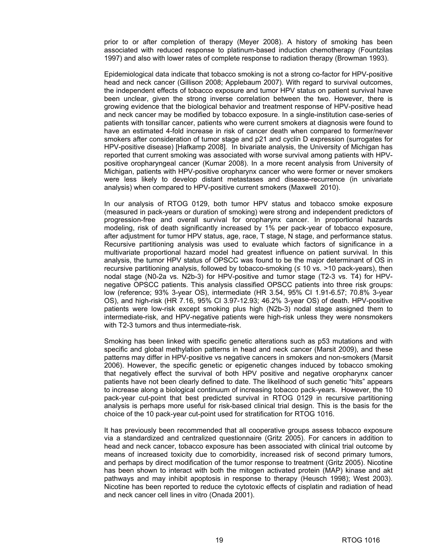prior to or after completion of therapy (Meyer 2008). A history of smoking has been associated with reduced response to platinum-based induction chemotherapy (Fountzilas 1997) and also with lower rates of complete response to radiation therapy (Browman 1993).

Epidemiological data indicate that tobacco smoking is not a strong co-factor for HPV-positive head and neck cancer (Gillison 2008; Applebaum 2007). With regard to survival outcomes, the independent effects of tobacco exposure and tumor HPV status on patient survival have been unclear, given the strong inverse correlation between the two. However, there is growing evidence that the biological behavior and treatment response of HPV-positive head and neck cancer may be modified by tobacco exposure. In a single-institution case-series of patients with tonsillar cancer, patients who were current smokers at diagnosis were found to have an estimated 4-fold increase in risk of cancer death when compared to former/never smokers after consideration of tumor stage and p21 and cyclin D expression (surrogates for HPV-positive disease) [Hafkamp 2008]. In bivariate analysis, the University of Michigan has reported that current smoking was associated with worse survival among patients with HPVpositive oropharyngeal cancer (Kumar 2008). In a more recent analysis from University of Michigan, patients with HPV-positive oropharynx cancer who were former or never smokers were less likely to develop distant metastases and disease-recurrence (in univariate analysis) when compared to HPV-positive current smokers (Maxwell 2010).

In our analysis of RTOG 0129, both tumor HPV status and tobacco smoke exposure (measured in pack-years or duration of smoking) were strong and independent predictors of progression-free and overall survival for oropharynx cancer. In proportional hazards modeling, risk of death significantly increased by 1% per pack-year of tobacco exposure, after adjustment for tumor HPV status, age, race, T stage, N stage, and performance status. Recursive partitioning analysis was used to evaluate which factors of significance in a multivariate proportional hazard model had greatest influence on patient survival. In this analysis, the tumor HPV status of OPSCC was found to be the major determinant of OS in recursive partitioning analysis, followed by tobacco-smoking  $(\leq 10 \text{ vs. } >10 \text{ pack-years})$ , then nodal stage (N0-2a vs. N2b-3) for HPV-positive and tumor stage (T2-3 vs. T4) for HPVnegative OPSCC patients. This analysis classified OPSCC patients into three risk groups: low (reference; 93% 3-year OS), intermediate (HR 3.54, 95% CI 1.91-6.57; 70.8% 3-year OS), and high-risk (HR 7.16, 95% CI 3.97-12.93; 46.2% 3-year OS) of death. HPV-positive patients were low-risk except smoking plus high (N2b-3) nodal stage assigned them to intermediate-risk, and HPV-negative patients were high-risk unless they were nonsmokers with T2-3 tumors and thus intermediate-risk.

Smoking has been linked with specific genetic alterations such as p53 mutations and with specific and global methylation patterns in head and neck cancer (Marsit 2009), and these patterns may differ in HPV-positive vs negative cancers in smokers and non-smokers (Marsit 2006). However, the specific genetic or epigenetic changes induced by tobacco smoking that negatively effect the survival of both HPV positive and negative oropharynx cancer patients have not been clearly defined to date. The likelihood of such genetic "hits" appears to increase along a biological continuum of increasing tobacco pack-years. However, the 10 pack-year cut-point that best predicted survival in RTOG 0129 in recursive partitioning analysis is perhaps more useful for risk-based clinical trial design. This is the basis for the choice of the 10 pack-year cut-point used for stratification for RTOG 1016.

It has previously been recommended that all cooperative groups assess tobacco exposure via a standardized and centralized questionnaire (Gritz 2005). For cancers in addition to head and neck cancer, tobacco exposure has been associated with clinical trial outcome by means of increased toxicity due to comorbidity, increased risk of second primary tumors, and perhaps by direct modification of the tumor response to treatment (Gritz 2005). Nicotine has been shown to interact with both the mitogen activated protein (MAP) kinase and akt pathways and may inhibit apoptosis in response to therapy (Heusch 1998); West 2003). Nicotine has been reported to reduce the cytotoxic effects of cisplatin and radiation of head and neck cancer cell lines in vitro (Onada 2001).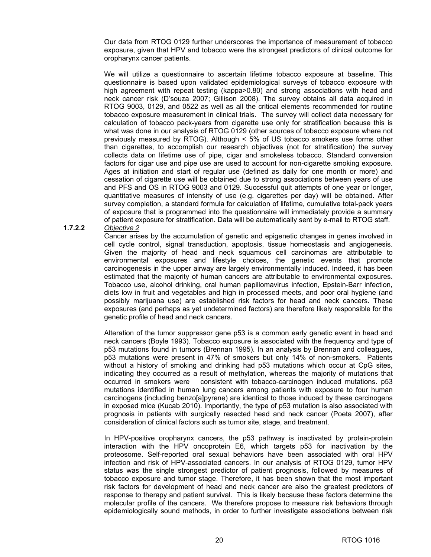Our data from RTOG 0129 further underscores the importance of measurement of tobacco exposure, given that HPV and tobacco were the strongest predictors of clinical outcome for oropharynx cancer patients.

We will utilize a questionnaire to ascertain lifetime tobacco exposure at baseline. This questionnaire is based upon validated epidemiological surveys of tobacco exposure with high agreement with repeat testing (kappa>0.80) and strong associations with head and neck cancer risk (D'souza 2007; Gillison 2008). The survey obtains all data acquired in RTOG 9003, 0129, and 0522 as well as all the critical elements recommended for routine tobacco exposure measurement in clinical trials. The survey will collect data necessary for calculation of tobacco pack-years from cigarette use only for stratification because this is what was done in our analysis of RTOG 0129 (other sources of tobacco exposure where not previously measured by RTOG). Although < 5% of US tobacco smokers use forms other than cigarettes, to accomplish our research objectives (not for stratification) the survey collects data on lifetime use of pipe, cigar and smokeless tobacco. Standard conversion factors for cigar use and pipe use are used to account for non-cigarette smoking exposure. Ages at initiation and start of regular use (defined as daily for one month or more) and cessation of cigarette use will be obtained due to strong associations between years of use and PFS and OS in RTOG 9003 and 0129. Successful quit attempts of one year or longer, quantitative measures of intensity of use (e.g. cigarettes per day) will be obtained. After survey completion, a standard formula for calculation of lifetime, cumulative total-pack years of exposure that is programmed into the questionnaire will immediately provide a summary of patient exposure for stratification. Data will be automatically sent by e-mail to RTOG staff.

#### **1.7.2.2** *Objective 2*

Cancer arises by the accumulation of genetic and epigenetic changes in genes involved in cell cycle control, signal transduction, apoptosis, tissue homeostasis and angiogenesis. Given the majority of head and neck squamous cell carcinomas are attributable to environmental exposures and lifestyle choices, the genetic events that promote carcinogenesis in the upper airway are largely environmentally induced. Indeed, it has been estimated that the majority of human cancers are attributable to environmental exposures. Tobacco use, alcohol drinking, oral human papillomavirus infection, Epstein-Barr infection, diets low in fruit and vegetables and high in processed meets, and poor oral hygiene (and possibly marijuana use) are established risk factors for head and neck cancers. These exposures (and perhaps as yet undetermined factors) are therefore likely responsible for the genetic profile of head and neck cancers.

Alteration of the tumor suppressor gene p53 is a common early genetic event in head and neck cancers (Boyle 1993). Tobacco exposure is associated with the frequency and type of p53 mutations found in tumors (Brennan 1995). In an analysis by Brennan and colleagues, p53 mutations were present in 47% of smokers but only 14% of non-smokers. Patients without a history of smoking and drinking had p53 mutations which occur at CpG sites, indicating they occurred as a result of methylation, whereas the majority of mutations that occurred in smokers were consistent with tobacco-carcinogen induced mutations. p53 mutations identified in human lung cancers among patients with exposure to four human carcinogens (including benzo[a]pyrene) are identical to those induced by these carcinogens in exposed mice (Kucab 2010). Importantly, the type of p53 mutation is also associated with prognosis in patients with surgically resected head and neck cancer (Poeta 2007), after consideration of clinical factors such as tumor site, stage, and treatment.

In HPV-positive oropharynx cancers, the p53 pathway is inactivated by protein-protein interaction with the HPV oncoprotein E6, which targets p53 for inactivation by the proteosome. Self-reported oral sexual behaviors have been associated with oral HPV infection and risk of HPV-associated cancers. In our analysis of RTOG 0129, tumor HPV status was the single strongest predictor of patient prognosis, followed by measures of tobacco exposure and tumor stage. Therefore, it has been shown that the most important risk factors for development of head and neck cancer are also the greatest predictors of response to therapy and patient survival. This is likely because these factors determine the molecular profile of the cancers. We therefore propose to measure risk behaviors through epidemiologically sound methods, in order to further investigate associations between risk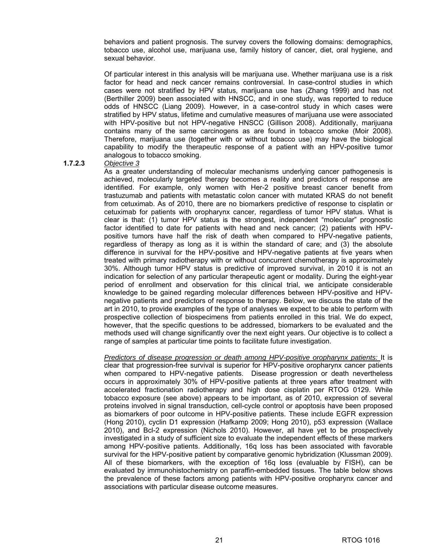behaviors and patient prognosis. The survey covers the following domains: demographics, tobacco use, alcohol use, marijuana use, family history of cancer, diet, oral hygiene, and sexual behavior.

Of particular interest in this analysis will be marijuana use. Whether marijuana use is a risk factor for head and neck cancer remains controversial. In case-control studies in which cases were not stratified by HPV status, marijuana use has (Zhang 1999) and has not (Berthiller 2009) been associated with HNSCC, and in one study, was reported to reduce odds of HNSCC (Liang 2009). However, in a case-control study in which cases were stratified by HPV status, lifetime and cumulative measures of marijuana use were associated with HPV-positive but not HPV-negative HNSCC (Gillison 2008). Additionally, marijuana contains many of the same carcinogens as are found in tobacco smoke (Moir 2008). Therefore, marijuana use (together with or without tobacco use) may have the biological capability to modify the therapeutic response of a patient with an HPV-positive tumor analogous to tobacco smoking.

#### **1.7.2.3** *Objective 3*

As a greater understanding of molecular mechanisms underlying cancer pathogenesis is achieved, molecularly targeted therapy becomes a reality and predictors of response are identified. For example, only women with Her-2 positive breast cancer benefit from trastuzumab and patients with metastatic colon cancer with mutated KRAS do not benefit from cetuximab. As of 2010, there are no biomarkers predictive of response to cisplatin or cetuximab for patients with oropharynx cancer, regardless of tumor HPV status. What is clear is that: (1) tumor HPV status is the strongest, independent "molecular" prognostic factor identified to date for patients with head and neck cancer; (2) patients with HPVpositive tumors have half the risk of death when compared to HPV-negative patients, regardless of therapy as long as it is within the standard of care; and (3) the absolute difference in survival for the HPV-positive and HPV-negative patients at five years when treated with primary radiotherapy with or without concurrent chemotherapy is approximately 30%. Although tumor HPV status is predictive of improved survival, in 2010 it is not an indication for selection of any particular therapeutic agent or modality. During the eight-year period of enrollment and observation for this clinical trial, we anticipate considerable knowledge to be gained regarding molecular differences between HPV-positive and HPVnegative patients and predictors of response to therapy. Below, we discuss the state of the art in 2010, to provide examples of the type of analyses we expect to be able to perform with prospective collection of biospecimens from patients enrolled in this trial. We do expect, however, that the specific questions to be addressed, biomarkers to be evaluated and the methods used will change significantly over the next eight years. Our objective is to collect a range of samples at particular time points to facilitate future investigation.

*Predictors of disease progression or death among HPV-positive oropharynx patients:* It is clear that progression-free survival is superior for HPV-positive oropharynx cancer patients when compared to HPV-negative patients. Disease progression or death nevertheless occurs in approximately 30% of HPV-positive patients at three years after treatment with accelerated fractionation radiotherapy and high dose cisplatin per RTOG 0129. While tobacco exposure (see above) appears to be important, as of 2010, expression of several proteins involved in signal transduction, cell-cycle control or apoptosis have been proposed as biomarkers of poor outcome in HPV-positive patients. These include EGFR expression (Hong 2010), cyclin D1 expression (Hafkamp 2009; Hong 2010), p53 expression (Wallace 2010), and Bcl-2 expression (Nichols 2010). However, all have yet to be prospectively investigated in a study of sufficient size to evaluate the independent effects of these markers among HPV-positive patients. Additionally, 16q loss has been associated with favorable survival for the HPV-positive patient by comparative genomic hybridization (Klussman 2009). All of these biomarkers, with the exception of 16q loss (evaluable by FISH), can be evaluated by immunohistochemistry on paraffin-embedded tissues. The table below shows the prevalence of these factors among patients with HPV-positive oropharynx cancer and associations with particular disease outcome measures.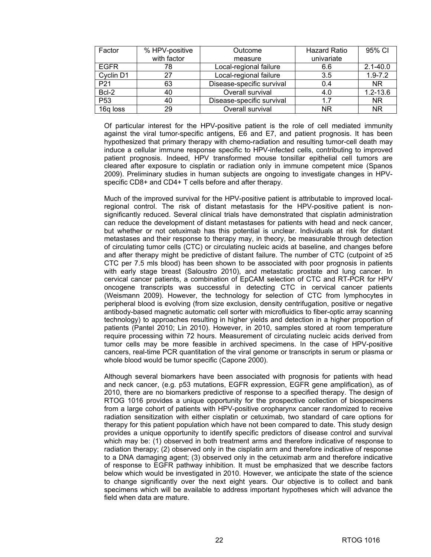| Factor          | % HPV-positive | Outcome                   | <b>Hazard Ratio</b> | 95% CI       |
|-----------------|----------------|---------------------------|---------------------|--------------|
|                 | with factor    | measure                   | univariate          |              |
| <b>EGFR</b>     | 78             | Local-regional failure    | 6.6                 | $2.1 - 40.0$ |
| Cyclin D1       | 27             | Local-regional failure    | 3.5                 | $1.9 - 7.2$  |
| P <sub>21</sub> | 63             | Disease-specific survival | 0.4                 | NR           |
| Bcl-2           | 40             | Overall survival          | 4.0                 | $1.2 - 13.6$ |
| P <sub>53</sub> | 40             | Disease-specific survival | 17                  | NR           |
| 16q loss        | 29             | Overall survival          | NR                  | NR           |

Of particular interest for the HPV-positive patient is the role of cell mediated immunity against the viral tumor-specific antigens, E6 and E7, and patient prognosis. It has been hypothesized that primary therapy with chemo-radiation and resulting tumor-cell death may induce a cellular immune response specific to HPV-infected cells, contributing to improved patient prognosis. Indeed, HPV transformed mouse tonsillar epithelial cell tumors are cleared after exposure to cisplatin or radiation only in immune competent mice (Spanos 2009). Preliminary studies in human subjects are ongoing to investigate changes in HPVspecific CD8+ and CD4+ T cells before and after therapy.

Much of the improved survival for the HPV-positive patient is attributable to improved localregional control. The risk of distant metastasis for the HPV-positive patient is nonsignificantly reduced. Several clinical trials have demonstrated that cisplatin administration can reduce the development of distant metastases for patients with head and neck cancer, but whether or not cetuximab has this potential is unclear. Individuals at risk for distant metastases and their response to therapy may, in theory, be measurable through detection of circulating tumor cells (CTC) or circulating nucleic acids at baseline, and changes before and after therapy might be predictive of distant failure. The number of CTC (cutpoint of ≥5 CTC per 7.5 mls blood) has been shown to be associated with poor prognosis in patients with early stage breast (Saloustro 2010), and metastatic prostate and lung cancer. In cervical cancer patients, a combination of EpCAM selection of CTC and RT-PCR for HPV oncogene transcripts was successful in detecting CTC in cervical cancer patients (Weismann 2009). However, the technology for selection of CTC from lymphocytes in peripheral blood is evolving (from size exclusion, density centrifugation, positive or negative antibody-based magnetic automatic cell sorter with microfluidics to fiber-optic array scanning technology) to approaches resulting in higher yields and detection in a higher proportion of patients (Pantel 2010; Lin 2010). However, in 2010, samples stored at room temperature require processing within 72 hours. Measurement of circulating nucleic acids derived from tumor cells may be more feasible in archived specimens. In the case of HPV-positive cancers, real-time PCR quantitation of the viral genome or transcripts in serum or plasma or whole blood would be tumor specific (Capone 2000).

Although several biomarkers have been associated with prognosis for patients with head and neck cancer, (e.g. p53 mutations, EGFR expression, EGFR gene amplification), as of 2010, there are no biomarkers predictive of response to a specified therapy. The design of RTOG 1016 provides a unique opportunity for the prospective collection of biospecimens from a large cohort of patients with HPV-positive oropharynx cancer randomized to receive radiation sensitization with either cisplatin or cetuximab, two standard of care options for therapy for this patient population which have not been compared to date. This study design provides a unique opportunity to identify specific predictors of disease control and survival which may be: (1) observed in both treatment arms and therefore indicative of response to radiation therapy; (2) observed only in the cisplatin arm and therefore indicative of response to a DNA damaging agent; (3) observed only in the cetuximab arm and therefore indicative of response to EGFR pathway inhibition. It must be emphasized that we describe factors below which would be investigated in 2010. However, we anticipate the state of the science to change significantly over the next eight years. Our objective is to collect and bank specimens which will be available to address important hypotheses which will advance the field when data are mature.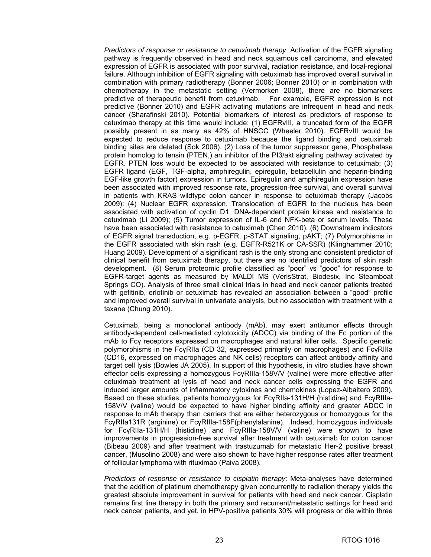*Predictors of response or resistance to cetuximab therapy*: Activation of the EGFR signaling pathway is frequently observed in head and neck squamous cell carcinoma, and elevated expression of EGFR is associated with poor survival, radiation resistance, and local-regional failure. Although inhibition of EGFR signaling with cetuximab has improved overall survival in combination with primary radiotherapy (Bonner 2006; Bonner 2010) or in combination with chemotherapy in the metastatic setting (Vermorken 2008), there are no biomarkers predictive of therapeutic benefit from cetuximab. For example, EGFR expression is not predictive (Bonner 2010) and EGFR activating mutations are infrequent in head and neck cancer (Sharafinski 2010). Potential biomarkers of interest as predictors of response to cetuximab therapy at this time would include: (1) EGFRvIII, a truncated form of the EGFR possibly present in as many as 42% of HNSCC (Wheeler 2010). EGFRvIII would be expected to reduce response to cetuximab because the ligand binding and cetuximab binding sites are deleted (Sok 2006). (2) Loss of the tumor suppressor gene, Phosphatase protein homolog to tensin (PTEN,) an inhibitor of the PI3/akt signaling pathway activated by EGFR. PTEN loss would be expected to be associated with resistance to cetuximab; (3) EGFR ligand (EGF, TGF-alpha, amphiregulin, epiregulin, betacellulin and heparin-binding EGF-like growth factor) expression in tumors. Epiregulin and amphiregulin expression have been associated with improved response rate, progression-free survival, and overall survival in patients with KRAS wildtype colon cancer in response to cetuximab therapy (Jacobs 2009): (4) Nuclear EGFR expression. Translocation of EGFR to the nucleus has been associated with activation of cyclin D1, DNA-dependent protein kinase and resistance to cetuximab (Li 2009); (5) Tumor expression of IL-6 and NFK-beta or serum levels. These have been associated with resistance to cetuximab (Chen 2010). (6) Downstream indicators of EGFR signal transduction, e.g. p-EGFR, p-STAT signaling, pAKT; (7) Polymorphisms in the EGFR associated with skin rash (e.g. EGFR-R521K or CA-SSR) (Klinghammer 2010; Huang 2009). Development of a significant rash is the only strong and consistent predictor of clinical benefit from cetuximab therapy, but there are no identified predictors of skin rash development. (8) Serum proteomic profile classified as "poor" vs "good" for response to EGFR-target agents as measured by MALDI MS (VerisStrat, Biodesix, Inc Steamboat Springs CO). Analysis of three small clinical trials in head and neck cancer patients treated with gefitinib, erlotinib or cetuximab has revealed an association between a "good" profile and improved overall survival in univariate analysis, but no association with treatment with a taxane (Chung 2010).

Cetuximab, being a monoclonal antibody (mAb), may exert antitumor effects through antibody-dependent cell-mediated cytotoxicity (ADCC) via binding of the Fc portion of the mAb to Fcγ receptors expressed on macrophages and natural killer cells. Specific genetic polymorphisms in the FcγRIIa (CD 32, expressed primarily on macrophages) and FcγRIIIa (CD16, expressed on macrophages and NK cells) receptors can affect antibody affinity and target cell lysis (Bowles JA 2005). In support of this hypothesis, in vitro studies have shown effector cells expressing a homozygous FcγRIIIa-158V/V (valine) were more effective after cetuximab treatment at lysis of head and neck cancer cells expressing the EGFR and induced larger amounts of inflammatory cytokines and chemokines (Lopez-Albaitero 2009). Based on these studies, patients homozygous for FcγRIIa-131H/H (histidine) and FcγRIIIa-158V/V (valine) would be expected to have higher binding affinity and greater ADCC in response to mAb therapy than carriers that are either heterozygous or homozygous for the FcγRIIa131R (arginine) or FcγRIIIa-158F(phenylalanine). Indeed, homozygous individuals for FcγRIIa-131H/H (histidine) and FcγRIIIa-158V/V (valine) were shown to have improvements in progression-free survival after treatment with cetuximab for colon cancer (Bibeau 2009) and after treatment with trastuzumab for metastatic Her-2 positive breast cancer, (Musolino 2008) and were also shown to have higher response rates after treatment of follicular lymphoma with rituximab (Paiva 2008).

*Predictors of response or resistance to cisplatin therapy*: Meta-analyses have determined that the addition of platinum chemotherapy given concurrently to radiation therapy yields the greatest absolute improvement in survival for patients with head and neck cancer. Cisplatin remains first line therapy in both the primary and recurrent/metastatic settings for head and neck cancer patients, and yet, in HPV-positive patients 30% will progress or die within three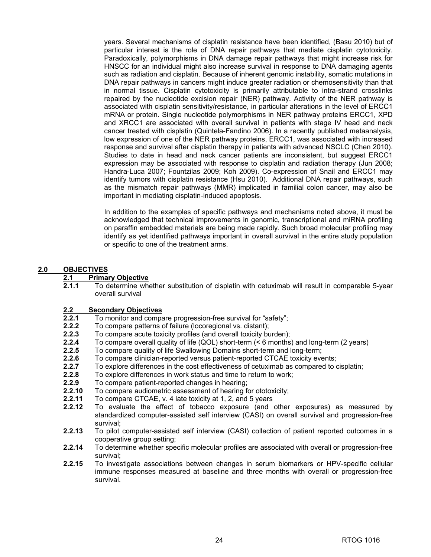years. Several mechanisms of cisplatin resistance have been identified, (Basu 2010) but of particular interest is the role of DNA repair pathways that mediate cisplatin cytotoxicity. Paradoxically, polymorphisms in DNA damage repair pathways that might increase risk for HNSCC for an individual might also increase survival in response to DNA damaging agents such as radiation and cisplatin. Because of inherent genomic instability, somatic mutations in DNA repair pathways in cancers might induce greater radiation or chemosensitivity than that in normal tissue. Cisplatin cytotoxicity is primarily attributable to intra-strand crosslinks repaired by the nucleotide excision repair (NER) pathway. Activity of the NER pathway is associated with cisplatin sensitivity/resistance, in particular alterations in the level of ERCC1 mRNA or protein. Single nucleotide polymorphisms in NER pathway proteins ERCC1, XPD and XRCC1 are associated with overall survival in patients with stage IV head and neck cancer treated with cisplatin (Quintela-Fandino 2006). In a recently published metaanalysis, low expression of one of the NER pathway proteins, ERCC1, was associated with increased response and survival after cisplatin therapy in patients with advanced NSCLC (Chen 2010). Studies to date in head and neck cancer patients are inconsistent, but suggest ERCC1 expression may be associated with response to cisplatin and radiation therapy (Jun 2008; Handra-Luca 2007; Fountzilas 2009; Koh 2009). Co-expression of Snail and ERCC1 may identify tumors with cisplatin resistance (Hsu 2010). Additional DNA repair pathways, such as the mismatch repair pathways (MMR) implicated in familial colon cancer, may also be important in mediating cisplatin-induced apoptosis.

In addition to the examples of specific pathways and mechanisms noted above, it must be acknowledged that technical improvements in genomic, transcriptional and miRNA profiling on paraffin embedded materials are being made rapidly. Such broad molecular profiling may identify as yet identified pathways important in overall survival in the entire study population or specific to one of the treatment arms.

#### **2.0 OBJECTIVES**

#### **2.1 Primary Objective**

**2.1.1** To determine whether substitution of cisplatin with cetuximab will result in comparable 5-year overall survival

#### **2.2 Secondary Objectives**

- **2.2.1** To monitor and compare progression-free survival for "safety";<br>**2.2.2** To compare patterns of failure (locoregional vs. distant):
- **2.2.2** To compare patterns of failure (locoregional vs. distant);
- **2.2.3** To compare acute toxicity profiles (and overall toxicity burden);
- **2.2.4** To compare overall quality of life (QOL) short-term (< 6 months) and long-term (2 years)
- **2.2.5** To compare quality of life Swallowing Domains short-term and long-term;
- **2.2.6** To compare clinician-reported versus patient-reported CTCAE toxicity events;
- **2.2.7** To explore differences in the cost effectiveness of cetuximab as compared to cisplatin;
- **2.2.8** To explore differences in work status and time to return to work;
- **2.2.9** To compare patient-reported changes in hearing;
- **2.2.10** To compare audiometric assessment of hearing for ototoxicity;
- **2.2.11** To compare CTCAE, v. 4 late toxicity at 1, 2, and 5 years
- **2.2.12** To evaluate the effect of tobacco exposure (and other exposures) as measured by standardized computer-assisted self interview (CASI) on overall survival and progression-free survival;
- **2.2.13** To pilot computer-assisted self interview (CASI) collection of patient reported outcomes in a cooperative group setting;
- **2.2.14** To determine whether specific molecular profiles are associated with overall or progression-free survival;
- **2.2.15** To investigate associations between changes in serum biomarkers or HPV-specific cellular immune responses measured at baseline and three months with overall or progression-free survival.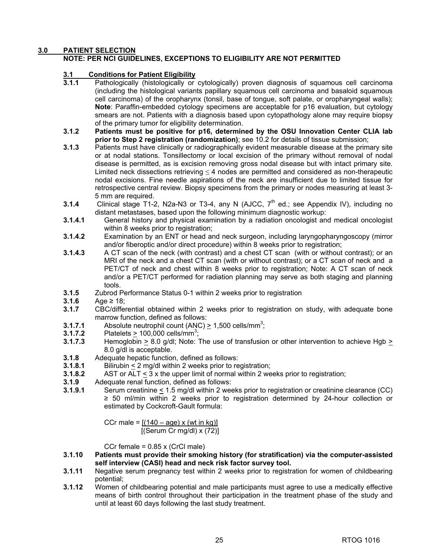#### **3.0 PATIENT SELECTION**

#### **NOTE: PER NCI GUIDELINES, EXCEPTIONS TO ELIGIBILITY ARE NOT PERMITTED**

# **3.1 Conditions for Patient Eligibility**<br>**3.1.1** Pathologically (histologically or

- Pathologically (histologically or cytologically) proven diagnosis of squamous cell carcinoma (including the histological variants papillary squamous cell carcinoma and basaloid squamous cell carcinoma) of the oropharynx (tonsil, base of tongue, soft palate, or oropharyngeal walls); **Note**: Paraffin-embedded cytology specimens are acceptable for p16 evaluation, but cytology smears are not. Patients with a diagnosis based upon cytopathology alone may require biopsy of the primary tumor for eligibility determination.
- **3.1.2 Patients must be positive for p16, determined by the OSU Innovation Center CLIA lab prior to Step 2 registration (randomization)**; see 10.2 for details of tissue submission;
- **3.1.3** Patients must have clinically or radiographically evident measurable disease at the primary site or at nodal stations. Tonsillectomy or local excision of the primary without removal of nodal disease is permitted, as is excision removing gross nodal disease but with intact primary site. Limited neck dissections retrieving  $\leq$  4 nodes are permitted and considered as non-therapeutic nodal excisions. Fine needle aspirations of the neck are insufficient due to limited tissue for retrospective central review. Biopsy specimens from the primary or nodes measuring at least 3- 5 mm are required.
- **3.1.4** Clinical stage T1-2, N2a-N3 or T3-4, any N (AJCC, 7<sup>th</sup> ed.; see Appendix IV), including no distant metastases, based upon the following minimum diagnostic workup:
- **3.1.4.1** General history and physical examination by a radiation oncologist and medical oncologist within 8 weeks prior to registration;
- **3.1.4.2** Examination by an ENT or head and neck surgeon, including laryngopharyngoscopy (mirror and/or fiberoptic and/or direct procedure) within 8 weeks prior to registration;
- **3.1.4.3** A CT scan of the neck (with contrast) and a chest CT scan (with or without contrast); or an MRI of the neck and a chest CT scan (with or without contrast); or a CT scan of neck and a PET/CT of neck and chest within 8 weeks prior to registration; Note: A CT scan of neck and/or a PET/CT performed for radiation planning may serve as both staging and planning tools.
- **3.1.5** Zubrod Performance Status 0-1 within 2 weeks prior to registration
- **3.1.6** Age ≥ 18;<br>**3.1.7** CBC/differ
- **3.1.7** CBC/differential obtained within 2 weeks prior to registration on study, with adequate bone marrow function, defined as follows:
- **3.1.7.1** Absolute neutrophil count  $(ANC) \ge 1,500$  cells/mm<sup>3</sup>;
- **3.1.7.2** Platelets  $\geq 100,000$  cells/mm<sup>3</sup>;
- **3.1.7.3** Hemoglobin > 8.0 g/dl; Note: The use of transfusion or other intervention to achieve Hgb > 8.0 g/dl is acceptable.
- **3.1.8** Adequate hepatic function, defined as follows:
- **3.1.8.1** Bilirubin < 2 mg/dl within 2 weeks prior to registration;
- **3.1.8.2** AST or ALT < 3 x the upper limit of normal within 2 weeks prior to registration;
- **3.1.9** Adequate renal function, defined as follows:
- **3.1.9.1** Serum creatinine  $\leq$  1.5 mg/dl within 2 weeks prior to registration or creatinine clearance (CC) ≥ 50 ml/min within 2 weeks prior to registration determined by 24-hour collection or estimated by Cockcroft-Gault formula:

CCr male =  $[(140 - age) \times (wt in kg)]$ [(Serum Cr mg/dl) x (72)]

CCr female = 0.85 x (CrCl male)

- **3.1.10 Patients must provide their smoking history (for stratification) via the computer-assisted self interview (CASI) head and neck risk factor survey tool.**
- **3.1.11** Negative serum pregnancy test within 2 weeks prior to registration for women of childbearing potential;
- **3.1.12** Women of childbearing potential and male participants must agree to use a medically effective means of birth control throughout their participation in the treatment phase of the study and until at least 60 days following the last study treatment.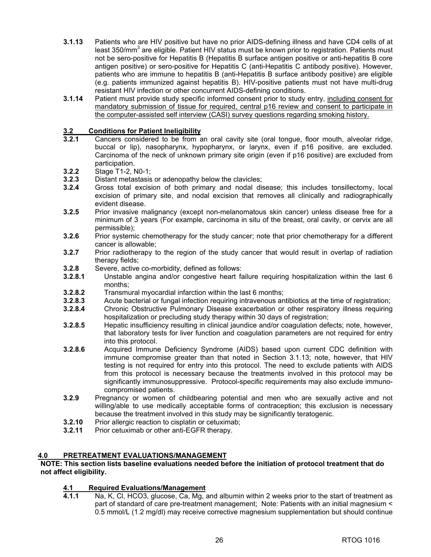- **3.1.13** Patients who are HIV positive but have no prior AIDS-defining illness and have CD4 cells of at least 350/mm<sup>3</sup> are eligible. Patient HIV status must be known prior to registration. Patients must not be sero-positive for Hepatitis B (Hepatitis B surface antigen positive or anti-hepatitis B core antigen positive) or sero-positive for Hepatitis C (anti-Hepatitis C antibody positive). However, patients who are immune to hepatitis B (anti-Hepatitis B surface antibody positive) are eligible (e.g. patients immunized against hepatitis B). HIV-positive patients must not have multi-drug resistant HIV infection or other concurrent AIDS-defining conditions.
- **3.1.14** Patient must provide study specific informed consent prior to study entry, including consent for mandatory submission of tissue for required, central p16 review and consent to participate in the computer-assisted self interview (CASI) survey questions regarding smoking history.

# **3.2 Conditions for Patient Ineligibility**

- **3.2.1** Cancers considered to be from an oral cavity site (oral tongue, floor mouth, alveolar ridge, buccal or lip), nasopharynx, hypopharynx, or larynx, even if p16 positive, are excluded. Carcinoma of the neck of unknown primary site origin (even if p16 positive) are excluded from participation.
- **3.2.2** Stage T1-2, N0-1;
- **3.2.3** Distant metastasis or adenopathy below the clavicles;
- **3.2.4** Gross total excision of both primary and nodal disease; this includes tonsillectomy, local excision of primary site, and nodal excision that removes all clinically and radiographically evident disease.
- **3.2.5** Prior invasive malignancy (except non-melanomatous skin cancer) unless disease free for a minimum of 3 years (For example, carcinoma in situ of the breast, oral cavity, or cervix are all permissible);
- **3.2.6** Prior systemic chemotherapy for the study cancer; note that prior chemotherapy for a different cancer is allowable;
- **3.2.7** Prior radiotherapy to the region of the study cancer that would result in overlap of radiation therapy fields;
- **3.2.8** Severe, active co-morbidity, defined as follows:
- **3.2.8.1** Unstable angina and/or congestive heart failure requiring hospitalization within the last 6 months;
- **3.2.8.2** Transmural myocardial infarction within the last 6 months;
- **3.2.8.3** Acute bacterial or fungal infection requiring intravenous antibiotics at the time of registration;
- **3.2.8.4** Chronic Obstructive Pulmonary Disease exacerbation or other respiratory illness requiring hospitalization or precluding study therapy within 30 days of registration;
- **3.2.8.5** Hepatic insufficiency resulting in clinical jaundice and/or coagulation defects; note, however, that laboratory tests for liver function and coagulation parameters are not required for entry into this protocol.
- **3.2.8.6** Acquired Immune Deficiency Syndrome (AIDS) based upon current CDC definition with immune compromise greater than that noted in Section 3.1.13; note, however, that HIV testing is not required for entry into this protocol. The need to exclude patients with AIDS from this protocol is necessary because the treatments involved in this protocol may be significantly immunosuppressive. Protocol-specific requirements may also exclude immunocompromised patients.
- **3.2.9** Pregnancy or women of childbearing potential and men who are sexually active and not willing/able to use medically acceptable forms of contraception; this exclusion is necessary because the treatment involved in this study may be significantly teratogenic.
- **3.2.10** Prior allergic reaction to cisplatin or cetuximab;<br>**3.2.11** Prior cetuximab or other anti-EGFR therapy.
- **3.2.11** Prior cetuximab or other anti-EGFR therapy.

#### **4.0 PRETREATMENT EVALUATIONS/MANAGEMENT**

#### **NOTE: This section lists baseline evaluations needed before the initiation of protocol treatment that do not affect eligibility.**

#### **4.1 Required Evaluations/Management**

Na, K, CI, HCO3, glucose, Ca, Mg, and albumin within 2 weeks prior to the start of treatment as part of standard of care pre-treatment management; Note: Patients with an initial magnesium < 0.5 mmol/L (1.2 mg/dl) may receive corrective magnesium supplementation but should continue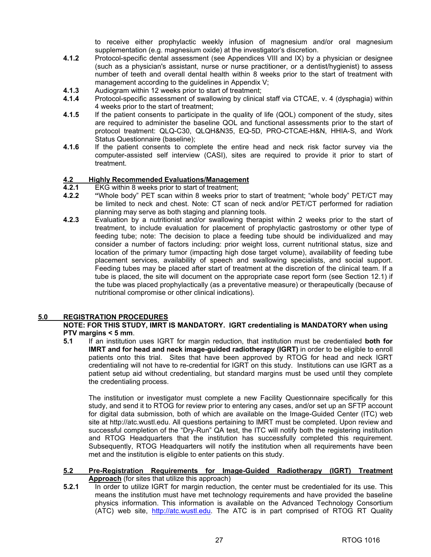to receive either prophylactic weekly infusion of magnesium and/or oral magnesium supplementation (e.g. magnesium oxide) at the investigator's discretion.

- **4.1.2** Protocol-specific dental assessment (see Appendices VIII and IX) by a physician or designee (such as a physician's assistant, nurse or nurse practitioner, or a dentist/hygienist) to assess number of teeth and overall dental health within 8 weeks prior to the start of treatment with management according to the guidelines in Appendix V;
- **4.1.3** Audiogram within 12 weeks prior to start of treatment;
- **4.1.4** Protocol-specific assessment of swallowing by clinical staff via CTCAE, v. 4 (dysphagia) within 4 weeks prior to the start of treatment;
- **4.1.5** If the patient consents to participate in the quality of life (QOL) component of the study, sites are required to administer the baseline QOL and functional assessments prior to the start of protocol treatment: QLQ-C30, QLQH&N35, EQ-5D, PRO-CTCAE-H&N, HHIA-S, and Work Status Questionnaire (baseline);
- **4.1.6** If the patient consents to complete the entire head and neck risk factor survey via the computer-assisted self interview (CASI), sites are required to provide it prior to start of treatment.

# **4.2 Highly Recommended Evaluations/Management**<br>**4.2.1** EKG within 8 weeks prior to start of treatment:

- **EKG within 8 weeks prior to start of treatment;**
- **4.2.2 "**Whole body" PET scan within 8 weeks prior to start of treatment; "whole body" PET/CT may be limited to neck and chest. Note: CT scan of neck and/or PET/CT performed for radiation planning may serve as both staging and planning tools.
- **4.2.3** Evaluation by a nutritionist and/or swallowing therapist within 2 weeks prior to the start of treatment, to include evaluation for placement of prophylactic gastrostomy or other type of feeding tube; note: The decision to place a feeding tube should be individualized and may consider a number of factors including: prior weight loss, current nutritional status, size and location of the primary tumor (impacting high dose target volume), availability of feeding tube placement services, availability of speech and swallowing specialists, and social support. Feeding tubes may be placed after start of treatment at the discretion of the clinical team. If a tube is placed, the site will document on the appropriate case report form (see Section 12.1) if the tube was placed prophylactically (as a preventative measure) or therapeutically (because of nutritional compromise or other clinical indications).

# **5.0 REGISTRATION PROCEDURES**

**NOTE: FOR THIS STUDY, IMRT IS MANDATORY. IGRT credentialing is MANDATORY when using PTV margins < 5 mm**.

**5.1** If an institution uses IGRT for margin reduction, that institution must be credentialed **both for IMRT and for head and neck image-guided radiotherapy (IGRT)** in order to be eligible to enroll patients onto this trial. Sites that have been approved by RTOG for head and neck IGRT credentialing will not have to re-credential for IGRT on this study. Institutions can use IGRT as a patient setup aid without credentialing, but standard margins must be used until they complete the credentialing process.

The institution or investigator must complete a new Facility Questionnaire specifically for this study, and send it to RTOG for review prior to entering any cases, and/or set up an SFTP account for digital data submission, both of which are available on the Image-Guided Center (ITC) web site at [http://atc.wustl.edu.](http://atc.wustl.edu) All questions pertaining to IMRT must be completed. Upon review and successful completion of the "Dry-Run" QA test, the ITC will notify both the registering institution and RTOG Headquarters that the institution has successfully completed this requirement. Subsequently, RTOG Headquarters will notify the institution when all requirements have been met and the institution is eligible to enter patients on this study.

## **5.2 Pre-Registration Requirements for Image-Guided Radiotherapy (IGRT) Treatment Approach** (for sites that utilize this approach)

**5.2.1** In order to utilize IGRT for margin reduction, the center must be credentialed for its use. This means the institution must have met technology requirements and have provided the baseline physics information. This information is available on the Advanced Technology Consortium (ATC) web site, [http://atc.wustl.edu.](http://atc.wustl.edu) The ATC is in part comprised of RTOG RT Quality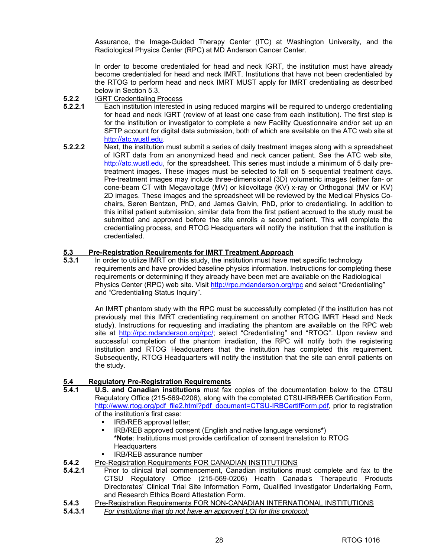Assurance, the Image-Guided Therapy Center (ITC) at Washington University, and the Radiological Physics Center (RPC) at MD Anderson Cancer Center.

 In order to become credentialed for head and neck IGRT, the institution must have already become credentialed for head and neck IMRT. Institutions that have not been credentialed by the RTOG to perform head and neck IMRT MUST apply for IMRT credentialing as described below in Section 5.3.

- **5.2.2** IGRT Credentialing Process
- **5.2.2.1** Each institution interested in using reduced margins will be required to undergo credentialing for head and neck IGRT (review of at least one case from each institution). The first step is for the institution or investigator to complete a new Facility Questionnaire and/or set up an SFTP account for digital data submission, both of which are available on the ATC web site at [http://atc.wustl.edu.](http://atc.wustl.edu)
- **5.2.2.2** Next, the institution must submit a series of daily treatment images along with a spreadsheet of IGRT data from an anonymized head and neck cancer patient. See the ATC web site, [http://atc.wustl.edu,](http://atc.wustl.edu) for the spreadsheet. This series must include a minimum of 5 daily pretreatment images. These images must be selected to fall on 5 sequential treatment days. Pre-treatment images may include three-dimensional (3D) volumetric images (either fan- or cone-beam CT with Megavoltage (MV) or kilovoltage (KV) x-ray or Orthogonal (MV or KV) 2D images. These images and the spreadsheet will be reviewed by the Medical Physics Cochairs, Søren Bentzen, PhD, and James Galvin, PhD, prior to credentialing. In addition to this initial patient submission, similar data from the first patient accrued to the study must be submitted and approved before the site enrolls a second patient. This will complete the credentialing process, and RTOG Headquarters will notify the institution that the institution is credentialed.

# **5.3 Pre-Registration Requirements for IMRT Treatment Approach**

**5.3.1** In order to utilize IMRT on this study, the institution must have met specific technology requirements and have provided baseline physics information. Instructions for completing these requirements or determining if they already have been met are available on the Radiological Physics Center (RPC) web site. Visit [http://rpc.mdanderson.org/rpc an](http://rpc.mdanderson.org/rpc)d select "Credentialing" and "Credentialing Status Inquiry".

 An IMRT phantom study with the RPC must be successfully completed (if the institution has not previously met this IMRT credentialing requirement on another RTOG IMRT Head and Neck study). Instructions for requesting and irradiating the phantom are available on the RPC web site at [http://rpc.mdanderson.org/rpc/; s](http://rpc.mdanderson.org/rpc)elect "Credentialing" and "RTOG". Upon review and successful completion of the phantom irradiation, the RPC will notify both the registering institution and RTOG Headquarters that the institution has completed this requirement. Subsequently, RTOG Headquarters will notify the institution that the site can enroll patients on the study.

# **5.4 Regulatory Pre-Registration Requirements**

- **5.4.1 U.S. and Canadian institutions** must fax copies of the documentation below to the CTSU Regulatory Office (215-569-0206), along with the completed CTSU-IRB/REB Certification Form, [http://www.rtog.org/pdf\\_file2.html?pdf\\_document=CTSU-IRBCertifForm.pdf,](http://www.rtog.org/pdf_file2.html?pdf_document=CTSU-IRBCertifForm.pdf) prior to registration of the institution's first case:
	- IRB/REB approval letter;
	- IRB/REB approved consent (English and native language versions**\***) **\*Note**: Institutions must provide certification of consent translation to RTOG **Headquarters**
	- IRB/REB assurance number
- **5.4.2** Pre-Registration Requirements FOR CANADIAN INSTITUTIONS
- **5.4.2.1** Prior to clinical trial commencement, Canadian institutions must complete and fax to the CTSU Regulatory Office (215-569-0206) Health Canada's Therapeutic Products Directorates' Clinical Trial Site Information Form, Qualified Investigator Undertaking Form, and Research Ethics Board Attestation Form.
- **5.4.3** Pre-Registration Requirements FOR NON-CANADIAN INTERNATIONAL INSTITUTIONS
- **5.4.3.1** *For institutions that do not have an approved LOI for this protocol:*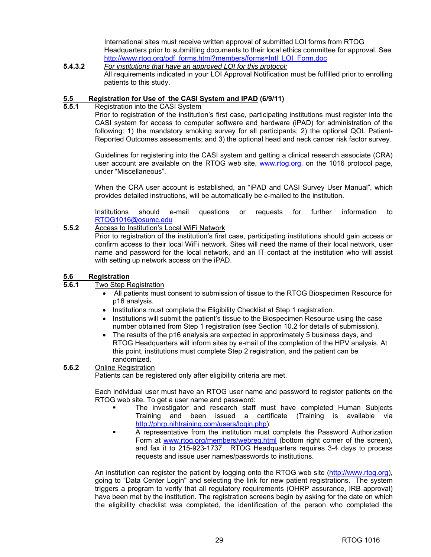International sites must receive written approval of submitted LOI forms from RTOG Headquarters prior to submitting documents to their local ethics committee for approval. See [http://www.rtog.org/pdf\\_forms.html?members/forms=Intl\\_LOI\\_Form.doc](http://www.rtog.org/pdf_forms.html?members/forms=Intl_LOI_Form.doc)

**5.4.3.2** *For institutions that have an approved LOI for this protocol:* All requirements indicated in your LOI Approval Notification must be fulfilled prior to enrolling patients to this study.

# **5.5 Registration for Use of the CASI System and iPAD (6/9/11)**<br>**5.5.1** Registration into the CASI System

**5.5.1** Registration into the CASI System

Prior to registration of the institution's first case, participating institutions must register into the CASI system for access to computer software and hardware (iPAD) for administration of the following: 1) the mandatory smoking survey for all participants; 2) the optional QOL Patient-Reported Outcomes assessments; and 3) the optional head and neck cancer risk factor survey.

Guidelines for registering into the CASI system and getting a clinical research associate (CRA) user account are available on the RTOG web site, [www.rtog.org,](http://www.rtog.org) on the 1016 protocol page, under "Miscellaneous".

When the CRA user account is established, an "iPAD and CASI Survey User Manual", which provides detailed instructions, will be automatically be e-mailed to the institution.

Institutions should e-mail questions or requests for further information to [RTOG1016@osumc.edu](mailto:RTOG1016@osumc.edu) 

**5.5.2** Access to Institution's Local WiFi Network

Prior to registration of the institution's first case, participating institutions should gain access or confirm access to their local WiFi network. Sites will need the name of their local network, user name and password for the local network, and an IT contact at the institution who will assist with setting up network access on the iPAD.

# **5.6 Registration**

#### **5.6.1** Two Step Registration

- All patients must consent to submission of tissue to the RTOG Biospecimen Resource for p16 analysis.
- Institutions must complete the Eligibility Checklist at Step 1 registration.
- Institutions will submit the patient's tissue to the Biospecimen Resource using the case number obtained from Step 1 registration (see Section 10.2 for details of submission).
- The results of the p16 analysis are expected in approximately 5 business days, and RTOG Headquarters will inform sites by e-mail of the completion of the HPV analysis. At this point, institutions must complete Step 2 registration, and the patient can be randomized.

#### **5.6.2** Online Registration

Patients can be registered only after eligibility criteria are met.

 Each individual user must have an RTOG user name and password to register patients on the RTOG web site. To get a user name and password:

- The investigator and research staff must have completed Human Subjects Training and been issued a certificate (Training is available via [http://phrp.nihtraining.com/users/login.php\).](http://phrp.nihtraining.com/users/login.php)
- A representative from the institution must complete the Password Authorization Form at [www.rtog.org/members/webreg.html \(b](http://www.rtog.org/members/webreg.html)ottom right corner of the screen), and fax it to 215-923-1737. RTOG Headquarters requires 3-4 days to process requests and issue user names/passwords to institutions.

 An institution can register the patient by logging onto the RTOG web site [\(http://www.rtog.org\),](http://www.rtog.org)  going to "Data Center Login" and selecting the link for new patient registrations. The system triggers a program to verify that all regulatory requirements (OHRP assurance, IRB approval) have been met by the institution. The registration screens begin by asking for the date on which the eligibility checklist was completed, the identification of the person who completed the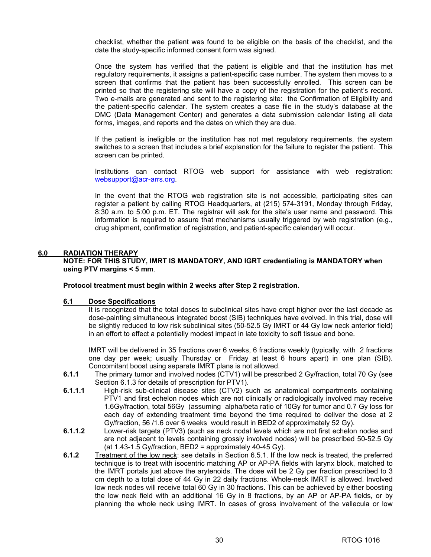checklist, whether the patient was found to be eligible on the basis of the checklist, and the date the study-specific informed consent form was signed.

 Once the system has verified that the patient is eligible and that the institution has met regulatory requirements, it assigns a patient-specific case number. The system then moves to a screen that confirms that the patient has been successfully enrolled. This screen can be printed so that the registering site will have a copy of the registration for the patient's record. Two e-mails are generated and sent to the registering site: the Confirmation of Eligibility and the patient-specific calendar. The system creates a case file in the study's database at the DMC (Data Management Center) and generates a data submission calendar listing all data forms, images, and reports and the dates on which they are due.

 If the patient is ineligible or the institution has not met regulatory requirements, the system switches to a screen that includes a brief explanation for the failure to register the patient. This screen can be printed.

 Institutions can contact RTOG web support for assistance with web registration: [websupport@acr-arrs.org.](mailto:websupport@acr-arrs.org)

 In the event that the RTOG web registration site is not accessible, participating sites can register a patient by calling RTOG Headquarters, at (215) 574-3191, Monday through Friday, 8:30 a.m. to 5:00 p.m. ET. The registrar will ask for the site's user name and password. This information is required to assure that mechanisms usually triggered by web registration (e.g., drug shipment, confirmation of registration, and patient-specific calendar) will occur.

#### **6.0 RADIATION THERAPY**

**NOTE: FOR THIS STUDY, IMRT IS MANDATORY, AND IGRT credentialing is MANDATORY when using PTV margins < 5 mm**.

#### **Protocol treatment must begin within 2 weeks after Step 2 registration.**

# **6.1 Dose Specifications**

 It is recognized that the total doses to subclinical sites have crept higher over the last decade as dose-painting simultaneous integrated boost (SIB) techniques have evolved. In this trial, dose will be slightly reduced to low risk subclinical sites (50-52.5 Gy IMRT or 44 Gy low neck anterior field) in an effort to effect a potentially modest impact in late toxicity to soft tissue and bone.

IMRT will be delivered in 35 fractions over 6 weeks, 6 fractions weekly (typically, with 2 fractions one day per week; usually Thursday or Friday at least 6 hours apart) in one plan (SIB). Concomitant boost using separate IMRT plans is not allowed.

- **6.1.1** The primary tumor and involved nodes (CTV1) will be prescribed 2 Gy/fraction, total 70 Gy (see Section 6.1.3 for details of prescription for PTV1).
- **6.1.1.1** High-risk sub-clinical disease sites (CTV2) such as anatomical compartments containing PTV1 and first echelon nodes which are not clinically or radiologically involved may receive 1.6Gy/fraction, total 56Gy (assuming alpha/beta ratio of 10Gy for tumor and 0.7 Gy loss for each day of extending treatment time beyond the time required to deliver the dose at 2 Gy/fraction, 56 /1.6 over 6 weeks would result in BED2 of approximately 52 Gy).
- **6.1.1.2** Lower-risk targets (PTV3) (such as neck nodal levels which are not first echelon nodes and are not adjacent to levels containing grossly involved nodes) will be prescribed 50-52.5 Gy (at 1.43-1.5 Gy/fraction, BED2 = approximately 40-45 Gy).
- **6.1.2** Treatment of the low neck: see details in Section 6.5.1. If the low neck is treated, the preferred technique is to treat with isocentric matching AP or AP-PA fields with larynx block, matched to the IMRT portals just above the arytenoids. The dose will be 2 Gy per fraction prescribed to 3 cm depth to a total dose of 44 Gy in 22 daily fractions. Whole-neck IMRT is allowed. Involved low neck nodes will receive total 60 Gy in 30 fractions. This can be achieved by either boosting the low neck field with an additional 16 Gy in 8 fractions, by an AP or AP-PA fields, or by planning the whole neck using IMRT. In cases of gross involvement of the vallecula or low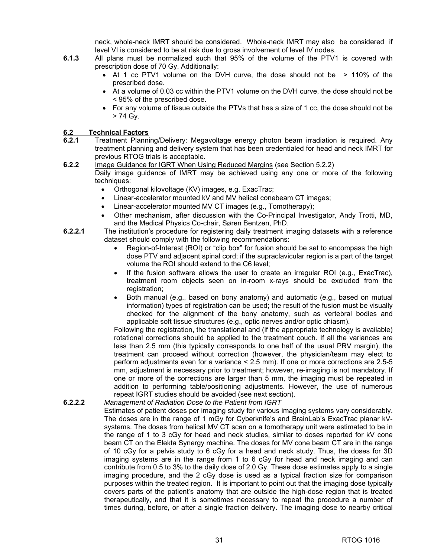neck, whole-neck IMRT should be considered. Whole-neck IMRT may also be considered if level VI is considered to be at risk due to gross involvement of level IV nodes.

- **6.1.3** All plans must be normalized such that 95% of the volume of the PTV1 is covered with prescription dose of 70 Gy. Additionally:
	- At 1 cc PTV1 volume on the DVH curve, the dose should not be > 110% of the prescribed dose.
	- At a volume of 0.03 cc within the PTV1 volume on the DVH curve, the dose should not be < 95% of the prescribed dose.
	- For any volume of tissue outside the PTVs that has a size of 1 cc, the dose should not be > 74 Gy.

# **6.2 Technical Factors**<br>**6.2.1** Treatment Planni

- **6.2.1** Treatment Planning/Delivery: Megavoltage energy photon beam irradiation is required. Any treatment planning and delivery system that has been credentialed for head and neck IMRT for previous RTOG trials is acceptable.
- **6.2.2** Image Guidance for IGRT When Using Reduced Margins (see Section 5.2.2) Daily image guidance of IMRT may be achieved using any one or more of the following techniques:
	- Orthogonal kilovoltage (KV) images, e.g. ExacTrac;
	- Linear-accelerator mounted kV and MV helical conebeam CT images;
	- Linear-accelerator mounted MV CT images (e.g., Tomotherapy);
	- Other mechanism, after discussion with the Co-Principal Investigator, Andy Trotti, MD, and the Medical Physics Co-chair, Søren Bentzen, PhD.
- **6.2.2.1** The institution's procedure for registering daily treatment imaging datasets with a reference dataset should comply with the following recommendations:
	- Region-of-Interest (ROI) or "clip box" for fusion should be set to encompass the high dose PTV and adjacent spinal cord; if the supraclavicular region is a part of the target volume the ROI should extend to the C6 level;
	- If the fusion software allows the user to create an irregular ROI (e.g., ExacTrac), treatment room objects seen on in-room x-rays should be excluded from the registration;
	- Both manual (e.g., based on bony anatomy) and automatic (e.g., based on mutual information) types of registration can be used; the result of the fusion must be visually checked for the alignment of the bony anatomy, such as vertebral bodies and applicable soft tissue structures (e.g., optic nerves and/or optic chiasm).

Following the registration, the translational and (if the appropriate technology is available) rotational corrections should be applied to the treatment couch. If all the variances are less than 2.5 mm (this typically corresponds to one half of the usual PRV margin), the treatment can proceed without correction (however, the physician/team may elect to perform adjustments even for a variance < 2.5 mm). If one or more corrections are 2.5-5 mm, adjustment is necessary prior to treatment; however, re-imaging is not mandatory. If one or more of the corrections are larger than 5 mm, the imaging must be repeated in addition to performing table/positioning adjustments. However, the use of numerous repeat IGRT studies should be avoided (see next section).

#### **6.2.2.2** *Management of Radiation Dose to the Patient from IGRT*

Estimates of patient doses per imaging study for various imaging systems vary considerably. The doses are in the range of 1 mGy for Cyberknife's and BrainLab's ExacTrac planar kVsystems. The doses from helical MV CT scan on a tomotherapy unit were estimated to be in the range of 1 to 3 cGy for head and neck studies, similar to doses reported for kV cone beam CT on the Elekta Synergy machine. The doses for MV cone beam CT are in the range of 10 cGy for a pelvis study to 6 cGy for a head and neck study. Thus, the doses for 3D imaging systems are in the range from 1 to 6 cGy for head and neck imaging and can contribute from 0.5 to 3% to the daily dose of 2.0 Gy. These dose estimates apply to a single imaging procedure, and the 2 cGy dose is used as a typical fraction size for comparison purposes within the treated region. It is important to point out that the imaging dose typically covers parts of the patient's anatomy that are outside the high-dose region that is treated therapeutically, and that it is sometimes necessary to repeat the procedure a number of times during, before, or after a single fraction delivery. The imaging dose to nearby critical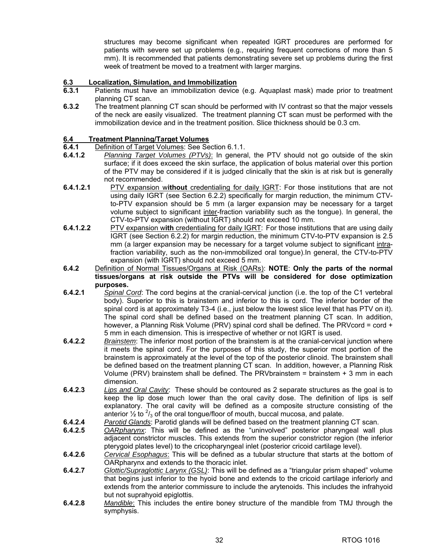structures may become significant when repeated IGRT procedures are performed for patients with severe set up problems (e.g., requiring frequent corrections of more than 5 mm). It is recommended that patients demonstrating severe set up problems during the first week of treatment be moved to a treatment with larger margins.

# **6.3 Localization, Simulation, and Immobilization**

- **6.3.1** Patients must have an immobilization device (e.g. Aquaplast mask) made prior to treatment planning CT scan.
- **6.3.2** The treatment planning CT scan should be performed with IV contrast so that the major vessels of the neck are easily visualized. The treatment planning CT scan must be performed with the immobilization device and in the treatment position. Slice thickness should be 0.3 cm.

# **6.4 Treatment Planning/Target Volumes**

- **6.4.1 Definition of Target Volumes: See Section 6.1.1.**<br>**6.4.1.2** *Planning Target Volumes (PTVs)*: In general
- **6.4.1.2** *Planning Target Volumes (PTVs)*: In general, the PTV should not go outside of the skin surface; if it does exceed the skin surface, the application of bolus material over this portion of the PTV may be considered if it is judged clinically that the skin is at risk but is generally not recommended.
- **6.4.1.2.1** PTV expansion w**ithout** credentialing for daily IGRT: For those institutions that are not using daily IGRT (see Section 6.2.2) specifically for margin reduction, the minimum CTVto-PTV expansion should be 5 mm (a larger expansion may be necessary for a target volume subject to significant inter-fraction variability such as the tongue). In general, the CTV-to-PTV expansion (without IGRT) should not exceed 10 mm.
- **6.4.1.2.2** PTV expansion w**ith** credentialing for daily IGRT: For those institutions that are using daily IGRT (see Section 6.2.2) for margin reduction, the minimum CTV-to-PTV expansion is 2.5 mm (a larger expansion may be necessary for a target volume subject to significant intrafraction variability, such as the non-immobilized oral tongue).In general, the CTV-to-PTV expansion (with IGRT) should not exceed 5 mm.
- **6.4.2** Definition of Normal Tissues/Organs at Risk (OARs): **NOTE**: **Only the parts of the normal tissues/organs at risk outside the PTVs will be considered for dose optimization purposes.**
- **6.4.2.1** *Spinal Cord*: The cord begins at the cranial-cervical junction (i.e. the top of the C1 vertebral body). Superior to this is brainstem and inferior to this is cord. The inferior border of the spinal cord is at approximately T3-4 (i.e., just below the lowest slice level that has PTV on it). The spinal cord shall be defined based on the treatment planning CT scan. In addition, however, a Planning Risk Volume (PRV) spinal cord shall be defined. The PRVcord = cord + 5 mm in each dimension. This is irrespective of whether or not IGRT is used.
- **6.4.2.2** *Brainstem*: The inferior most portion of the brainstem is at the cranial-cervical junction where it meets the spinal cord. For the purposes of this study, the superior most portion of the brainstem is approximately at the level of the top of the posterior clinoid. The brainstem shall be defined based on the treatment planning CT scan. In addition, however, a Planning Risk Volume (PRV) brainstem shall be defined. The PRVbrainstem = brainstem + 3 mm in each dimension.
- **6.4.2.3** *Lips and Oral Cavity*: These should be contoured as 2 separate structures as the goal is to keep the lip dose much lower than the oral cavity dose. The definition of lips is self explanatory. The oral cavity will be defined as a composite structure consisting of the anterior  $\frac{1}{2}$  to  $\frac{2}{3}$  of the oral tongue/floor of mouth, buccal mucosa, and palate.
- **6.4.2.4** *Parotid Glands*: Parotid glands will be defined based on the treatment planning CT scan.
- **6.4.2.5** *OARpharynx*: This will be defined as the "uninvolved" posterior pharyngeal wall plus adjacent constrictor muscles. This extends from the superior constrictor region (the inferior pterygoid plates level) to the cricopharyngeal inlet (posterior cricoid cartilage level).
- **6.4.2.6** *Cervical Esophagus*: This will be defined as a tubular structure that starts at the bottom of OARpharynx and extends to the thoracic inlet.
- **6.4.2.7** *Glottic/Supraglottic Larynx (GSL)*: This will be defined as a "triangular prism shaped" volume that begins just inferior to the hyoid bone and extends to the cricoid cartilage inferiorly and extends from the anterior commissure to include the arytenoids. This includes the infrahyoid but not suprahyoid epiglottis.
- **6.4.2.8** *Mandible*: This includes the entire boney structure of the mandible from TMJ through the symphysis.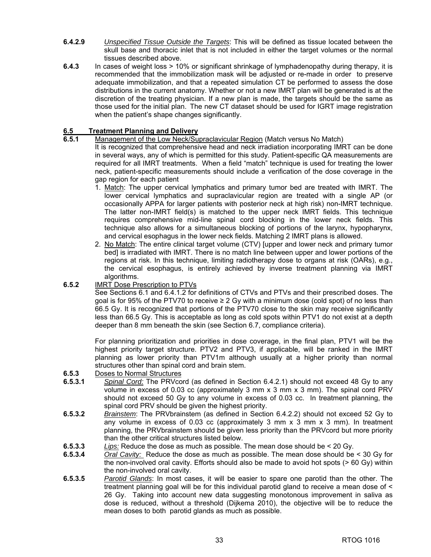- **6.4.2.9** *Unspecified Tissue Outside the Targets*: This will be defined as tissue located between the skull base and thoracic inlet that is not included in either the target volumes or the normal tissues described above.
- **6.4.3** In cases of weight loss > 10% or significant shrinkage of lymphadenopathy during therapy, it is recommended that the immobilization mask will be adjusted or re-made in order to preserve adequate immobilization, and that a repeated simulation CT be performed to assess the dose distributions in the current anatomy. Whether or not a new IMRT plan will be generated is at the discretion of the treating physician. If a new plan is made, the targets should be the same as those used for the initial plan. The new CT dataset should be used for IGRT image registration when the patient's shape changes significantly.

# **6.5 Treatment Planning and Delivery**

## **6.5.1** Management of the Low Neck/Supraclavicular Region (Match versus No Match)

 It is recognized that comprehensive head and neck irradiation incorporating IMRT can be done in several ways, any of which is permitted for this study. Patient-specific QA measurements are required for all IMRT treatments. When a field "match" technique is used for treating the lower neck, patient-specific measurements should include a verification of the dose coverage in the gap region for each patient

- 1. Match: The upper cervical lymphatics and primary tumor bed are treated with IMRT. The lower cervical lymphatics and supraclavicular region are treated with a single AP (or occasionally APPA for larger patients with posterior neck at high risk) non-IMRT technique. The latter non-IMRT field(s) is matched to the upper neck IMRT fields. This technique requires comprehensive mid-line spinal cord blocking in the lower neck fields. This technique also allows for a simultaneous blocking of portions of the larynx, hypopharynx, and cervical esophagus in the lower neck fields. Matching 2 IMRT plans is allowed.
- 2. No Match: The entire clinical target volume (CTV) [upper and lower neck and primary tumor bed] is irradiated with IMRT. There is no match line between upper and lower portions of the regions at risk. In this technique, limiting radiotherapy dose to organs at risk (OARs), e.g., the cervical esophagus, is entirely achieved by inverse treatment planning via IMRT algorithms.

# **6.5.2** IMRT Dose Prescription to PTVs

See Sections 6.1 and 6.4.1.2 for definitions of CTVs and PTVs and their prescribed doses. The goal is for 95% of the PTV70 to receive  $\geq 2$  Gy with a minimum dose (cold spot) of no less than 66.5 Gy. It is recognized that portions of the PTV70 close to the skin may receive significantly less than 66.5 Gy. This is acceptable as long as cold spots within PTV1 do not exist at a depth deeper than 8 mm beneath the skin (see Section 6.7, compliance criteria).

 For planning prioritization and priorities in dose coverage, in the final plan, PTV1 will be the highest priority target structure. PTV2 and PTV3, if applicable, will be ranked in the IMRT planning as lower priority than PTV1m although usually at a higher priority than normal structures other than spinal cord and brain stem.

- **6.5.3** Doses to Normal Structures
- **6.5.3.1** *Spinal Cord:* The PRVcord (as defined in Section 6.4.2.1) should not exceed 48 Gy to any volume in excess of 0.03 cc (approximately 3 mm x 3 mm x 3 mm). The spinal cord PRV should not exceed 50 Gy to any volume in excess of 0.03 cc. In treatment planning, the spinal cord PRV should be given the highest priority.
- **6.5.3.2** *Brainstem*: The PRVbrainstem (as defined in Section 6.4.2.2) should not exceed 52 Gy to any volume in excess of 0.03 cc (approximately 3 mm  $x$  3 mm  $x$  3 mm). In treatment planning, the PRVbrainstem should be given less priority than the PRVcord but more priority than the other critical structures listed below.
- **6.5.3.3** *Lips:* Reduce the dose as much as possible. The mean dose should be < 20 Gy.
- **6.5.3.4** *Oral Cavity:* Reduce the dose as much as possible. The mean dose should be < 30 Gy for the non-involved oral cavity. Efforts should also be made to avoid hot spots (> 60 Gy) within the non-involved oral cavity.
- **6.5.3.5** *Parotid Glands*: In most cases, it will be easier to spare one parotid than the other. The treatment planning goal will be for this individual parotid gland to receive a mean dose of < 26 Gy. Taking into account new data suggesting monotonous improvement in saliva as dose is reduced, without a threshold (Dijkema 2010), the objective will be to reduce the mean doses to both parotid glands as much as possible.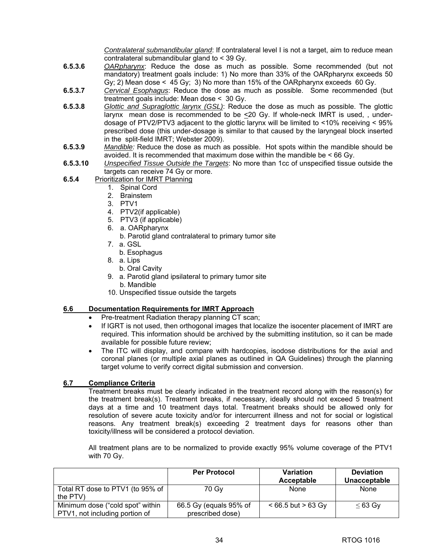*Contralateral submandibular gland*: If contralateral level I is not a target, aim to reduce mean contralateral submandibular gland to < 39 Gy.

- **6.5.3.6** *OARpharynx*: Reduce the dose as much as possible. Some recommended (but not mandatory) treatment goals include: 1) No more than 33% of the OARpharynx exceeds 50 Gy; 2) Mean dose  $\leq 45$  Gy; 3) No more than 15% of the OARpharynx exceeds 60 Gy.
- **6.5.3.7** *Cervical Esophagus*: Reduce the dose as much as possible. Some recommended (but treatment goals include: Mean dose < 30 Gy.
- **6.5.3.8** *Glottic and Supraglottic larynx (GSL)*: Reduce the dose as much as possible. The glottic larynx mean dose is recommended to be <20 Gy. If whole-neck IMRT is used, , underdosage of PTV2/PTV3 adjacent to the glottic larynx will be limited to <10% receiving < 95% prescribed dose (this under-dosage is similar to that caused by the laryngeal block inserted in the split-field IMRT; Webster 2009).
- **6.5.3.9** *Mandible:* Reduce the dose as much as possible. Hot spots within the mandible should be avoided. It is recommended that maximum dose within the mandible be < 66 Gy.
- **6.5.3.10** *Unspecified Tissue Outside the Targets*: No more than 1cc of unspecified tissue outside the targets can receive 74 Gy or more.
- **6.5.4** Prioritization for IMRT Planning
	- 1. Spinal Cord
	- 2. Brainstem
	- 3. PTV1
	- 4. PTV2(if applicable)
	- 5. PTV3 (if applicable)
	- 6. a. OARpharynx
		- b. Parotid gland contralateral to primary tumor site
	- 7. a. GSL
		- b. Esophagus
	- 8. a. Lips
		- b. Oral Cavity
	- 9. a. Parotid gland ipsilateral to primary tumor site b. Mandible
	- 10. Unspecified tissue outside the targets

#### **6.6 Documentation Requirements for IMRT Approach**

- Pre-treatment Radiation therapy planning CT scan;
- If IGRT is not used, then orthogonal images that localize the isocenter placement of IMRT are required. This information should be archived by the submitting institution, so it can be made available for possible future review;
- The ITC will display, and compare with hardcopies, isodose distributions for the axial and coronal planes (or multiple axial planes as outlined in QA Guidelines) through the planning target volume to verify correct digital submission and conversion.

# **6.7 Compliance Criteria**

Treatment breaks must be clearly indicated in the treatment record along with the reason(s) for the treatment break(s). Treatment breaks, if necessary, ideally should not exceed 5 treatment days at a time and 10 treatment days total. Treatment breaks should be allowed only for resolution of severe acute toxicity and/or for intercurrent illness and not for social or logistical reasons. Any treatment break(s) exceeding 2 treatment days for reasons other than toxicity/illness will be considered a protocol deviation.

All treatment plans are to be normalized to provide exactly 95% volume coverage of the PTV1 with 70 Gy.

|                                                                    | <b>Per Protocol</b>                        | <b>Variation</b><br>Acceptable | <b>Deviation</b><br>Unacceptable |
|--------------------------------------------------------------------|--------------------------------------------|--------------------------------|----------------------------------|
| Total RT dose to PTV1 (to 95% of<br>the PTV)                       | 70 Gv                                      | None                           | None                             |
| Minimum dose ("cold spot" within<br>PTV1, not including portion of | 66.5 Gy (equals 95% of<br>prescribed dose) | $< 66.5$ but $> 63$ Gy         | $\leq 63$ Gy                     |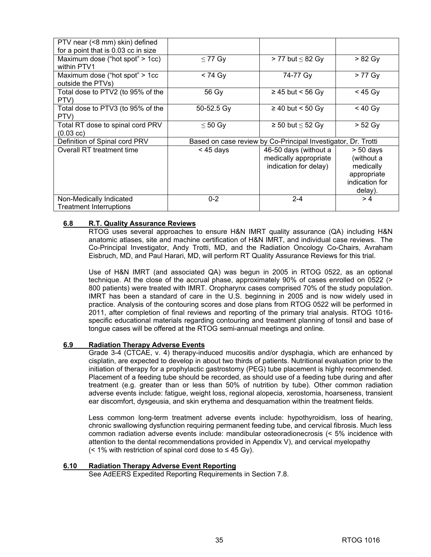| PTV near (<8 mm) skin) defined<br>for a point that is 0.03 cc in size |              |                                                                         |                                                                                    |
|-----------------------------------------------------------------------|--------------|-------------------------------------------------------------------------|------------------------------------------------------------------------------------|
| Maximum dose ("hot spot" > 1cc)<br>within PTV1                        | $\leq$ 77 Gy | $> 77$ but $\leq 82$ Gy                                                 | $> 82$ Gy                                                                          |
| Maximum dose ("hot spot" > 1cc<br>outside the PTVs)                   | $< 74$ Gy    | 74-77 Gy                                                                | > 77 Gy                                                                            |
| Total dose to PTV2 (to 95% of the<br>PTV)                             | 56 Gy        | $\geq$ 45 but < 56 Gy                                                   | $<$ 45 Gy                                                                          |
| Total dose to PTV3 (to 95% of the<br>PTV)                             | 50-52.5 Gy   | $\geq$ 40 but < 50 Gy                                                   | $< 40$ Gy                                                                          |
| Total RT dose to spinal cord PRV<br>$(0.03$ cc)                       | $\leq 50$ Gy | $\geq$ 50 but $\leq$ 52 Gy                                              | $> 52$ Gy                                                                          |
| Definition of Spinal cord PRV                                         |              | Based on case review by Co-Principal Investigator, Dr. Trotti           |                                                                                    |
| Overall RT treatment time                                             | $<$ 45 days  | 46-50 days (without a<br>medically appropriate<br>indication for delay) | $> 50$ days<br>(without a<br>medically<br>appropriate<br>indication for<br>delay). |
| Non-Medically Indicated<br><b>Treatment Interruptions</b>             | $0 - 2$      | $2 - 4$                                                                 | >4                                                                                 |

# **6.8 R.T. Quality Assurance Reviews**

RTOG uses several approaches to ensure H&N IMRT quality assurance (QA) including H&N anatomic atlases, site and machine certification of H&N IMRT, and individual case reviews. The Co-Principal Investigator, Andy Trotti, MD, and the Radiation Oncology Co-Chairs, Avraham Eisbruch, MD, and Paul Harari, MD, will perform RT Quality Assurance Reviews for this trial.

 Use of H&N IMRT (and associated QA) was begun in 2005 in RTOG 0522, as an optional technique. At the close of the accrual phase, approximately 90% of cases enrolled on 0522 (> 800 patients) were treated with IMRT. Oropharynx cases comprised 70% of the study population. IMRT has been a standard of care in the U.S. beginning in 2005 and is now widely used in practice. Analysis of the contouring scores and dose plans from RTOG 0522 will be performed in 2011, after completion of final reviews and reporting of the primary trial analysis. RTOG 1016 specific educational materials regarding contouring and treatment planning of tonsil and base of tongue cases will be offered at the RTOG semi-annual meetings and online.

# **6.9 Radiation Therapy Adverse Events**

Grade 3-4 (CTCAE, v. 4) therapy-induced mucositis and/or dysphagia, which are enhanced by cisplatin, are expected to develop in about two thirds of patients. Nutritional evaluation prior to the initiation of therapy for a prophylactic gastrostomy (PEG) tube placement is highly recommended. Placement of a feeding tube should be recorded, as should use of a feeding tube during and after treatment (e.g. greater than or less than 50% of nutrition by tube). Other common radiation adverse events include: fatigue, weight loss, regional alopecia, xerostomia, hoarseness, transient ear discomfort, dysgeusia, and skin erythema and desquamation within the treatment fields.

Less common long-term treatment adverse events include: hypothyroidism, loss of hearing, chronic swallowing dysfunction requiring permanent feeding tube, and cervical fibrosis. Much less common radiation adverse events include: mandibular osteoradionecrosis (< 5% incidence with attention to the dental recommendations provided in Appendix V), and cervical myelopathy (< 1% with restriction of spinal cord dose to  $\leq$  45 Gy).

#### **6.10 Radiation Therapy Adverse Event Reporting**

See AdEERS Expedited Reporting Requirements in Section 7.8.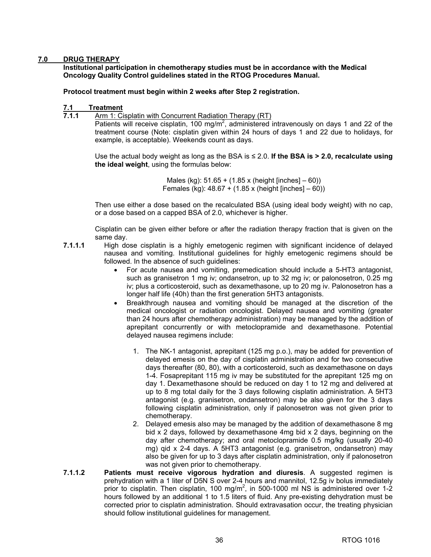# **7.0 DRUG THERAPY**

**Institutional participation in chemotherapy studies must be in accordance with the Medical Oncology Quality Control guidelines stated in the RTOG Procedures Manual.** 

#### **Protocol treatment must begin within 2 weeks after Step 2 registration.**

# **7.1 Treatment**<br>**7.1.1** Arm 1: Ci

**7.1.1** Arm 1: Cisplatin with Concurrent Radiation Therapy (RT)

Patients will receive cisplatin, 100 mg/m<sup>2</sup>, administered intravenously on days 1 and 22 of the treatment course (Note: cisplatin given within 24 hours of days 1 and 22 due to holidays, for example, is acceptable). Weekends count as days.

Use the actual body weight as long as the BSA is ≤ 2.0. **If the BSA is > 2.0, recalculate using the ideal weight**, using the formulas below:

> Males (kg): 51.65 + (1.85 x (height [inches] – 60)) Females (kg): 48.67 + (1.85 x (height [inches] – 60))

 Then use either a dose based on the recalculated BSA (using ideal body weight) with no cap, or a dose based on a capped BSA of 2.0, whichever is higher.

 Cisplatin can be given either before or after the radiation therapy fraction that is given on the same day.

- **7.1.1.1** High dose cisplatin is a highly emetogenic regimen with significant incidence of delayed nausea and vomiting. Institutional guidelines for highly emetogenic regimens should be followed. In the absence of such guidelines:
	- For acute nausea and vomiting, premedication should include a 5-HT3 antagonist, such as granisetron 1 mg iv; ondansetron, up to 32 mg iv; or palonosetron, 0.25 mg iv; plus a corticosteroid, such as dexamethasone, up to 20 mg iv. Palonosetron has a longer half life (40h) than the first generation 5HT3 antagonists.
	- Breakthrough nausea and vomiting should be managed at the discretion of the medical oncologist or radiation oncologist. Delayed nausea and vomiting (greater than 24 hours after chemotherapy administration) may be managed by the addition of aprepitant concurrently or with metoclopramide and dexamethasone. Potential delayed nausea regimens include:
		- 1. The NK-1 antagonist, aprepitant (125 mg p.o.), may be added for prevention of delayed emesis on the day of cisplatin administration and for two consecutive days thereafter (80, 80), with a corticosteroid, such as dexamethasone on days 1-4. Fosaprepitant 115 mg iv may be substituted for the aprepitant 125 mg on day 1. Dexamethasone should be reduced on day 1 to 12 mg and delivered at up to 8 mg total daily for the 3 days following cisplatin administration. A 5HT3 antagonist (e.g. granisetron, ondansetron) may be also given for the 3 days following cisplatin administration, only if palonosetron was not given prior to chemotherapy.
		- 2. Delayed emesis also may be managed by the addition of dexamethasone 8 mg bid x 2 days, followed by dexamethasone 4mg bid x 2 days, beginning on the day after chemotherapy; and oral metoclopramide 0.5 mg/kg (usually 20-40 mg) qid x 2-4 days. A 5HT3 antagonist (e.g. granisetron, ondansetron) may also be given for up to 3 days after cisplatin administration, only if palonosetron was not given prior to chemotherapy.
- **7.1.1.2 Patients must receive vigorous hydration and diuresis**. A suggested regimen is prehydration with a 1 liter of D5N S over 2-4 hours and mannitol, 12.5g iv bolus immediately prior to cisplatin. Then cisplatin, 100 mg/m<sup>2</sup>, in 500-1000 ml NS is administered over 1-2 hours followed by an additional 1 to 1.5 liters of fluid. Any pre-existing dehydration must be corrected prior to cisplatin administration. Should extravasation occur, the treating physician should follow institutional guidelines for management.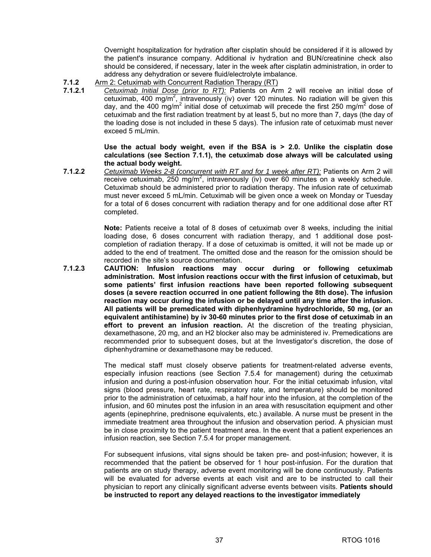Overnight hospitalization for hydration after cisplatin should be considered if it is allowed by the patient's insurance company. Additional iv hydration and BUN/creatinine check also should be considered, if necessary, later in the week after cisplatin administration, in order to address any dehydration or severe fluid/electrolyte imbalance.

- **7.1.2** Arm 2: Cetuximab with Concurrent Radiation Therapy (RT)<br>**7.1.2.1** Cetuximab Initial Dose (prior to RT): Patients on Arr
- **7.1.2.1** *Cetuximab Initial Dose (prior to RT):* Patients on Arm 2 will receive an initial dose of cetuximab, 400 mg/m<sup>2</sup>, intravenously (iv) over 120 minutes. No radiation will be given this day, and the 400 mg/m<sup>2</sup> initial dose of cetuximab will precede the first 250 mg/m<sup>2</sup> dose of cetuximab and the first radiation treatment by at least 5, but no more than 7, days (the day of the loading dose is not included in these 5 days). The infusion rate of cetuximab must never exceed 5 mL/min.

#### **Use the actual body weight, even if the BSA is > 2.0. Unlike the cisplatin dose calculations (see Section 7.1.1), the cetuximab dose always will be calculated using the actual body weight.**

**7.1.2.2** *Cetuximab Weeks 2-8 (concurrent with RT and for 1 week after RT):* Patients on Arm 2 will receive cetuximab, 250 mg/m<sup>2</sup>, intravenously (iv) over 60 minutes on a weekly schedule. Cetuximab should be administered prior to radiation therapy. The infusion rate of cetuximab must never exceed 5 mL/min. Cetuximab will be given once a week on Monday or Tuesday for a total of 6 doses concurrent with radiation therapy and for one additional dose after RT completed.

> **Note:** Patients receive a total of 8 doses of cetuximab over 8 weeks, including the initial loading dose, 6 doses concurrent with radiation therapy, and 1 additional dose postcompletion of radiation therapy. If a dose of cetuximab is omitted, it will not be made up or added to the end of treatment. The omitted dose and the reason for the omission should be recorded in the site's source documentation.

**7.1.2.3 CAUTION: Infusion reactions may occur during or following cetuximab administration. Most infusion reactions occur with the first infusion of cetuximab, but some patients' first infusion reactions have been reported following subsequent doses (a severe reaction occurred in one patient following the 8th dose). The infusion reaction may occur during the infusion or be delayed until any time after the infusion. All patients will be premedicated with diphenhydramine hydrochloride, 50 mg, (or an equivalent antihistamine) by iv 30-60 minutes prior to the first dose of cetuximab in an effort to prevent an infusion reaction.** At the discretion of the treating physician, dexamethasone, 20 mg, and an H2 blocker also may be administered iv. Premedications are recommended prior to subsequent doses, but at the Investigator's discretion, the dose of diphenhydramine or dexamethasone may be reduced.

> The medical staff must closely observe patients for treatment-related adverse events, especially infusion reactions (see Section 7.5.4 for management) during the cetuximab infusion and during a post-infusion observation hour. For the initial cetuximab infusion, vital signs (blood pressure, heart rate, respiratory rate, and temperature) should be monitored prior to the administration of cetuximab, a half hour into the infusion, at the completion of the infusion, and 60 minutes post the infusion in an area with resuscitation equipment and other agents (epinephrine, prednisone equivalents, etc.) available. A nurse must be present in the immediate treatment area throughout the infusion and observation period. A physician must be in close proximity to the patient treatment area. In the event that a patient experiences an infusion reaction, see Section 7.5.4 for proper management.

> For subsequent infusions, vital signs should be taken pre- and post-infusion; however, it is recommended that the patient be observed for 1 hour post-infusion. For the duration that patients are on study therapy, adverse event monitoring will be done continuously. Patients will be evaluated for adverse events at each visit and are to be instructed to call their physician to report any clinically significant adverse events between visits. **Patients should be instructed to report any delayed reactions to the investigator immediately**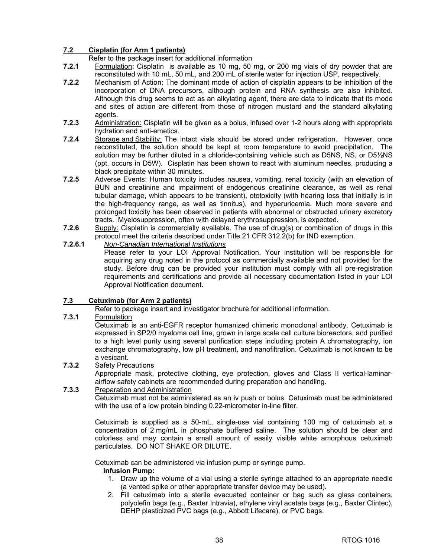# **7.2 Cisplatin (for Arm 1 patients)**

Refer to the package insert for additional information

- **7.2.1** Formulation: Cisplatin is available as 10 mg, 50 mg, or 200 mg vials of dry powder that are reconstituted with 10 mL, 50 mL, and 200 mL of sterile water for injection USP, respectively.
- **7.2.2** Mechanism of Action: The dominant mode of action of cisplatin appears to be inhibition of the incorporation of DNA precursors, although protein and RNA synthesis are also inhibited. Although this drug seems to act as an alkylating agent, there are data to indicate that its mode and sites of action are different from those of nitrogen mustard and the standard alkylating agents.
- **7.2.3** Administration: Cisplatin will be given as a bolus, infused over 1-2 hours along with appropriate hydration and anti-emetics.
- **7.2.4** Storage and Stability: The intact vials should be stored under refrigeration. However, once reconstituted, the solution should be kept at room temperature to avoid precipitation. The solution may be further diluted in a chloride-containing vehicle such as D5NS, NS, or D5½NS (ppt. occurs in D5W). Cisplatin has been shown to react with aluminum needles, producing a black precipitate within 30 minutes.
- **7.2.5** Adverse Events: Human toxicity includes nausea, vomiting, renal toxicity (with an elevation of BUN and creatinine and impairment of endogenous creatinine clearance, as well as renal tubular damage, which appears to be transient), ototoxicity (with hearing loss that initially is in the high-frequency range, as well as tinnitus), and hyperuricemia. Much more severe and prolonged toxicity has been observed in patients with abnormal or obstructed urinary excretory tracts. Myelosuppression, often with delayed erythrosuppression, is expected.
- **7.2.6** Supply: Cisplatin is commercially available. The use of drug(s) or combination of drugs in this protocol meet the criteria described under Title 21 CFR 312.2(b) for IND exemption.

# **7.2.6.1** *Non-Canadian International Institutions*

Please refer to your LOI Approval Notification. Your institution will be responsible for acquiring any drug noted in the protocol as commercially available and not provided for the study. Before drug can be provided your institution must comply with all pre-registration requirements and certifications and provide all necessary documentation listed in your LOI Approval Notification document.

# **7.3 Cetuximab (for Arm 2 patients)**

Refer to package insert and investigator brochure for additional information.

# **7.3.1** Formulation

Cetuximab is an anti-EGFR receptor humanized chimeric monoclonal antibody. Cetuximab is expressed in SP2/0 myeloma cell line, grown in large scale cell culture bioreactors, and purified to a high level purity using several purification steps including protein A chromatography, ion exchange chromatography, low pH treatment, and nanofiltration. Cetuximab is not known to be a vesicant.

# **7.3.2** Safety Precautions

Appropriate mask, protective clothing, eye protection, gloves and Class II vertical-laminarairflow safety cabinets are recommended during preparation and handling.

# **7.3.3** Preparation and Administration

Cetuximab must not be administered as an iv push or bolus. Cetuximab must be administered with the use of a low protein binding 0.22-micrometer in-line filter.

Cetuximab is supplied as a 50-mL, single-use vial containing 100 mg of cetuximab at a concentration of 2 mg/mL in phosphate buffered saline. The solution should be clear and colorless and may contain a small amount of easily visible white amorphous cetuximab particulates. DO NOT SHAKE OR DILUTE.

Cetuximab can be administered via infusion pump or syringe pump.

# **Infusion Pump:**

- 1. Draw up the volume of a vial using a sterile syringe attached to an appropriate needle (a vented spike or other appropriate transfer device may be used).
- 2. Fill cetuximab into a sterile evacuated container or bag such as glass containers, polyolefin bags (e.g., Baxter Intravia), ethylene vinyl acetate bags (e.g., Baxter Clintec), DEHP plasticized PVC bags (e.g., Abbott Lifecare), or PVC bags.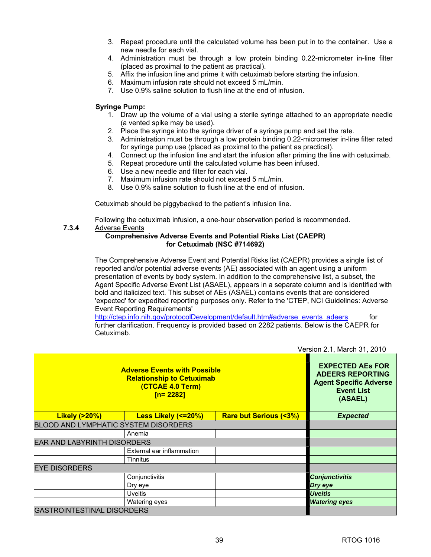- 3. Repeat procedure until the calculated volume has been put in to the container. Use a new needle for each vial.
- 4. Administration must be through a low protein binding 0.22-micrometer in-line filter (placed as proximal to the patient as practical).
- 5. Affix the infusion line and prime it with cetuximab before starting the infusion.
- 6. Maximum infusion rate should not exceed 5 mL/min.
- 7. Use 0.9% saline solution to flush line at the end of infusion.

#### **Syringe Pump:**

- 1. Draw up the volume of a vial using a sterile syringe attached to an appropriate needle (a vented spike may be used).
- 2. Place the syringe into the syringe driver of a syringe pump and set the rate.
- 3. Administration must be through a low protein binding 0.22-micrometer in-line filter rated for syringe pump use (placed as proximal to the patient as practical).
- 4. Connect up the infusion line and start the infusion after priming the line with cetuximab.
- 5. Repeat procedure until the calculated volume has been infused.
- 6. Use a new needle and filter for each vial.
- 7. Maximum infusion rate should not exceed 5 mL/min.
- 8. Use 0.9% saline solution to flush line at the end of infusion.

Cetuximab should be piggybacked to the patient's infusion line.

Following the cetuximab infusion, a one-hour observation period is recommended. **7.3.4** Adverse Events

### **Comprehensive Adverse Events and Potential Risks List (CAEPR) for Cetuximab (NSC #714692)**

The Comprehensive Adverse Event and Potential Risks list (CAEPR) provides a single list of reported and/or potential adverse events (AE) associated with an agent using a uniform presentation of events by body system. In addition to the comprehensive list, a subset, the Agent Specific Adverse Event List (ASAEL), appears in a separate column and is identified with bold and italicized text. This subset of AEs (ASAEL) contains events that are considered 'expected' for expedited reporting purposes only. Refer to the 'CTEP, NCI Guidelines: Adverse Event Reporting Requirements'

[http://ctep.info.nih.gov/protocolDevelopment/default.htm#adverse\\_events\\_adeers](http://ctep.info.nih.gov/protocolDevelopment/default.htm#adverse_events_adeers) for further clarification. Frequency is provided based on 2282 patients. Below is the CAEPR for Cetuximab.

|                                             |                                                                                                                     |                                  | VEISIUIL 4. I, IVIAIUIL 9 I, 40 IU |
|---------------------------------------------|---------------------------------------------------------------------------------------------------------------------|----------------------------------|------------------------------------|
| <b>Adverse Events with Possible</b>         | <b>EXPECTED AEs FOR</b><br><b>ADEERS REPORTING</b><br><b>Agent Specific Adverse</b><br><b>Event List</b><br>(ASAEL) |                                  |                                    |
| <b>Likely (&gt;20%)</b>                     | Less Likely (<=20%)                                                                                                 | <b>Rare but Serious (&lt;3%)</b> | <b>Expected</b>                    |
| <b>BLOOD AND LYMPHATIC SYSTEM DISORDERS</b> |                                                                                                                     |                                  |                                    |
|                                             | Anemia                                                                                                              |                                  |                                    |
| <b>EAR AND LABYRINTH DISORDERS</b>          |                                                                                                                     |                                  |                                    |
|                                             | External ear inflammation                                                                                           |                                  |                                    |
|                                             | Tinnitus                                                                                                            |                                  |                                    |
| <b>EYE DISORDERS</b>                        |                                                                                                                     |                                  |                                    |
|                                             | Conjunctivitis                                                                                                      |                                  | <b>Conjunctivitis</b>              |
|                                             | Dry eye                                                                                                             |                                  | Dry eye                            |
| <b>Uveitis</b>                              |                                                                                                                     | <b>Uveitis</b>                   |                                    |
|                                             | Watering eyes                                                                                                       |                                  | <b>Watering eyes</b>               |
| <b>GASTROINTESTINAL DISORDERS</b>           |                                                                                                                     |                                  |                                    |

Version 2.1, March 31, 2010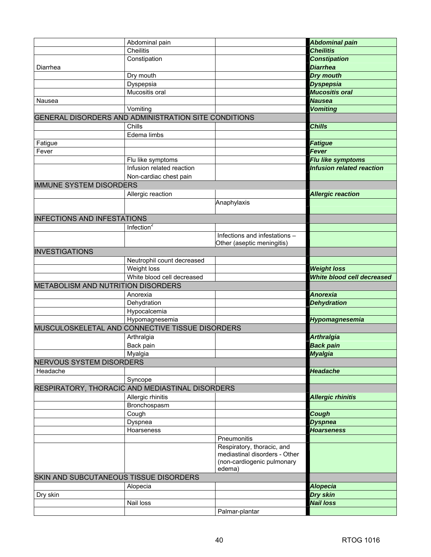|                                        | Abdominal pain                                       |                                                             | <b>Abdominal pain</b>            |
|----------------------------------------|------------------------------------------------------|-------------------------------------------------------------|----------------------------------|
|                                        | Cheilitis                                            |                                                             | <b>Cheilitis</b>                 |
|                                        | Constipation                                         |                                                             | <b>Constipation</b>              |
| Diarrhea                               |                                                      |                                                             | <b>Diarrhea</b>                  |
|                                        | Dry mouth                                            |                                                             | <b>Dry mouth</b>                 |
|                                        | Dyspepsia                                            |                                                             | <b>Dyspepsia</b>                 |
|                                        | Mucositis oral                                       |                                                             | <b>Mucositis oral</b>            |
| Nausea                                 |                                                      |                                                             | <b>Nausea</b>                    |
|                                        | Vomiting                                             |                                                             | <b>Vomiting</b>                  |
|                                        | GENERAL DISORDERS AND ADMINISTRATION SITE CONDITIONS |                                                             |                                  |
|                                        | Chills                                               |                                                             | <b>Chills</b>                    |
|                                        | Edema limbs                                          |                                                             |                                  |
| Fatigue                                |                                                      |                                                             | <b>Fatigue</b>                   |
| Fever                                  |                                                      |                                                             | <b>Fever</b>                     |
|                                        | Flu like symptoms                                    |                                                             | Flu like symptoms                |
|                                        | Infusion related reaction                            |                                                             | <b>Infusion related reaction</b> |
|                                        | Non-cardiac chest pain                               |                                                             |                                  |
| <b>IMMUNE SYSTEM DISORDERS</b>         |                                                      |                                                             |                                  |
|                                        | Allergic reaction                                    |                                                             | <b>Allergic reaction</b>         |
|                                        |                                                      | Anaphylaxis                                                 |                                  |
|                                        |                                                      |                                                             |                                  |
| <b>INFECTIONS AND INFESTATIONS</b>     |                                                      |                                                             |                                  |
|                                        | Infection $2$                                        |                                                             |                                  |
|                                        |                                                      | Infections and infestations -                               |                                  |
|                                        |                                                      | Other (aseptic meningitis)                                  |                                  |
| <b>INVESTIGATIONS</b>                  |                                                      |                                                             |                                  |
|                                        | Neutrophil count decreased                           |                                                             |                                  |
|                                        | Weight loss                                          |                                                             | <b>Weight loss</b>               |
|                                        | White blood cell decreased                           |                                                             | White blood cell decreased       |
| METABOLISM AND NUTRITION DISORDERS     |                                                      |                                                             |                                  |
|                                        | Anorexia                                             |                                                             | <b>Anorexia</b>                  |
|                                        | Dehydration                                          |                                                             | <b>Dehydration</b>               |
|                                        | Hypocalcemia                                         |                                                             |                                  |
|                                        | Hypomagnesemia                                       |                                                             | Hypomagnesemia                   |
|                                        | MUSCULOSKELETAL AND CONNECTIVE TISSUE DISORDERS      |                                                             |                                  |
|                                        | Arthralgia                                           |                                                             | <b>Arthralgia</b>                |
|                                        | Back pain                                            |                                                             | <b>Back pain</b>                 |
|                                        | Myalgia                                              |                                                             | <b>Myalgia</b>                   |
| <b>NERVOUS SYSTEM DISORDERS</b>        |                                                      |                                                             |                                  |
| Headache                               |                                                      |                                                             | <b>Headache</b>                  |
|                                        | Syncope                                              |                                                             |                                  |
|                                        | RESPIRATORY, THORACIC AND MEDIASTINAL DISORDERS      |                                                             |                                  |
|                                        | Allergic rhinitis                                    |                                                             | <b>Allergic rhinitis</b>         |
|                                        | Bronchospasm                                         |                                                             |                                  |
|                                        | Cough                                                |                                                             | Cough                            |
|                                        | Dyspnea                                              |                                                             | <b>Dyspnea</b>                   |
|                                        | Hoarseness                                           |                                                             | <b>Hoarseness</b>                |
|                                        |                                                      | Pneumonitis                                                 |                                  |
|                                        |                                                      | Respiratory, thoracic, and<br>mediastinal disorders - Other |                                  |
|                                        |                                                      | (non-cardiogenic pulmonary                                  |                                  |
|                                        |                                                      | edema)                                                      |                                  |
| SKIN AND SUBCUTANEOUS TISSUE DISORDERS |                                                      |                                                             |                                  |
|                                        | Alopecia                                             |                                                             | <b>Alopecia</b>                  |
| Dry skin                               |                                                      |                                                             | <b>Dry skin</b>                  |
|                                        | Nail loss                                            |                                                             | <b>Nail loss</b>                 |
|                                        |                                                      |                                                             |                                  |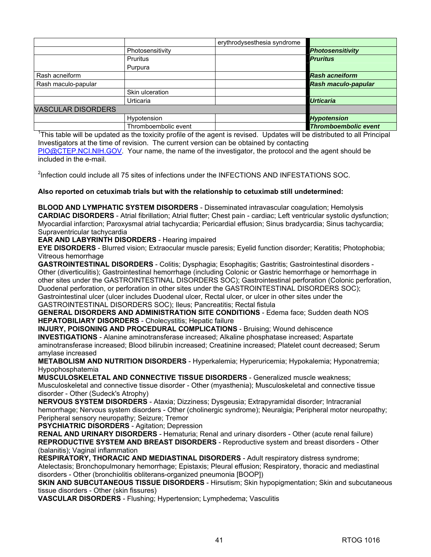|                           |                      | erythrodysesthesia syndrome |                             |
|---------------------------|----------------------|-----------------------------|-----------------------------|
|                           | Photosensitivity     |                             | <b>Photosensitivity</b>     |
|                           | <b>Pruritus</b>      |                             | <b>Pruritus</b>             |
|                           | Purpura              |                             |                             |
| Rash acneiform            |                      |                             | <b>Rash acneiform</b>       |
| Rash maculo-papular       |                      |                             | Rash maculo-papular         |
|                           | Skin ulceration      |                             |                             |
|                           | Urticaria            |                             | <b>Urticaria</b>            |
| <b>VASCULAR DISORDERS</b> |                      |                             |                             |
|                           | Hypotension          |                             | <b>Hypotension</b>          |
|                           | Thromboembolic event |                             | <b>Thromboembolic event</b> |

<sup>1</sup>This table will be updated as the toxicity profile of the agent is revised. Updates will be distributed to all Principal Investigators at the time of revision. The current version can be obtained by contacting [PIO@CTEP.NCI.NIH.GOV.](mailto:PIO@CTEP.NCI.NIH.GOV) Your name, the name of the investigator, the protocol and the agent should be included in the e-mail.

<sup>2</sup>Infection could include all 75 sites of infections under the INFECTIONS AND INFESTATIONS SOC.

**Also reported on cetuximab trials but with the relationship to cetuximab still undetermined:** 

**BLOOD AND LYMPHATIC SYSTEM DISORDERS** - Disseminated intravascular coagulation; Hemolysis **CARDIAC DISORDERS** - Atrial fibrillation; Atrial flutter; Chest pain - cardiac; Left ventricular systolic dysfunction; Myocardial infarction; Paroxysmal atrial tachycardia; Pericardial effusion; Sinus bradycardia; Sinus tachycardia; Supraventricular tachycardia

**EAR AND LABYRINTH DISORDERS** - Hearing impaired

**EYE DISORDERS** - Blurred vision; Extraocular muscle paresis; Eyelid function disorder; Keratitis; Photophobia; Vitreous hemorrhage

**GASTROINTESTINAL DISORDERS** - Colitis; Dysphagia; Esophagitis; Gastritis; Gastrointestinal disorders - Other (diverticulitis); Gastrointestinal hemorrhage (including Colonic or Gastric hemorrhage or hemorrhage in other sites under the GASTROINTESTINAL DISORDERS SOC); Gastrointestinal perforation (Colonic perforation, Duodenal perforation, or perforation in other sites under the GASTROINTESTINAL DISORDERS SOC); Gastrointestinal ulcer (ulcer includes Duodenal ulcer, Rectal ulcer, or ulcer in other sites under the GASTROINTESTINAL DISORDERS SOC); Ileus; Pancreatitis; Rectal fistula

**GENERAL DISORDERS AND ADMINISTRATION SITE CONDITIONS** - Edema face; Sudden death NOS **HEPATOBILIARY DISORDERS** - Cholecystitis; Hepatic failure

**INJURY, POISONING AND PROCEDURAL COMPLICATIONS** - Bruising; Wound dehiscence **INVESTIGATIONS** - Alanine aminotransferase increased; Alkaline phosphatase increased; Aspartate aminotransferase increased; Blood bilirubin increased; Creatinine increased; Platelet count decreased; Serum amylase increased

**METABOLISM AND NUTRITION DISORDERS** - Hyperkalemia; Hyperuricemia; Hypokalemia; Hyponatremia; Hypophosphatemia

**MUSCULOSKELETAL AND CONNECTIVE TISSUE DISORDERS** - Generalized muscle weakness; Musculoskeletal and connective tissue disorder - Other (myasthenia); Musculoskeletal and connective tissue disorder - Other (Sudeck's Atrophy)

**NERVOUS SYSTEM DISORDERS** - Ataxia; Dizziness; Dysgeusia; Extrapyramidal disorder; Intracranial hemorrhage; Nervous system disorders - Other (cholinergic syndrome); Neuralgia; Peripheral motor neuropathy; Peripheral sensory neuropathy; Seizure; Tremor

**PSYCHIATRIC DISORDERS** - Agitation; Depression

**RENAL AND URINARY DISORDERS** - Hematuria; Renal and urinary disorders - Other (acute renal failure) **REPRODUCTIVE SYSTEM AND BREAST DISORDERS** - Reproductive system and breast disorders - Other (balanitis); Vaginal inflammation

**RESPIRATORY, THORACIC AND MEDIASTINAL DISORDERS** - Adult respiratory distress syndrome; Atelectasis; Bronchopulmonary hemorrhage; Epistaxis; Pleural effusion; Respiratory, thoracic and mediastinal disorders - Other (bronchiolitis obliterans-organized pneumonia [BOOP])

**SKIN AND SUBCUTANEOUS TISSUE DISORDERS** - Hirsutism; Skin hypopigmentation; Skin and subcutaneous tissue disorders - Other (skin fissures)

**VASCULAR DISORDERS** - Flushing; Hypertension; Lymphedema; Vasculitis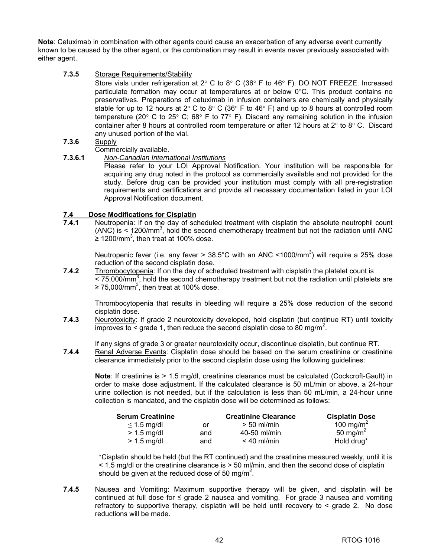**Note**: Cetuximab in combination with other agents could cause an exacerbation of any adverse event currently known to be caused by the other agent, or the combination may result in events never previously associated with either agent.

**7.3.5** Storage Requirements/Stability

Store vials under refrigeration at 2 $\degree$  C to 8 $\degree$  C (36 $\degree$  F to 46 $\degree$  F). DO NOT FREEZE. Increased particulate formation may occur at temperatures at or below 0°C. This product contains no preservatives. Preparations of cetuximab in infusion containers are chemically and physically stable for up to 12 hours at 2° C to 8° C (36° F to 46° F) and up to 8 hours at controlled room temperature (20 $\degree$  C to 25 $\degree$  C; 68 $\degree$  F to 77 $\degree$  F). Discard any remaining solution in the infusion container after 8 hours at controlled room temperature or after 12 hours at 2° to 8° C. Discard any unused portion of the vial.

- **7.3.6** Supply
- Commercially available.
- **7.3.6.1** *Non-Canadian International Institutions*

Please refer to your LOI Approval Notification. Your institution will be responsible for acquiring any drug noted in the protocol as commercially available and not provided for the study. Before drug can be provided your institution must comply with all pre-registration requirements and certifications and provide all necessary documentation listed in your LOI Approval Notification document.

# **7.4 Dose Modifications for Cisplatin<br><b>7.4.1** Neutropenia: If on the day of sch

**7.4.1** Neutropenia: If on the day of scheduled treatment with cisplatin the absolute neutrophil count  $(ANC)$  is  $\leq 1200/mm^3$ , hold the second chemotherapy treatment but not the radiation until ANC ≥ 1200/mm<sup>3</sup>, then treat at 100% dose.

Neutropenic fever (i.e. any fever > 38.5°C with an ANC <1000/mm<sup>3</sup>) will require a 25% dose reduction of the second cisplatin dose.

**7.4.2** Thrombocytopenia: If on the day of scheduled treatment with cisplatin the platelet count is  $<$  75,000/mm<sup>3</sup>, hold the second chemotherapy treatment but not the radiation until platelets are ≥ 75,000/mm<sup>3</sup>, then treat at 100% dose.

Thrombocytopenia that results in bleeding will require a 25% dose reduction of the second cisplatin dose.

**7.4.3** Neurotoxicity: If grade 2 neurotoxicity developed, hold cisplatin (but continue RT) until toxicity improves to  $\leq$  grade 1, then reduce the second cisplatin dose to 80 mg/m<sup>2</sup>.

If any signs of grade 3 or greater neurotoxicity occur, discontinue cisplatin, but continue RT.

**7.4.4** Renal Adverse Events: Cisplatin dose should be based on the serum creatinine or creatinine clearance immediately prior to the second cisplatin dose using the following guidelines:

**Note**: If creatinine is > 1.5 mg/dl, creatinine clearance must be calculated (Cockcroft-Gault) in order to make dose adjustment. If the calculated clearance is 50 mL/min or above, a 24-hour urine collection is not needed, but if the calculation is less than 50 mL/min, a 24-hour urine collection is mandated, and the cisplatin dose will be determined as follows:

| <b>Serum Creatinine</b> |     | <b>Creatinine Clearance</b> | <b>Cisplatin Dose</b> |
|-------------------------|-----|-----------------------------|-----------------------|
| $\leq$ 1.5 mg/dl        | or  | $> 50$ ml/min               | 100 mg/m <sup>2</sup> |
| $> 1.5$ mg/dl           | and | 40-50 ml/min                | 50 mg/m <sup>2</sup>  |
| $> 1.5$ mg/dl           | and | $< 40$ ml/min               | Hold drug*            |

\*Cisplatin should be held (but the RT continued) and the creatinine measured weekly, until it is < 1.5 mg/dl or the creatinine clearance is > 50 ml/min, and then the second dose of cisplatin should be given at the reduced dose of 50 mg/m<sup>2</sup>.

**7.4.5** Nausea and Vomiting: Maximum supportive therapy will be given, and cisplatin will be continued at full dose for ≤ grade 2 nausea and vomiting. For grade 3 nausea and vomiting refractory to supportive therapy, cisplatin will be held until recovery to < grade 2. No dose reductions will be made.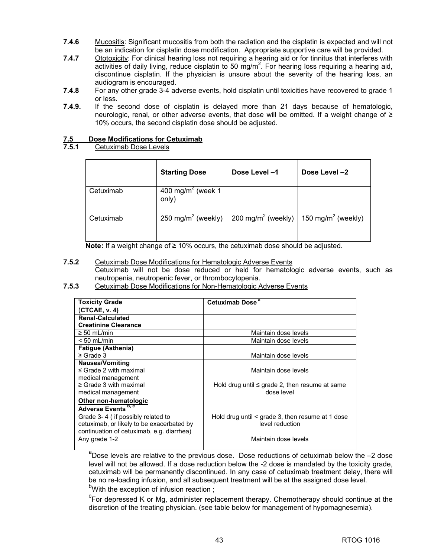- **7.4.6** Mucositis: Significant mucositis from both the radiation and the cisplatin is expected and will not be an indication for cisplatin dose modification. Appropriate supportive care will be provided.
- **7.4.7** Ototoxicity: For clinical hearing loss not requiring a hearing aid or for tinnitus that interferes with  $\overline{\text{activity}}$  living, reduce cisplatin to 50 mg/m<sup>2</sup>. For hearing loss requiring a hearing aid, discontinue cisplatin. If the physician is unsure about the severity of the hearing loss, an audiogram is encouraged.
- **7.4.8** For any other grade 3-4 adverse events, hold cisplatin until toxicities have recovered to grade 1 or less.
- **7.4.9.** If the second dose of cisplatin is delayed more than 21 days because of hematologic, neurologic, renal, or other adverse events, that dose will be omitted. If a weight change of ≥ 10% occurs, the second cisplatin dose should be adjusted.

# **7.5 Dose Modifications for Cetuximab**

**7.5.1** Cetuximab Dose Levels

|           | <b>Starting Dose</b>                   | Dose Level-1                   | Dose Level -2                  |
|-----------|----------------------------------------|--------------------------------|--------------------------------|
| Cetuximab | 400 mg/m <sup>2</sup> (week 1<br>only) |                                |                                |
| Cetuximab | 250 mg/m <sup>2</sup> (weekly)         | 200 mg/m <sup>2</sup> (weekly) | 150 mg/m <sup>2</sup> (weekly) |

**Note:** If a weight change of ≥ 10% occurs, the cetuximab dose should be adjusted.

# **7.5.2** Cetuximab Dose Modifications for Hematologic Adverse Events

Cetuximab will not be dose reduced or held for hematologic adverse events, such as neutropenia, neutropenic fever, or thrombocytopenia.

# **7.5.3** Cetuximab Dose Modifications for Non-Hematologic Adverse Events

| <b>Toxicity Grade</b>                     | Cetuximab Dose <sup>a</sup>                           |
|-------------------------------------------|-------------------------------------------------------|
| (CTCAE, v. 4)                             |                                                       |
| <b>Renal-Calculated</b>                   |                                                       |
| <b>Creatinine Clearance</b>               |                                                       |
| $\geq 50$ mL/min                          | Maintain dose levels                                  |
| $< 50$ mL/min                             | Maintain dose levels                                  |
| <b>Fatigue (Asthenia)</b>                 |                                                       |
| $\geq$ Grade 3                            | Maintain dose levels                                  |
| Nausea/Vomiting                           |                                                       |
| $\leq$ Grade 2 with maximal               | Maintain dose levels                                  |
| medical management                        |                                                       |
| $\geq$ Grade 3 with maximal               | Hold drug until $\leq$ grade 2, then resume at same   |
| medical management                        | dose level                                            |
| Other non-hematologic                     |                                                       |
| Adverse Events <sup>b, c</sup>            |                                                       |
| Grade 3-4 (if possibly related to         | Hold drug until $\leq$ grade 3, then resume at 1 dose |
| cetuximab, or likely to be exacerbated by | level reduction                                       |
| continuation of cetuximab, e.g. diarrhea) |                                                       |
| Any grade 1-2                             | Maintain dose levels                                  |
|                                           |                                                       |

a<br>Dose levels are relative to the previous dose. Dose reductions of cetuximab below the -2 dose level will not be allowed. If a dose reduction below the -2 dose is mandated by the toxicity grade, cetuximab will be permanently discontinued. In any case of cetuximab treatment delay, there will be no re-loading infusion, and all subsequent treatment will be at the assigned dose level. <sup>b</sup>With the exception of infusion reaction ;

<sup>c</sup>For depressed K or Mg, administer replacement therapy. Chemotherapy should continue at the discretion of the treating physician. (see table below for management of hypomagnesemia).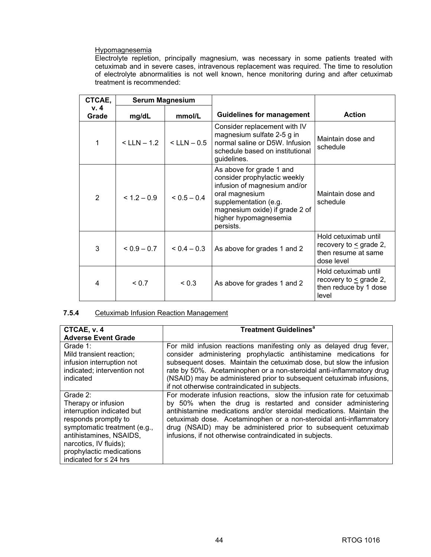# **Hypomagnesemia**

Electrolyte repletion, principally magnesium, was necessary in some patients treated with cetuximab and in severe cases, intravenous replacement was required. The time to resolution of electrolyte abnormalities is not well known, hence monitoring during and after cetuximab treatment is recommended:

| CTCAE,       | <b>Serum Magnesium</b> |                 |                                                                                                                                                                                                             |                                                                                          |
|--------------|------------------------|-----------------|-------------------------------------------------------------------------------------------------------------------------------------------------------------------------------------------------------------|------------------------------------------------------------------------------------------|
| v.4<br>Grade | mg/dL                  | mmol/L          | <b>Guidelines for management</b>                                                                                                                                                                            | <b>Action</b>                                                                            |
| 1            | $<$ LLN $-$ 1.2        | $<$ LLN $-$ 0.5 | Consider replacement with IV<br>magnesium sulfate 2-5 g in<br>normal saline or D5W. Infusion<br>schedule based on institutional<br>guidelines.                                                              | Maintain dose and<br>schedule                                                            |
| 2            | $< 1.2 - 0.9$          | $< 0.5 - 0.4$   | As above for grade 1 and<br>consider prophylactic weekly<br>infusion of magnesium and/or<br>oral magnesium<br>supplementation (e.g.<br>magnesium oxide) if grade 2 of<br>higher hypomagnesemia<br>persists. | Maintain dose and<br>schedule                                                            |
| 3            | $< 0.9 - 0.7$          | $0.4 - 0.3$     | As above for grades 1 and 2                                                                                                                                                                                 | Hold cetuximab until<br>recovery to $\leq$ grade 2,<br>then resume at same<br>dose level |
| 4            | ${}_{0.7}$             | < 0.3           | As above for grades 1 and 2                                                                                                                                                                                 | Hold cetuximab until<br>recovery to $\leq$ grade 2,<br>then reduce by 1 dose<br>level    |

# **7.5.4** Cetuximab Infusion Reaction Management

| CTCAE, v. 4                  | <b>Treatment Guidelines<sup>a</sup></b>                               |
|------------------------------|-----------------------------------------------------------------------|
| <b>Adverse Event Grade</b>   |                                                                       |
|                              |                                                                       |
| Grade 1:                     | For mild infusion reactions manifesting only as delayed drug fever,   |
| Mild transient reaction:     | consider administering prophylactic antihistamine medications for     |
| infusion interruption not    | subsequent doses. Maintain the cetuximab dose, but slow the infusion  |
| indicated; intervention not  | rate by 50%. Acetaminophen or a non-steroidal anti-inflammatory drug  |
| indicated                    | (NSAID) may be administered prior to subsequent cetuximab infusions,  |
|                              | if not otherwise contraindicated in subjects.                         |
| Grade 2:                     | For moderate infusion reactions, slow the infusion rate for cetuximab |
| Therapy or infusion          | by 50% when the drug is restarted and consider administering          |
| interruption indicated but   | antihistamine medications and/or steroidal medications. Maintain the  |
| responds promptly to         | cetuximab dose. Acetaminophen or a non-steroidal anti-inflammatory    |
| symptomatic treatment (e.g., | drug (NSAID) may be administered prior to subsequent cetuximab        |
| antihistamines, NSAIDS,      | infusions, if not otherwise contraindicated in subjects.              |
| narcotics, IV fluids);       |                                                                       |
| prophylactic medications     |                                                                       |
| indicated for $\leq$ 24 hrs  |                                                                       |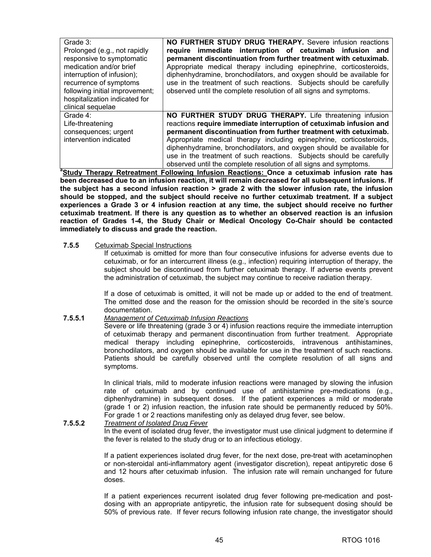| Grade 3:                       | NO FURTHER STUDY DRUG THERAPY. Severe infusion reactions             |
|--------------------------------|----------------------------------------------------------------------|
| Prolonged (e.g., not rapidly   | require immediate interruption of cetuximab infusion and             |
| responsive to symptomatic      | permanent discontinuation from further treatment with cetuximab.     |
| medication and/or brief        | Appropriate medical therapy including epinephrine, corticosteroids,  |
| interruption of infusion);     | diphenhydramine, bronchodilators, and oxygen should be available for |
| recurrence of symptoms         | use in the treatment of such reactions. Subjects should be carefully |
| following initial improvement; | observed until the complete resolution of all signs and symptoms.    |
| hospitalization indicated for  |                                                                      |
| clinical sequelae              |                                                                      |
| Grade 4:                       | NO FURTHER STUDY DRUG THERAPY. Life threatening infusion             |
| Life-threatening               | reactions require immediate interruption of cetuximab infusion and   |
| consequences; urgent           | permanent discontinuation from further treatment with cetuximab.     |
| intervention indicated         | Appropriate medical therapy including epinephrine, corticosteroids,  |
|                                | diphenhydramine, bronchodilators, and oxygen should be available for |
|                                | use in the treatment of such reactions. Subjects should be carefully |
|                                | observed until the complete resolution of all signs and symptoms.    |

observed until the complete resolution of all signs and symptoms. **<sup>a</sup> Study Therapy Retreatment Following Infusion Reactions: Once a cetuximab infusion rate has been decreased due to an infusion reaction, it will remain decreased for all subsequent infusions. If the subject has a second infusion reaction > grade 2 with the slower infusion rate, the infusion should be stopped, and the subject should receive no further cetuximab treatment. If a subject experiences a Grade 3 or 4 infusion reaction at any time, the subject should receive no further cetuximab treatment. If there is any question as to whether an observed reaction is an infusion reaction of Grades 1-4, the Study Chair or Medical Oncology Co-Chair should be contacted immediately to discuss and grade the reaction.** 

#### **7.5.5** Cetuximab Special Instructions

If cetuximab is omitted for more than four consecutive infusions for adverse events due to cetuximab, or for an intercurrent illness (e.g., infection) requiring interruption of therapy, the subject should be discontinued from further cetuximab therapy. If adverse events prevent the administration of cetuximab, the subject may continue to receive radiation therapy.

If a dose of cetuximab is omitted, it will not be made up or added to the end of treatment. The omitted dose and the reason for the omission should be recorded in the site's source documentation.

# **7.5.5.1** *Management of Cetuximab Infusion Reactions*

Severe or life threatening (grade 3 or 4) infusion reactions require the immediate interruption of cetuximab therapy and permanent discontinuation from further treatment. Appropriate medical therapy including epinephrine, corticosteroids, intravenous antihistamines, bronchodilators, and oxygen should be available for use in the treatment of such reactions. Patients should be carefully observed until the complete resolution of all signs and symptoms.

In clinical trials, mild to moderate infusion reactions were managed by slowing the infusion rate of cetuximab and by continued use of antihistamine pre-medications (e.g., diphenhydramine) in subsequent doses. If the patient experiences a mild or moderate (grade 1 or 2) infusion reaction, the infusion rate should be permanently reduced by 50%. For grade 1 or 2 reactions manifesting only as delayed drug fever, see below.

#### **7.5.5.2** *Treatment of Isolated Drug Fever*

In the event of isolated drug fever, the investigator must use clinical judgment to determine if the fever is related to the study drug or to an infectious etiology.

If a patient experiences isolated drug fever, for the next dose, pre-treat with acetaminophen or non-steroidal anti-inflammatory agent (investigator discretion), repeat antipyretic dose 6 and 12 hours after cetuximab infusion. The infusion rate will remain unchanged for future doses.

If a patient experiences recurrent isolated drug fever following pre-medication and postdosing with an appropriate antipyretic, the infusion rate for subsequent dosing should be 50% of previous rate. If fever recurs following infusion rate change, the investigator should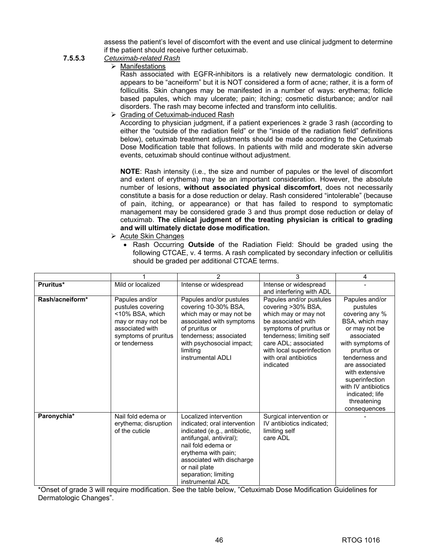assess the patient's level of discomfort with the event and use clinical judgment to determine if the patient should receive further cetuximab.

# **7.5.5.3** *Cetuximab-related Rash*

 $\triangleright$  Manifestations

Rash associated with EGFR-inhibitors is a relatively new dermatologic condition. It appears to be "acneiform" but it is NOT considered a form of acne; rather, it is a form of folliculitis. Skin changes may be manifested in a number of ways: erythema; follicle based papules, which may ulcerate; pain; itching; cosmetic disturbance; and/or nail disorders. The rash may become infected and transform into cellulitis.

 $\triangleright$  Grading of Cetuximab-induced Rash

According to physician judgment, if a patient experiences ≥ grade 3 rash (according to either the "outside of the radiation field" or the "inside of the radiation field" definitions below), cetuximab treatment adjustments should be made according to the Cetuximab Dose Modification table that follows. In patients with mild and moderate skin adverse events, cetuximab should continue without adjustment.

**NOTE**: Rash intensity (i.e., the size and number of papules or the level of discomfort and extent of erythema) may be an important consideration. However, the absolute number of lesions, **without associated physical discomfort**, does not necessarily constitute a basis for a dose reduction or delay. Rash considered "intolerable" (because of pain, itching, or appearance) or that has failed to respond to symptomatic management may be considered grade 3 and thus prompt dose reduction or delay of cetuximab. **The clinical judgment of the treating physician is critical to grading and will ultimately dictate dose modification.**

- $\triangleright$  Acute Skin Changes
	- Rash Occurring **Outside** of the Radiation Field: Should be graded using the following CTCAE, v. 4 terms. A rash complicated by secondary infection or cellulitis should be graded per additional CTCAE terms.

|                 |                                                                                                                                         | 2                                                                                                                                                                                                                                                        | 3                                                                                                                                                                                                                                              | 4                                                                                                                                                                                                                                                                                 |
|-----------------|-----------------------------------------------------------------------------------------------------------------------------------------|----------------------------------------------------------------------------------------------------------------------------------------------------------------------------------------------------------------------------------------------------------|------------------------------------------------------------------------------------------------------------------------------------------------------------------------------------------------------------------------------------------------|-----------------------------------------------------------------------------------------------------------------------------------------------------------------------------------------------------------------------------------------------------------------------------------|
| Pruritus*       | Mild or localized                                                                                                                       | Intense or widespread                                                                                                                                                                                                                                    | Intense or widespread<br>and interfering with ADL                                                                                                                                                                                              |                                                                                                                                                                                                                                                                                   |
| Rash/acneiform* | Papules and/or<br>pustules covering<br><10% BSA, which<br>may or may not be<br>associated with<br>symptoms of pruritus<br>or tenderness | Papules and/or pustules<br>covering 10-30% BSA,<br>which may or may not be<br>associated with symptoms<br>of pruritus or<br>tenderness; associated<br>with psychosocial impact;<br>limiting<br>instrumental ADLI                                         | Papules and/or pustules<br>covering >30% BSA,<br>which may or may not<br>be associated with<br>symptoms of pruritus or<br>tenderness; limiting self<br>care ADL; associated<br>with local superinfection<br>with oral antibiotics<br>indicated | Papules and/or<br>pustules<br>covering any %<br>BSA, which may<br>or may not be<br>associated<br>with symptoms of<br>pruritus or<br>tenderness and<br>are associated<br>with extensive<br>superinfection<br>with IV antibiotics<br>indicated; life<br>threatening<br>consequences |
| Paronychia*     | Nail fold edema or<br>erythema; disruption<br>of the cuticle                                                                            | Localized intervention<br>indicated; oral intervention<br>indicated (e.g., antibiotic,<br>antifungal, antiviral);<br>nail fold edema or<br>erythema with pain;<br>associated with discharge<br>or nail plate<br>separation; limiting<br>instrumental ADL | Surgical intervention or<br>IV antibiotics indicated;<br>limiting self<br>care ADL                                                                                                                                                             |                                                                                                                                                                                                                                                                                   |

\*Onset of grade 3 will require modification. See the table below, "Cetuximab Dose Modification Guidelines for Dermatologic Changes".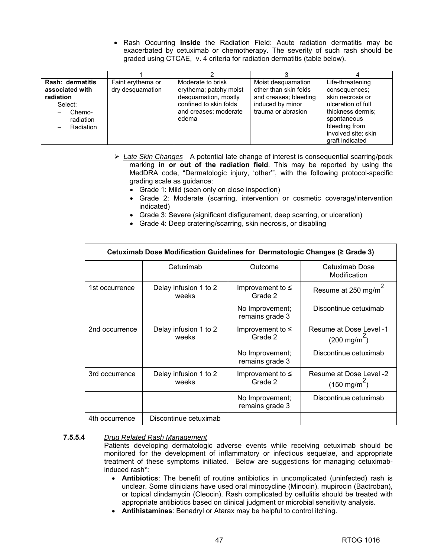• Rash Occurring **Inside** the Radiation Field: Acute radiation dermatitis may be exacerbated by cetuximab or chemotherapy. The severity of such rash should be graded using CTCAE, v. 4 criteria for radiation dermatitis (table below).

| Rash: dermatitis | Faint erythema or | Moderate to brisk      | Moist desquamation    | Life-threatening    |
|------------------|-------------------|------------------------|-----------------------|---------------------|
| associated with  | dry desquamation  | erythema; patchy moist | other than skin folds | consequences;       |
| radiation        |                   | desquamation, mostly   | and creases; bleeding | skin necrosis or    |
| Select:          |                   | confined to skin folds | induced by minor      | ulceration of full  |
| Chemo-           |                   | and creases; moderate  | trauma or abrasion    | thickness dermis;   |
| radiation        |                   | edema                  |                       | spontaneous         |
| Radiation        |                   |                        |                       | bleeding from       |
|                  |                   |                        |                       | involved site; skin |
|                  |                   |                        |                       | graft indicated     |

- ¾ *Late Skin Changes* A potential late change of interest is consequential scarring/pock marking **in or out of the radiation field**. This may be reported by using the MedDRA code, "Dermatologic injury, 'other'", with the following protocol-specific grading scale as guidance:
	- Grade 1: Mild (seen only on close inspection)
	- Grade 2: Moderate (scarring, intervention or cosmetic coverage/intervention indicated)
	- Grade 3: Severe (significant disfigurement, deep scarring, or ulceration)
	- Grade 4: Deep cratering/scarring, skin necrosis, or disabling

| Cetuximab Dose Modification Guidelines for Dermatologic Changes (≥ Grade 3) |                                |                                    |                                                   |  |  |  |
|-----------------------------------------------------------------------------|--------------------------------|------------------------------------|---------------------------------------------------|--|--|--|
|                                                                             | Cetuximab                      | Outcome                            | Cetuximab Dose<br>Modification                    |  |  |  |
| 1st occurrence                                                              | Delay infusion 1 to 2<br>weeks | Improvement to $\leq$<br>Grade 2   | Resume at 250 mg/m <sup>4</sup>                   |  |  |  |
|                                                                             |                                | No Improvement;<br>remains grade 3 | Discontinue cetuximab                             |  |  |  |
| 2nd occurrence                                                              | Delay infusion 1 to 2<br>weeks | Improvement to $\leq$<br>Grade 2   | Resume at Dose Level -1<br>$(200 \text{ mg/m}^2)$ |  |  |  |
|                                                                             |                                | No Improvement;<br>remains grade 3 | Discontinue cetuximab                             |  |  |  |
| 3rd occurrence                                                              | Delay infusion 1 to 2<br>weeks | Improvement to $\leq$<br>Grade 2   | Resume at Dose Level -2<br>$(150 \text{ mg/m}^2)$ |  |  |  |
|                                                                             |                                | No Improvement;<br>remains grade 3 | Discontinue cetuximab                             |  |  |  |
| 4th occurrence                                                              | Discontinue cetuximab          |                                    |                                                   |  |  |  |

## **7.5.5.4** *Drug Related Rash Management*

Patients developing dermatologic adverse events while receiving cetuximab should be monitored for the development of inflammatory or infectious sequelae, and appropriate treatment of these symptoms initiated. Below are suggestions for managing cetuximabinduced rash\*:

- **Antibiotics**: The benefit of routine antibiotics in uncomplicated (uninfected) rash is unclear. Some clinicians have used oral minocycline (Minocin), mupirocin (Bactroban), or topical clindamycin (Cleocin). Rash complicated by cellulitis should be treated with appropriate antibiotics based on clinical judgment or microbial sensitivity analysis.
- **Antihistamines**: Benadryl or Atarax may be helpful to control itching.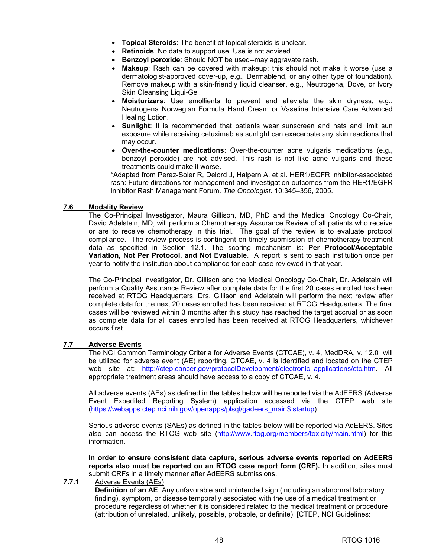- **Topical Steroids**: The benefit of topical steroids is unclear.
- **Retinoids**: No data to support use. Use is not advised.
- **Benzoyl peroxide**: Should NOT be used--may aggravate rash.
- **Makeup**: Rash can be covered with makeup; this should not make it worse (use a dermatologist-approved cover-up, e.g., Dermablend, or any other type of foundation). Remove makeup with a skin-friendly liquid cleanser, e.g., Neutrogena, Dove, or Ivory Skin Cleansing Liqui-Gel.
- **Moisturizers**: Use emollients to prevent and alleviate the skin dryness, e.g., Neutrogena Norwegian Formula Hand Cream or Vaseline Intensive Care Advanced Healing Lotion.
- **Sunlight**: It is recommended that patients wear sunscreen and hats and limit sun exposure while receiving cetuximab as sunlight can exacerbate any skin reactions that may occur.
- **Over-the-counter medications**: Over-the-counter acne vulgaris medications (e.g., benzoyl peroxide) are not advised. This rash is not like acne vulgaris and these treatments could make it worse.

\*Adapted from Perez-Soler R, Delord J, Halpern A, et al. HER1/EGFR inhibitor-associated rash: Future directions for management and investigation outcomes from the HER1/EGFR Inhibitor Rash Management Forum. *The Oncologist*. 10:345–356, 2005.

# **7.6 Modality Review**

 The Co-Principal Investigator, Maura Gillison, MD, PhD and the Medical Oncology Co-Chair, David Adelstein, MD, will perform a Chemotherapy Assurance Review of all patients who receive or are to receive chemotherapy in this trial. The goal of the review is to evaluate protocol compliance. The review process is contingent on timely submission of chemotherapy treatment data as specified in Section 12.1. The scoring mechanism is: **Per Protocol/Acceptable Variation, Not Per Protocol, and Not Evaluable**. A report is sent to each institution once per year to notify the institution about compliance for each case reviewed in that year.

 The Co-Principal Investigator, Dr. Gillison and the Medical Oncology Co-Chair, Dr. Adelstein will perform a Quality Assurance Review after complete data for the first 20 cases enrolled has been received at RTOG Headquarters. Drs. Gillison and Adelstein will perform the next review after complete data for the next 20 cases enrolled has been received at RTOG Headquarters. The final cases will be reviewed within 3 months after this study has reached the target accrual or as soon as complete data for all cases enrolled has been received at RTOG Headquarters, whichever occurs first.

#### **7.7 Adverse Events**

 The NCI Common Terminology Criteria for Adverse Events (CTCAE), v. 4, MedDRA, v. 12.0 will be utilized for adverse event (AE) reporting. CTCAE, v. 4 is identified and located on the CTEP web site at: [http://ctep.cancer.gov/protocolDevelopment/electronic\\_applications/ctc.htm.](http://ctep.cancer.gov/protocolDevelopment/electronic_applications/ctc.htm) All appropriate treatment areas should have access to a copy of CTCAE, v. 4.

 All adverse events (AEs) as defined in the tables below will be reported via the AdEERS (Adverse Event Expedited Reporting System) application accessed via the CTEP web site [\(https://webapps.ctep.nci.nih.gov/openapps/plsql/gadeers\\_main\\$.startup](https://webapps.ctep.nci.nih.gov/openapps/plsql/gadeers_main$.startup)).

 Serious adverse events (SAEs) as defined in the tables below will be reported via AdEERS. Sites also can access the RTOG web site [\(http://www.rtog.org/members/toxicity/main.html\)](http://www.rtog.org/members/toxicity/main.html) for this information.

**In order to ensure consistent data capture, serious adverse events reported on AdEERS reports also must be reported on an RTOG case report form (CRF).** In addition, sites must submit CRFs in a timely manner after AdEERS submissions.

#### **7.7.1** Adverse Events (AEs)

**Definition of an AE:** Any unfavorable and unintended sign (including an abnormal laboratory finding), symptom, or disease temporally associated with the use of a medical treatment or procedure regardless of whether it is considered related to the medical treatment or procedure (attribution of unrelated, unlikely, possible, probable, or definite). [CTEP, NCI Guidelines: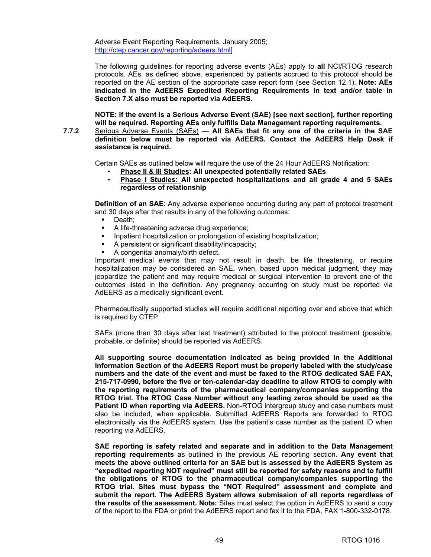Adverse Event Reporting Requirements. January 2005; [http://ctep.cancer.gov/reporting/adeers.html\]](http://ctep.cancer.gov/reporting/adeers.html) 

 The following guidelines for reporting adverse events (AEs) apply to **all** NCI/RTOG research protocols. AEs, as defined above, experienced by patients accrued to this protocol should be reported on the AE section of the appropriate case report form (see Section 12.1). **Note: AEs indicated in the AdEERS Expedited Reporting Requirements in text and/or table in Section 7.X also must be reported via AdEERS.** 

**NOTE: If the event is a Serious Adverse Event (SAE) [see next section], further reporting will be required. Reporting AEs only fulfills Data Management reporting requirements.** 

**7.7.2** Serious Adverse Events (SAEs) — **All SAEs that fit any one of the criteria in the SAE definition below must be reported via AdEERS. Contact the AdEERS Help Desk if assistance is required.** 

Certain SAEs as outlined below will require the use of the 24 Hour AdEERS Notification:

- **Phase II & III Studies: All unexpected potentially related SAEs**
- **Phase I Studies: All unexpected hospitalizations and all grade 4 and 5 SAEs regardless of relationship**

**Definition of an SAE:** Any adverse experience occurring during any part of protocol treatment and 30 days after that results in any of the following outcomes:

- Death;
- A life-threatening adverse drug experience;
- Inpatient hospitalization or prolongation of existing hospitalization;
- A persistent or significant disability/incapacity;
- A congenital anomaly/birth defect.

 Important medical events that may not result in death, be life threatening, or require hospitalization may be considered an SAE, when, based upon medical judgment, they may jeopardize the patient and may require medical or surgical intervention to prevent one of the outcomes listed in the definition. Any pregnancy occurring on study must be reported via AdEERS as a medically significant event.

Pharmaceutically supported studies will require additional reporting over and above that which is required by CTEP.

 SAEs (more than 30 days after last treatment) attributed to the protocol treatment (possible, probable, or definite) should be reported via AdEERS.

**All supporting source documentation indicated as being provided in the Additional Information Section of the AdEERS Report must be properly labeled with the study/case numbers and the date of the event and must be faxed to the RTOG dedicated SAE FAX, 215-717-0990, before the five or ten-calendar-day deadline to allow RTOG to comply with the reporting requirements of the pharmaceutical company/companies supporting the RTOG trial. The RTOG Case Number without any leading zeros should be used as the Patient ID when reporting via AdEERS.** Non-RTOG intergroup study and case numbers must also be included, when applicable. Submitted AdEERS Reports are forwarded to RTOG electronically via the AdEERS system. Use the patient's case number as the patient ID when reporting via AdEERS.

 **SAE reporting is safety related and separate and in addition to the Data Management reporting requirements** as outlined in the previous AE reporting section. **Any event that meets the above outlined criteria for an SAE but is assessed by the AdEERS System as "expedited reporting NOT required" must still be reported for safety reasons and to fulfill the obligations of RTOG to the pharmaceutical company/companies supporting the RTOG trial. Sites must bypass the "NOT Required" assessment and complete and submit the report. The AdEERS System allows submission of all reports regardless of the results of the assessment. Note:** Sites must select the option in AdEERS to send a copy of the report to the FDA or print the AdEERS report and fax it to the FDA, FAX 1-800-332-0178.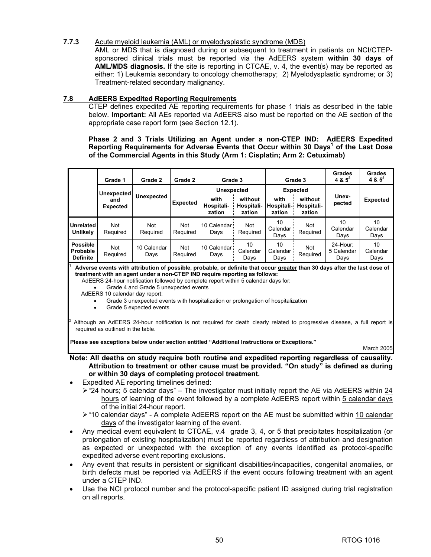# **7.7.3** Acute myeloid leukemia (AML) or myelodysplastic syndrome (MDS)

 AML or MDS that is diagnosed during or subsequent to treatment in patients on NCI/CTEPsponsored clinical trials must be reported via the AdEERS system **within 30 days of AML/MDS diagnosis.** If the site is reporting in CTCAE, v. 4, the event(s) may be reported as either: 1) Leukemia secondary to oncology chemotherapy; 2) Myelodysplastic syndrome; or 3) Treatment-related secondary malignancy.

# **7.8 AdEERS Expedited Reporting Requirements**

 CTEP defines expedited AE reporting requirements for phase 1 trials as described in the table below. **Important:** All AEs reported via AdEERS also must be reported on the AE section of the appropriate case report form (see Section 12.1).

**Phase 2 and 3 Trials Utilizing an Agent under a non-CTEP IND: AdEERS Expedited**  Reporting Requirements for Adverse Events that Occur within 30 Days<sup>1</sup> of the Last Dose **of the Commercial Agents in this Study (Arm 1: Cisplatin; Arm 2: Cetuximab)** 

|                                                       | Grade 1                | Grade 2             | Grade 2                | Grade 3                      |                                 |                              | Grade 3                         | <b>Grades</b><br>$4 & 5^2$     | <b>Grades</b><br>4 & $5^2$ |
|-------------------------------------------------------|------------------------|---------------------|------------------------|------------------------------|---------------------------------|------------------------------|---------------------------------|--------------------------------|----------------------------|
|                                                       | <b>Unexpected</b>      |                     |                        | <b>Unexpected</b>            |                                 | <b>Expected</b>              |                                 |                                |                            |
|                                                       | and<br><b>Expected</b> | <b>Unexpected</b>   | <b>Expected</b>        | with<br>Hospitali-<br>zation | without<br>Hospitali-<br>zation | with<br>Hospitali-<br>zation | without<br>Hospitali-<br>zation | Unex-<br>pected                | <b>Expected</b>            |
| Unrelated<br><b>Unlikely</b>                          | <b>Not</b><br>Required | Not<br>Required     | <b>Not</b><br>Required | 10 Calendar :<br>Days        | Not<br>Required                 | 10<br>Calendar<br>Days       | Not<br>Required                 | 10<br>Calendar<br>Days         | 10<br>Calendar<br>Days     |
| <b>Possible</b><br><b>Probable</b><br><b>Definite</b> | <b>Not</b><br>Required | 10 Calendar<br>Days | <b>Not</b><br>Required | 10 Calendar<br>Days          | 10<br>Calendar<br>Days          | 10<br>Calendar<br>Days       | Not<br>Required                 | 24-Hour:<br>5 Calendar<br>Days | 10<br>Calendar<br>Days     |

**1 Adverse events with attribution of possible, probable, or definite that occur greater than 30 days after the last dose of treatment with an agent under a non-CTEP IND require reporting as follows:** 

AdEERS 24-hour notification followed by complete report within 5 calendar days for:

• Grade 4 and Grade 5 unexpected events

AdEERS 10 calendar day report:

2

- Grade 3 unexpected events with hospitalization or prolongation of hospitalization
- Grade 5 expected events

 Although an AdEERS 24-hour notification is not required for death clearly related to progressive disease, a full report is required as outlined in the table.

**Please see exceptions below under section entitled "Additional Instructions or Exceptions."** 

March 2005

# **Note: All deaths on study require both routine and expedited reporting regardless of causality. Attribution to treatment or other cause must be provided. "On study" is defined as during or within 30 days of completing protocol treatment.**

- Expedited AE reporting timelines defined:
	- $\ge$  "24 hours; 5 calendar days" The investigator must initially report the AE via AdEERS within 24 hours of learning of the event followed by a complete AdEERS report within 5 calendar days of the initial 24-hour report.
	- ¾ "10 calendar days" A complete AdEERS report on the AE must be submitted within 10 calendar days of the investigator learning of the event.
- Any medical event equivalent to CTCAE, v.4 grade 3, 4, or 5 that precipitates hospitalization (or prolongation of existing hospitalization) must be reported regardless of attribution and designation as expected or unexpected with the exception of any events identified as protocol-specific expedited adverse event reporting exclusions.
- Any event that results in persistent or significant disabilities/incapacities, congenital anomalies, or birth defects must be reported via AdEERS if the event occurs following treatment with an agent under a CTEP IND.
- Use the NCI protocol number and the protocol-specific patient ID assigned during trial registration on all reports.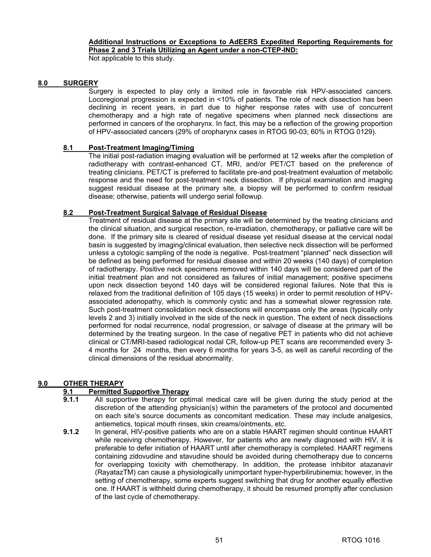## **Additional Instructions or Exceptions to AdEERS Expedited Reporting Requirements for Phase 2 and 3 Trials Utilizing an Agent under a non-CTEP-IND:**

Not applicable to this study.

# **8.0 SURGERY**

Surgery is expected to play only a limited role in favorable risk HPV-associated cancers. Locoregional progression is expected in <10% of patients. The role of neck dissection has been declining in recent years, in part due to higher response rates with use of concurrent chemotherapy and a high rate of negative specimens when planned neck dissections are performed in cancers of the oropharynx. In fact, this may be a reflection of the growing proportion of HPV-associated cancers (29% of oropharynx cases in RTOG 90-03; 60% in RTOG 0129).

# **8.1 Post-Treatment Imaging/Timing**

The initial post-radiation imaging evaluation will be performed at 12 weeks after the completion of radiotherapy with contrast-enhanced CT, MRI, and/or PET/CT based on the preference of treating clinicians. PET/CT is preferred to facilitate pre-and post-treatment evaluation of metabolic response and the need for post-treatment neck dissection. If physical examination and imaging suggest residual disease at the primary site, a biopsy will be performed to confirm residual disease; otherwise, patients will undergo serial followup.

# **8.2 Post-Treatment Surgical Salvage of Residual Disease**

Treatment of residual disease at the primary site will be determined by the treating clinicians and the clinical situation, and surgical resection, re-irradiation, chemotherapy, or palliative care will be done. If the primary site is cleared of residual disease yet residual disease at the cervical nodal basin is suggested by imaging/clinical evaluation, then selective neck dissection will be performed unless a cytologic sampling of the node is negative. Post-treatment "planned" neck dissection will be defined as being performed for residual disease and within 20 weeks (140 days) of completion of radiotherapy. Positive neck specimens removed within 140 days will be considered part of the initial treatment plan and not considered as failures of initial management; positive specimens upon neck dissection beyond 140 days will be considered regional failures. Note that this is relaxed from the traditional definition of 105 days (15 weeks) in order to permit resolution of HPVassociated adenopathy, which is commonly cystic and has a somewhat slower regression rate. Such post-treatment consolidation neck dissections will encompass only the areas (typically only levels 2 and 3) initially involved in the side of the neck in question. The extent of neck dissections performed for nodal recurrence, nodal progression, or salvage of disease at the primary will be determined by the treating surgeon. In the case of negative PET in patients who did not achieve clinical or CT/MRI-based radiological nodal CR, follow-up PET scans are recommended every 3- 4 months for 24 months, then every 6 months for years 3-5, as well as careful recording of the clinical dimensions of the residual abnormality.

# **9.0 OTHER THERAPY**

# **9.1 Permitted Supportive Therapy**

- **9.1.1** All supportive therapy for optimal medical care will be given during the study period at the discretion of the attending physician(s) within the parameters of the protocol and documented on each site's source documents as concomitant medication. These may include analgesics, antiemetics, topical mouth rinses, skin creams/ointments, etc.
- **9.1.2** In general, HIV-positive patients who are on a stable HAART regimen should continue HAART while receiving chemotherapy. However, for patients who are newly diagnosed with HIV, it is preferable to defer initiation of HAART until after chemotherapy is completed. HAART regimens containing zidovudine and stavudine should be avoided during chemotherapy due to concerns for overlapping toxicity with chemotherapy. In addition, the protease inhibitor atazanavir (RayatazTM) can cause a physiologically unimportant hyper-hyperbilirubinemia; however, in the setting of chemotherapy, some experts suggest switching that drug for another equally effective one. If HAART is withheld during chemotherapy, it should be resumed promptly after conclusion of the last cycle of chemotherapy.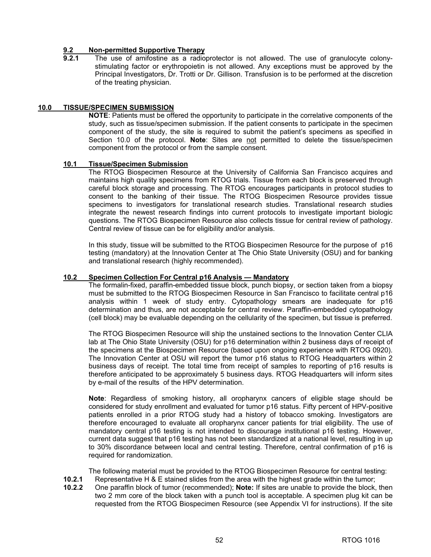# **9.2 Non-permitted Supportive Therapy**

The use of amifostine as a radioprotector is not allowed. The use of granulocyte colonystimulating factor or erythropoietin is not allowed. Any exceptions must be approved by the Principal Investigators, Dr. Trotti or Dr. Gillison. Transfusion is to be performed at the discretion of the treating physician.

### **10.0 TISSUE/SPECIMEN SUBMISSION**

**NOTE**: Patients must be offered the opportunity to participate in the correlative components of the study, such as tissue/specimen submission. If the patient consents to participate in the specimen component of the study, the site is required to submit the patient's specimens as specified in Section 10.0 of the protocol. **Note**: Sites are not permitted to delete the tissue/specimen component from the protocol or from the sample consent.

# **10.1 Tissue/Specimen Submission**

 The RTOG Biospecimen Resource at the University of California San Francisco acquires and maintains high quality specimens from RTOG trials. Tissue from each block is preserved through careful block storage and processing. The RTOG encourages participants in protocol studies to consent to the banking of their tissue. The RTOG Biospecimen Resource provides tissue specimens to investigators for translational research studies. Translational research studies integrate the newest research findings into current protocols to investigate important biologic questions. The RTOG Biospecimen Resource also collects tissue for central review of pathology. Central review of tissue can be for eligibility and/or analysis.

 In this study, tissue will be submitted to the RTOG Biospecimen Resource for the purpose of p16 testing (mandatory) at the Innovation Center at The Ohio State University (OSU) and for banking and translational research (highly recommended).

#### **10.2 Specimen Collection For Central p16 Analysis — Mandatory**

The formalin-fixed, paraffin-embedded tissue block, punch biopsy, or section taken from a biopsy must be submitted to the RTOG Biospecimen Resource in San Francisco to facilitate central p16 analysis within 1 week of study entry. Cytopathology smears are inadequate for p16 determination and thus, are not acceptable for central review. Paraffin-embedded cytopathology (cell block) may be evaluable depending on the cellularity of the specimen, but tissue is preferred.

The RTOG Biospecimen Resource will ship the unstained sections to the Innovation Center CLIA lab at The Ohio State University (OSU) for p16 determination within 2 business days of receipt of the specimens at the Biospecimen Resource (based upon ongoing experience with RTOG 0920). The Innovation Center at OSU will report the tumor p16 status to RTOG Headquarters within 2 business days of receipt. The total time from receipt of samples to reporting of p16 results is therefore anticipated to be approximately 5 business days. RTOG Headquarters will inform sites by e-mail of the results of the HPV determination.

**Note**: Regardless of smoking history, all oropharynx cancers of eligible stage should be considered for study enrollment and evaluated for tumor p16 status. Fifty percent of HPV-positive patients enrolled in a prior RTOG study had a history of tobacco smoking. Investigators are therefore encouraged to evaluate all oropharynx cancer patients for trial eligibility. The use of mandatory central p16 testing is not intended to discourage institutional p16 testing. However, current data suggest that p16 testing has not been standardized at a national level, resulting in up to 30% discordance between local and central testing. Therefore, central confirmation of p16 is required for randomization.

The following material must be provided to the RTOG Biospecimen Resource for central testing:

- **10.2.1** Representative H & E stained slides from the area with the highest grade within the tumor;<br>**10.2.2** One paraffin block of tumor (recommended): **Note:** If sites are unable to provide the block.
- **10.2.2** One paraffin block of tumor (recommended); **Note:** If sites are unable to provide the block, then two 2 mm core of the block taken with a punch tool is acceptable. A specimen plug kit can be requested from the RTOG Biospecimen Resource (see Appendix VI for instructions). If the site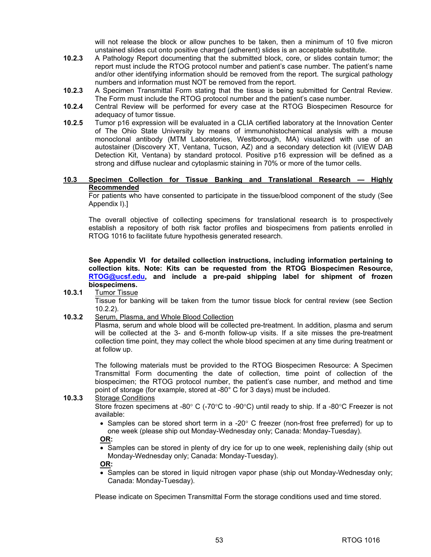will not release the block or allow punches to be taken, then a minimum of 10 five micron unstained slides cut onto positive charged (adherent) slides is an acceptable substitute.

- **10.2.3** A Pathology Report documenting that the submitted block, core, or slides contain tumor; the report must include the RTOG protocol number and patient's case number. The patient's name and/or other identifying information should be removed from the report. The surgical pathology numbers and information must NOT be removed from the report.
- **10.2.3** A Specimen Transmittal Form stating that the tissue is being submitted for Central Review. The Form must include the RTOG protocol number and the patient's case number.
- **10.2.4** Central Review will be performed for every case at the RTOG Biospecimen Resource for adequacy of tumor tissue.
- **10.2.5** Tumor p16 expression will be evaluated in a CLIA certified laboratory at the Innovation Center of The Ohio State University by means of immunohistochemical analysis with a mouse monoclonal antibody (MTM Laboratories, Westborough, MA) visualized with use of an autostainer (Discovery XT, Ventana, Tucson, AZ) and a secondary detection kit (iVIEW DAB Detection Kit, Ventana) by standard protocol. Positive p16 expression will be defined as a strong and diffuse nuclear and cytoplasmic staining in 70% or more of the tumor cells.

#### **10.3 Specimen Collection for Tissue Banking and Translational Research — Highly Recommended**

For patients who have consented to participate in the tissue/blood component of the study (See Appendix I).]

The overall objective of collecting specimens for translational research is to prospectively establish a repository of both risk factor profiles and biospecimens from patients enrolled in RTOG 1016 to facilitate future hypothesis generated research.

**See Appendix VI for detailed collection instructions, including information pertaining to collection kits. Note: Kits can be requested from the RTOG Biospecimen Resource, [RTOG@ucsf.edu,](mailto:RTOG@ucsf.edu) and include a pre-paid shipping label for shipment of frozen biospecimens.** 

**10.3.1** Tumor Tissue

Tissue for banking will be taken from the tumor tissue block for central review (see Section 10.2.2).

**10.3.2** Serum, Plasma, and Whole Blood Collection

Plasma, serum and whole blood will be collected pre-treatment. In addition, plasma and serum will be collected at the 3- and 6-month follow-up visits. If a site misses the pre-treatment collection time point, they may collect the whole blood specimen at any time during treatment or at follow up.

The following materials must be provided to the RTOG Biospecimen Resource: A Specimen Transmittal Form documenting the date of collection, time point of collection of the biospecimen; the RTOG protocol number, the patient's case number, and method and time point of storage (for example, stored at -80° C for 3 days) must be included.

#### **10.3.3** Storage Conditions

Store frozen specimens at -80° C (-70°C to -90°C) until ready to ship. If a -80°C Freezer is not available:

• Samples can be stored short term in a -20 $^{\circ}$  C freezer (non-frost free preferred) for up to one week (please ship out Monday-Wednesday only; Canada: Monday-Tuesday).

**OR:** 

• Samples can be stored in plenty of dry ice for up to one week, replenishing daily (ship out Monday-Wednesday only; Canada: Monday-Tuesday).

**OR:** 

• Samples can be stored in liquid nitrogen vapor phase (ship out Monday-Wednesday only; Canada: Monday-Tuesday).

Please indicate on Specimen Transmittal Form the storage conditions used and time stored.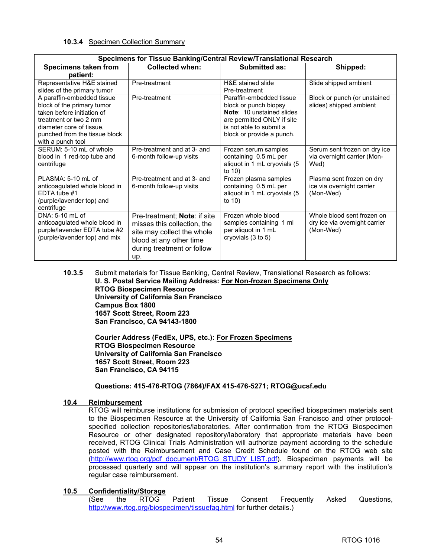## **10.3.4** Specimen Collection Summary

| Specimens for Tissue Banking/Central Review/Translational Research                                                                                                                                |                                                                                                                                                           |                                                                                                                                                                             |                                                                          |  |  |  |
|---------------------------------------------------------------------------------------------------------------------------------------------------------------------------------------------------|-----------------------------------------------------------------------------------------------------------------------------------------------------------|-----------------------------------------------------------------------------------------------------------------------------------------------------------------------------|--------------------------------------------------------------------------|--|--|--|
| Specimens taken from                                                                                                                                                                              | <b>Collected when:</b>                                                                                                                                    | <b>Submitted as:</b>                                                                                                                                                        | Shipped:                                                                 |  |  |  |
| patient:                                                                                                                                                                                          |                                                                                                                                                           |                                                                                                                                                                             |                                                                          |  |  |  |
| Representative H&E stained<br>slides of the primary tumor                                                                                                                                         | Pre-treatment                                                                                                                                             | H&E stained slide<br>Pre-treatment                                                                                                                                          | Slide shipped ambient                                                    |  |  |  |
| A paraffin-embedded tissue<br>block of the primary tumor<br>taken before initiation of<br>treatment or two 2 mm<br>diameter core of tissue.<br>punched from the tissue block<br>with a punch tool | Pre-treatment                                                                                                                                             | Paraffin-embedded tissue<br>block or punch biopsy<br><b>Note: 10 unstained slides</b><br>are permitted ONLY if site<br>is not able to submit a<br>block or provide a punch. | Block or punch (or unstained<br>slides) shipped ambient                  |  |  |  |
| SERUM: 5-10 mL of whole<br>blood in 1 red-top tube and<br>centrifuge                                                                                                                              | Pre-treatment and at 3- and<br>6-month follow-up visits                                                                                                   | Frozen serum samples<br>containing 0.5 mL per<br>aliquot in 1 mL cryovials (5<br>to $10$ )                                                                                  | Serum sent frozen on dry ice<br>via overnight carrier (Mon-<br>Wed)      |  |  |  |
| PLASMA: 5-10 mL of<br>anticoagulated whole blood in<br>EDTA tube #1<br>(purple/lavender top) and<br>centrifuge                                                                                    | Pre-treatment and at 3- and<br>6-month follow-up visits                                                                                                   | Frozen plasma samples<br>containing 0.5 mL per<br>aliquot in 1 mL cryovials (5<br>to $10$ )                                                                                 | Plasma sent frozen on dry<br>ice via overnight carrier<br>(Mon-Wed)      |  |  |  |
| DNA: 5-10 mL of<br>anticoagulated whole blood in<br>purple/lavender EDTA tube #2<br>(purple/lavender top) and mix                                                                                 | Pre-treatment; Note: if site<br>misses this collection, the<br>site may collect the whole<br>blood at any other time<br>during treatment or follow<br>up. | Frozen whole blood<br>samples containing 1 ml<br>per aliquot in 1 mL<br>cryovials (3 to 5)                                                                                  | Whole blood sent frozen on<br>dry ice via overnight carrier<br>(Mon-Wed) |  |  |  |

**10.3.5** Submit materials for Tissue Banking, Central Review, Translational Research as follows: **U. S. Postal Service Mailing Address: For Non-frozen Specimens Only RTOG Biospecimen Resource University of California San Francisco Campus Box 1800 1657 Scott Street, Room 223 San Francisco, CA 94143-1800** 

> **Courier Address (FedEx, UPS, etc.): For Frozen Specimens RTOG Biospecimen Resource University of California San Francisco 1657 Scott Street, Room 223 San Francisco, CA 94115**

# **Questions: 415-476-RTOG (7864)/FAX 415-476-5271; [RTOG@ucsf.edu](mailto:RTOG@ucsf.edu)**

# **10.4 Reimbursement**

 RTOG will reimburse institutions for submission of protocol specified biospecimen materials sent to the Biospecimen Resource at the University of California San Francisco and other protocolspecified collection repositories/laboratories. After confirmation from the RTOG Biospecimen Resource or other designated repository/laboratory that appropriate materials have been received, RTOG Clinical Trials Administration will authorize payment according to the schedule posted with the Reimbursement and Case Credit Schedule found on the RTOG web site [\(http://www.rtog.org/pdf\\_document/RTOG\\_STUDY\\_LIST.pdf\). B](http://www.rtog.org/pdf_document/RTOG_STUDY_LIST.pdf)iospecimen payments will be processed quarterly and will appear on the institution's summary report with the institution's regular case reimbursement.

# **10.5 Confidentiality/Storage**

 (See the RTOG Patient Tissue Consent Frequently Asked Questions, [http://www.rtog.org/biospecimen/tissuefaq.html fo](http://www.rtog.org/biospecimen/tissuefaq.html)r further details.)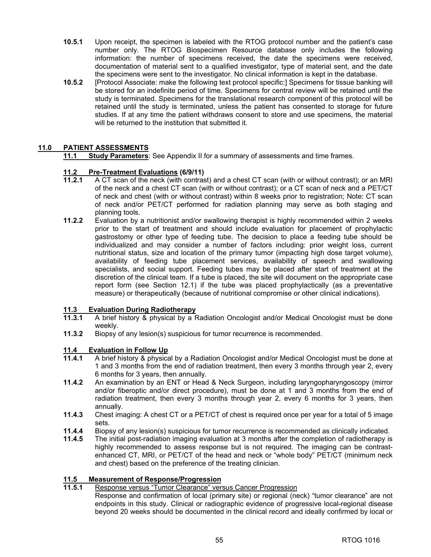- **10.5.1** Upon receipt, the specimen is labeled with the RTOG protocol number and the patient's case number only. The RTOG Biospecimen Resource database only includes the following information: the number of specimens received, the date the specimens were received, documentation of material sent to a qualified investigator, type of material sent, and the date the specimens were sent to the investigator. No clinical information is kept in the database.
- **10.5.2** [Protocol Associate: make the following text protocol specific:] Specimens for tissue banking will be stored for an indefinite period of time. Specimens for central review will be retained until the study is terminated. Specimens for the translational research component of this protocol will be retained until the study is terminated, unless the patient has consented to storage for future studies. If at any time the patient withdraws consent to store and use specimens, the material will be returned to the institution that submitted it.

# **11.0 PATIENT ASSESSMENTS**

 **11.1 Study Parameters**: See Appendix II for a summary of assessments and time frames.

# **11.2 Pre-Treatment Evaluations (6/9/11)**

- **11.2.1** A CT scan of the neck (with contrast) and a chest CT scan (with or without contrast); or an MRI of the neck and a chest CT scan (with or without contrast); or a CT scan of neck and a PET/CT of neck and chest (with or without contrast) within 8 weeks prior to registration; Note: CT scan of neck and/or PET/CT performed for radiation planning may serve as both staging and planning tools.
- **11.2.2** Evaluation by a nutritionist and/or swallowing therapist is highly recommended within 2 weeks prior to the start of treatment and should include evaluation for placement of prophylactic gastrostomy or other type of feeding tube. The decision to place a feeding tube should be individualized and may consider a number of factors including: prior weight loss, current nutritional status, size and location of the primary tumor (impacting high dose target volume), availability of feeding tube placement services, availability of speech and swallowing specialists, and social support. Feeding tubes may be placed after start of treatment at the discretion of the clinical team. If a tube is placed, the site will document on the appropriate case report form (see Section 12.1) if the tube was placed prophylactically (as a preventative measure) or therapeutically (because of nutritional compromise or other clinical indications).

#### **11.3 Evaluation During Radiotherapy**

- **11.3.1** A brief history & physical by a Radiation Oncologist and/or Medical Oncologist must be done weekly.
- **11.3.2** Biopsy of any lesion(s) suspicious for tumor recurrence is recommended.

#### **11.4 Evaluation in Follow Up**

- **11.4.1** A brief history & physical by a Radiation Oncologist and/or Medical Oncologist must be done at 1 and 3 months from the end of radiation treatment, then every 3 months through year 2, every 6 months for 3 years, then annually.
- **11.4.2** An examination by an ENT or Head & Neck Surgeon, including laryngopharyngoscopy (mirror and/or fiberoptic and/or direct procedure), must be done at 1 and 3 months from the end of radiation treatment, then every 3 months through year 2, every 6 months for 3 years, then annually.
- **11.4.3** Chest imaging: A chest CT or a PET/CT of chest is required once per year for a total of 5 image sets.
- **11.4.4** Biopsy of any lesion(s) suspicious for tumor recurrence is recommended as clinically indicated.
- **11.4.5** The initial post-radiation imaging evaluation at 3 months after the completion of radiotherapy is highly recommended to assess response but is not required. The imaging can be contrastenhanced CT, MRI, or PET/CT of the head and neck or "whole body" PET/CT (minimum neck and chest) based on the preference of the treating clinician.

# **11.5 Measurement of Response/Progression**

- **Response versus "Tumor Clearance" versus Cancer Progression** 
	- Response and confirmation of local (primary site) or regional (neck) "tumor clearance" are not endpoints in this study. Clinical or radiographic evidence of progressive local-regional disease beyond 20 weeks should be documented in the clinical record and ideally confirmed by local or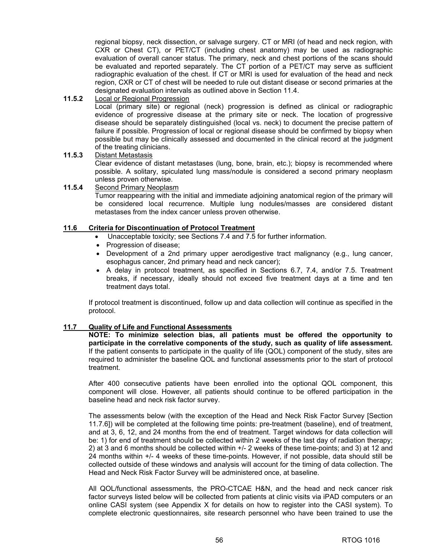regional biopsy, neck dissection, or salvage surgery. CT or MRI (of head and neck region, with CXR or Chest CT), or PET/CT (including chest anatomy) may be used as radiographic evaluation of overall cancer status. The primary, neck and chest portions of the scans should be evaluated and reported separately. The CT portion of a PET/CT may serve as sufficient radiographic evaluation of the chest. If CT or MRI is used for evaluation of the head and neck region, CXR or CT of chest will be needed to rule out distant disease or second primaries at the designated evaluation intervals as outlined above in Section 11.4.

### **11.5.2** Local or Regional Progression

Local (primary site) or regional (neck) progression is defined as clinical or radiographic evidence of progressive disease at the primary site or neck. The location of progressive disease should be separately distinguished (local vs. neck) to document the precise pattern of failure if possible. Progression of local or regional disease should be confirmed by biopsy when possible but may be clinically assessed and documented in the clinical record at the judgment of the treating clinicians.

# **11.5.3** Distant Metastasis Clear evidence of distant metastases (lung, bone, brain, etc.); biopsy is recommended where possible. A solitary, spiculated lung mass/nodule is considered a second primary neoplasm unless proven otherwise.

#### **11.5.4** Second Primary Neoplasm

Tumor reappearing with the initial and immediate adjoining anatomical region of the primary will be considered local recurrence. Multiple lung nodules/masses are considered distant metastases from the index cancer unless proven otherwise.

# **11.6 Criteria for Discontinuation of Protocol Treatment**

- Unacceptable toxicity; see Sections 7.4 and 7.5 for further information.
- Progression of disease:
- Development of a 2nd primary upper aerodigestive tract malignancy (e.g., lung cancer, esophagus cancer, 2nd primary head and neck cancer);
- A delay in protocol treatment, as specified in Sections 6.7, 7.4, and/or 7.5. Treatment breaks, if necessary, ideally should not exceed five treatment days at a time and ten treatment days total.

If protocol treatment is discontinued, follow up and data collection will continue as specified in the protocol.

#### **11.7 Quality of Life and Functional Assessments**

**NOTE: To minimize selection bias, all patients must be offered the opportunity to participate in the correlative components of the study, such as quality of life assessment.**  If the patient consents to participate in the quality of life (QOL) component of the study, sites are required to administer the baseline QOL and functional assessments prior to the start of protocol treatment.

 After 400 consecutive patients have been enrolled into the optional QOL component, this component will close. However, all patients should continue to be offered participation in the baseline head and neck risk factor survey.

 The assessments below (with the exception of the Head and Neck Risk Factor Survey [Section 11.7.6]) will be completed at the following time points: pre-treatment (baseline), end of treatment, and at 3, 6, 12, and 24 months from the end of treatment. Target windows for data collection will be: 1) for end of treatment should be collected within 2 weeks of the last day of radiation therapy; 2) at 3 and 6 months should be collected within +/- 2 weeks of these time-points; and 3) at 12 and 24 months within +/- 4 weeks of these time-points. However, if not possible, data should still be collected outside of these windows and analysis will account for the timing of data collection. The Head and Neck Risk Factor Survey will be administered once, at baseline.

All QOL/functional assessments, the PRO-CTCAE H&N, and the head and neck cancer risk factor surveys listed below will be collected from patients at clinic visits via iPAD computers or an online CASI system (see Appendix X for details on how to register into the CASI system). To complete electronic questionnaires, site research personnel who have been trained to use the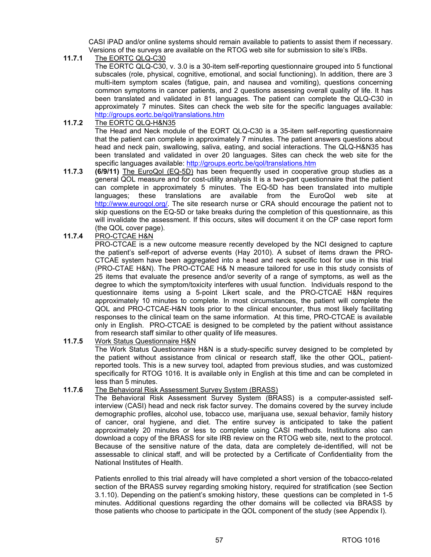CASI iPAD and/or online systems should remain available to patients to assist them if necessary. Versions of the surveys are available on the RTOG web site for submission to site's IRBs.

**11.7.1** The EORTC QLQ-C30

 The EORTC QLQ-C30, v. 3.0 is a 30-item self-reporting questionnaire grouped into 5 functional subscales (role, physical, cognitive, emotional, and social functioning). In addition, there are 3 multi-item symptom scales (fatigue, pain, and nausea and vomiting), questions concerning common symptoms in cancer patients, and 2 questions assessing overall quality of life. It has been translated and validated in 81 languages. The patient can complete the QLQ-C30 in approximately 7 minutes. Sites can check the web site for the specific languages available: <http://groups.eortc.be/qol/translations.htm>

**11.7.2** The EORTC QLQ-H&N35

 The Head and Neck module of the EORT QLQ-C30 is a 35-item self-reporting questionnaire that the patient can complete in approximately 7 minutes. The patient answers questions about head and neck pain, swallowing, saliva, eating, and social interactions. The QLQ-H&N35 has been translated and validated in over 20 languages. Sites can check the web site for the specific languages available:<http://groups.eortc.be/qol/translations.htm>

- **11.7.3 (6/9/11)** The EuroQol (EQ-5D) has been frequently used in cooperative group studies as a general QOL measure and for cost-utility analysis It is a two-part questionnaire that the patient can complete in approximately 5 minutes. The EQ-5D has been translated into multiple languages; these translations are available from the EuroQol web site at [http://www.euroqol.org/. Th](http://www.euroqol.org)e site research nurse or CRA should encourage the patient not to skip questions on the EQ-5D or take breaks during the completion of this questionnaire, as this will invalidate the assessment. If this occurs, sites will document it on the CP case report form (the QOL cover page).
- **11.7.4** PRO-CTCAE H&N

PRO-CTCAE is a new outcome measure recently developed by the NCI designed to capture the patient's self-report of adverse events (Hay 2010). A subset of items drawn the PRO-CTCAE system have been aggregated into a head and neck specific tool for use in this trial (PRO-CTAE H&N). The PRO-CTCAE H& N measure tailored for use in this study consists of 25 items that evaluate the presence and/or severity of a range of symptoms, as well as the degree to which the symptom/toxicity interferes with usual function. Individuals respond to the questionnaire items using a 5-point Likert scale, and the PRO-CTCAE H&N requires approximately 10 minutes to complete. In most circumstances, the patient will complete the QOL and PRO-CTCAE-H&N tools prior to the clinical encounter, thus most likely facilitating responses to the clinical team on the same information. At this time, PRO-CTCAE is available only in English. PRO-CTCAE is designed to be completed by the patient without assistance from research staff similar to other quality of life measures.

**11.7.5** Work Status Questionnaire H&N

 The Work Status Questionnaire H&N is a study-specific survey designed to be completed by the patient without assistance from clinical or research staff, like the other QOL, patientreported tools. This is a new survey tool, adapted from previous studies, and was customized specifically for RTOG 1016. It is available only in English at this time and can be completed in less than 5 minutes.

# **11.7.6** The Behavioral Risk Assessment Survey System (BRASS)

The Behavioral Risk Assessment Survey System (BRASS) is a computer-assisted selfinterview (CASI) head and neck risk factor survey. The domains covered by the survey include demographic profiles, alcohol use, tobacco use, marijuana use, sexual behavior, family history of cancer, oral hygiene, and diet. The entire survey is anticipated to take the patient approximately 20 minutes or less to complete using CASI methods. Institutions also can download a copy of the BRASS for site IRB review on the RTOG web site, next to the protocol. Because of the sensitive nature of the data, data are completely de-identified, will not be assessable to clinical staff, and will be protected by a Certificate of Confidentiality from the National Institutes of Health.

Patients enrolled to this trial already will have completed a short version of the tobacco-related section of the BRASS survey regarding smoking history, required for stratification (see Section 3.1.10). Depending on the patient's smoking history, these questions can be completed in 1-5 minutes. Additional questions regarding the other domains will be collected via BRASS by those patients who choose to participate in the QOL component of the study (see Appendix I).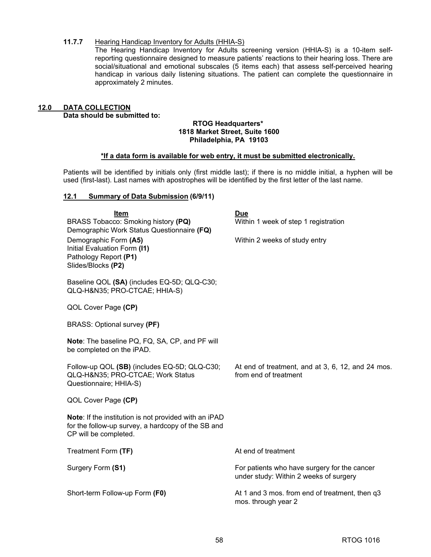## **11.7.7 Hearing Handicap Inventory for Adults (HHIA-S)**

The Hearing Handicap Inventory for Adults screening version (HHIA-S) is a 10-item selfreporting questionnaire designed to measure patients' reactions to their hearing loss. There are social/situational and emotional subscales (5 items each) that assess self-perceived hearing handicap in various daily listening situations. The patient can complete the questionnaire in approximately 2 minutes.

# **12.0 DATA COLLECTION Data should be submitted to:**

#### **RTOG Headquarters\* 1818 Market Street, Suite 1600 Philadelphia, PA 19103**

# **\*If a data form is available for web entry, it must be submitted electronically.**

Patients will be identified by initials only (first middle last); if there is no middle initial, a hyphen will be used (first-last). Last names with apostrophes will be identified by the first letter of the last name.

#### **12.1 Summary of Data Submission (6/9/11)**

| Item                                                                             | Due                                                                                    |
|----------------------------------------------------------------------------------|----------------------------------------------------------------------------------------|
| BRASS Tobacco: Smoking history (PQ)                                              | Within 1 week of step 1 registration                                                   |
| Demographic Work Status Questionnaire (FQ)                                       |                                                                                        |
| Demographic Form (A5)<br>Initial Evaluation Form (I1)                            | Within 2 weeks of study entry                                                          |
| Pathology Report (P1)                                                            |                                                                                        |
| Slides/Blocks (P2)                                                               |                                                                                        |
| Baseline QOL (SA) (includes EQ-5D; QLQ-C30;<br>QLQ-H&N35 PRO-CTCAE; HHIA-S)      |                                                                                        |
| QOL Cover Page (CP)                                                              |                                                                                        |
| BRASS: Optional survey (PF)                                                      |                                                                                        |
| Note: The baseline PQ, FQ, SA, CP, and PF will<br>be completed on the iPAD.      |                                                                                        |
|                                                                                  |                                                                                        |
| Follow-up QOL (SB) (includes EQ-5D; QLQ-C30;<br>QLQ-H&N35 PRO-CTCAE; Work Status | At end of treatment, and at 3, 6, 12, and 24 mos.<br>from end of treatment             |
| Questionnaire; HHIA-S)                                                           |                                                                                        |
| QOL Cover Page (CP)                                                              |                                                                                        |
| Note: If the institution is not provided with an iPAD                            |                                                                                        |
| for the follow-up survey, a hardcopy of the SB and                               |                                                                                        |
| CP will be completed.                                                            |                                                                                        |
| Treatment Form (TF)                                                              | At end of treatment                                                                    |
| Surgery Form (S1)                                                                | For patients who have surgery for the cancer<br>under study: Within 2 weeks of surgery |
|                                                                                  |                                                                                        |
| Short-term Follow-up Form (F0)                                                   | At 1 and 3 mos. from end of treatment, then q3<br>mos. through year 2                  |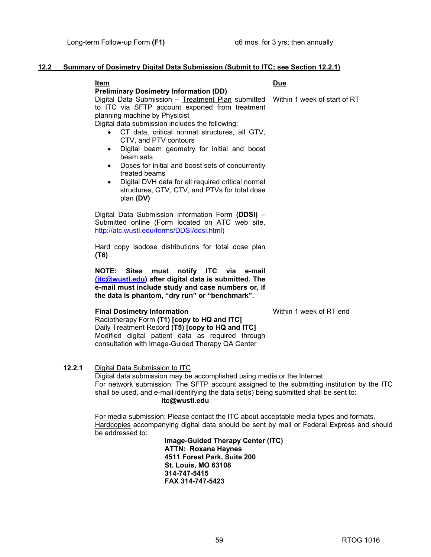# **12.2 Summary of Dosimetry Digital Data Submission (Submit to ITC; see Section 12.2.1)**

#### **Item Due**

**Preliminary Dosimetry Information (DD)** 

Digital Data Submission – Treatment Plan submitted to ITC via SFTP account exported from treatment planning machine by Physicist

Digital data submission includes the following:

- CT data, critical normal structures, all GTV, CTV, and PTV contours
- Digital beam geometry for initial and boost beam sets
- Doses for initial and boost sets of concurrently treated beams
- Digital DVH data for all required critical normal structures, GTV, CTV, and PTVs for total dose plan **(DV)**

Digital Data Submission Information Form **(DDSI)** – Submitted online (Form located on ATC web site, [http://atc.wustl.edu/forms/DDSI/ddsi.html\)](http://atc.wustl.edu/forms/DDSI/ddsi.html)

Hard copy isodose distributions for total dose plan **(T6)** 

**NOTE: Sites must notify ITC via e-mail [\(itc@wustl.edu\)](mailto:itc@wustl.edu) after digital data is submitted. The e-mail must include study and case numbers or, if the data is phantom, "dry run" or "benchmark".** 

#### **Final Dosimetry Information Within 1 week of RT end**

Radiotherapy Form **(T1) [copy to HQ and ITC]** Daily Treatment Record **(T5) [copy to HQ and ITC]**  Modified digital patient data as required through consultation with Image-Guided Therapy QA Center

#### **12.2.1** Digital Data Submission to ITC

Digital data submission may be accomplished using media or the Internet. For network submission: The SFTP account assigned to the submitting institution by the ITC shall be used, and e-mail identifying the data set(s) being submitted shall be sent to: **[itc@wustl.edu](mailto:itc@wustl.edu)** 

For media submission: Please contact the ITC about acceptable media types and formats. Hardcopies accompanying digital data should be sent by mail or Federal Express and should be addressed to:

> **Image-Guided Therapy Center (ITC) ATTN: Roxana Haynes 4511 Forest Park, Suite 200 St. Louis, MO 63108 314-747-5415 FAX 314-747-5423**

Within 1 week of start of RT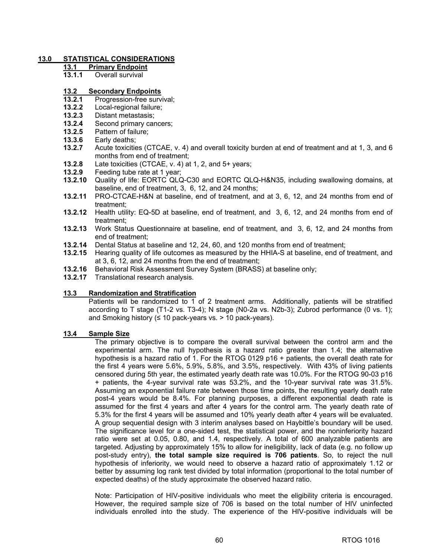# **13.0 STATISTICAL CONSIDERATIONS**

- **13.1 Primary Endpoint**
- **13.1.1** Overall survival

### **13.2 Secondary Endpoints**

- **13.2.1** Progression-free survival;
- **13.2.2** Local-regional failure;
- **13.2.3** Distant metastasis;
- **13.2.4** Second primary cancers;
- **13.2.5** Pattern of failure;
- **13.3.6** Early deaths;
- Acute toxicities (CTCAE, v. 4) and overall toxicity burden at end of treatment and at 1, 3, and 6 months from end of treatment;
- **13.2.8** Late toxicities (CTCAE, v. 4) at 1, 2, and 5+ years;
- **13.2.9** Feeding tube rate at 1 year;
- **13.2.10** Quality of life: EORTC QLQ-C30 and EORTC QLQ-H&N35, including swallowing domains, at baseline, end of treatment, 3, 6, 12, and 24 months;
- **13.2.11** PRO-CTCAE-H&N at baseline, end of treatment, and at 3, 6, 12, and 24 months from end of treatment;
- **13.2.12** Health utility: EQ-5D at baseline, end of treatment, and 3, 6, 12, and 24 months from end of treatment;
- **13.2.13** Work Status Questionnaire at baseline, end of treatment, and 3, 6, 12, and 24 months from end of treatment;
- **13.2.14** Dental Status at baseline and 12, 24, 60, and 120 months from end of treatment;
- **13.2.15** Hearing quality of life outcomes as measured by the HHIA-S at baseline, end of treatment, and at 3, 6, 12, and 24 months from the end of treatment;
- **13.2.16** Behavioral Risk Assessment Survey System (BRASS) at baseline only;
- **13.2.17** Translational research analysis.

# **13.3 Randomization and Stratification**

Patients will be randomized to 1 of 2 treatment arms. Additionally, patients will be stratified according to T stage (T1-2 vs. T3-4); N stage (N0-2a vs. N2b-3); Zubrod performance (0 vs. 1); and Smoking history ( $\leq 10$  pack-years vs. > 10 pack-years).

#### **13.4 Sample Size**

The primary objective is to compare the overall survival between the control arm and the experimental arm. The null hypothesis is a hazard ratio greater than 1.4; the alternative hypothesis is a hazard ratio of 1. For the RTOG 0129 p16 + patients, the overall death rate for the first 4 years were 5.6%, 5.9%, 5.8%, and 3.5%, respectively. With 43% of living patients censored during 5th year, the estimated yearly death rate was 10.0%. For the RTOG 90-03 p16 + patients, the 4-year survival rate was 53.2%, and the 10-year survival rate was 31.5%. Assuming an exponential failure rate between those time points, the resulting yearly death rate post-4 years would be 8.4%. For planning purposes, a different exponential death rate is assumed for the first 4 years and after 4 years for the control arm. The yearly death rate of 5.3% for the first 4 years will be assumed and 10% yearly death after 4 years will be evaluated. A group sequential design with 3 interim analyses based on Haybittle's boundary will be used. The significance level for a one-sided test, the statistical power, and the noninferiority hazard ratio were set at 0.05, 0.80, and 1.4, respectively. A total of 600 analyzable patients are targeted. Adjusting by approximately 15% to allow for ineligibility, lack of data (e.g. no follow up post-study entry), **the total sample size required is 706 patients**. So, to reject the null hypothesis of inferiority, we would need to observe a hazard ratio of approximately 1.12 or better by assuming log rank test divided by total information (proportional to the total number of expected deaths) of the study approximate the observed hazard ratio.

Note: Participation of HIV-positive individuals who meet the eligibility criteria is encouraged. However, the required sample size of 706 is based on the total number of HIV uninfected individuals enrolled into the study. The experience of the HIV-positive individuals will be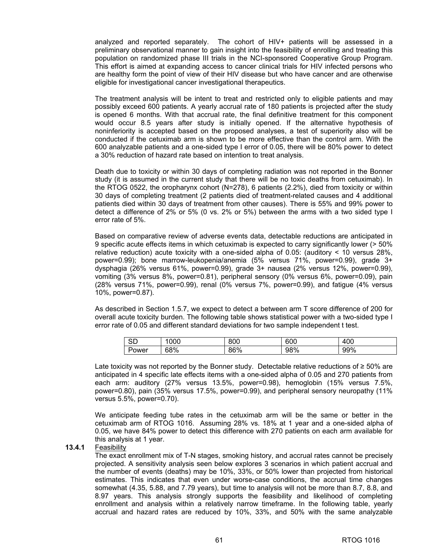analyzed and reported separately. The cohort of HIV+ patients will be assessed in a preliminary observational manner to gain insight into the feasibility of enrolling and treating this population on randomized phase III trials in the NCI-sponsored Cooperative Group Program. This effort is aimed at expanding access to cancer clinical trials for HIV infected persons who are healthy form the point of view of their HIV disease but who have cancer and are otherwise eligible for investigational cancer investigational therapeutics.

The treatment analysis will be intent to treat and restricted only to eligible patients and may possibly exceed 600 patients. A yearly accrual rate of 180 patients is projected after the study is opened 6 months. With that accrual rate, the final definitive treatment for this component would occur 8.5 years after study is initially opened. If the alternative hypothesis of noninferiority is accepted based on the proposed analyses, a test of superiority also will be conducted if the cetuximab arm is shown to be more effective than the control arm. With the 600 analyzable patients and a one-sided type I error of 0.05, there will be 80% power to detect a 30% reduction of hazard rate based on intention to treat analysis.

Death due to toxicity or within 30 days of completing radiation was not reported in the Bonner study (it is assumed in the current study that there will be no toxic deaths from cetuximab). In the RTOG 0522, the oropharynx cohort (N=278), 6 patients (2.2%), died from toxicity or within 30 days of completing treatment (2 patients died of treatment-related causes and 4 additional patients died within 30 days of treatment from other causes). There is 55% and 99% power to detect a difference of 2% or 5% (0 vs. 2% or 5%) between the arms with a two sided type I error rate of 5%.

Based on comparative review of adverse events data, detectable reductions are anticipated in 9 specific acute effects items in which cetuximab is expected to carry significantly lower (> 50% relative reduction) acute toxicity with a one-sided alpha of 0.05: (auditory < 10 versus 28%, power=0.99); bone marrow-leukopenia/anemia (5% versus 71%, power=0.99), grade 3+ dysphagia (26% versus 61%, power=0.99), grade 3+ nausea (2% versus 12%, power=0.99), vomiting (3% versus 8%, power=0.81), peripheral sensory (0% versus 6%, power=0.09), pain (28% versus 71%, power=0.99), renal (0% versus 7%, power=0.99), and fatigue (4% versus 10%, power=0.87).

As described in Section 1.5.7, we expect to detect a between arm T score difference of 200 for overall acute toxicity burden. The following table shows statistical power with a two-sided type I error rate of 0.05 and different standard deviations for two sample independent t test.

| $\sim$<br>ىات | 000 | 800 | 600 | 400 |
|---------------|-----|-----|-----|-----|
| Power         | 68% | 86% | 98% | 99% |

Late toxicity was not reported by the Bonner study. Detectable relative reductions of ≥ 50% are anticipated in 4 specific late effects items with a one-sided alpha of 0.05 and 270 patients from each arm: auditory (27% versus 13.5%, power=0.98), hemoglobin (15% versus 7.5%, power=0.80), pain (35% versus 17.5%, power=0.99), and peripheral sensory neuropathy (11% versus 5.5%, power=0.70).

We anticipate feeding tube rates in the cetuximab arm will be the same or better in the cetuximab arm of RTOG 1016. Assuming 28% vs. 18% at 1 year and a one-sided alpha of 0.05, we have 84% power to detect this difference with 270 patients on each arm available for this analysis at 1 year.

**13.4.1** Feasibility

The exact enrollment mix of T-N stages, smoking history, and accrual rates cannot be precisely projected. A sensitivity analysis seen below explores 3 scenarios in which patient accrual and the number of events (deaths) may be 10%, 33%, or 50% lower than projected from historical estimates. This indicates that even under worse-case conditions, the accrual time changes somewhat (4.35, 5.88, and 7.79 years), but time to analysis will not be more than 8.7, 8.8, and 8.97 years. This analysis strongly supports the feasibility and likelihood of completing enrollment and analysis within a relatively narrow timeframe. In the following table, yearly accrual and hazard rates are reduced by 10%, 33%, and 50% with the same analyzable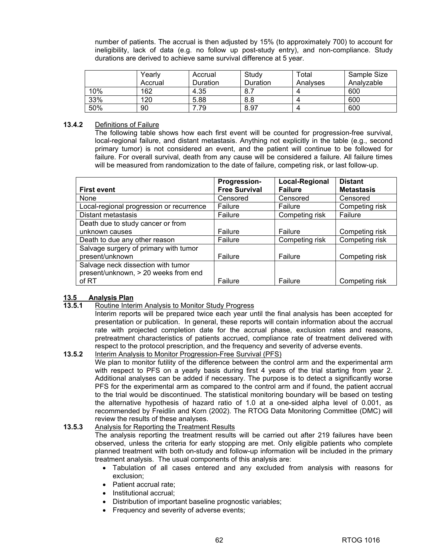number of patients. The accrual is then adjusted by 15% (to approximately 700) to account for ineligibility, lack of data (e.g. no follow up post-study entry), and non-compliance. Study durations are derived to achieve same survival difference at 5 year.

|     | Yearlv  | Accrual  | Study           | ™otal    | Sample Size |
|-----|---------|----------|-----------------|----------|-------------|
|     | Accrual | Duration | <b>Duration</b> | Analyses | Analyzable  |
| 10% | 162     | 4.35     | 8.5             |          | 600         |
| 33% | 120     | 5.88     | 8.8             |          | 600         |
| 50% | 90      | .79      | 8.97            |          | 600         |

### **13.4.2** Definitions of Failure

The following table shows how each first event will be counted for progression-free survival, local-regional failure, and distant metastasis. Anything not explicitly in the table (e.g., second primary tumor) is not considered an event, and the patient will continue to be followed for failure. For overall survival, death from any cause will be considered a failure. All failure times will be measured from randomization to the date of failure, competing risk, or last follow-up.

|                                          | Progression-         | <b>Local-Regional</b> | <b>Distant</b>    |
|------------------------------------------|----------------------|-----------------------|-------------------|
| <b>First event</b>                       | <b>Free Survival</b> | <b>Failure</b>        | <b>Metastasis</b> |
| None                                     | Censored             | Censored              | Censored          |
| Local-regional progression or recurrence | Failure              | Failure               | Competing risk    |
| Distant metastasis                       | Failure              | Competing risk        | Failure           |
| Death due to study cancer or from        |                      |                       |                   |
| unknown causes                           | Failure              | Failure               | Competing risk    |
| Death to due any other reason            | Failure              | Competing risk        | Competing risk    |
| Salvage surgery of primary with tumor    |                      |                       |                   |
| present/unknown                          | Failure              | Failure               | Competing risk    |
| Salvage neck dissection with tumor       |                      |                       |                   |
| present/unknown, > 20 weeks from end     |                      |                       |                   |
| of RT                                    | Failure              | Failure               | Competing risk    |

# **13.5 Analysis Plan**

**13.5.1** Routine Interim Analysis to Monitor Study Progress

Interim reports will be prepared twice each year until the final analysis has been accepted for presentation or publication. In general, these reports will contain information about the accrual rate with projected completion date for the accrual phase, exclusion rates and reasons, pretreatment characteristics of patients accrued, compliance rate of treatment delivered with respect to the protocol prescription, and the frequency and severity of adverse events.

**13.5.2** Interim Analysis to Monitor Progression-Free Survival (PFS)

We plan to monitor futility of the difference between the control arm and the experimental arm with respect to PFS on a yearly basis during first 4 years of the trial starting from year 2. Additional analyses can be added if necessary. The purpose is to detect a significantly worse PFS for the experimental arm as compared to the control arm and if found, the patient accrual to the trial would be discontinued. The statistical monitoring boundary will be based on testing the alternative hypothesis of hazard ratio of 1.0 at a one-sided alpha level of 0.001, as recommended by Freidlin and Korn (2002). The RTOG Data Monitoring Committee (DMC) will review the results of these analyses.

### **13.5.3** Analysis for Reporting the Treatment Results

The analysis reporting the treatment results will be carried out after 219 failures have been observed, unless the criteria for early stopping are met. Only eligible patients who complete planned treatment with both on-study and follow-up information will be included in the primary treatment analysis. The usual components of this analysis are:

- Tabulation of all cases entered and any excluded from analysis with reasons for exclusion;
- Patient accrual rate;
- Institutional accrual;
- Distribution of important baseline prognostic variables;
- Frequency and severity of adverse events;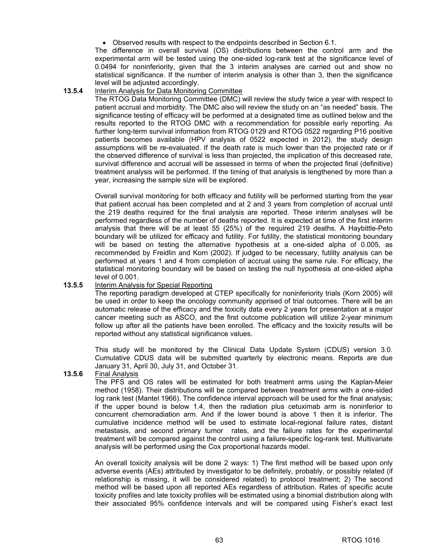• Observed results with respect to the endpoints described in Section 6.1.

The difference in overall survival (OS) distributions between the control arm and the experimental arm will be tested using the one-sided log-rank test at the significance level of 0.0494 for noninferiority, given that the 3 interim analyses are carried out and show no statistical significance. If the number of interim analysis is other than 3, then the significance level will be adjusted accordingly.

## **13.5.4** Interim Analysis for Data Monitoring Committee

The RTOG Data Monitoring Committee (DMC) will review the study twice a year with respect to patient accrual and morbidity. The DMC also will review the study on an "as needed" basis. The significance testing of efficacy will be performed at a designated time as outlined below and the results reported to the RTOG DMC with a recommendation for possible early reporting. As further long-term survival information from RTOG 0129 and RTOG 0522 regarding P16 positive patients becomes available (HPV analysis of 0522 expected in 2012), the study design assumptions will be re-evaluated. If the death rate is much lower than the projected rate or if the observed difference of survival is less than projected, the implication of this decreased rate, survival difference and accrual will be assessed in terms of when the projected final (definitive) treatment analysis will be performed. If the timing of that analysis is lengthened by more than a year, increasing the sample size will be explored.

Overall survival monitoring for both efficacy and futility will be performed starting from the year that patient accrual has been completed and at 2 and 3 years from completion of accrual until the 219 deaths required for the final analysis are reported. These interim analyses will be performed regardless of the number of deaths reported. It is expected at time of the first interim analysis that there will be at least 55 (25%) of the required 219 deaths. A Haybittle-Peto boundary will be utilized for efficacy and futility. For futility, the statistical monitoring boundary will be based on testing the alternative hypothesis at a one-sided alpha of 0.005, as recommended by Freidlin and Korn (2002). If judged to be necessary, futility analysis can be performed at years 1 and 4 from completion of accrual using the same rule. For efficacy, the statistical monitoring boundary will be based on testing the null hypothesis at one-sided alpha level of 0.001.

### **13.5.5** Interim Analysis for Special Reporting

The reporting paradigm developed at CTEP specifically for noninferiority trials (Korn 2005) will be used in order to keep the oncology community apprised of trial outcomes. There will be an automatic release of the efficacy and the toxicity data every 2 years for presentation at a major cancer meeting such as ASCO, and the first outcome publication will utilize 2-year minimum follow up after all the patients have been enrolled. The efficacy and the toxicity results will be reported without any statistical significance values.

This study will be monitored by the Clinical Data Update System (CDUS) version 3.0. Cumulative CDUS data will be submitted quarterly by electronic means. Reports are due January 31, April 30, July 31, and October 31.

### **13.5.6** Final Analysis

The PFS and OS rates will be estimated for both treatment arms using the Kaplan-Meier method (1958). Their distributions will be compared between treatment arms with a one-sided log rank test (Mantel 1966). The confidence interval approach will be used for the final analysis; if the upper bound is below 1.4, then the radiation plus cetuximab arm is noninferior to concurrent chemoradiation arm. And if the lower bound is above 1 then it is inferior. The cumulative incidence method will be used to estimate local-regional failure rates, distant metastasis, and second primary tumor rates, and the failure rates for the experimental treatment will be compared against the control using a failure-specific log-rank test. Multivariate analysis will be performed using the Cox proportional hazards model.

An overall toxicity analysis will be done 2 ways: 1) The first method will be based upon only adverse events (AEs) attributed by investigator to be definitely, probably, or possibly related (if relationship is missing, it will be considered related) to protocol treatment; 2) The second method will be based upon all reported AEs regardless of attribution. Rates of specific acute toxicity profiles and late toxicity profiles will be estimated using a binomial distribution along with their associated 95% confidence intervals and will be compared using Fisher's exact test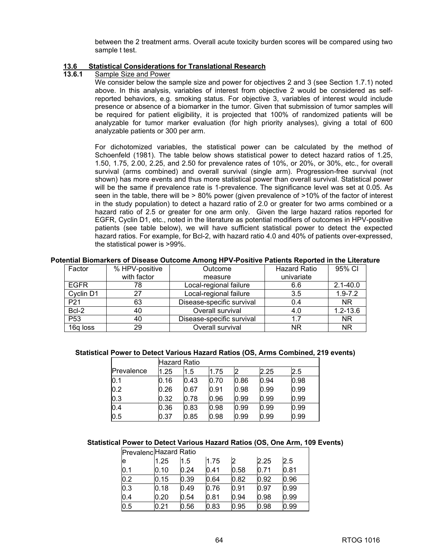between the 2 treatment arms. Overall acute toxicity burden scores will be compared using two sample t test.

# **13.6 Statistical Considerations for Translational Research**

### **13.6.1** Sample Size and Power

We consider below the sample size and power for objectives 2 and 3 (see Section 1.7.1) noted above. In this analysis, variables of interest from objective 2 would be considered as selfreported behaviors, e.g. smoking status. For objective 3, variables of interest would include presence or absence of a biomarker in the tumor. Given that submission of tumor samples will be required for patient eligibility, it is projected that 100% of randomized patients will be analyzable for tumor marker evaluation (for high priority analyses), giving a total of 600 analyzable patients or 300 per arm.

For dichotomized variables, the statistical power can be calculated by the method of Schoenfeld (1981). The table below shows statistical power to detect hazard ratios of 1.25, 1.50, 1.75, 2.00, 2.25, and 2.50 for prevalence rates of 10%, or 20%, or 30%, etc., for overall survival (arms combined) and overall survival (single arm). Progression-free survival (not shown) has more events and thus more statistical power than overall survival. Statistical power will be the same if prevalence rate is 1-prevalence. The significance level was set at 0.05. As seen in the table, there will be > 80% power (given prevalence of >10% of the factor of interest in the study population) to detect a hazard ratio of 2.0 or greater for two arms combined or a hazard ratio of 2.5 or greater for one arm only. Given the large hazard ratios reported for EGFR, Cyclin D1, etc., noted in the literature as potential modifiers of outcomes in HPV-positive patients (see table below), we will have sufficient statistical power to detect the expected hazard ratios. For example, for Bcl-2, with hazard ratio 4.0 and 40% of patients over-expressed, the statistical power is >99%.

#### **Potential Biomarkers of Disease Outcome Among HPV-Positive Patients Reported in the Literature**

| Factor          | % HPV-positive | Outcome                   | <b>Hazard Ratio</b> | 95% CI       |
|-----------------|----------------|---------------------------|---------------------|--------------|
|                 | with factor    | measure                   | univariate          |              |
| <b>EGFR</b>     | 78             | Local-regional failure    | 6.6                 | $2.1 - 40.0$ |
| Cyclin D1       | 27             | Local-regional failure    | 3.5                 | $1.9 - 7.2$  |
| P <sub>21</sub> | 63             | Disease-specific survival | 0.4                 | NR.          |
| Bcl-2           | 40             | Overall survival          | 4.0                 | $1.2 - 13.6$ |
| P <sub>53</sub> | 40             | Disease-specific survival | 1.7                 | <b>NR</b>    |
| 16q loss        | 29             | Overall survival          | NR                  | <b>NR</b>    |

#### **Statistical Power to Detect Various Hazard Ratios (OS, Arms Combined, 219 events)**

|            |      | Hazard Ratio |      |      |      |      |
|------------|------|--------------|------|------|------|------|
| Prevalence | 1.25 | 1.5          | 1.75 |      | 2.25 | 2.5  |
| 0.1        | 0.16 | 0.43         | 0.70 | 0.86 | 0.94 | 0.98 |
| 0.2        | 0.26 | 0.67         | 0.91 | 0.98 | 0.99 | 0.99 |
| 0.3        | 0.32 | 0.78         | 0.96 | 0.99 | 0.99 | 0.99 |
| 0.4        | 0.36 | 0.83         | 0.98 | 0.99 | 0.99 | 0.99 |
| 0.5        | 0.37 | 0.85         | 0.98 | 0.99 | 0.99 | 0.99 |

# **Statistical Power to Detect Various Hazard Ratios (OS, One Arm, 109 Events)**

| Prevalenc Hazard Ratio |      |      |      |      |      |      |
|------------------------|------|------|------|------|------|------|
| e                      | 1.25 | 1.5  | 1.75 |      | 2.25 | 2.5  |
| 0.1                    | 0.10 | 0.24 | 0.41 | 0.58 | 0.71 | 0.81 |
| 0.2                    | 0.15 | 0.39 | 0.64 | 0.82 | 0.92 | 0.96 |
| 0.3                    | 0.18 | 0.49 | 0.76 | 0.91 | 0.97 | 0.99 |
| 0.4                    | 0.20 | 0.54 | 0.81 | 0.94 | 0.98 | 0.99 |
| 0.5                    | 0.21 | 0.56 | 0.83 | 0.95 | 0.98 | 0.99 |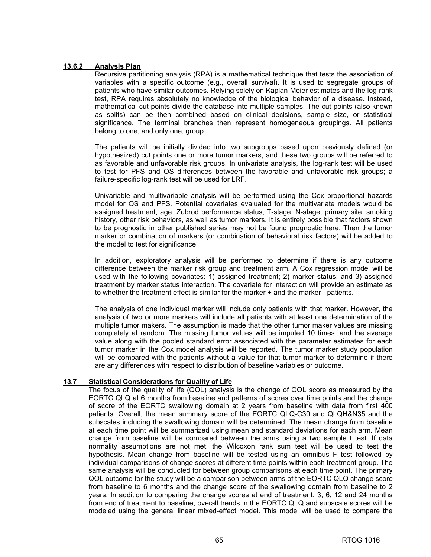### **13.6.2 Analysis Plan**

Recursive partitioning analysis (RPA) is a mathematical technique that tests the association of variables with a specific outcome (e.g., overall survival). It is used to segregate groups of patients who have similar outcomes. Relying solely on Kaplan-Meier estimates and the log-rank test, RPA requires absolutely no knowledge of the biological behavior of a disease. Instead, mathematical cut points divide the database into multiple samples. The cut points (also known as splits) can be then combined based on clinical decisions, sample size, or statistical significance. The terminal branches then represent homogeneous groupings. All patients belong to one, and only one, group.

The patients will be initially divided into two subgroups based upon previously defined (or hypothesized) cut points one or more tumor markers, and these two groups will be referred to as favorable and unfavorable risk groups. In univariate analysis, the log-rank test will be used to test for PFS and OS differences between the favorable and unfavorable risk groups; a failure-specific log-rank test will be used for LRF.

Univariable and multivariable analysis will be performed using the Cox proportional hazards model for OS and PFS. Potential covariates evaluated for the multivariate models would be assigned treatment, age, Zubrod performance status, T-stage, N-stage, primary site, smoking history, other risk behaviors, as well as tumor markers. It is entirely possible that factors shown to be prognostic in other published series may not be found prognostic here. Then the tumor marker or combination of markers (or combination of behavioral risk factors) will be added to the model to test for significance.

In addition, exploratory analysis will be performed to determine if there is any outcome difference between the marker risk group and treatment arm. A Cox regression model will be used with the following covariates: 1) assigned treatment; 2) marker status; and 3) assigned treatment by marker status interaction. The covariate for interaction will provide an estimate as to whether the treatment effect is similar for the marker + and the marker - patients.

The analysis of one individual marker will include only patients with that marker. However, the analysis of two or more markers will include all patients with at least one determination of the multiple tumor makers. The assumption is made that the other tumor maker values are missing completely at random. The missing tumor values will be imputed 10 times, and the average value along with the pooled standard error associated with the parameter estimates for each tumor marker in the Cox model analysis will be reported. The tumor marker study population will be compared with the patients without a value for that tumor marker to determine if there are any differences with respect to distribution of baseline variables or outcome.

# **13.7 Statistical Considerations for Quality of Life**

The focus of the quality of life (QOL) analysis is the change of QOL score as measured by the EORTC QLQ at 6 months from baseline and patterns of scores over time points and the change of score of the EORTC swallowing domain at 2 years from baseline with data from first 400 patients. Overall, the mean summary score of the EORTC QLQ-C30 and QLQH&N35 and the subscales including the swallowing domain will be determined. The mean change from baseline at each time point will be summarized using mean and standard deviations for each arm. Mean change from baseline will be compared between the arms using a two sample t test. If data normality assumptions are not met, the Wilcoxon rank sum test will be used to test the hypothesis. Mean change from baseline will be tested using an omnibus F test followed by individual comparisons of change scores at different time points within each treatment group. The same analysis will be conducted for between group comparisons at each time point. The primary QOL outcome for the study will be a comparison between arms of the EORTC QLQ change score from baseline to 6 months and the change score of the swallowing domain from baseline to 2 years. In addition to comparing the change scores at end of treatment, 3, 6, 12 and 24 months from end of treatment to baseline, overall trends in the EORTC QLQ and subscale scores will be modeled using the general linear mixed-effect model. This model will be used to compare the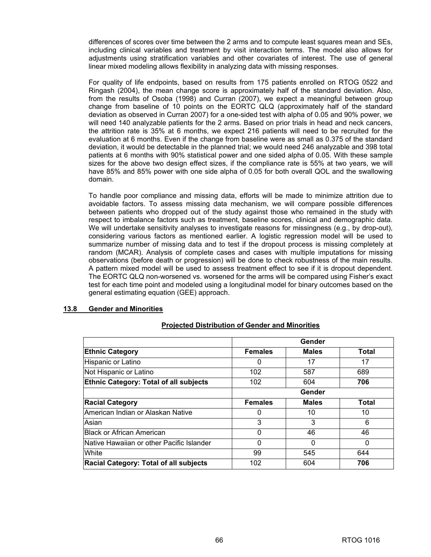differences of scores over time between the 2 arms and to compute least squares mean and SEs, including clinical variables and treatment by visit interaction terms. The model also allows for adjustments using stratification variables and other covariates of interest. The use of general linear mixed modeling allows flexibility in analyzing data with missing responses.

For quality of life endpoints, based on results from 175 patients enrolled on RTOG 0522 and Ringash (2004), the mean change score is approximately half of the standard deviation. Also, from the results of Osoba (1998) and Curran (2007), we expect a meaningful between group change from baseline of 10 points on the EORTC QLQ (approximately half of the standard deviation as observed in Curran 2007) for a one-sided test with alpha of 0.05 and 90% power, we will need 140 analyzable patients for the 2 arms. Based on prior trials in head and neck cancers, the attrition rate is 35% at 6 months, we expect 216 patients will need to be recruited for the evaluation at 6 months. Even if the change from baseline were as small as 0.375 of the standard deviation, it would be detectable in the planned trial; we would need 246 analyzable and 398 total patients at 6 months with 90% statistical power and one sided alpha of 0.05. With these sample sizes for the above two design effect sizes, if the compliance rate is 55% at two years, we will have 85% and 85% power with one side alpha of 0.05 for both overall QOL and the swallowing domain.

To handle poor compliance and missing data, efforts will be made to minimize attrition due to avoidable factors. To assess missing data mechanism, we will compare possible differences between patients who dropped out of the study against those who remained in the study with respect to imbalance factors such as treatment, baseline scores, clinical and demographic data. We will undertake sensitivity analyses to investigate reasons for missingness (e.g., by drop-out), considering various factors as mentioned earlier. A logistic regression model will be used to summarize number of missing data and to test if the dropout process is missing completely at random (MCAR). Analysis of complete cases and cases with multiple imputations for missing observations (before death or progression) will be done to check robustness of the main results. A pattern mixed model will be used to assess treatment effect to see if it is dropout dependent. The EORTC QLQ non-worsened vs. worsened for the arms will be compared using Fisher's exact test for each time point and modeled using a longitudinal model for binary outcomes based on the general estimating equation (GEE) approach.

# **13.8 Gender and Minorities**

|                                               |                | Gender       |       |
|-----------------------------------------------|----------------|--------------|-------|
| <b>Ethnic Category</b>                        | <b>Females</b> | <b>Males</b> | Total |
| Hispanic or Latino                            | 0              | 17           | 17    |
| Not Hispanic or Latino                        | 102            | 587          | 689   |
| <b>Ethnic Category: Total of all subjects</b> | 102            | 604          | 706   |
|                                               |                | Gender       |       |
| <b>Racial Category</b>                        | <b>Females</b> | <b>Males</b> | Total |
| American Indian or Alaskan Native             | 0              | 10           | 10    |
| Asian                                         | 3              | 3            | 6     |
| <b>Black or African American</b>              | 0              | 46           | 46    |
| Native Hawaiian or other Pacific Islander     | 0              | O            | 0     |
| White                                         | 99             | 545          | 644   |
| <b>Racial Category: Total of all subjects</b> | 102            | 604          | 706   |

### **Projected Distribution of Gender and Minorities**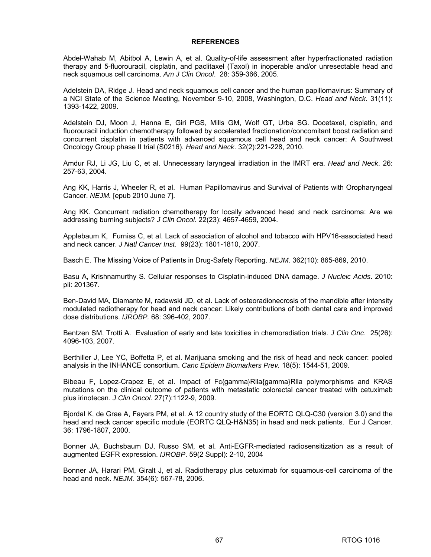#### **REFERENCES**

Abdel-Wahab M, Abitbol A, Lewin A, et al. Quality-of-life assessment after hyperfractionated radiation therapy and 5-fluorouracil, cisplatin, and paclitaxel (Taxol) in inoperable and/or unresectable head and neck squamous cell carcinoma. *Am J Clin Oncol*. 28: 359-366, 2005.

Adelstein DA, Ridge J. Head and neck squamous cell cancer and the human papillomavirus: Summary of a NCI State of the Science Meeting, November 9-10, 2008, Washington, D.C. *Head and Neck*. 31(11): 1393-1422, 2009.

Adelstein DJ, Moon J, Hanna E, Giri PGS, Mills GM, Wolf GT, Urba SG. Docetaxel, cisplatin, and fluorouracil induction chemotherapy followed by accelerated fractionation/concomitant boost radiation and concurrent cisplatin in patients with advanced squamous cell head and neck cancer: A Southwest Oncology Group phase II trial (S0216). *Head and Neck*. 32(2):221-228, 2010.

Amdur RJ, Li JG, Liu C, et al. Unnecessary laryngeal irradiation in the IMRT era. *Head and Neck*. 26: 257-63, 2004.

Ang KK, Harris J, Wheeler R, et al. Human Papillomavirus and Survival of Patients with Oropharyngeal Cancer. *NEJM.* [epub 2010 June 7].

Ang KK. Concurrent radiation chemotherapy for locally advanced head and neck carcinoma: Are we addressing burning subjects? *J Clin Oncol*. 22(23): 4657-4659, 2004.

Applebaum K, Furniss C, et al. Lack of association of alcohol and tobacco with HPV16-associated head and neck cancer. *J Natl Cancer Inst*. 99(23): 1801-1810, 2007.

Basch E. The Missing Voice of Patients in Drug-Safety Reporting. *NEJM*. 362(10): 865-869, 2010.

Basu A, Krishnamurthy S. Cellular responses to Cisplatin-induced DNA damage. *J Nucleic Acids*. 2010: pii: 201367.

Ben-David MA, Diamante M, radawski JD, et al. Lack of osteoradionecrosis of the mandible after intensity modulated radiotherapy for head and neck cancer: Likely contributions of both dental care and improved dose distributions. *IJROBP.* 68: 396-402, 2007.

Bentzen SM, Trotti A. Evaluation of early and late toxicities in chemoradiation trials. *J Clin Onc*. 25(26): 4096-103, 2007.

Berthiller J, Lee YC, Boffetta P, et al. Marijuana smoking and the risk of head and neck cancer: pooled analysis in the INHANCE consortium. *Canc Epidem Biomarkers Prev.* 18(5): 1544-51, 2009.

Bibeau F, Lopez-Crapez E, et al. Impact of Fc{gamma}Rlla{gamma}Rlla polymorphisms and KRAS mutations on the clinical outcome of patients with metastatic colorectal cancer treated with cetuximab plus irinotecan. *J Clin Oncol*. 27(7):1122-9, 2009.

Bjordal K, de Grae A, Fayers PM, et al. A 12 country study of the EORTC QLQ-C30 (version 3.0) and the head and neck cancer specific module (EORTC QLQ-H&N35) in head and neck patients. Eur J Cancer. 36: 1796-1807, 2000.

Bonner JA, Buchsbaum DJ, Russo SM, et al. Anti-EGFR-mediated radiosensitization as a result of augmented EGFR expression. *IJROBP*. 59(2 Suppl): 2-10, 2004

Bonner JA, Harari PM, Giralt J, et al. Radiotherapy plus cetuximab for squamous-cell carcinoma of the head and neck. *NEJM.* 354(6): 567-78, 2006.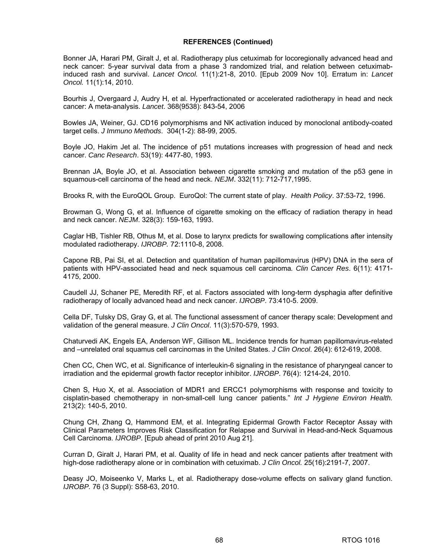Bonner JA, Harari PM, Giralt J, et al. Radiotherapy plus cetuximab for locoregionally advanced head and neck cancer: 5-year survival data from a phase 3 randomized trial, and relation between cetuximabinduced rash and survival. *Lancet Oncol.* 11(1):21-8, 2010. [Epub 2009 Nov 10]. Erratum in: *Lancet Oncol.* 11(1):14, 2010.

Bourhis J, Overgaard J, Audry H, et al. Hyperfractionated or accelerated radiotherapy in head and neck cancer: A meta-analysis. *Lancet*. 368(9538): 843-54, 2006

Bowles JA, Weiner, GJ. CD16 polymorphisms and NK activation induced by monoclonal antibody-coated target cells. *J Immuno Methods*. 304(1-2): 88-99, 2005.

Boyle JO, Hakim Jet al. The incidence of p51 mutations increases with progression of head and neck cancer. *Canc Research*. 53(19): 4477-80, 1993.

Brennan JA, Boyle JO, et al. Association between cigarette smoking and mutation of the p53 gene in squamous-cell carcinoma of the head and neck. *NEJM*. 332(11): 712-717,1995.

Brooks R, with the EuroQOL Group. EuroQol: The current state of play. *Health Policy*. 37:53-72, 1996.

Browman G, Wong G, et al. Influence of cigarette smoking on the efficacy of radiation therapy in head and neck cancer. *NEJM*. 328(3): 159-163, 1993.

Caglar HB, Tishler RB, Othus M, et al. Dose to larynx predicts for swallowing complications after intensity modulated radiotherapy. *IJROBP.* 72:1110-8, 2008.

Capone RB, Pai SI, et al. Detection and quantitation of human papillomavirus (HPV) DNA in the sera of patients with HPV-associated head and neck squamous cell carcinoma*. Clin Cancer Res*. 6(11): 4171- 4175, 2000.

Caudell JJ, Schaner PE, Meredith RF, et al. Factors associated with long-term dysphagia after definitive radiotherapy of locally advanced head and neck cancer. *IJROBP*. 73:410-5. 2009.

Cella DF, Tulsky DS, Gray G, et al. The functional assessment of cancer therapy scale: Development and validation of the general measure. *J Clin Oncol*. 11(3):570-579, 1993.

Chaturvedi AK, Engels EA, Anderson WF, Gillison ML. Incidence trends for human papillomavirus-related and –unrelated oral squamus cell carcinomas in the United States. *J Clin Oncol*. 26(4): 612-619, 2008.

Chen CC, Chen WC, et al. Significance of interleukin-6 signaling in the resistance of pharyngeal cancer to irradiation and the epidermal growth factor receptor inhibitor. *IJROBP*. 76(4): 1214-24, 2010.

Chen S, Huo X, et al. Association of MDR1 and ERCC1 polymorphisms with response and toxicity to cisplatin-based chemotherapy in non-small-cell lung cancer patients." *Int J Hygiene Environ Health.* 213(2): 140-5, 2010.

Chung CH, Zhang Q, Hammond EM, et al. Integrating Epidermal Growth Factor Receptor Assay with Clinical Parameters Improves Risk Classification for Relapse and Survival in Head-and-Neck Squamous Cell Carcinoma. *IJROBP*. [Epub ahead of print 2010 Aug 21].

Curran D, Giralt J, Harari PM, et al. Quality of life in head and neck cancer patients after treatment with high-dose radiotherapy alone or in combination with cetuximab. *J Clin Oncol.* 25(16):2191-7, 2007.

Deasy JO, Moiseenko V, Marks L, et al. Radiotherapy dose-volume effects on salivary gland function. *IJROBP.* 76 (3 Suppl): S58-63, 2010.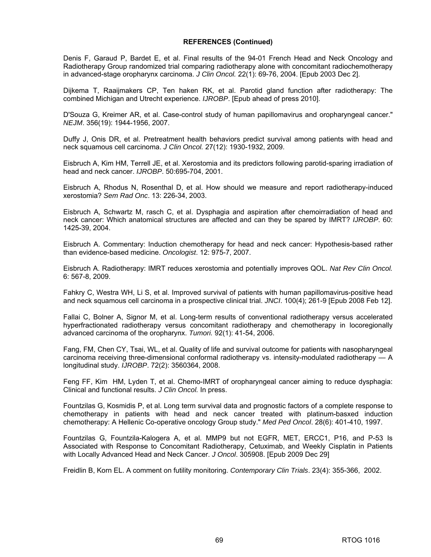Denis F, Garaud P, Bardet E, et al. Final results of the 94-01 French Head and Neck Oncology and Radiotherapy Group randomized trial comparing radiotherapy alone with concomitant radiochemotherapy in advanced-stage oropharynx carcinoma. *J Clin Oncol.* 22(1): 69-76, 2004. [Epub 2003 Dec 2].

Dijkema T, Raaijmakers CP, Ten haken RK, et al. Parotid gland function after radiotherapy: The combined Michigan and Utrecht experience. *IJROBP*. [Epub ahead of press 2010].

D'Souza G, Kreimer AR, et al. Case-control study of human papillomavirus and oropharyngeal cancer." *NEJM*. 356(19): 1944-1956, 2007.

Duffy J, Onis DR, et al. Pretreatment health behaviors predict survival among patients with head and neck squamous cell carcinoma. *J Clin Oncol.* 27(12): 1930-1932, 2009.

Eisbruch A, Kim HM, Terrell JE, et al. Xerostomia and its predictors following parotid-sparing irradiation of head and neck cancer. *IJROBP*. 50:695-704, 2001.

Eisbruch A, Rhodus N, Rosenthal D, et al. How should we measure and report radiotherapy-induced xerostomia? *Sem Rad Onc*. 13: 226-34, 2003.

Eisbruch A, Schwartz M, rasch C, et al. Dysphagia and aspiration after chemoirradiation of head and neck cancer: Which anatomical structures are affected and can they be spared by IMRT? *IJROBP*. 60: 1425-39, 2004.

Eisbruch A. Commentary: Induction chemotherapy for head and neck cancer: Hypothesis-based rather than evidence-based medicine. *Oncologist*. 12: 975-7, 2007.

Eisbruch A. Radiotherapy: IMRT reduces xerostomia and potentially improves QOL. *Nat Rev Clin Oncol.* 6: 567-8, 2009.

Fahkry C, Westra WH, Li S, et al. Improved survival of patients with human papillomavirus-positive head and neck squamous cell carcinoma in a prospective clinical trial. *JNCI*. 100(4); 261-9 [Epub 2008 Feb 12].

Fallai C, Bolner A, Signor M, et al. Long-term results of conventional radiotherapy versus accelerated hyperfractionated radiotherapy versus concomitant radiotherapy and chemotherapy in locoregionally advanced carcinoma of the oropharynx. *Tumori.* 92(1): 41-54, 2006.

Fang, FM, Chen CY, Tsai, WL, et al. Quality of life and survival outcome for patients with nasopharyngeal carcinoma receiving three-dimensional conformal radiotherapy vs. intensity-modulated radiotherapy — A longitudinal study. *IJROBP*. 72(2): 3560364, 2008.

Feng FF, Kim HM, Lyden T, et al. Chemo-IMRT of oropharyngeal cancer aiming to reduce dysphagia: Clinical and functional results. *J Clin Oncol.* In press.

Fountzilas G, Kosmidis P, et al. Long term survival data and prognostic factors of a complete response to chemotherapy in patients with head and neck cancer treated with platinum-basxed induction chemotherapy: A Hellenic Co-operative oncology Group study." *Med Ped Oncol*. 28(6): 401-410, 1997.

Fountzilas G, Fountzila-Kalogera A, et al. MMP9 but not EGFR, MET, ERCC1, P16, and P-53 Is Associated with Response to Concomitant Radiotherapy, Cetuximab, and Weekly Cisplatin in Patients with Locally Advanced Head and Neck Cancer. *J Oncol*. 305908. [Epub 2009 Dec 29]

Freidlin B, Korn EL. A comment on futility monitoring. *Contemporary Clin Trials*. 23(4): 355-366, 2002.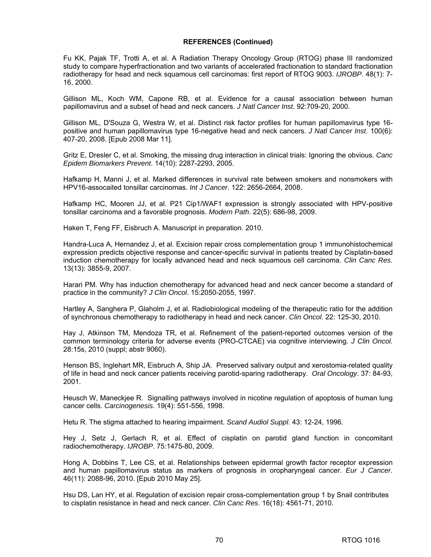Fu KK, Pajak TF, Trotti A, et al. A Radiation Therapy Oncology Group (RTOG) phase III randomized study to compare hyperfractionation and two variants of accelerated fractionation to standard fractionation radiotherapy for head and neck squamous cell carcinomas: first report of RTOG 9003. *IJROBP*. 48(1): 7- 16, 2000.

Gillison ML, Koch WM, Capone RB, et al. Evidence for a causal association between human papillomavirus and a subset of head and neck cancers. *J Natl Cancer Inst*. 92:709-20, 2000.

Gillison ML, D'Souza G, Westra W, et al. Distinct risk factor profiles for human papillomavirus type 16 positive and human papillomavirus type 16-negative head and neck cancers. *J Natl Cancer Inst*. 100(6): 407-20, 2008. [Epub 2008 Mar 11].

Gritz E, Dresler C, et al. Smoking, the missing drug interaction in clinical trials: Ignoring the obvious. *Canc Epidem Biomarkers Prevent*. 14(10): 2287-2293, 2005.

Hafkamp H, Manni J, et al. Marked differences in survival rate between smokers and nonsmokers with HPV16-assocaited tonsillar carcinomas. *Int J Cancer*. 122: 2656-2664, 2008.

Hafkamp HC, Mooren JJ, et al. P21 Cip1/WAF1 expression is strongly associated with HPV-positive tonsillar carcinoma and a favorable prognosis. *Modern Path*. 22(5): 686-98, 2009.

Haken T, Feng FF, Eisbruch A. Manuscript in preparation. 2010.

Handra-Luca A, Hernandez J, et al. Excision repair cross complementation group 1 immunohistochemical expression predicts objective response and cancer-specific survival in patients treated by Cisplatin-based induction chemotherapy for locally advanced head and neck squamous cell carcinoma. *Clin Canc Res.* 13(13): 3855-9, 2007.

Harari PM. Why has induction chemotherapy for advanced head and neck cancer become a standard of practice in the community? *J Clin Oncol*. 15:2050-2055, 1997.

Hartley A, Sanghera P, Glaholm J, et al. Radiobiological modeling of the therapeutic ratio for the addition of synchronous chemotherapy to radiotherapy in head and neck cancer. *Clin Oncol*. 22: 125-30, 2010.

Hay J, Atkinson TM, Mendoza TR, et al. Refinement of the patient-reported outcomes version of the common terminology criteria for adverse events (PRO-CTCAE) via cognitive interviewing. *J Clin Oncol.* 28:15s, 2010 (suppl; abstr 9060).

Henson BS, Inglehart MR, Eisbruch A, Ship JA. Preserved salivary output and xerostomia-related quality of life in head and neck cancer patients receiving parotid-sparing radiotherapy. *Oral Oncology*. 37: 84-93, 2001.

Heusch W, Maneckjee R. Signalling pathways involved in nicotine regulation of apoptosis of human lung cancer cells. *Carcinogenesis*. 19(4): 551-556, 1998.

Hetu R. The stigma attached to hearing impairment. *Scand Audiol Suppl*. 43: 12-24, 1996.

Hey J, Setz J, Gerlach R, et al. Effect of cisplatin on parotid gland function in concomitant radiochemotherapy. *IJROBP*. 75:1475-80, 2009.

Hong A, Dobbins T, Lee CS, et al. Relationships between epidermal growth factor receptor expression and human papillomavirus status as markers of prognosis in oropharyngeal cancer. *Eur J Cancer*. 46(11): 2088-96, 2010. [Epub 2010 May 25].

Hsu DS, Lan HY, et al. Regulation of excision repair cross-complementation group 1 by Snail contributes to cisplatin resistance in head and neck cancer. *Clin Canc Res*. 16(18): 4561-71, 2010.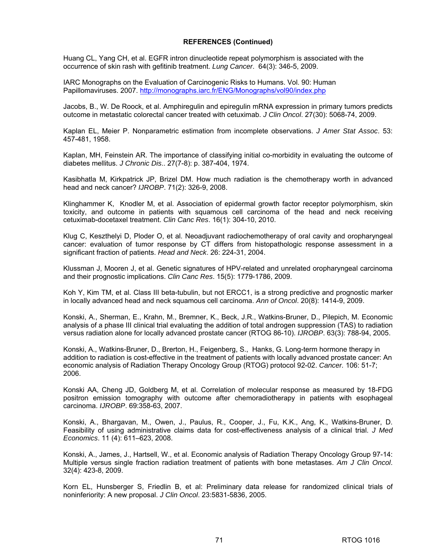Huang CL, Yang CH, et al. EGFR intron dinucleotide repeat polymorphism is associated with the occurrence of skin rash with gefitinib treatment. *Lung Cancer*. 64(3): 346-5, 2009.

IARC Monographs on the Evaluation of Carcinogenic Risks to Humans. Vol. 90: Human Papillomaviruses. 2007. <http://monographs.iarc.fr/ENG/Monographs/vol90/index.php>

Jacobs, B., W. De Roock, et al. Amphiregulin and epiregulin mRNA expression in primary tumors predicts outcome in metastatic colorectal cancer treated with cetuximab. *J Clin Oncol*. 27(30): 5068-74, 2009.

Kaplan EL, Meier P. Nonparametric estimation from incomplete observations. *J Amer Stat Assoc*. 53: 457-481, 1958.

Kaplan, MH, Feinstein AR. The importance of classifying initial co-morbidity in evaluating the outcome of diabetes mellitus. *J Chronic Dis*.. 27(7-8): p. 387-404, 1974.

Kasibhatla M, Kirkpatrick JP, Brizel DM. How much radiation is the chemotherapy worth in advanced head and neck cancer? *IJROBP*. 71(2): 326-9, 2008.

Klinghammer K, Knodler M, et al. Association of epidermal growth factor receptor polymorphism, skin toxicity, and outcome in patients with squamous cell carcinoma of the head and neck receiving cetuximab-docetaxel treatment. *Clin Canc Res*. 16(1): 304-10, 2010.

Klug C, Keszthelyi D, Ploder O, et al. Neoadjuvant radiochemotherapy of oral cavity and oropharyngeal cancer: evaluation of tumor response by CT differs from histopathologic response assessment in a significant fraction of patients. *Head and Neck*. 26: 224-31, 2004.

Klussman J, Mooren J, et al. Genetic signatures of HPV-related and unrelated oropharyngeal carcinoma and their prognostic implications. *Clin Canc Res*. 15(5): 1779-1786, 2009.

Koh Y, Kim TM, et al. Class III beta-tubulin, but not ERCC1, is a strong predictive and prognostic marker in locally advanced head and neck squamous cell carcinoma. *Ann of Oncol*. 20(8): 1414-9, 2009.

Konski, A., Sherman, E., Krahn, M., Bremner, K., Beck, J.R., Watkins-Bruner, D., Pilepich, M. Economic analysis of a phase III clinical trial evaluating the addition of total androgen suppression (TAS) to radiation versus radiation alone for locally advanced prostate cancer (RTOG 86-10). *IJROBP*. 63(3): 788-94, 2005.

Konski, A., Watkins-Bruner, D., Brerton, H., Feigenberg, S., Hanks, G. Long-term hormone therapy in addition to radiation is cost-effective in the treatment of patients with locally advanced prostate cancer: An economic analysis of Radiation Therapy Oncology Group (RTOG) protocol 92-02. *Cancer.* 106: 51-7; 2006.

Konski AA, Cheng JD, Goldberg M, et al. Correlation of molecular response as measured by 18-FDG positron emission tomography with outcome after chemoradiotherapy in patients with esophageal carcinoma. *IJROBP*. 69:358-63, 2007.

Konski, A., Bhargavan, M., Owen, J., Paulus, R., Cooper, J., Fu, K.K., Ang, K., Watkins-Bruner, D. Feasibility of using administrative claims data for cost-effectiveness analysis of a clinical trial. *J Med Economics*. 11 (4): 611–623, 2008.

Konski, A., James, J., Hartsell, W., et al. Economic analysis of Radiation Therapy Oncology Group 97-14: Multiple versus single fraction radiation treatment of patients with bone metastases. *Am J Clin Oncol*. 32(4): 423-8, 2009.

Korn EL, Hunsberger S, Friedlin B, et al: Preliminary data release for randomized clinical trials of noninferiority: A new proposal. *J Clin Oncol*. 23:5831-5836, 2005.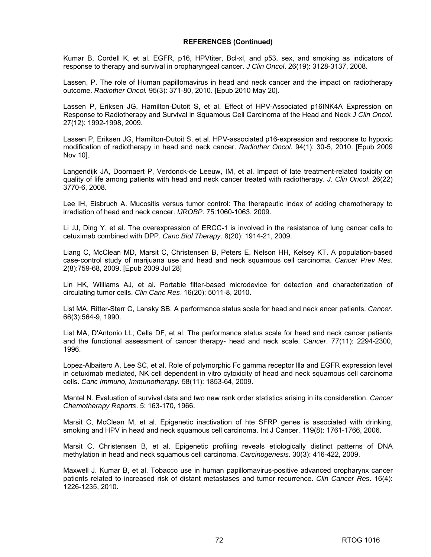Kumar B, Cordell K, et al. EGFR, p16, HPVtiter, Bcl-xl, and p53, sex, and smoking as indicators of response to therapy and survival in oropharyngeal cancer. *J Clin Oncol*. 26(19): 3128-3137, 2008.

Lassen, P. The role of Human papillomavirus in head and neck cancer and the impact on radiotherapy outcome. *Radiother Oncol.* 95(3): 371-80, 2010. [Epub 2010 May 20].

Lassen P, Eriksen JG, Hamilton-Dutoit S, et al. Effect of HPV-Associated p16INK4A Expression on Response to Radiotherapy and Survival in Squamous Cell Carcinoma of the Head and Neck *J Clin Oncol*. 27(12): 1992-1998, 2009.

Lassen P, Eriksen JG, Hamilton-Dutoit S, et al. HPV-associated p16-expression and response to hypoxic modification of radiotherapy in head and neck cancer. *Radiother Oncol.* 94(1): 30-5, 2010. [Epub 2009 Nov 10].

Langendijk JA, Doornaert P, Verdonck-de Leeuw, IM, et al. Impact of late treatment-related toxicity on quality of life among patients with head and neck cancer treated with radiotherapy. *J. Clin Oncol*. 26(22) 3770-6, 2008.

Lee IH, Eisbruch A. Mucositis versus tumor control: The therapeutic index of adding chemotherapy to irradiation of head and neck cancer. *IJROBP*. 75:1060-1063, 2009.

Li JJ, Ding Y, et al. The overexpression of ERCC-1 is involved in the resistance of lung cancer cells to cetuximab combined with DPP. *Canc Biol Therapy*. 8(20): 1914-21, 2009.

Liang C, McClean MD, Marsit C, Christensen B, Peters E, Nelson HH, Kelsey KT. A population-based case-control study of marijuana use and head and neck squamous cell carcinoma. *Cancer Prev Res.* 2(8):759-68, 2009. [Epub 2009 Jul 28]

Lin HK, Williams AJ, et al. Portable filter-based microdevice for detection and characterization of circulating tumor cells. *Clin Canc Res*. 16(20): 5011-8, 2010.

List MA, Ritter-Sterr C, Lansky SB. A performance status scale for head and neck ancer patients. *Cancer*. 66(3):564-9, 1990.

List MA, D'Antonio LL, Cella DF, et al. The performance status scale for head and neck cancer patients and the functional assessment of cancer therapy- head and neck scale. *Cancer*. 77(11): 2294-2300, 1996.

Lopez-Albaitero A, Lee SC, et al. Role of polymorphic Fc gamma receptor llla and EGFR expression level in cetuximab mediated, NK cell dependent in vitro cytoxicity of head and neck squamous cell carcinoma cells. *Canc Immuno, Immunotherapy.* 58(11): 1853-64, 2009.

Mantel N. Evaluation of survival data and two new rank order statistics arising in its consideration. *Cancer Chemotherapy Reports*. 5: 163-170, 1966.

Marsit C, McClean M, et al. Epigenetic inactivation of hte SFRP genes is associated with drinking, smoking and HPV in head and neck squamous cell carcinoma. Int J Cancer. 119(8): 1761-1766, 2006.

Marsit C, Christensen B, et al. Epigenetic profiling reveals etiologically distinct patterns of DNA methylation in head and neck squamous cell carcinoma. *Carcinogenesis*. 30(3): 416-422, 2009.

Maxwell J. Kumar B, et al. Tobacco use in human papillomavirus-positive advanced oropharynx cancer patients related to increased risk of distant metastases and tumor recurrence. *Clin Cancer Res*. 16(4): 1226-1235, 2010.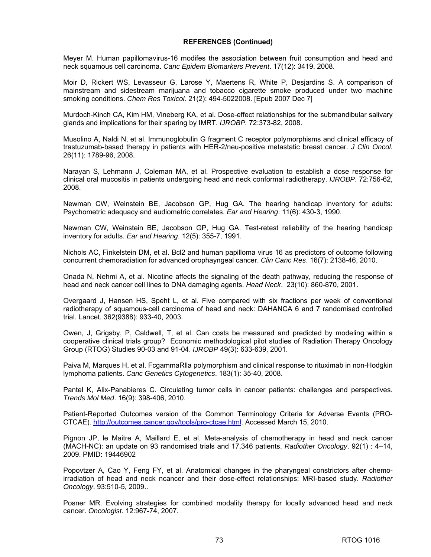Meyer M. Human papillomavirus-16 modifes the association between fruit consumption and head and neck squamous cell carcinoma. *Canc Epidem Biomarkers Prevent*. 17(12): 3419, 2008.

Moir D, Rickert WS, Levasseur G, Larose Y, Maertens R, White P, Desjardins S. A comparison of mainstream and sidestream marijuana and tobacco cigarette smoke produced under two machine smoking conditions. *Chem Res Toxicol.* 21(2): 494-5022008. [Epub 2007 Dec 7]

Murdoch-Kinch CA, Kim HM, Vineberg KA, et al. Dose-effect relationships for the submandibular salivary glands and implications for their sparing by IMRT. *IJROBP.* 72:373-82, 2008.

Musolino A, Naldi N, et al. Immunoglobulin G fragment C receptor polymorphisms and clinical efficacy of trastuzumab-based therapy in patients with HER-2/neu-positive metastatic breast cancer. *J Clin Oncol.* 26(11): 1789-96, 2008.

Narayan S, Lehmann J, Coleman MA, et al. Prospective evaluation to establish a dose response for clinical oral mucositis in patients undergoing head and neck conformal radiotherapy. *IJROBP*. 72:756-62, 2008.

Newman CW, Weinstein BE, Jacobson GP, Hug GA. The hearing handicap inventory for adults: Psychometric adequacy and audiometric correlates. *Ear and Hearing*. 11(6): 430-3, 1990.

Newman CW, Weinstein BE, Jacobson GP, Hug GA. Test-retest reliability of the hearing handicap inventory for adults. *Ear and Hearing*. 12(5): 355-7, 1991.

Nichols AC, Finkelstein DM, et al. Bcl2 and human papilloma virus 16 as predictors of outcome following concurrent chemoradiation for advanced orophayngeal cancer. *Clin Canc Res*. 16(7): 2138-46, 2010.

Onada N, Nehmi A, et al. Nicotine affects the signaling of the death pathway, reducing the response of head and neck cancer cell lines to DNA damaging agents. *Head Neck*. 23(10): 860-870, 2001.

Overgaard J, Hansen HS, Speht L, et al. Five compared with six fractions per week of conventional radiotherapy of squamous-cell carcinoma of head and neck: DAHANCA 6 and 7 randomised controlled trial. Lancet. 362(9388): 933-40, 2003.

Owen, J, Grigsby, P, Caldwell, T, et al. Can costs be measured and predicted by modeling within a cooperative clinical trials group? Economic methodological pilot studies of Radiation Therapy Oncology Group (RTOG) Studies 90-03 and 91-04. *IJROBP* 49(3): 633-639, 2001.

Paiva M, Marques H, et al. FcgammaRlla polymorphism and clinical response to rituximab in non-Hodgkin lymphoma patients. *Canc Genetics Cytogenetics*. 183(1): 35-40, 2008.

Pantel K, Alix-Panabieres C. Circulating tumor cells in cancer patients: challenges and perspectives. *Trends Mol Med*. 16(9): 398-406, 2010.

Patient-Reported Outcomes version of the Common Terminology Criteria for Adverse Events (PRO-CTCAE). [http://outcomes.cancer.gov/tools/pro-ctcae.html.](http://outcomes.cancer.gov/tools/pro-ctcae.html) Accessed March 15, 2010.

Pignon JP, le Maitre A, Maillard E, et al. Meta-analysis of chemotherapy in head and neck cancer (MACH-NC): an update on 93 randomised trials and 17,346 patients. *Radiother Oncology*. 92(1) : 4–14, 2009. PMID: 19446902

Popovtzer A, Cao Y, Feng FY, et al. Anatomical changes in the pharyngeal constrictors after chemoirradiation of head and neck ncancer and their dose-effect relationships: MRI-based study. *Radiother Oncology*. 93:510-5, 2009..

Posner MR. Evolving strategies for combined modality therapy for locally advanced head and neck cancer. *Oncologist.* 12:967-74, 2007.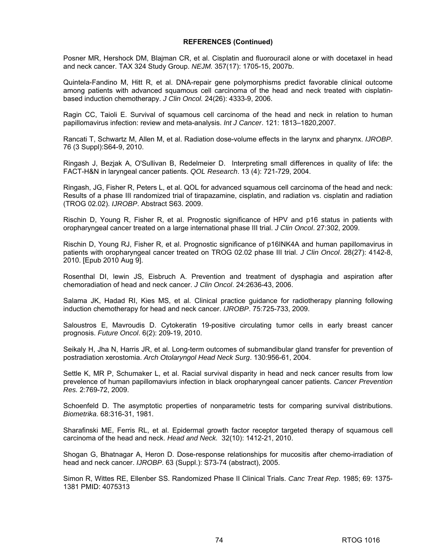Posner MR, Hershock DM, Blajman CR, et al. Cisplatin and fluorouracil alone or with docetaxel in head and neck cancer. TAX 324 Study Group. *NEJM.* 357(17): 1705-15, 2007b.

Quintela-Fandino M, Hitt R, et al. DNA-repair gene polymorphisms predict favorable clinical outcome among patients with advanced squamous cell carcinoma of the head and neck treated with cisplatinbased induction chemotherapy. *J Clin Oncol.* 24(26): 4333-9, 2006.

Ragin CC, Taioli E. Survival of squamous cell carcinoma of the head and neck in relation to human papillomavirus infection: review and meta-analysis. *Int J Cancer*. 121: 1813–1820,2007.

Rancati T, Schwartz M, Allen M, et al. Radiation dose-volume effects in the larynx and pharynx. *IJROBP*. 76 (3 Suppl):S64-9, 2010.

Ringash J, Bezjak A, O'Sullivan B, Redelmeier D. Interpreting small differences in quality of life: the FACT-H&N in laryngeal cancer patients. *QOL Research*. 13 (4): 721-729, 2004.

Ringash, JG, Fisher R, Peters L, et al. QOL for advanced squamous cell carcinoma of the head and neck: Results of a phase III randomized trial of tirapazamine, cisplatin, and radiation vs. cisplatin and radiation (TROG 02.02). *IJROBP*. Abstract S63. 2009.

Rischin D, Young R, Fisher R, et al. Prognostic significance of HPV and p16 status in patients with oropharyngeal cancer treated on a large international phase III trial. *J Clin Oncol*. 27:302, 2009.

Rischin D, Young RJ, Fisher R, et al. Prognostic significance of p16INK4A and human papillomavirus in patients with oropharyngeal cancer treated on TROG 02.02 phase III trial. *J Clin Oncol*. 28(27): 4142-8, 2010. [Epub 2010 Aug 9].

Rosenthal DI, lewin JS, Eisbruch A. Prevention and treatment of dysphagia and aspiration after chemoradiation of head and neck cancer. *J Clin Oncol*. 24:2636-43, 2006.

Salama JK, Hadad RI, Kies MS, et al. Clinical practice guidance for radiotherapy planning following induction chemotherapy for head and neck cancer. *IJROBP*. 75:725-733, 2009.

Saloustros E, Mavroudis D. Cytokeratin 19-positive circulating tumor cells in early breast cancer prognosis. *Future Oncol*. 6(2): 209-19, 2010.

Seikaly H, Jha N, Harris JR, et al. Long-term outcomes of submandibular gland transfer for prevention of postradiation xerostomia. *Arch Otolaryngol Head Neck Surg*. 130:956-61, 2004.

Settle K, MR P, Schumaker L, et al. Racial survival disparity in head and neck cancer results from low prevelence of human papillomaviurs infection in black oropharyngeal cancer patients. *Cancer Prevention Res.* 2:769-72, 2009.

Schoenfeld D. The asymptotic properties of nonparametric tests for comparing survival distributions. *Biometrika*. 68:316-31, 1981.

Sharafinski ME, Ferris RL, et al. Epidermal growth factor receptor targeted therapy of squamous cell carcinoma of the head and neck. *Head and Neck.* 32(10): 1412-21, 2010.

Shogan G, Bhatnagar A, Heron D. Dose-response relationships for mucositis after chemo-irradiation of head and neck cancer. *IJROBP*. 63 (Suppl.): S73-74 (abstract), 2005.

Simon R, Wittes RE, Ellenber SS. Randomized Phase II Clinical Trials. *Canc Treat Rep*. 1985; 69: 1375- 1381 PMID: 4075313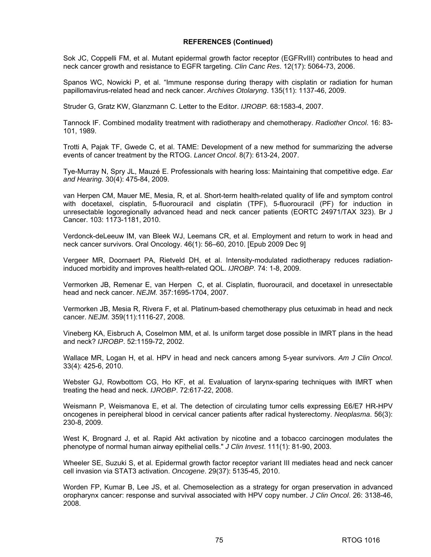Sok JC, Coppelli FM, et al. Mutant epidermal growth factor receptor (EGFRvIII) contributes to head and neck cancer growth and resistance to EGFR targeting. *Clin Canc Res*. 12(17): 5064-73, 2006.

Spanos WC, Nowicki P, et al. "Immune response during therapy with cisplatin or radiation for human papillomavirus-related head and neck cancer. *Archives Otolaryng*. 135(11): 1137-46, 2009.

Struder G, Gratz KW, Glanzmann C. Letter to the Editor. *IJROBP.* 68:1583-4, 2007.

Tannock IF. Combined modality treatment with radiotherapy and chemotherapy. *Radiother Oncol*. 16: 83- 101, 1989.

Trotti A, Pajak TF, Gwede C, et al. TAME: Development of a new method for summarizing the adverse events of cancer treatment by the RTOG. *Lancet Oncol*. 8(7): 613-24, 2007.

Tye-Murray N, Spry JL, Mauzé E. Professionals with hearing loss: Maintaining that competitive edge. *Ear and Hearing*. 30(4): 475-84, 2009.

van Herpen CM, Mauer ME, Mesia, R, et al. Short-term health-related quality of life and symptom control with docetaxel, cisplatin, 5-fluorouracil and cisplatin (TPF), 5-fluorouracil (PF) for induction in unresectable logoregionally advanced head and neck cancer patients (EORTC 24971/TAX 323). Br J Cancer. 103: 1173-1181, 2010.

Verdonck-deLeeuw IM, van Bleek WJ, Leemans CR, et al. Employment and return to work in head and neck cancer survivors. Oral Oncology. 46(1): 56–60, 2010. [Epub 2009 Dec 9]

Vergeer MR, Doornaert PA, Rietveld DH, et al. Intensity-modulated radiotherapy reduces radiationinduced morbidity and improves health-related QOL. *IJROBP.* 74: 1-8, 2009.

Vermorken JB, Remenar E, van Herpen C, et al. Cisplatin, fluorouracil, and docetaxel in unresectable head and neck cancer. *NEJM.* 357:1695-1704, 2007.

Vermorken JB, Mesia R, Rivera F, et al. Platinum-based chemotherapy plus cetuximab in head and neck cancer. *NEJM.* 359(11):1116-27, 2008.

Vineberg KA, Eisbruch A, Coselmon MM, et al. Is uniform target dose possible in IMRT plans in the head and neck? *IJROBP*. 52:1159-72, 2002.

Wallace MR, Logan H, et al. HPV in head and neck cancers among 5-year survivors. *Am J Clin Oncol*. 33(4): 425-6, 2010.

Webster GJ, Rowbottom CG, Ho KF, et al. Evaluation of larynx-sparing techniques with IMRT when treating the head and neck. *IJROBP*. 72:617-22, 2008.

Weismann P, Weismanova E, et al. The detection of circulating tumor cells expressing E6/E7 HR-HPV oncogenes in pereipheral blood in cervical cancer patients after radical hysterectomy. *Neoplasma*. 56(3): 230-8, 2009.

West K, Brognard J, et al. Rapid Akt activation by nicotine and a tobacco carcinogen modulates the phenotype of normal human airway epithelial cells." *J Clin Invest*. 111(1): 81-90, 2003.

Wheeler SE, Suzuki S, et al. Epidermal growth factor receptor variant III mediates head and neck cancer cell invasion via STAT3 activation. *Oncogene*. 29(37): 5135-45, 2010.

Worden FP, Kumar B, Lee JS, et al. Chemoselection as a strategy for organ preservation in advanced oropharynx cancer: response and survival associated with HPV copy number. *J Clin Oncol*. 26: 3138-46, 2008.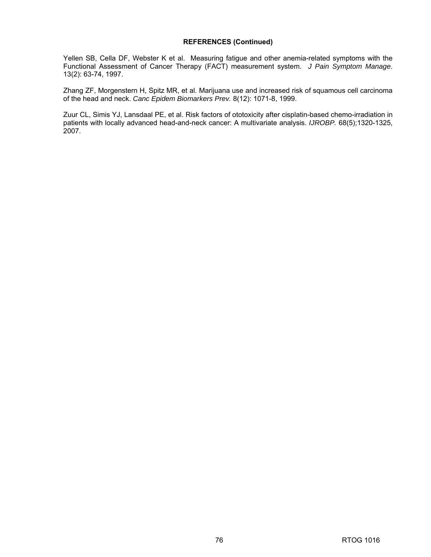Yellen SB, Cella DF, Webster K et al. Measuring fatigue and other anemia-related symptoms with the Functional Assessment of Cancer Therapy (FACT) measurement system. *J Pain Symptom Manage*. 13(2): 63-74, 1997.

Zhang ZF, Morgenstern H, Spitz MR, et al. Marijuana use and increased risk of squamous cell carcinoma of the head and neck. *Canc Epidem Biomarkers Prev.* 8(12): 1071-8, 1999.

Zuur CL, Simis YJ, Lansdaal PE, et al. Risk factors of ototoxicity after cisplatin-based chemo-irradiation in patients with locally advanced head-and-neck cancer: A multivariate analysis. *IJROBP.* 68(5);1320-1325, 2007.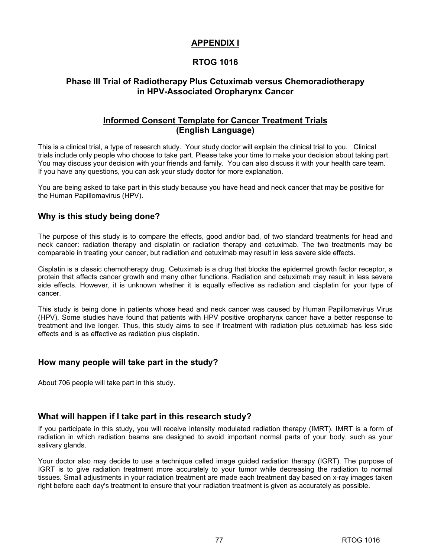# **APPENDIX I**

# **RTOG 1016**

# **Phase III Trial of Radiotherapy Plus Cetuximab versus Chemoradiotherapy in HPV-Associated Oropharynx Cancer**

# **Informed Consent Template for Cancer Treatment Trials (English Language)**

This is a clinical trial, a type of research study. Your study doctor will explain the clinical trial to you. Clinical trials include only people who choose to take part. Please take your time to make your decision about taking part. You may discuss your decision with your friends and family. You can also discuss it with your health care team. If you have any questions, you can ask your study doctor for more explanation.

You are being asked to take part in this study because you have head and neck cancer that may be positive for the Human Papillomavirus (HPV).

# **Why is this study being done?**

The purpose of this study is to compare the effects, good and/or bad, of two standard treatments for head and neck cancer: radiation therapy and cisplatin or radiation therapy and cetuximab. The two treatments may be comparable in treating your cancer, but radiation and cetuximab may result in less severe side effects.

Cisplatin is a classic chemotherapy drug. Cetuximab is a drug that blocks the epidermal growth factor receptor, a protein that affects cancer growth and many other functions. Radiation and cetuximab may result in less severe side effects. However, it is unknown whether it is equally effective as radiation and cisplatin for your type of cancer.

This study is being done in patients whose head and neck cancer was caused by Human Papillomavirus Virus (HPV). Some studies have found that patients with HPV positive oropharynx cancer have a better response to treatment and live longer. Thus, this study aims to see if treatment with radiation plus cetuximab has less side effects and is as effective as radiation plus cisplatin.

# **How many people will take part in the study?**

About 706 people will take part in this study.

# **What will happen if I take part in this research study?**

If you participate in this study, you will receive intensity modulated radiation therapy (IMRT). IMRT is a form of radiation in which radiation beams are designed to avoid important normal parts of your body, such as your salivary glands.

Your doctor also may decide to use a technique called image guided radiation therapy (IGRT). The purpose of IGRT is to give radiation treatment more accurately to your tumor while decreasing the radiation to normal tissues. Small adjustments in your radiation treatment are made each treatment day based on x-ray images taken right before each day's treatment to ensure that your radiation treatment is given as accurately as possible.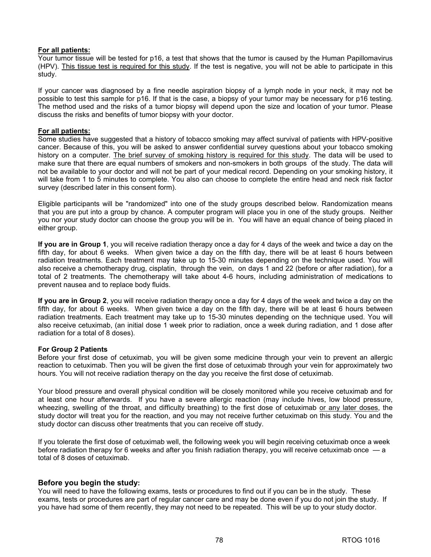### **For all patients:**

Your tumor tissue will be tested for p16, a test that shows that the tumor is caused by the Human Papillomavirus (HPV). This tissue test is required for this study. If the test is negative, you will not be able to participate in this study.

If your cancer was diagnosed by a fine needle aspiration biopsy of a lymph node in your neck, it may not be possible to test this sample for p16. If that is the case, a biopsy of your tumor may be necessary for p16 testing. The method used and the risks of a tumor biopsy will depend upon the size and location of your tumor. Please discuss the risks and benefits of tumor biopsy with your doctor.

### **For all patients:**

Some studies have suggested that a history of tobacco smoking may affect survival of patients with HPV-positive cancer. Because of this, you will be asked to answer confidential survey questions about your tobacco smoking history on a computer. The brief survey of smoking history is required for this study. The data will be used to make sure that there are equal numbers of smokers and non-smokers in both groups of the study. The data will not be available to your doctor and will not be part of your medical record. Depending on your smoking history, it will take from 1 to 5 minutes to complete. You also can choose to complete the entire head and neck risk factor survey (described later in this consent form).

Eligible participants will be "randomized" into one of the study groups described below. Randomization means that you are put into a group by chance. A computer program will place you in one of the study groups. Neither you nor your study doctor can choose the group you will be in. You will have an equal chance of being placed in either group.

**If you are in Group 1**, you will receive radiation therapy once a day for 4 days of the week and twice a day on the fifth day, for about 6 weeks. When given twice a day on the fifth day, there will be at least 6 hours between radiation treatments. Each treatment may take up to 15-30 minutes depending on the technique used. You will also receive a chemotherapy drug, cisplatin, through the vein, on days 1 and 22 (before or after radiation), for a total of 2 treatments. The chemotherapy will take about 4-6 hours, including administration of medications to prevent nausea and to replace body fluids.

**If you are in Group 2**, you will receive radiation therapy once a day for 4 days of the week and twice a day on the fifth day, for about 6 weeks. When given twice a day on the fifth day, there will be at least 6 hours between radiation treatments. Each treatment may take up to 15-30 minutes depending on the technique used. You will also receive cetuximab, (an initial dose 1 week prior to radiation, once a week during radiation, and 1 dose after radiation for a total of 8 doses).

### **For Group 2 Patients**

Before your first dose of cetuximab, you will be given some medicine through your vein to prevent an allergic reaction to cetuximab. Then you will be given the first dose of cetuximab through your vein for approximately two hours. You will not receive radiation therapy on the day you receive the first dose of cetuximab.

Your blood pressure and overall physical condition will be closely monitored while you receive cetuximab and for at least one hour afterwards. If you have a severe allergic reaction (may include hives, low blood pressure, wheezing, swelling of the throat, and difficulty breathing) to the first dose of cetuximab or any later doses, the study doctor will treat you for the reaction, and you may not receive further cetuximab on this study. You and the study doctor can discuss other treatments that you can receive off study.

If you tolerate the first dose of cetuximab well, the following week you will begin receiving cetuximab once a week before radiation therapy for 6 weeks and after you finish radiation therapy, you will receive cetuximab once — a total of 8 doses of cetuximab.

# **Before you begin the study:**

You will need to have the following exams, tests or procedures to find out if you can be in the study. These exams, tests or procedures are part of regular cancer care and may be done even if you do not join the study. If you have had some of them recently, they may not need to be repeated. This will be up to your study doctor.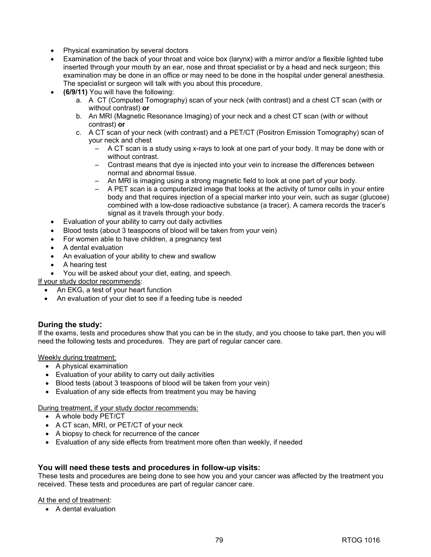- Physical examination by several doctors
- Examination of the back of your throat and voice box (larynx) with a mirror and/or a flexible lighted tube inserted through your mouth by an ear, nose and throat specialist or by a head and neck surgeon; this examination may be done in an office or may need to be done in the hospital under general anesthesia. The specialist or surgeon will talk with you about this procedure.
- **(6/9/11)** You will have the following:
	- a. A CT (Computed Tomography) scan of your neck (with contrast) and a chest CT scan (with or without contrast) **or**
	- b. An MRI (Magnetic Resonance Imaging) of your neck and a chest CT scan (with or without contrast) **or**
	- c. A CT scan of your neck (with contrast) and a PET/CT (Positron Emission Tomography) scan of your neck and chest
		- A CT scan is a study using x-rays to look at one part of your body. It may be done with or without contrast.
		- Contrast means that dye is injected into your vein to increase the differences between normal and abnormal tissue.
		- An MRI is imaging using a strong magnetic field to look at one part of your body.
		- A PET scan is a computerized image that looks at the activity of tumor cells in your entire body and that requires injection of a special marker into your vein, such as sugar (glucose) combined with a low-dose radioactive substance (a tracer). A camera records the tracer's signal as it travels through your body.
- Evaluation of your ability to carry out daily activities
- Blood tests (about 3 teaspoons of blood will be taken from your vein)
- For women able to have children, a pregnancy test
- A dental evaluation
- An evaluation of your ability to chew and swallow
- A hearing test
- You will be asked about your diet, eating, and speech.

If your study doctor recommends:

- An EKG, a test of your heart function
- An evaluation of your diet to see if a feeding tube is needed

# **During the study:**

If the exams, tests and procedures show that you can be in the study, and you choose to take part, then you will need the following tests and procedures. They are part of regular cancer care.

Weekly during treatment:

- A physical examination
- Evaluation of your ability to carry out daily activities
- Blood tests (about 3 teaspoons of blood will be taken from your vein)
- Evaluation of any side effects from treatment you may be having

During treatment, if your study doctor recommends:

- A whole body PET/CT
- A CT scan, MRI, or PET/CT of your neck
- A biopsy to check for recurrence of the cancer
- Evaluation of any side effects from treatment more often than weekly, if needed

# **You will need these tests and procedures in follow-up visits:**

These tests and procedures are being done to see how you and your cancer was affected by the treatment you received. These tests and procedures are part of regular cancer care.

### At the end of treatment:

• A dental evaluation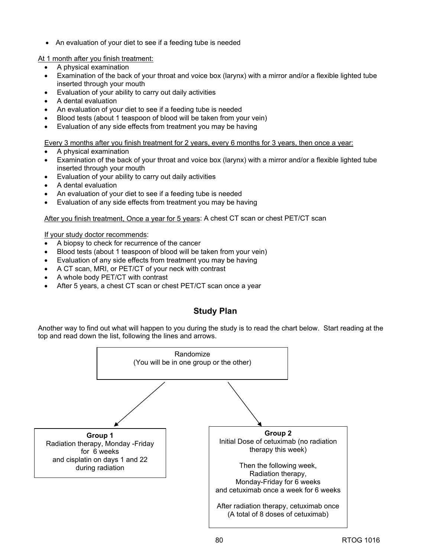• An evaluation of your diet to see if a feeding tube is needed

At 1 month after you finish treatment:

- A physical examination
- Examination of the back of your throat and voice box (larynx) with a mirror and/or a flexible lighted tube inserted through your mouth
- Evaluation of your ability to carry out daily activities
- A dental evaluation
- An evaluation of your diet to see if a feeding tube is needed
- Blood tests (about 1 teaspoon of blood will be taken from your vein)
- Evaluation of any side effects from treatment you may be having

Every 3 months after you finish treatment for 2 years, every 6 months for 3 years, then once a year:

- A physical examination
- Examination of the back of your throat and voice box (larynx) with a mirror and/or a flexible lighted tube inserted through your mouth
- Evaluation of your ability to carry out daily activities
- A dental evaluation
- An evaluation of your diet to see if a feeding tube is needed
- Evaluation of any side effects from treatment you may be having

### After you finish treatment, Once a year for 5 years: A chest CT scan or chest PET/CT scan

If your study doctor recommends:

- A biopsy to check for recurrence of the cancer
- Blood tests (about 1 teaspoon of blood will be taken from your vein)
- Evaluation of any side effects from treatment you may be having
- A CT scan, MRI, or PET/CT of your neck with contrast
- A whole body PET/CT with contrast
- After 5 years, a chest CT scan or chest PET/CT scan once a year

# **Study Plan**

Another way to find out what will happen to you during the study is to read the chart below. Start reading at the top and read down the list, following the lines and arrows.

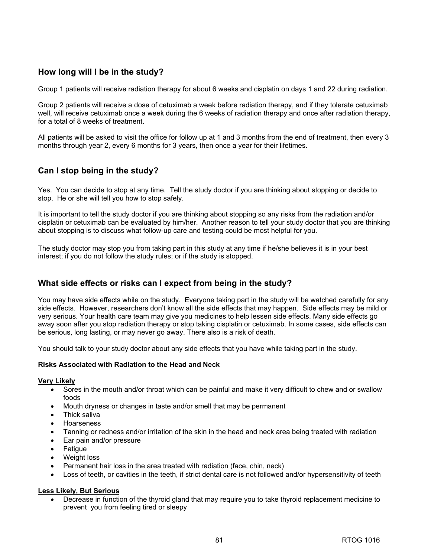# **How long will I be in the study?**

Group 1 patients will receive radiation therapy for about 6 weeks and cisplatin on days 1 and 22 during radiation.

Group 2 patients will receive a dose of cetuximab a week before radiation therapy, and if they tolerate cetuximab well, will receive cetuximab once a week during the 6 weeks of radiation therapy and once after radiation therapy, for a total of 8 weeks of treatment.

All patients will be asked to visit the office for follow up at 1 and 3 months from the end of treatment, then every 3 months through year 2, every 6 months for 3 years, then once a year for their lifetimes.

# **Can I stop being in the study?**

Yes. You can decide to stop at any time. Tell the study doctor if you are thinking about stopping or decide to stop. He or she will tell you how to stop safely.

It is important to tell the study doctor if you are thinking about stopping so any risks from the radiation and/or cisplatin or cetuximab can be evaluated by him/her. Another reason to tell your study doctor that you are thinking about stopping is to discuss what follow-up care and testing could be most helpful for you.

The study doctor may stop you from taking part in this study at any time if he/she believes it is in your best interest; if you do not follow the study rules; or if the study is stopped.

# **What side effects or risks can I expect from being in the study?**

You may have side effects while on the study. Everyone taking part in the study will be watched carefully for any side effects. However, researchers don't know all the side effects that may happen. Side effects may be mild or very serious. Your health care team may give you medicines to help lessen side effects. Many side effects go away soon after you stop radiation therapy or stop taking cisplatin or cetuximab. In some cases, side effects can be serious, long lasting, or may never go away. There also is a risk of death.

You should talk to your study doctor about any side effects that you have while taking part in the study.

### **Risks Associated with Radiation to the Head and Neck**

### **Very Likely**

- Sores in the mouth and/or throat which can be painful and make it very difficult to chew and or swallow foods
- Mouth dryness or changes in taste and/or smell that may be permanent
- Thick saliva
- Hoarseness
- Tanning or redness and/or irritation of the skin in the head and neck area being treated with radiation
- Ear pain and/or pressure
- **Fatigue**
- Weight loss
- Permanent hair loss in the area treated with radiation (face, chin, neck)
- Loss of teeth, or cavities in the teeth, if strict dental care is not followed and/or hypersensitivity of teeth

### **Less Likely, But Serious**

• Decrease in function of the thyroid gland that may require you to take thyroid replacement medicine to prevent you from feeling tired or sleepy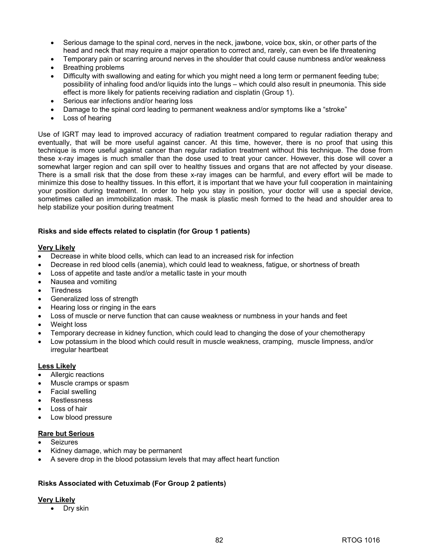- Serious damage to the spinal cord, nerves in the neck, jawbone, voice box, skin, or other parts of the head and neck that may require a major operation to correct and, rarely, can even be life threatening
- Temporary pain or scarring around nerves in the shoulder that could cause numbness and/or weakness
- Breathing problems
- Difficulty with swallowing and eating for which you might need a long term or permanent feeding tube; possibility of inhaling food and/or liquids into the lungs – which could also result in pneumonia. This side effect is more likely for patients receiving radiation and cisplatin (Group 1).
- Serious ear infections and/or hearing loss
- Damage to the spinal cord leading to permanent weakness and/or symptoms like a "stroke"
- Loss of hearing

Use of IGRT may lead to improved accuracy of radiation treatment compared to regular radiation therapy and eventually, that will be more useful against cancer. At this time, however, there is no proof that using this technique is more useful against cancer than regular radiation treatment without this technique. The dose from these x-ray images is much smaller than the dose used to treat your cancer. However, this dose will cover a somewhat larger region and can spill over to healthy tissues and organs that are not affected by your disease. There is a small risk that the dose from these x-ray images can be harmful, and every effort will be made to minimize this dose to healthy tissues. In this effort, it is important that we have your full cooperation in maintaining your position during treatment. In order to help you stay in position, your doctor will use a special device, sometimes called an immobilization mask. The mask is plastic mesh formed to the head and shoulder area to help stabilize your position during treatment

### **Risks and side effects related to cisplatin (for Group 1 patients)**

### **Very Likely**

- Decrease in white blood cells, which can lead to an increased risk for infection
- Decrease in red blood cells (anemia), which could lead to weakness, fatigue, or shortness of breath
- Loss of appetite and taste and/or a metallic taste in your mouth
- Nausea and vomiting
- **Tiredness**
- Generalized loss of strength
- Hearing loss or ringing in the ears
- Loss of muscle or nerve function that can cause weakness or numbness in your hands and feet
- Weight loss
- Temporary decrease in kidney function, which could lead to changing the dose of your chemotherapy
- Low potassium in the blood which could result in muscle weakness, cramping, muscle limpness, and/or irregular heartbeat

### **Less Likely**

- Allergic reactions
- Muscle cramps or spasm
- Facial swelling
- Restlessness
- Loss of hair
- Low blood pressure

### **Rare but Serious**

- **Seizures**
- Kidney damage, which may be permanent
- A severe drop in the blood potassium levels that may affect heart function

# **Risks Associated with Cetuximab (For Group 2 patients)**

### **Very Likely**

• Dry skin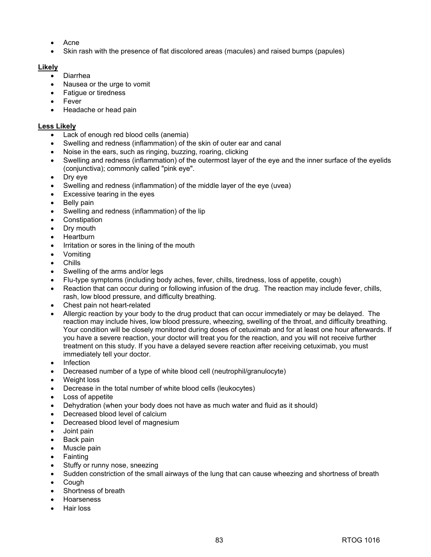- Acne
- Skin rash with the presence of flat discolored areas (macules) and raised bumps (papules)

# **Likely**

- Diarrhea
- Nausea or the urge to vomit
- Fatigue or tiredness
- **Fever**
- Headache or head pain

### **Less Likely**

- Lack of enough red blood cells (anemia)
- Swelling and redness (inflammation) of the skin of outer ear and canal
- Noise in the ears, such as ringing, buzzing, roaring, clicking
- Swelling and redness (inflammation) of the outermost layer of the eye and the inner surface of the eyelids (conjunctiva); commonly called "pink eye".
- Dry eye
- Swelling and redness (inflammation) of the middle layer of the eye (uvea)
- Excessive tearing in the eyes
- Belly pain
- Swelling and redness (inflammation) of the lip
- Constipation
- Drv mouth
- Heartburn
- Irritation or sores in the lining of the mouth
- Vomiting
- Chills
- Swelling of the arms and/or legs
- Flu-type symptoms (including body aches, fever, chills, tiredness, loss of appetite, cough)
- Reaction that can occur during or following infusion of the drug. The reaction may include fever, chills, rash, low blood pressure, and difficulty breathing.
- Chest pain not heart-related
- Allergic reaction by your body to the drug product that can occur immediately or may be delayed. The reaction may include hives, low blood pressure, wheezing, swelling of the throat, and difficulty breathing. Your condition will be closely monitored during doses of cetuximab and for at least one hour afterwards. If you have a severe reaction, your doctor will treat you for the reaction, and you will not receive further treatment on this study. If you have a delayed severe reaction after receiving cetuximab, you must immediately tell your doctor.
- Infection
- Decreased number of a type of white blood cell (neutrophil/granulocyte)
- Weight loss
- Decrease in the total number of white blood cells (leukocytes)
- Loss of appetite
- Dehydration (when your body does not have as much water and fluid as it should)
- Decreased blood level of calcium
- Decreased blood level of magnesium
- Joint pain
- Back pain
- Muscle pain
- **Fainting**
- Stuffy or runny nose, sneezing
- Sudden constriction of the small airways of the lung that can cause wheezing and shortness of breath
- Cough
- Shortness of breath
- Hoarseness
- Hair loss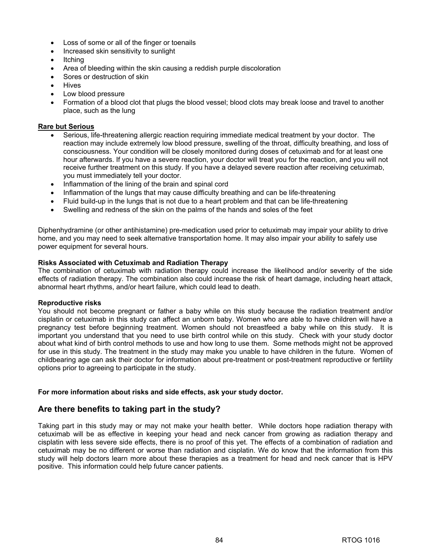- Loss of some or all of the finger or toenails
- Increased skin sensitivity to sunlight
- Itching
- Area of bleeding within the skin causing a reddish purple discoloration
- Sores or destruction of skin
- **Hives**
- Low blood pressure
- Formation of a blood clot that plugs the blood vessel; blood clots may break loose and travel to another place, such as the lung

### **Rare but Serious**

- Serious, life-threatening allergic reaction requiring immediate medical treatment by your doctor. The reaction may include extremely low blood pressure, swelling of the throat, difficulty breathing, and loss of consciousness. Your condition will be closely monitored during doses of cetuximab and for at least one hour afterwards. If you have a severe reaction, your doctor will treat you for the reaction, and you will not receive further treatment on this study. If you have a delayed severe reaction after receiving cetuximab, you must immediately tell your doctor.
- Inflammation of the lining of the brain and spinal cord
- Inflammation of the lungs that may cause difficulty breathing and can be life-threatening
- Fluid build-up in the lungs that is not due to a heart problem and that can be life-threatening
- Swelling and redness of the skin on the palms of the hands and soles of the feet

Diphenhydramine (or other antihistamine) pre-medication used prior to cetuximab may impair your ability to drive home, and you may need to seek alternative transportation home. It may also impair your ability to safely use power equipment for several hours.

### **Risks Associated with Cetuximab and Radiation Therapy**

The combination of cetuximab with radiation therapy could increase the likelihood and/or severity of the side effects of radiation therapy. The combination also could increase the risk of heart damage, including heart attack, abnormal heart rhythms, and/or heart failure, which could lead to death.

### **Reproductive risks**

You should not become pregnant or father a baby while on this study because the radiation treatment and/or cisplatin or cetuximab in this study can affect an unborn baby. Women who are able to have children will have a pregnancy test before beginning treatment. Women should not breastfeed a baby while on this study. It is important you understand that you need to use birth control while on this study. Check with your study doctor about what kind of birth control methods to use and how long to use them. Some methods might not be approved for use in this study. The treatment in the study may make you unable to have children in the future.Women of childbearing age can ask their doctor for information about pre-treatment or post-treatment reproductive or fertility options prior to agreeing to participate in the study.

### **For more information about risks and side effects, ask your study doctor.**

# **Are there benefits to taking part in the study?**

Taking part in this study may or may not make your health better. While doctors hope radiation therapy with cetuximab will be as effective in keeping your head and neck cancer from growing as radiation therapy and cisplatin with less severe side effects, there is no proof of this yet. The effects of a combination of radiation and cetuximab may be no different or worse than radiation and cisplatin. We do know that the information from this study will help doctors learn more about these therapies as a treatment for head and neck cancer that is HPV positive. This information could help future cancer patients.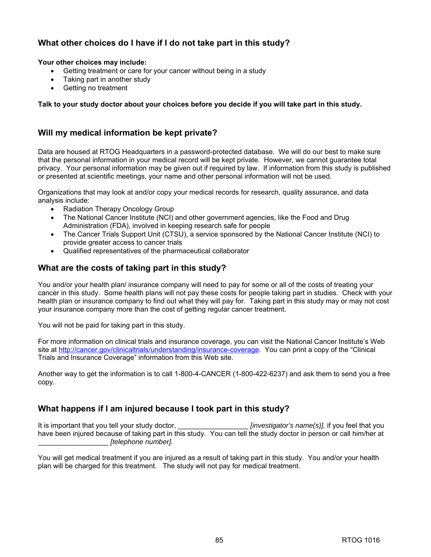# **What other choices do I have if I do not take part in this study?**

# **Your other choices may include:**

- Getting treatment or care for your cancer without being in a study
- Taking part in another study
- Getting no treatment

# **Talk to your study doctor about your choices before you decide if you will take part in this study.**

# **Will my medical information be kept private?**

Data are housed at RTOG Headquarters in a password-protected database. We will do our best to make sure that the personal information in your medical record will be kept private. However, we cannot guarantee total privacy. Your personal information may be given out if required by law. If information from this study is published or presented at scientific meetings, your name and other personal information will not be used.

Organizations that may look at and/or copy your medical records for research, quality assurance, and data analysis include:

- Radiation Therapy Oncology Group
- The National Cancer Institute (NCI) and other government agencies, like the Food and Drug Administration (FDA), involved in keeping research safe for people
- The Cancer Trials Support Unit (CTSU), a service sponsored by the National Cancer Institute (NCI) to provide greater access to cancer trials
- Qualified representatives of the pharmaceutical collaborator

# **What are the costs of taking part in this study?**

You and/or your health plan/ insurance company will need to pay for some or all of the costs of treating your cancer in this study. Some health plans will not pay these costs for people taking part in studies. Check with your health plan or insurance company to find out what they will pay for. Taking part in this study may or may not cost your insurance company more than the cost of getting regular cancer treatment.

You will not be paid for taking part in this study.

For more information on clinical trials and insurance coverage, you can visit the National Cancer Institute's Web site at [http://cancer.gov/clinicaltrials/understanding/insurance-coverage.](http://cancer.gov/clinicaltrials/understanding/insurance-coverage) You can print a copy of the "Clinical Trials and Insurance Coverage" information from this Web site.

Another way to get the information is to call 1-800-4-CANCER (1-800-422-6237) and ask them to send you a free copy.

# **What happens if I am injured because I took part in this study?**

It is important that you tell your study doctor, \_\_\_\_\_\_\_\_\_\_\_\_\_\_\_\_\_\_\_\_\_\_\_*[investigator's name(s)],* if you feel that you have been injured because of taking part in this study. You can tell the study doctor in person or call him/her at \_\_\_\_\_\_\_\_\_\_\_\_\_\_\_\_\_\_ *[telephone number].*

You will get medical treatment if you are injured as a result of taking part in this study. You and/or your health plan will be charged for this treatment. The study will not pay for medical treatment.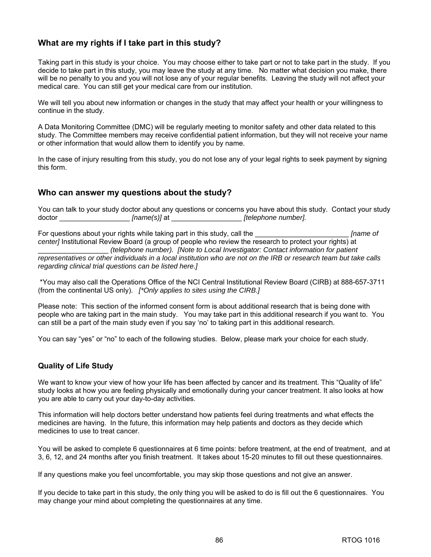# **What are my rights if I take part in this study?**

Taking part in this study is your choice. You may choose either to take part or not to take part in the study. If you decide to take part in this study, you may leave the study at any time. No matter what decision you make, there will be no penalty to you and you will not lose any of your regular benefits. Leaving the study will not affect your medical care. You can still get your medical care from our institution.

We will tell you about new information or changes in the study that may affect your health or your willingness to continue in the study.

A Data Monitoring Committee (DMC) will be regularly meeting to monitor safety and other data related to this study. The Committee members may receive confidential patient information, but they will not receive your name or other information that would allow them to identify you by name.

In the case of injury resulting from this study, you do not lose any of your legal rights to seek payment by signing this form.

# **Who can answer my questions about the study?**

You can talk to your study doctor about any questions or concerns you have about this study. Contact your study doctor \_\_\_\_\_\_\_\_\_\_\_\_\_\_\_\_\_\_ *[name(s)]* at \_\_\_\_\_\_\_\_\_\_\_\_\_\_\_\_\_\_ *[telephone number].*

For questions about your rights while taking part in this study, call the **Figure** 1 and *Figure of Figure of Figure for an and all the Figure of Figure of Figure of Figure 3 and Figure 3 and Figure 3 and center]* Institutional Review Board (a group of people who review the research to protect your rights) at \_\_\_\_\_\_\_\_\_\_\_\_\_\_\_\_\_\_ *(telephone number). [Note to Local Investigator: Contact information for patient representatives or other individuals in a local institution who are not on the IRB or research team but take calls regarding clinical trial questions can be listed here.]* 

\*You may also call the Operations Office of the NCI Central Institutional Review Board (CIRB) at 888-657-3711 (from the continental US only). *[\*Only applies to sites using the CIRB.]* 

Please note: This section of the informed consent form is about additional research that is being done with people who are taking part in the main study. You may take part in this additional research if you want to. You can still be a part of the main study even if you say 'no' to taking part in this additional research.

You can say "yes" or "no" to each of the following studies. Below, please mark your choice for each study.

# **Quality of Life Study**

We want to know your view of how your life has been affected by cancer and its treatment. This "Quality of life" study looks at how you are feeling physically and emotionally during your cancer treatment. It also looks at how you are able to carry out your day-to-day activities.

This information will help doctors better understand how patients feel during treatments and what effects the medicines are having. In the future, this information may help patients and doctors as they decide which medicines to use to treat cancer.

You will be asked to complete 6 questionnaires at 6 time points: before treatment, at the end of treatment, and at 3, 6, 12, and 24 months after you finish treatment. It takes about 15-20 minutes to fill out these questionnaires.

If any questions make you feel uncomfortable, you may skip those questions and not give an answer.

If you decide to take part in this study, the only thing you will be asked to do is fill out the 6 questionnaires. You may change your mind about completing the questionnaires at any time.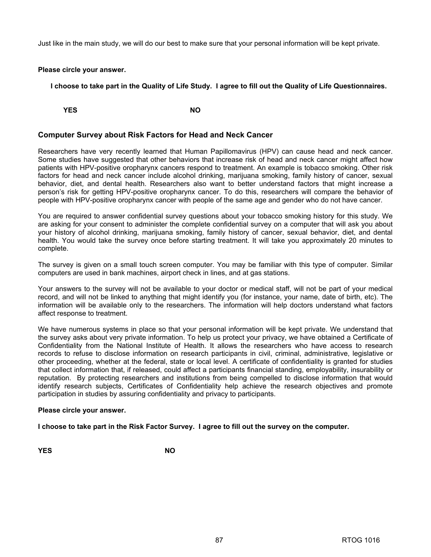Just like in the main study, we will do our best to make sure that your personal information will be kept private.

### **Please circle your answer.**

**I choose to take part in the Quality of Life Study. I agree to fill out the Quality of Life Questionnaires.** 

**YES** NO

# **Computer Survey about Risk Factors for Head and Neck Cancer**

Researchers have very recently learned that Human Papillomavirus (HPV) can cause head and neck cancer. Some studies have suggested that other behaviors that increase risk of head and neck cancer might affect how patients with HPV-positive oropharynx cancers respond to treatment. An example is tobacco smoking. Other risk factors for head and neck cancer include alcohol drinking, marijuana smoking, family history of cancer, sexual behavior, diet, and dental health. Researchers also want to better understand factors that might increase a person's risk for getting HPV-positive oropharynx cancer. To do this, researchers will compare the behavior of people with HPV-positive oropharynx cancer with people of the same age and gender who do not have cancer.

You are required to answer confidential survey questions about your tobacco smoking history for this study. We are asking for your consent to administer the complete confidential survey on a computer that will ask you about your history of alcohol drinking, marijuana smoking, family history of cancer, sexual behavior, diet, and dental health. You would take the survey once before starting treatment. It will take you approximately 20 minutes to complete.

The survey is given on a small touch screen computer. You may be familiar with this type of computer. Similar computers are used in bank machines, airport check in lines, and at gas stations.

Your answers to the survey will not be available to your doctor or medical staff, will not be part of your medical record, and will not be linked to anything that might identify you (for instance, your name, date of birth, etc). The information will be available only to the researchers. The information will help doctors understand what factors affect response to treatment.

We have numerous systems in place so that your personal information will be kept private. We understand that the survey asks about very private information. To help us protect your privacy, we have obtained a Certificate of Confidentiality from the National Institute of Health. It allows the researchers who have access to research records to refuse to disclose information on research participants in civil, criminal, administrative, legislative or other proceeding, whether at the federal, state or local level. A certificate of confidentiality is granted for studies that collect information that, if released, could affect a participants financial standing, employability, insurability or reputation. By protecting researchers and institutions from being compelled to disclose information that would identify research subjects, Certificates of Confidentiality help achieve the research objectives and promote participation in studies by assuring confidentiality and privacy to participants.

### **Please circle your answer.**

**I choose to take part in the Risk Factor Survey. I agree to fill out the survey on the computer.** 

**YES** NO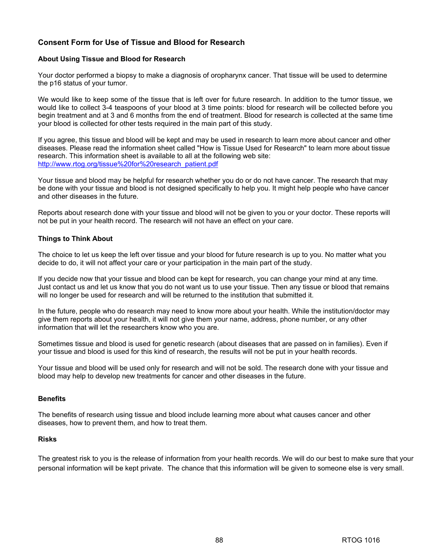# **Consent Form for Use of Tissue and Blood for Research**

### **About Using Tissue and Blood for Research**

Your doctor performed a biopsy to make a diagnosis of oropharynx cancer. That tissue will be used to determine the p16 status of your tumor.

We would like to keep some of the tissue that is left over for future research. In addition to the tumor tissue, we would like to collect 3-4 teaspoons of your blood at 3 time points: blood for research will be collected before you begin treatment and at 3 and 6 months from the end of treatment. Blood for research is collected at the same time your blood is collected for other tests required in the main part of this study.

If you agree, this tissue and blood will be kept and may be used in research to learn more about cancer and other diseases. Please read the information sheet called "How is Tissue Used for Research" to learn more about tissue research. This information sheet is available to all at the following web site: [http://www.rtog.org/tissue%20for%20research\\_patient.pdf](http://www.rtog.org/tissue%20for%20research_patient.pdf)

Your tissue and blood may be helpful for research whether you do or do not have cancer. The research that may be done with your tissue and blood is not designed specifically to help you. It might help people who have cancer and other diseases in the future.

Reports about research done with your tissue and blood will not be given to you or your doctor. These reports will not be put in your health record. The research will not have an effect on your care.

### **Things to Think About**

The choice to let us keep the left over tissue and your blood for future research is up to you. No matter what you decide to do, it will not affect your care or your participation in the main part of the study.

If you decide now that your tissue and blood can be kept for research, you can change your mind at any time. Just contact us and let us know that you do not want us to use your tissue. Then any tissue or blood that remains will no longer be used for research and will be returned to the institution that submitted it.

In the future, people who do research may need to know more about your health. While the institution/doctor may give them reports about your health, it will not give them your name, address, phone number, or any other information that will let the researchers know who you are.

Sometimes tissue and blood is used for genetic research (about diseases that are passed on in families). Even if your tissue and blood is used for this kind of research, the results will not be put in your health records.

Your tissue and blood will be used only for research and will not be sold. The research done with your tissue and blood may help to develop new treatments for cancer and other diseases in the future.

### **Benefits**

The benefits of research using tissue and blood include learning more about what causes cancer and other diseases, how to prevent them, and how to treat them.

### **Risks**

The greatest risk to you is the release of information from your health records. We will do our best to make sure that your personal information will be kept private. The chance that this information will be given to someone else is very small.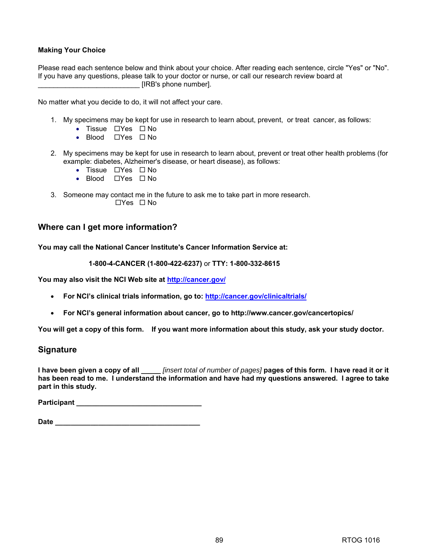# **Making Your Choice**

Please read each sentence below and think about your choice. After reading each sentence, circle "Yes" or "No". If you have any questions, please talk to your doctor or nurse, or call our research review board at  $[IRB's phone number]$ .

No matter what you decide to do, it will not affect your care.

- 1. My specimens may be kept for use in research to learn about, prevent, or treat cancer, as follows:
	- Tissue  $\Box$  Yes  $\Box$  No
	- Blood  $\Box$  Yes  $\Box$  No
- 2. My specimens may be kept for use in research to learn about, prevent or treat other health problems (for example: diabetes, Alzheimer's disease, or heart disease), as follows:
	- Tissue  $\Box$  Yes  $\Box$  No
	- Blood  $\Box$  Yes  $\Box$  No
- 3. Someone may contact me in the future to ask me to take part in more research.  $\Box$ Yes  $\Box$  No

# **Where can I get more information?**

**You may call the National Cancer Institute's Cancer Information Service at:** 

**1-800-4-CANCER (1-800-422-6237)** or **TTY: 1-800-332-8615**

**You may also visit the NCI Web site at [http://cancer.gov/](http://cancer.gov)**

- **For NCI's clinical trials information, go to: [http://cancer.gov/clinicaltrials/](http://cancer.gov/clinicaltrials)**
- **For NCI's general information about cancer, go to [http://www.cancer.gov/cancertopics/](http://www.cancer.gov/cancertopics)**

**You will get a copy of this form. If you want more information about this study, ask your study doctor.**

# **Signature**

**I have been given a copy of all \_\_\_\_\_** *[insert total of number of pages]* **pages of this form. I have read it or it has been read to me. I understand the information and have had my questions answered. I agree to take part in this study.** 

**Participant \_\_\_\_\_\_\_\_\_\_\_\_\_\_\_\_\_\_\_\_\_\_\_\_\_\_\_\_\_\_\_\_** 

| <b>Date</b> |  |  |  |  |  |  |  |
|-------------|--|--|--|--|--|--|--|
|             |  |  |  |  |  |  |  |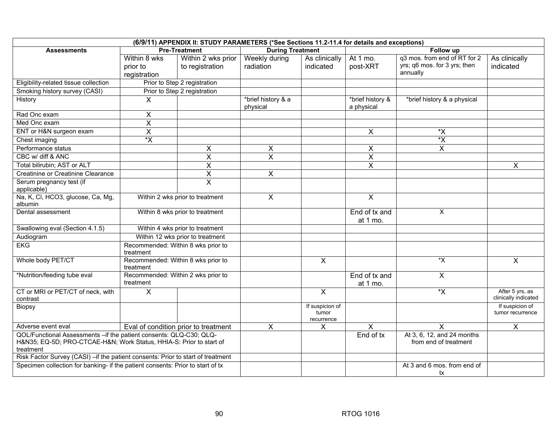| (6/9/11) APPENDIX II: STUDY PARAMETERS (*See Sections 11.2-11.4 for details and exceptions)                                                           |                                                 |                                      |                                |                                        |                                |                                                     |                                         |  |
|-------------------------------------------------------------------------------------------------------------------------------------------------------|-------------------------------------------------|--------------------------------------|--------------------------------|----------------------------------------|--------------------------------|-----------------------------------------------------|-----------------------------------------|--|
| <b>Assessments</b>                                                                                                                                    |                                                 | <b>Pre-Treatment</b>                 | <b>During Treatment</b>        |                                        | <b>Follow up</b>               |                                                     |                                         |  |
|                                                                                                                                                       | Within 8 wks                                    | Within 2 wks prior                   | Weekly during                  | As clinically                          | At 1 mo.                       | q3 mos. from end of RT for 2                        | As clinically                           |  |
|                                                                                                                                                       | prior to                                        | to registration                      | radiation                      | indicated                              | post-XRT                       | yrs; q6 mos. for 3 yrs; then                        | indicated                               |  |
|                                                                                                                                                       | registration                                    |                                      |                                |                                        |                                | annually                                            |                                         |  |
| Eligibility-related tissue collection                                                                                                                 |                                                 | Prior to Step 2 registration         |                                |                                        |                                |                                                     |                                         |  |
| Smoking history survey (CASI)                                                                                                                         |                                                 | Prior to Step 2 registration         |                                |                                        |                                |                                                     |                                         |  |
| History                                                                                                                                               | $\mathsf{X}$                                    |                                      | *brief history & a<br>physical |                                        | *brief history &<br>a physical | *brief history & a physical                         |                                         |  |
| Rad Onc exam                                                                                                                                          | X                                               |                                      |                                |                                        |                                |                                                     |                                         |  |
| Med Onc exam                                                                                                                                          | $\overline{\mathsf{x}}$                         |                                      |                                |                                        |                                |                                                     |                                         |  |
| ENT or H&N surgeon exam                                                                                                                               | X                                               |                                      |                                |                                        | $\mathsf{X}$                   | $\star \mathsf{X}$                                  |                                         |  |
| Chest imaging                                                                                                                                         | $\overline{\mathsf{x}}$                         |                                      |                                |                                        |                                | *Χ                                                  |                                         |  |
| Performance status                                                                                                                                    |                                                 | $\boldsymbol{\mathsf{X}}$            | $\pmb{\times}$                 |                                        | X                              | $\boldsymbol{\mathsf{X}}$                           |                                         |  |
| CBC w/ diff & ANC                                                                                                                                     |                                                 | X                                    | $\boldsymbol{\mathsf{X}}$      |                                        | $\boldsymbol{\mathsf{X}}$      |                                                     |                                         |  |
| Total bilirubin; AST or ALT                                                                                                                           |                                                 | $\pmb{\times}$                       |                                |                                        | X                              |                                                     | $\mathsf{X}$                            |  |
| Creatinine or Creatinine Clearance                                                                                                                    |                                                 | $\overline{\mathsf{x}}$              | $\overline{X}$                 |                                        |                                |                                                     |                                         |  |
| Serum pregnancy test (if<br>applicable)                                                                                                               |                                                 | $\overline{X}$                       |                                |                                        |                                |                                                     |                                         |  |
| Na, K, Cl, HCO3, glucose, Ca, Mg,<br>albumin                                                                                                          |                                                 | Within 2 wks prior to treatment      | $\overline{\mathsf{x}}$        |                                        | $\overline{X}$                 |                                                     |                                         |  |
| Dental assessment                                                                                                                                     |                                                 | Within 8 wks prior to treatment      |                                |                                        | End of tx and<br>at 1 mo.      | $\overline{\mathsf{x}}$                             |                                         |  |
| Swallowing eval (Section 4.1.5)                                                                                                                       |                                                 | Within 4 wks prior to treatment      |                                |                                        |                                |                                                     |                                         |  |
| Audiogram                                                                                                                                             |                                                 | Within 12 wks prior to treatment     |                                |                                        |                                |                                                     |                                         |  |
| <b>EKG</b>                                                                                                                                            | Recommended: Within 8 wks prior to<br>treatment |                                      |                                |                                        |                                |                                                     |                                         |  |
| Whole body PET/CT                                                                                                                                     | Recommended: Within 8 wks prior to<br>treatment |                                      |                                | $\overline{X}$                         |                                | $\overline{X^*}$                                    | $\mathsf{X}$                            |  |
| *Nutrition/feeding tube eval                                                                                                                          | Recommended: Within 2 wks prior to<br>treatment |                                      |                                |                                        | End of tx and<br>at 1 mo.      | $\overline{\mathsf{x}}$                             |                                         |  |
| CT or MRI or PET/CT of neck, with<br>contrast                                                                                                         | $\overline{X}$                                  |                                      |                                | $\overline{X}$                         |                                | $\overline{\mathsf{x}}$                             | After 5 yrs, as<br>clinically indicated |  |
| Biopsy                                                                                                                                                |                                                 |                                      |                                | If suspicion of<br>tumor<br>recurrence |                                |                                                     | If suspicion of<br>tumor recurrence     |  |
| Adverse event eval                                                                                                                                    |                                                 | Eval of condition prior to treatment | $\mathsf{X}$                   | X                                      | $\pmb{\times}$                 | X                                                   | $\mathsf{X}$                            |  |
| QOL/Functional Assessments - if the patient consents: QLQ-C30; QLQ-<br>H&N35 EQ-5D; PRO-CTCAE-H&N Work Status, HHIA-S: Prior to start of<br>treatment |                                                 |                                      |                                |                                        | End of tx                      | At 3, 6, 12, and 24 months<br>from end of treatment |                                         |  |
| Risk Factor Survey (CASI) - if the patient consents: Prior to start of treatment                                                                      |                                                 |                                      |                                |                                        |                                |                                                     |                                         |  |
| Specimen collection for banking- if the patient consents: Prior to start of tx                                                                        |                                                 |                                      |                                |                                        |                                | At 3 and 6 mos. from end of<br>tx                   |                                         |  |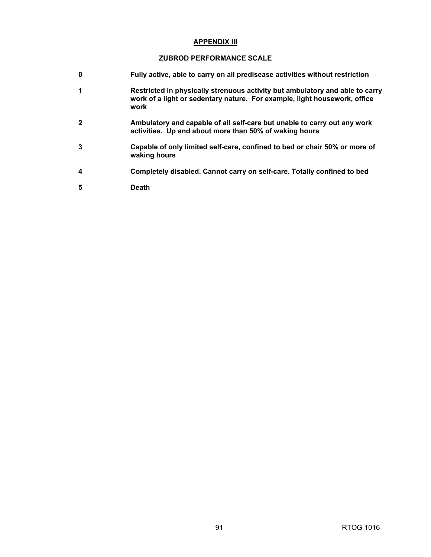### **APPENDIX III**

# **ZUBROD PERFORMANCE SCALE**

- **0 Fully active, able to carry on all predisease activities without restriction**
- **1 Restricted in physically strenuous activity but ambulatory and able to carry work of a light or sedentary nature. For example, light housework, office work**
- **2 Ambulatory and capable of all self-care but unable to carry out any work activities. Up and about more than 50% of waking hours**
- **3 Capable of only limited self-care, confined to bed or chair 50% or more of waking hours**
- **4 Completely disabled. Cannot carry on self-care. Totally confined to bed**
- **5 Death**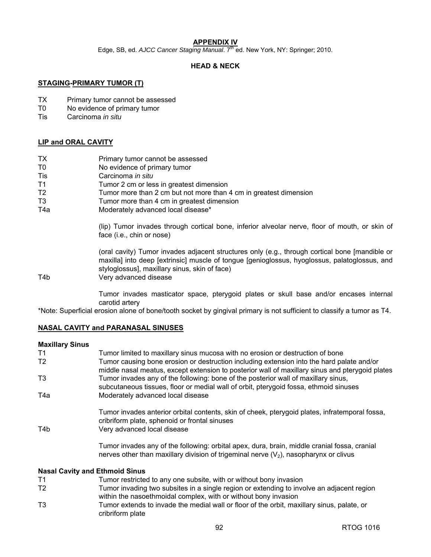# **APPENDIX IV**

Edge, SB, ed. *AJCC Cancer Staging Manual.* 7<sup>th</sup> ed. New York, NY: Springer; 2010.

# **HEAD & NECK**

### **STAGING-PRIMARY TUMOR (T)**

- TX Primary tumor cannot be assessed
- T0 No evidence of primary tumor
- Tis Carcinoma *in situ*

# **LIP and ORAL CAVITY**

- TX Primary tumor cannot be assessed
- T0 No evidence of primary tumor
- Tis Carcinoma *in situ*
- T1 Tumor 2 cm or less in greatest dimension
- T2 Tumor more than 2 cm but not more than 4 cm in greatest dimension
- T3 Tumor more than 4 cm in greatest dimension
- T4a Moderately advanced local disease\*

(lip) Tumor invades through cortical bone, inferior alveolar nerve, floor of mouth, or skin of face (i.e., chin or nose)

(oral cavity) Tumor invades adjacent structures only (e.g., through cortical bone [mandible or maxilla] into deep [extrinsic] muscle of tongue [genioglossus, hyoglossus, palatoglossus, and styloglossus], maxillary sinus, skin of face)

### T4b Very advanced disease

Tumor invades masticator space, pterygoid plates or skull base and/or encases internal carotid artery

\*Note: Superficial erosion alone of bone/tooth socket by gingival primary is not sufficient to classify a tumor as T4.

# **NASAL CAVITY and PARANASAL SINUSES**

### **Maxillary Sinus**

| T1                                    | Tumor limited to maxillary sinus mucosa with no erosion or destruction of bone                                                                                                               |  |  |  |
|---------------------------------------|----------------------------------------------------------------------------------------------------------------------------------------------------------------------------------------------|--|--|--|
| T <sub>2</sub>                        | Tumor causing bone erosion or destruction including extension into the hard palate and/or<br>middle nasal meatus, except extension to posterior wall of maxillary sinus and pterygoid plates |  |  |  |
| T <sub>3</sub>                        | Tumor invades any of the following: bone of the posterior wall of maxillary sinus,<br>subcutaneous tissues, floor or medial wall of orbit, pterygoid fossa, ethmoid sinuses                  |  |  |  |
| T4a                                   | Moderately advanced local disease                                                                                                                                                            |  |  |  |
| T4b                                   | Tumor invades anterior orbital contents, skin of cheek, pterygoid plates, infratemporal fossa,<br>cribriform plate, sphenoid or frontal sinuses<br>Very advanced local disease               |  |  |  |
|                                       | Tumor invades any of the following: orbital apex, dura, brain, middle cranial fossa, cranial<br>nerves other than maxillary division of trigeminal nerve $(V_2)$ , nasopharynx or clivus     |  |  |  |
| <b>Nasal Cavity and Ethmoid Sinus</b> |                                                                                                                                                                                              |  |  |  |

- T1 Tumor restricted to any one subsite, with or without bony invasion
- T2 Tumor invading two subsites in a single region or extending to involve an adjacent region within the nasoethmoidal complex, with or without bony invasion
- T3 Tumor extends to invade the medial wall or floor of the orbit, maxillary sinus, palate, or cribriform plate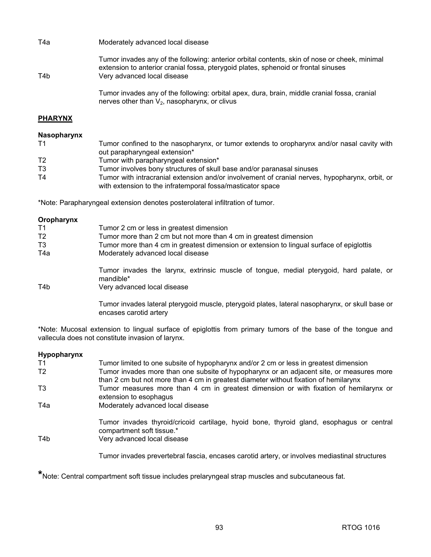| T4a | Moderately advanced local disease                                                                                                                                                                                  |
|-----|--------------------------------------------------------------------------------------------------------------------------------------------------------------------------------------------------------------------|
| T4b | Tumor invades any of the following: anterior orbital contents, skin of nose or cheek, minimal<br>extension to anterior cranial fossa, pterygoid plates, sphenoid or frontal sinuses<br>Very advanced local disease |
|     | Tumor invades any of the following: orbital apex, dura, brain, middle cranial fossa, cranial<br>nerves other than $V_2$ , nasopharynx, or clivus                                                                   |

# **PHARYNX**

### **Nasopharynx**

| T <sub>1</sub> | Tumor confined to the nasopharynx, or tumor extends to oropharynx and/or nasal cavity with                                                                   |
|----------------|--------------------------------------------------------------------------------------------------------------------------------------------------------------|
|                | out parapharyngeal extension*                                                                                                                                |
| T <sub>2</sub> | Tumor with parapharyngeal extension*                                                                                                                         |
| T <sub>3</sub> | Tumor involves bony structures of skull base and/or paranasal sinuses                                                                                        |
| T4             | Tumor with intracranial extension and/or involvement of cranial nerves, hypopharynx, orbit, or<br>with extension to the infratemporal fossa/masticator space |
|                |                                                                                                                                                              |

\*Note: Parapharyngeal extension denotes posterolateral infiltration of tumor.

| Oropharynx     |                                                                                                                           |
|----------------|---------------------------------------------------------------------------------------------------------------------------|
| T1             | Tumor 2 cm or less in greatest dimension                                                                                  |
| T <sub>2</sub> | Tumor more than 2 cm but not more than 4 cm in greatest dimension                                                         |
| T <sub>3</sub> | Tumor more than 4 cm in greatest dimension or extension to lingual surface of epiglottis                                  |
| T4a            | Moderately advanced local disease                                                                                         |
|                | Tumor invades the larynx, extrinsic muscle of tongue, medial pterygoid, hard palate, or<br>mandible*                      |
| T4b            | Very advanced local disease                                                                                               |
|                | Tumor invades lateral pterygoid muscle, pterygoid plates, lateral nasopharynx, or skull base or<br>encases carotid artery |

\*Note: Mucosal extension to lingual surface of epiglottis from primary tumors of the base of the tongue and vallecula does not constitute invasion of larynx.

### **Hypopharynx**

| T1             | Tumor limited to one subsite of hypopharynx and/or 2 cm or less in greatest dimension                                                                                            |
|----------------|----------------------------------------------------------------------------------------------------------------------------------------------------------------------------------|
| T <sub>2</sub> | Tumor invades more than one subsite of hypopharynx or an adjacent site, or measures more<br>than 2 cm but not more than 4 cm in greatest diameter without fixation of hemilarynx |
| T3             | Tumor measures more than 4 cm in greatest dimension or with fixation of hemilarynx or<br>extension to esophagus                                                                  |
| T4a            | Moderately advanced local disease                                                                                                                                                |
| T4b            | Tumor invades thyroid/cricoid cartilage, hyoid bone, thyroid gland, esophagus or central<br>compartment soft tissue.*<br>Very advanced local disease                             |
|                |                                                                                                                                                                                  |

Tumor invades prevertebral fascia, encases carotid artery, or involves mediastinal structures

**\***Note: Central compartment soft tissue includes prelaryngeal strap muscles and subcutaneous fat.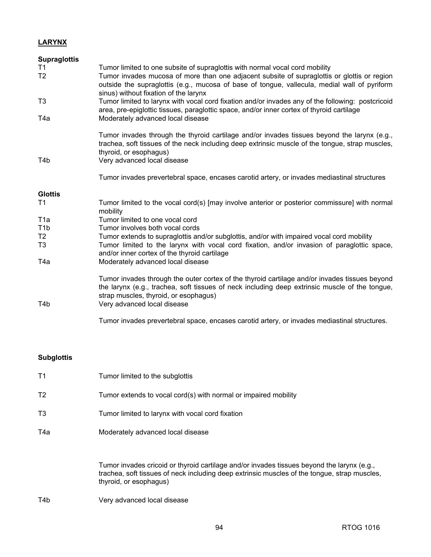# **LARYNX**

| <b>Supraglottis</b> |                                                                                                                                                                                                                                                                         |
|---------------------|-------------------------------------------------------------------------------------------------------------------------------------------------------------------------------------------------------------------------------------------------------------------------|
| T1                  | Tumor limited to one subsite of supraglottis with normal vocal cord mobility                                                                                                                                                                                            |
| T <sub>2</sub>      | Tumor invades mucosa of more than one adjacent subsite of supraglottis or glottis or region<br>outside the supraglottis (e.g., mucosa of base of tongue, vallecula, medial wall of pyriform<br>sinus) without fixation of the larynx                                    |
| T3                  | Tumor limited to larynx with vocal cord fixation and/or invades any of the following: postcricoid<br>area, pre-epiglottic tissues, paraglottic space, and/or inner cortex of thyroid cartilage                                                                          |
| T4a                 | Moderately advanced local disease                                                                                                                                                                                                                                       |
|                     | Tumor invades through the thyroid cartilage and/or invades tissues beyond the larynx (e.g.,<br>trachea, soft tissues of the neck including deep extrinsic muscle of the tongue, strap muscles,<br>thyroid, or esophagus)                                                |
| T4b                 | Very advanced local disease                                                                                                                                                                                                                                             |
|                     | Tumor invades prevertebral space, encases carotid artery, or invades mediastinal structures                                                                                                                                                                             |
| <b>Glottis</b>      |                                                                                                                                                                                                                                                                         |
| T1                  | Tumor limited to the vocal cord(s) [may involve anterior or posterior commissure] with normal<br>mobility                                                                                                                                                               |
| T <sub>1</sub> a    | Tumor limited to one vocal cord                                                                                                                                                                                                                                         |
| T <sub>1</sub> b    | Tumor involves both vocal cords                                                                                                                                                                                                                                         |
| T <sub>2</sub>      | Tumor extends to supraglottis and/or subglottis, and/or with impaired vocal cord mobility                                                                                                                                                                               |
| T3                  | Tumor limited to the larynx with vocal cord fixation, and/or invasion of paraglottic space,<br>and/or inner cortex of the thyroid cartilage                                                                                                                             |
| T4a                 | Moderately advanced local disease                                                                                                                                                                                                                                       |
| T4b                 | Tumor invades through the outer cortex of the thyroid cartilage and/or invades tissues beyond<br>the larynx (e.g., trachea, soft tissues of neck including deep extrinsic muscle of the tongue,<br>strap muscles, thyroid, or esophagus)<br>Very advanced local disease |
|                     | Tumor invades prevertebral space, encases carotid artery, or invades mediastinal structures.                                                                                                                                                                            |

# **Subglottis**

| T <sub>1</sub> | Tumor limited to the subglottis                                                                                                                                                                                      |  |  |
|----------------|----------------------------------------------------------------------------------------------------------------------------------------------------------------------------------------------------------------------|--|--|
| T <sub>2</sub> | Tumor extends to vocal cord(s) with normal or impaired mobility                                                                                                                                                      |  |  |
| T <sub>3</sub> | Tumor limited to larynx with vocal cord fixation                                                                                                                                                                     |  |  |
| T4a            | Moderately advanced local disease                                                                                                                                                                                    |  |  |
|                | Tumor invades cricoid or thyroid cartilage and/or invades tissues beyond the larynx (e.g.,<br>trachea, soft tissues of neck including deep extrinsic muscles of the tongue, strap muscles,<br>thyroid, or esophagus) |  |  |

T4b Very advanced local disease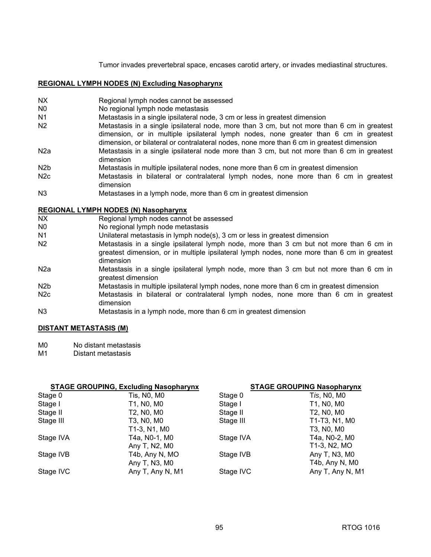Tumor invades prevertebral space, encases carotid artery, or invades mediastinal structures.

### **REGIONAL LYMPH NODES (N) Excluding Nasopharynx**

- NX Regional lymph nodes cannot be assessed
- N0 No regional lymph node metastasis
- N1 Metastasis in a single ipsilateral node, 3 cm or less in greatest dimension
- N2 Metastasis in a single ipsilateral node, more than 3 cm, but not more than 6 cm in greatest dimension, or in multiple ipsilateral lymph nodes, none greater than 6 cm in greatest dimension, or bilateral or contralateral nodes, none more than 6 cm in greatest dimension
- N2a Metastasis in a single ipsilateral node more than 3 cm, but not more than 6 cm in greatest dimension
- N2b Metastasis in multiple ipsilateral nodes, none more than 6 cm in greatest dimension
- N2c Metastasis in bilateral or contralateral lymph nodes, none more than 6 cm in greatest dimension
- N3 Metastases in a lymph node, more than 6 cm in greatest dimension

### **REGIONAL LYMPH NODES (N) Nasopharynx**

- NX Regional lymph nodes cannot be assessed
- N0 No regional lymph node metastasis
- N1 Unilateral metastasis in lymph node(s), 3 cm or less in greatest dimension
- N2 Metastasis in a single ipsilateral lymph node, more than 3 cm but not more than 6 cm in greatest dimension, or in multiple ipsilateral lymph nodes, none more than 6 cm in greatest dimension
- N2a Metastasis in a single ipsilateral lymph node, more than 3 cm but not more than 6 cm in greatest dimension
- N2b Metastasis in multiple ipsilateral lymph nodes, none more than 6 cm in greatest dimension
- N<sub>2</sub>c Metastasis in bilateral or contralateral lymph nodes, none more than 6 cm in greatest dimension
- N3 Metastasis in a lymph node, more than 6 cm in greatest dimension

# **DISTANT METASTASIS (M)**

- M0 No distant metastasis
- M1 Distant metastasis

# **STAGE GROUPING, Excluding Nasopharynx STAGE GROUPING Nasopharynx**

|           |                  |           | 517652111971180011117 |  |  |
|-----------|------------------|-----------|-----------------------|--|--|
| Stage 0   | Tis, N0, M0      | Stage 0   | T <i>is</i> , N0, M0  |  |  |
| Stage I   | T1, N0, M0       | Stage I   | T1, N0, M0            |  |  |
| Stage II  | T2, N0, M0       | Stage II  | T2, N0, M0            |  |  |
| Stage III | T3, N0, M0       | Stage III | T1-T3, N1, M0         |  |  |
|           | T1-3, N1, M0     |           | T3, N0, M0            |  |  |
| Stage IVA | T4a, N0-1, M0    | Stage IVA | T4a, N0-2, M0         |  |  |
|           | Any T, N2, M0    |           | T1-3, N2, MO          |  |  |
| Stage IVB | T4b, Any N, MO   | Stage IVB | Any T, N3, M0         |  |  |
|           | Any T, N3, M0    |           | T4b, Any N, M0        |  |  |
| Stage IVC | Any T, Any N, M1 | Stage IVC | Any T, Any N, M1      |  |  |
|           |                  |           |                       |  |  |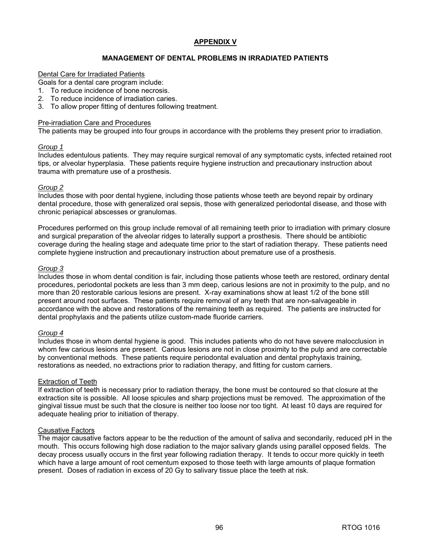### **APPENDIX V**

### **MANAGEMENT OF DENTAL PROBLEMS IN IRRADIATED PATIENTS**

#### Dental Care for Irradiated Patients

Goals for a dental care program include:

- 1. To reduce incidence of bone necrosis.
- 2. To reduce incidence of irradiation caries.
- 3. To allow proper fitting of dentures following treatment.

#### Pre-irradiation Care and Procedures

The patients may be grouped into four groups in accordance with the problems they present prior to irradiation.

#### *Group 1*

Includes edentulous patients. They may require surgical removal of any symptomatic cysts, infected retained root tips, or alveolar hyperplasia. These patients require hygiene instruction and precautionary instruction about trauma with premature use of a prosthesis.

### *Group 2*

Includes those with poor dental hygiene, including those patients whose teeth are beyond repair by ordinary dental procedure, those with generalized oral sepsis, those with generalized periodontal disease, and those with chronic periapical abscesses or granulomas.

Procedures performed on this group include removal of all remaining teeth prior to irradiation with primary closure and surgical preparation of the alveolar ridges to laterally support a prosthesis. There should be antibiotic coverage during the healing stage and adequate time prior to the start of radiation therapy. These patients need complete hygiene instruction and precautionary instruction about premature use of a prosthesis.

#### *Group 3*

Includes those in whom dental condition is fair, including those patients whose teeth are restored, ordinary dental procedures, periodontal pockets are less than 3 mm deep, carious lesions are not in proximity to the pulp, and no more than 20 restorable carious lesions are present. X-ray examinations show at least 1/2 of the bone still present around root surfaces. These patients require removal of any teeth that are non-salvageable in accordance with the above and restorations of the remaining teeth as required. The patients are instructed for dental prophylaxis and the patients utilize custom-made fluoride carriers.

### *Group 4*

Includes those in whom dental hygiene is good. This includes patients who do not have severe malocclusion in whom few carious lesions are present. Carious lesions are not in close proximity to the pulp and are correctable by conventional methods. These patients require periodontal evaluation and dental prophylaxis training, restorations as needed, no extractions prior to radiation therapy, and fitting for custom carriers.

### Extraction of Teeth

If extraction of teeth is necessary prior to radiation therapy, the bone must be contoured so that closure at the extraction site is possible. All loose spicules and sharp projections must be removed. The approximation of the gingival tissue must be such that the closure is neither too loose nor too tight. At least 10 days are required for adequate healing prior to initiation of therapy.

### Causative Factors

The major causative factors appear to be the reduction of the amount of saliva and secondarily, reduced pH in the mouth. This occurs following high dose radiation to the major salivary glands using parallel opposed fields. The decay process usually occurs in the first year following radiation therapy. It tends to occur more quickly in teeth which have a large amount of root cementum exposed to those teeth with large amounts of plaque formation present. Doses of radiation in excess of 20 Gy to salivary tissue place the teeth at risk.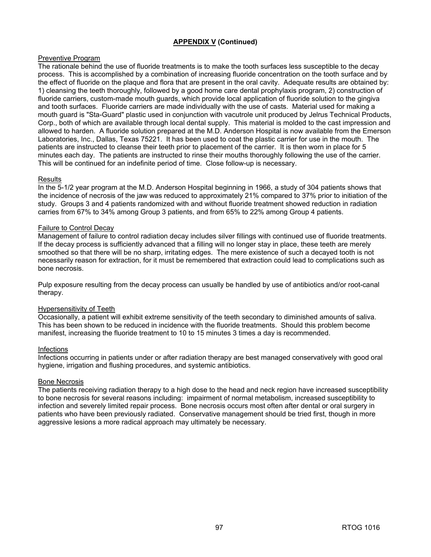# **APPENDIX V (Continued)**

# Preventive Program

The rationale behind the use of fluoride treatments is to make the tooth surfaces less susceptible to the decay process. This is accomplished by a combination of increasing fluoride concentration on the tooth surface and by the effect of fluoride on the plaque and flora that are present in the oral cavity. Adequate results are obtained by: 1) cleansing the teeth thoroughly, followed by a good home care dental prophylaxis program, 2) construction of fluoride carriers, custom-made mouth guards, which provide local application of fluoride solution to the gingiva and tooth surfaces. Fluoride carriers are made individually with the use of casts. Material used for making a mouth guard is "Sta-Guard" plastic used in conjunction with vacutrole unit produced by Jelrus Technical Products, Corp., both of which are available through local dental supply. This material is molded to the cast impression and allowed to harden. A fluoride solution prepared at the M.D. Anderson Hospital is now available from the Emerson Laboratories, Inc., Dallas, Texas 75221. It has been used to coat the plastic carrier for use in the mouth. The patients are instructed to cleanse their teeth prior to placement of the carrier. It is then worn in place for 5 minutes each day. The patients are instructed to rinse their mouths thoroughly following the use of the carrier. This will be continued for an indefinite period of time. Close follow-up is necessary.

# Results

In the 5-1/2 year program at the M.D. Anderson Hospital beginning in 1966, a study of 304 patients shows that the incidence of necrosis of the jaw was reduced to approximately 21% compared to 37% prior to initiation of the study. Groups 3 and 4 patients randomized with and without fluoride treatment showed reduction in radiation carries from 67% to 34% among Group 3 patients, and from 65% to 22% among Group 4 patients.

### Failure to Control Decay

Management of failure to control radiation decay includes silver fillings with continued use of fluoride treatments. If the decay process is sufficiently advanced that a filling will no longer stay in place, these teeth are merely smoothed so that there will be no sharp, irritating edges. The mere existence of such a decayed tooth is not necessarily reason for extraction, for it must be remembered that extraction could lead to complications such as bone necrosis.

Pulp exposure resulting from the decay process can usually be handled by use of antibiotics and/or root-canal therapy.

# Hypersensitivity of Teeth

Occasionally, a patient will exhibit extreme sensitivity of the teeth secondary to diminished amounts of saliva. This has been shown to be reduced in incidence with the fluoride treatments. Should this problem become manifest, increasing the fluoride treatment to 10 to 15 minutes 3 times a day is recommended.

### Infections

Infections occurring in patients under or after radiation therapy are best managed conservatively with good oral hygiene, irrigation and flushing procedures, and systemic antibiotics.

### Bone Necrosis

The patients receiving radiation therapy to a high dose to the head and neck region have increased susceptibility to bone necrosis for several reasons including: impairment of normal metabolism, increased susceptibility to infection and severely limited repair process. Bone necrosis occurs most often after dental or oral surgery in patients who have been previously radiated. Conservative management should be tried first, though in more aggressive lesions a more radical approach may ultimately be necessary.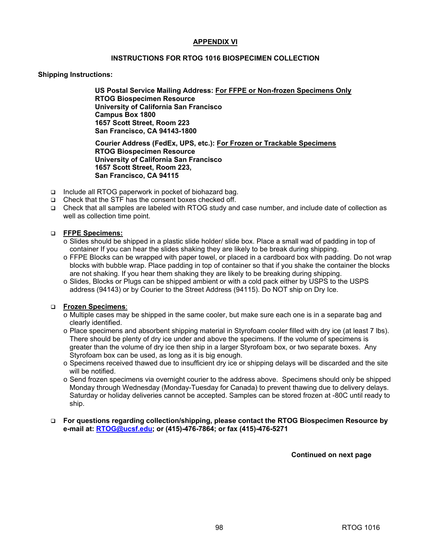### **APPENDIX VI**

### **INSTRUCTIONS FOR RTOG 1016 BIOSPECIMEN COLLECTION**

### **Shipping Instructions:**

**US Postal Service Mailing Address: For FFPE or Non-frozen Specimens Only RTOG Biospecimen Resource University of California San Francisco Campus Box 1800 1657 Scott Street, Room 223 San Francisco, CA 94143-1800** 

**Courier Address (FedEx, UPS, etc.): For Frozen or Trackable Specimens RTOG Biospecimen Resource University of California San Francisco 1657 Scott Street, Room 223, San Francisco, CA 94115**

- □ Include all RTOG paperwork in pocket of biohazard bag.
- □ Check that the STF has the consent boxes checked off.
- Check that all samples are labeled with RTOG study and case number, and include date of collection as well as collection time point.

### **FFPE Specimens:**

- o Slides should be shipped in a plastic slide holder/ slide box. Place a small wad of padding in top of container If you can hear the slides shaking they are likely to be break during shipping.
- o FFPE Blocks can be wrapped with paper towel, or placed in a cardboard box with padding. Do not wrap blocks with bubble wrap. Place padding in top of container so that if you shake the container the blocks are not shaking. If you hear them shaking they are likely to be breaking during shipping.
- o Slides, Blocks or Plugs can be shipped ambient or with a cold pack either by USPS to the USPS address (94143) or by Courier to the Street Address (94115). Do NOT ship on Dry Ice.

### **Frozen Specimens**:

- o Multiple cases may be shipped in the same cooler, but make sure each one is in a separate bag and clearly identified.
- o Place specimens and absorbent shipping material in Styrofoam cooler filled with dry ice (at least 7 lbs). There should be plenty of dry ice under and above the specimens. If the volume of specimens is greater than the volume of dry ice then ship in a larger Styrofoam box, or two separate boxes. Any Styrofoam box can be used, as long as it is big enough.
- o Specimens received thawed due to insufficient dry ice or shipping delays will be discarded and the site will be notified.
- o Send frozen specimens via overnight courier to the address above. Specimens should only be shipped Monday through Wednesday (Monday-Tuesday for Canada) to prevent thawing due to delivery delays. Saturday or holiday deliveries cannot be accepted. Samples can be stored frozen at -80C until ready to ship.
- **For questions regarding collection/shipping, please contact the RTOG Biospecimen Resource by e-mail at: [RTOG@ucsf.edu;](mailto:RTOG@ucsf.edu) or (415)-476-7864; or fax (415)-476-5271**

**Continued on next page**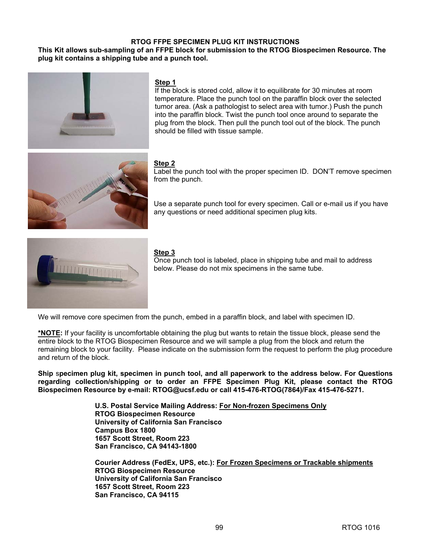#### **RTOG FFPE SPECIMEN PLUG KIT INSTRUCTIONS**

#### **This Kit allows sub-sampling of an FFPE block for submission to the RTOG Biospecimen Resource. The plug kit contains a shipping tube and a punch tool.**



#### **Step 1**

If the block is stored cold, allow it to equilibrate for 30 minutes at room temperature. Place the punch tool on the paraffin block over the selected tumor area. (Ask a pathologist to select area with tumor.) Push the punch into the paraffin block. Twist the punch tool once around to separate the plug from the block. Then pull the punch tool out of the block. The punch should be filled with tissue sample.



#### **Step 2**

Label the punch tool with the proper specimen ID. DON'T remove specimen from the punch.

Use a separate punch tool for every specimen. Call or e-mail us if you have any questions or need additional specimen plug kits.



#### **Step 3**

Once punch tool is labeled, place in shipping tube and mail to address below. Please do not mix specimens in the same tube.

We will remove core specimen from the punch, embed in a paraffin block, and label with specimen ID.

**\*NOTE:** If your facility is uncomfortable obtaining the plug but wants to retain the tissue block, please send the entire block to the RTOG Biospecimen Resource and we will sample a plug from the block and return the remaining block to your facility. Please indicate on the submission form the request to perform the plug procedure and return of the block.

**Ship** s**pecimen plug kit, specimen in punch tool, and all paperwork to the address below. For Questions regarding collection/shipping or to order an FFPE Specimen Plug Kit, please contact the RTOG Biospecimen Resource by e-mail: [RTOG@ucsf.edu or](mailto:RTOG@ucsf.edu) call 415-476-RTOG(7864)/Fax 415-476-5271.** 

> **U.S. Postal Service Mailing Address: For Non-frozen Specimens Only RTOG Biospecimen Resource University of California San Francisco Campus Box 1800 1657 Scott Street, Room 223 San Francisco, CA 94143-1800**

**Courier Address (FedEx, UPS, etc.): For Frozen Specimens or Trackable shipments RTOG Biospecimen Resource University of California San Francisco 1657 Scott Street, Room 223 San Francisco, CA 94115**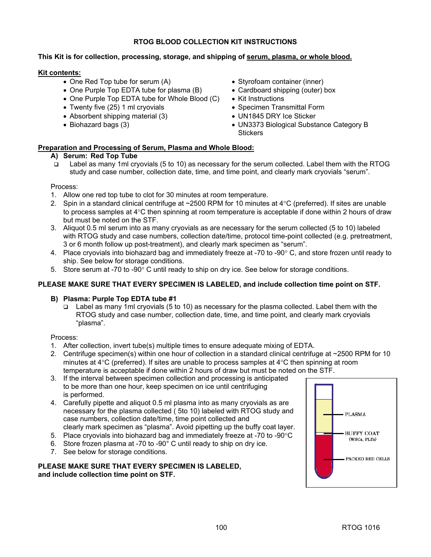## **RTOG BLOOD COLLECTION KIT INSTRUCTIONS**

## **This Kit is for collection, processing, storage, and shipping of serum, plasma, or whole blood.**

## **Kit contents:**

- One Red Top tube for serum (A)
- One Purple Top EDTA tube for plasma (B)
- One Purple Top EDTA tube for Whole Blood (C)
- Twenty five (25) 1 ml cryovials
- Absorbent shipping material (3)
- Biohazard bags (3)
- Styrofoam container (inner)
- Cardboard shipping (outer) box
- Kit Instructions
- Specimen Transmittal Form
- UN1845 DRY Ice Sticker
- UN3373 Biological Substance Category B **Stickers**

# **Preparation and Processing of Serum, Plasma and Whole Blood:**

#### **A) Serum: Red Top Tube**

 Label as many 1ml cryovials (5 to 10) as necessary for the serum collected. Label them with the RTOG study and case number, collection date, time, and time point, and clearly mark cryovials "serum".

#### Process:

- 1. Allow one red top tube to clot for 30 minutes at room temperature.
- 2. Spin in a standard clinical centrifuge at ~2500 RPM for 10 minutes at 4°C (preferred). If sites are unable to process samples at  $4^{\circ}$ C then spinning at room temperature is acceptable if done within 2 hours of draw but must be noted on the STF.
- 3. Aliquot 0.5 ml serum into as many cryovials as are necessary for the serum collected (5 to 10) labeled with RTOG study and case numbers, collection date/time, protocol time-point collected (e.g. pretreatment, 3 or 6 month follow up post-treatment), and clearly mark specimen as "serum".
- 4. Place cryovials into biohazard bag and immediately freeze at -70 to -90° C, and store frozen until ready to ship. See below for storage conditions.
- 5. Store serum at -70 to -90° C until ready to ship on dry ice. See below for storage conditions.

## **PLEASE MAKE SURE THAT EVERY SPECIMEN IS LABELED, and include collection time point on STF.**

## **B) Plasma: Purple Top EDTA tube #1**

 $\Box$  Label as many 1ml cryovials (5 to 10) as necessary for the plasma collected. Label them with the RTOG study and case number, collection date, time, and time point, and clearly mark cryovials "plasma".

#### Process:

- 1. After collection, invert tube(s) multiple times to ensure adequate mixing of EDTA.
- 2. Centrifuge specimen(s) within one hour of collection in a standard clinical centrifuge at ~2500 RPM for 10 minutes at  $4^{\circ}$ C (preferred). If sites are unable to process samples at  $4^{\circ}$ C then spinning at room temperature is acceptable if done within 2 hours of draw but must be noted on the STF.
- 3. If the interval between specimen collection and processing is anticipated to be more than one hour, keep specimen on ice until centrifuging is performed.
- 4. Carefully pipette and aliquot 0.5 ml plasma into as many cryovials as are necessary for the plasma collected ( 5to 10) labeled with RTOG study and case numbers, collection date/time, time point collected and clearly mark specimen as "plasma". Avoid pipetting up the buffy coat layer.
- 5. Place cryovials into biohazard bag and immediately freeze at -70 to -90°C
- 6. Store frozen plasma at -70 to -90° C until ready to ship on dry ice.
- 7. See below for storage conditions.

#### **PLEASE MAKE SURE THAT EVERY SPECIMEN IS LABELED, and include collection time point on STF.**

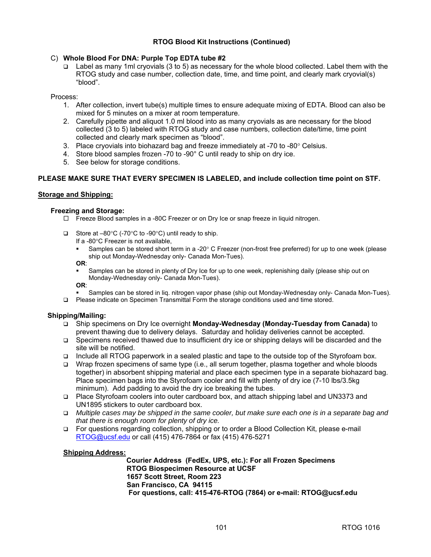#### **RTOG Blood Kit Instructions (Continued)**

#### C) Whole Blood For DNA: Purple Top EDTA tube #2

 $\Box$  Label as many 1ml cryovials (3 to 5) as necessary for the whole blood collected. Label them with the RTOG study and case number, collection date, time, and time point, and clearly mark cryovial(s) "blood".

#### Process:

- 1. After collection, invert tube(s) multiple times to ensure adequate mixing of EDTA. Blood can also be mixed for 5 minutes on a mixer at room temperature.
- 2. Carefully pipette and aliquot 1.0 ml blood into as many cryovials as are necessary for the blood collected (3 to 5) labeled with RTOG study and case numbers, collection date/time, time point collected and clearly mark specimen as "blood".
- 3. Place cryovials into biohazard bag and freeze immediately at  $-70$  to  $-80^\circ$  Celsius.
- 4. Store blood samples frozen -70 to -90° C until ready to ship on dry ice.
- 5. See below for storage conditions.

#### **PLEASE MAKE SURE THAT EVERY SPECIMEN IS LABELED, and include collection time point on STF.**

#### **Storage and Shipping:**

#### **Freezing and Storage:**

- $\Box$  Freeze Blood samples in a -80C Freezer or on Dry Ice or snap freeze in liquid nitrogen.
- $\Box$  Store at -80°C (-70°C to -90°C) until ready to ship.
	- If a -80°C Freezer is not available,
	- Samples can be stored short term in a -20° C Freezer (non-frost free preferred) for up to one week (please ship out Monday-Wednesday only- Canada Mon-Tues).

#### **OR**:

 Samples can be stored in plenty of Dry Ice for up to one week, replenishing daily (please ship out on Monday-Wednesday only- Canada Mon-Tues).

**OR**:

- Samples can be stored in liq. nitrogen vapor phase (ship out Monday-Wednesday only- Canada Mon-Tues).
- Please indicate on Specimen Transmittal Form the storage conditions used and time stored.

#### **Shipping/Mailing:**

- Ship specimens on Dry Ice overnight **Monday-Wednesday (Monday-Tuesday from Canada)** to prevent thawing due to delivery delays. Saturday and holiday deliveries cannot be accepted.
- □ Specimens received thawed due to insufficient dry ice or shipping delays will be discarded and the site will be notified.
- Include all RTOG paperwork in a sealed plastic and tape to the outside top of the Styrofoam box.
- $\Box$  Wrap frozen specimens of same type (i.e., all serum together, plasma together and whole bloods together) in absorbent shipping material and place each specimen type in a separate biohazard bag. Place specimen bags into the Styrofoam cooler and fill with plenty of dry ice (7-10 lbs/3.5kg minimum). Add padding to avoid the dry ice breaking the tubes.
- Place Styrofoam coolers into outer cardboard box, and attach shipping label and UN3373 and UN1895 stickers to outer cardboard box.
- *Multiple cases may be shipped in the same cooler, but make sure each one is in a separate bag and that there is enough room for plenty of dry ice.*
- For questions regarding collection, shipping or to order a Blood Collection Kit, please e-mail [RTOG@ucsf.edu or](mailto:RTOG@ucsf.edu) call (415) 476-7864 or fax (415) 476-5271

#### **Shipping Address:**

 **Courier Address (FedEx, UPS, etc.): For all Frozen Specimens RTOG Biospecimen Resource at UCSF 1657 Scott Street, Room 223 San Francisco, CA 94115 For questions, call: 415-476-RTOG (7864) or e-mail: [RTOG@ucsf.edu](mailto:RTOG@ucsf.edu)**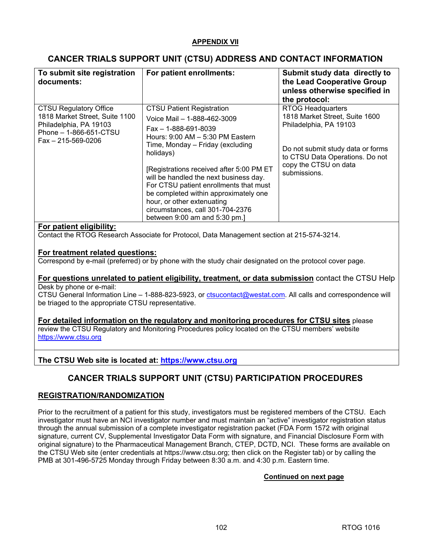## **APPENDIX VII**

# **CANCER TRIALS SUPPORT UNIT (CTSU) ADDRESS AND CONTACT INFORMATION**

| To submit site registration<br>documents:                                                                                                       | For patient enrollments:                                                                                                                                                                                                                                                                                                                                                                                                                                             | Submit study data directly to<br>the Lead Cooperative Group<br>unless otherwise specified in<br>the protocol:                                                                                         |
|-------------------------------------------------------------------------------------------------------------------------------------------------|----------------------------------------------------------------------------------------------------------------------------------------------------------------------------------------------------------------------------------------------------------------------------------------------------------------------------------------------------------------------------------------------------------------------------------------------------------------------|-------------------------------------------------------------------------------------------------------------------------------------------------------------------------------------------------------|
| <b>CTSU Regulatory Office</b><br>1818 Market Street, Suite 1100<br>Philadelphia, PA 19103<br>Phone - 1-866-651-CTSU<br>$Fax - 215 - 569 - 0206$ | <b>CTSU Patient Registration</b><br>Voice Mail - 1-888-462-3009<br>$Fax - 1 - 888 - 691 - 8039$<br>Hours: 9:00 AM - 5:30 PM Eastern<br>Time, Monday - Friday (excluding<br>holidays)<br>[Registrations received after 5:00 PM ET<br>will be handled the next business day.<br>For CTSU patient enrollments that must<br>be completed within approximately one<br>hour, or other extenuating<br>circumstances, call 301-704-2376<br>between $9:00$ am and $5:30$ pm.] | <b>RTOG Headquarters</b><br>1818 Market Street, Suite 1600<br>Philadelphia, PA 19103<br>Do not submit study data or forms<br>to CTSU Data Operations. Do not<br>copy the CTSU on data<br>submissions. |

#### **For patient eligibility:**

Contact the RTOG Research Associate for Protocol, Data Management section at 215-574-3214.

## **For treatment related questions:**

Correspond by e-mail (preferred) or by phone with the study chair designated on the protocol cover page.

#### **For questions unrelated to patient eligibility, treatment, or data submission** contact the CTSU Help Desk by phone or e-mail:

CTSU General Information Line – 1-888-823-5923, or [ctsucontact@westat.com.](mailto:ctsucontact@westat.com) All calls and correspondence will be triaged to the appropriate CTSU representative.

#### **For detailed information on the regulatory and monitoring procedures for CTSU sites** please review the CTSU Regulatory and Monitoring Procedures policy located on the CTSU members' website <https://www.ctsu.org>

# **The CTSU Web site is located at:<https://www.ctsu.org>**

# **CANCER TRIALS SUPPORT UNIT (CTSU) PARTICIPATION PROCEDURES**

## **REGISTRATION/RANDOMIZATION**

Prior to the recruitment of a patient for this study, investigators must be registered members of the CTSU. Each investigator must have an NCI investigator number and must maintain an "active" investigator registration status through the annual submission of a complete investigator registration packet (FDA Form 1572 with original signature, current CV, Supplemental Investigator Data Form with signature, and Financial Disclosure Form with original signature) to the Pharmaceutical Management Branch, CTEP, DCTD, NCI. These forms are available on the CTSU Web site (enter credentials at [https://www.ctsu.org;](https://www.ctsu.org) then click on the Register tab) or by calling the PMB at 301-496-5725 Monday through Friday between 8:30 a.m. and 4:30 p.m. Eastern time.

#### **Continued on next page**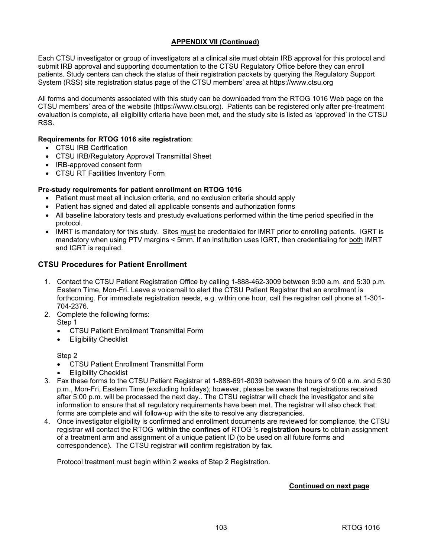## **APPENDIX VII (Continued)**

Each CTSU investigator or group of investigators at a clinical site must obtain IRB approval for this protocol and submit IRB approval and supporting documentation to the CTSU Regulatory Office before they can enroll patients. Study centers can check the status of their registration packets by querying the Regulatory Support System (RSS) site registration status page of the CTSU members' area at<https://www.ctsu.org>

All forms and documents associated with this study can be downloaded from the RTOG 1016 Web page on the CTSU members' area of the website [\(https://www.ctsu.org](https://www.ctsu.org)). Patients can be registered only after pre-treatment evaluation is complete, all eligibility criteria have been met, and the study site is listed as 'approved' in the CTSU RSS.

### **Requirements for RTOG 1016 site registration**:

- CTSU IRB Certification
- CTSU IRB/Regulatory Approval Transmittal Sheet
- IRB-approved consent form
- CTSU RT Facilities Inventory Form

#### **Pre-study requirements for patient enrollment on RTOG 1016**

- Patient must meet all inclusion criteria, and no exclusion criteria should apply
- Patient has signed and dated all applicable consents and authorization forms
- All baseline laboratory tests and prestudy evaluations performed within the time period specified in the protocol.
- IMRT is mandatory for this study. Sites must be credentialed for IMRT prior to enrolling patients. IGRT is mandatory when using PTV margins < 5mm. If an institution uses IGRT, then credentialing for both IMRT and IGRT is required.

## **CTSU Procedures for Patient Enrollment**

- 1. Contact the CTSU Patient Registration Office by calling 1-888-462-3009 between 9:00 a.m. and 5:30 p.m. Eastern Time, Mon-Fri. Leave a voicemail to alert the CTSU Patient Registrar that an enrollment is forthcoming. For immediate registration needs, e.g. within one hour, call the registrar cell phone at 1-301- 704-2376.
- 2. Complete the following forms:
	- Step 1
		- CTSU Patient Enrollment Transmittal Form
		- **Eligibility Checklist**

#### Step 2

- CTSU Patient Enrollment Transmittal Form
- Eligibility Checklist
- 3. Fax these forms to the CTSU Patient Registrar at 1-888-691-8039 between the hours of 9:00 a.m. and 5:30 p.m., Mon-Fri, Eastern Time (excluding holidays); however, please be aware that registrations received after 5:00 p.m. will be processed the next day.. The CTSU registrar will check the investigator and site information to ensure that all regulatory requirements have been met. The registrar will also check that forms are complete and will follow-up with the site to resolve any discrepancies.
- 4. Once investigator eligibility is confirmed and enrollment documents are reviewed for compliance, the CTSU registrar will contact the RTOG **within the confines of** RTOG 's **registration hours** to obtain assignment of a treatment arm and assignment of a unique patient ID (to be used on all future forms and correspondence). The CTSU registrar will confirm registration by fax.

Protocol treatment must begin within 2 weeks of Step 2 Registration.

#### **Continued on next page**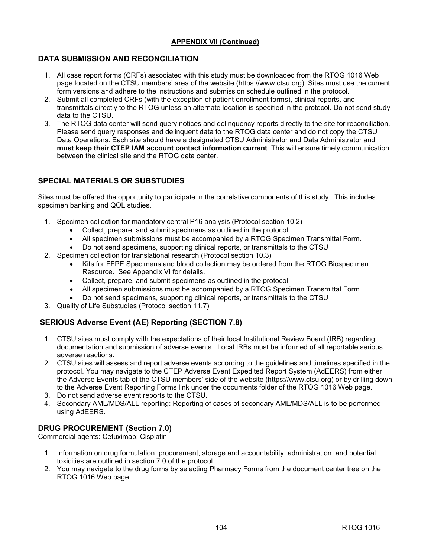## **APPENDIX VII (Continued)**

# **DATA SUBMISSION AND RECONCILIATION**

- 1. All case report forms (CRFs) associated with this study must be downloaded from the RTOG 1016 Web page located on the CTSU members' area of the website (<https://www.ctsu.org>). Sites must use the current form versions and adhere to the instructions and submission schedule outlined in the protocol.
- 2. Submit all completed CRFs (with the exception of patient enrollment forms), clinical reports, and transmittals directly to the RTOG unless an alternate location is specified in the protocol. Do not send study data to the CTSU.
- 3. The RTOG data center will send query notices and delinquency reports directly to the site for reconciliation. Please send query responses and delinquent data to the RTOG data center and do not copy the CTSU Data Operations. Each site should have a designated CTSU Administrator and Data Administrator and **must keep their CTEP IAM account contact information current**. This will ensure timely communication between the clinical site and the RTOG data center.

# **SPECIAL MATERIALS OR SUBSTUDIES**

Sites must be offered the opportunity to participate in the correlative components of this study. This includes specimen banking and QOL studies.

- 1. Specimen collection for mandatory central P16 analysis (Protocol section 10.2)
	- Collect, prepare, and submit specimens as outlined in the protocol
	- All specimen submissions must be accompanied by a RTOG Specimen Transmittal Form.
	- Do not send specimens, supporting clinical reports, or transmittals to the CTSU
- 2. Specimen collection for translational research (Protocol section 10.3)
	- Kits for FFPE Specimens and blood collection may be ordered from the RTOG Biospecimen Resource. See Appendix VI for details.
	- Collect, prepare, and submit specimens as outlined in the protocol
	- All specimen submissions must be accompanied by a RTOG Specimen Transmittal Form
	- Do not send specimens, supporting clinical reports, or transmittals to the CTSU
- 3. Quality of Life Substudies (Protocol section 11.7)

# **SERIOUS Adverse Event (AE) Reporting (SECTION 7.8)**

- 1. CTSU sites must comply with the expectations of their local Institutional Review Board (IRB) regarding documentation and submission of adverse events. Local IRBs must be informed of all reportable serious adverse reactions.
- 2. CTSU sites will assess and report adverse events according to the guidelines and timelines specified in the protocol. You may navigate to the CTEP Adverse Event Expedited Report System (AdEERS) from either the Adverse Events tab of the CTSU members' side of the website ([https://www.ctsu.org\)](https://www.ctsu.org) or by drilling down to the Adverse Event Reporting Forms link under the documents folder of the RTOG 1016 Web page.
- 3. Do not send adverse event reports to the CTSU.
- 4. Secondary AML/MDS/ALL reporting: Reporting of cases of secondary AML/MDS/ALL is to be performed using AdEERS.

## **DRUG PROCUREMENT (Section 7.0)**

Commercial agents: Cetuximab; Cisplatin

- 1. Information on drug formulation, procurement, storage and accountability, administration, and potential toxicities are outlined in section 7.0 of the protocol.
- 2. You may navigate to the drug forms by selecting Pharmacy Forms from the document center tree on the RTOG 1016 Web page.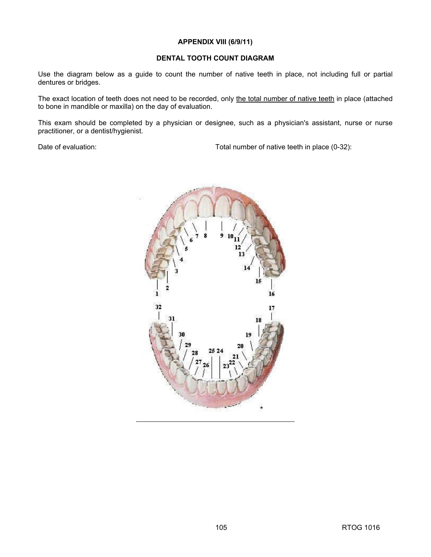#### **APPENDIX VIII (6/9/11)**

## **DENTAL TOOTH COUNT DIAGRAM**

Use the diagram below as a guide to count the number of native teeth in place, not including full or partial dentures or bridges.

The exact location of teeth does not need to be recorded, only the total number of native teeth in place (attached to bone in mandible or maxilla) on the day of evaluation.

This exam should be completed by a physician or designee, such as a physician's assistant, nurse or nurse practitioner, or a dentist/hygienist.

Date of evaluation: Date of evaluation: Total number of native teeth in place (0-32):